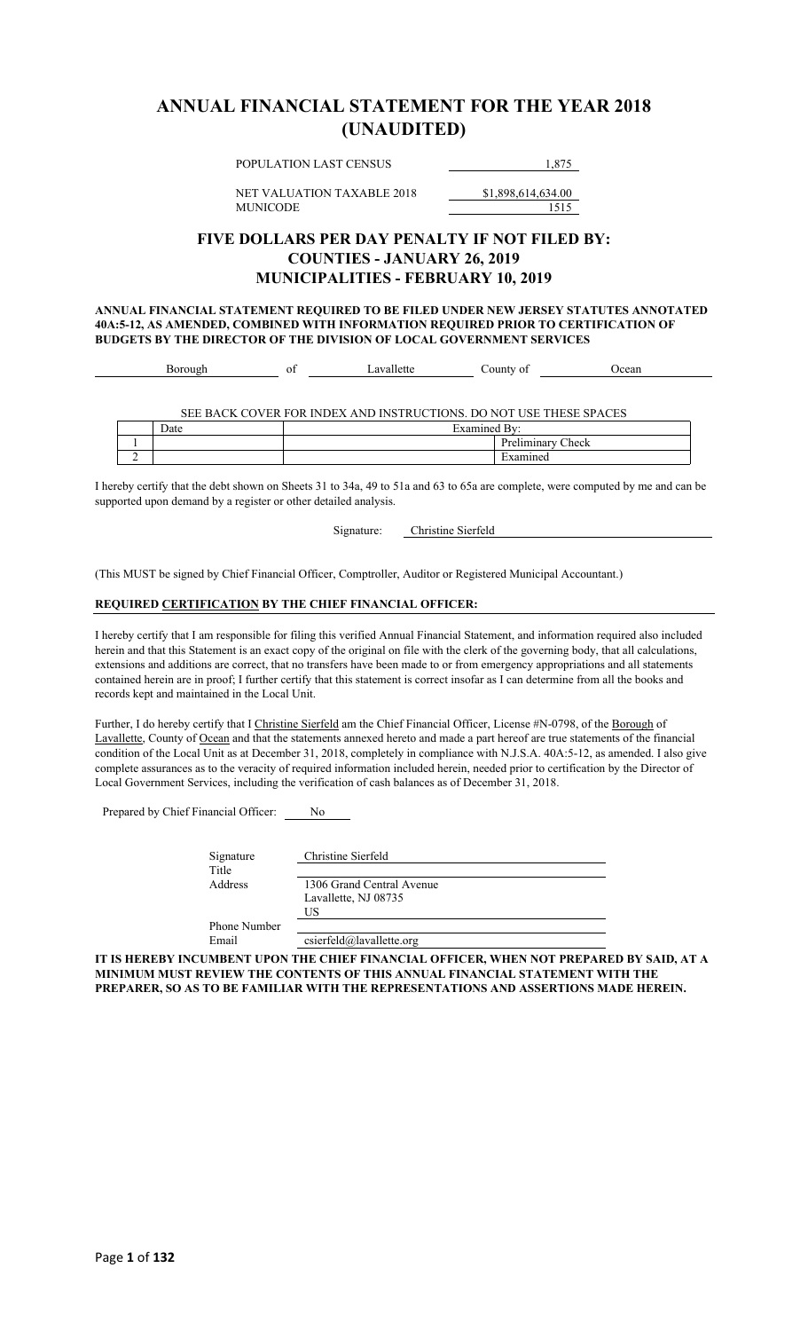### **ANNUAL FINANCIAL STATEMENT FOR THE YEAR 2018 (UNAUDITED)**

POPULATION LAST CENSUS 1,875

NET VALUATION TAXABLE 2018 \$1,898,614,634.00 MUNICODE 1515

### **FIVE DOLLARS PER DAY PENALTY IF NOT FILED BY: COUNTIES - JANUARY 26, 2019 MUNICIPALITIES - FEBRUARY 10, 2019**

**ANNUAL FINANCIAL STATEMENT REQUIRED TO BE FILED UNDER NEW JERSEY STATUTES ANNOTATED 40A:5-12, AS AMENDED, COMBINED WITH INFORMATION REQUIRED PRIOR TO CERTIFICATION OF BUDGETS BY THE DIRECTOR OF THE DIVISION OF LOCAL GOVERNMENT SERVICES**

| าเ |  |  | ור<br>, , ,<br>v. | $1000 -$ |
|----|--|--|-------------------|----------|
|----|--|--|-------------------|----------|

SEE BACK COVER FOR INDEX AND INSTRUCTIONS. DO NOT USE THESE SPACES

|  | ∽<br>Date | $\overline{\phantom{0}}$<br>0.488448<br><b>L</b><br>777 |                                       |
|--|-----------|---------------------------------------------------------|---------------------------------------|
|  |           |                                                         | $\sqrt{2}$<br>Check<br>**********<br> |
|  |           |                                                         | יי                                    |

I hereby certify that the debt shown on Sheets 31 to 34a, 49 to 51a and 63 to 65a are complete, were computed by me and can be supported upon demand by a register or other detailed analysis.

Signature: Christine Sierfeld

(This MUST be signed by Chief Financial Officer, Comptroller, Auditor or Registered Municipal Accountant.)

#### **REQUIRED CERTIFICATION BY THE CHIEF FINANCIAL OFFICER:**

I hereby certify that I am responsible for filing this verified Annual Financial Statement, and information required also included herein and that this Statement is an exact copy of the original on file with the clerk of the governing body, that all calculations, extensions and additions are correct, that no transfers have been made to or from emergency appropriations and all statements contained herein are in proof; I further certify that this statement is correct insofar as I can determine from all the books and records kept and maintained in the Local Unit.

Further, I do hereby certify that I Christine Sierfeld am the Chief Financial Officer, License #N-0798, of the Borough of Lavallette, County of Ocean and that the statements annexed hereto and made a part hereof are true statements of the financial condition of the Local Unit as at December 31, 2018, completely in compliance with N.J.S.A. 40A:5-12, as amended. I also give complete assurances as to the veracity of required information included herein, needed prior to certification by the Director of Local Government Services, including the verification of cash balances as of December 31, 2018.

Prepared by Chief Financial Officer: No

| Signature<br>Title  | Christine Sierfeld        |
|---------------------|---------------------------|
| Address             | 1306 Grand Central Avenue |
|                     | Lavallette, NJ 08735      |
|                     | US                        |
| <b>Phone Number</b> |                           |
| Email               | csierfeld@lavallette.org  |

**IT IS HEREBY INCUMBENT UPON THE CHIEF FINANCIAL OFFICER, WHEN NOT PREPARED BY SAID, AT A MINIMUM MUST REVIEW THE CONTENTS OF THIS ANNUAL FINANCIAL STATEMENT WITH THE PREPARER, SO AS TO BE FAMILIAR WITH THE REPRESENTATIONS AND ASSERTIONS MADE HEREIN.**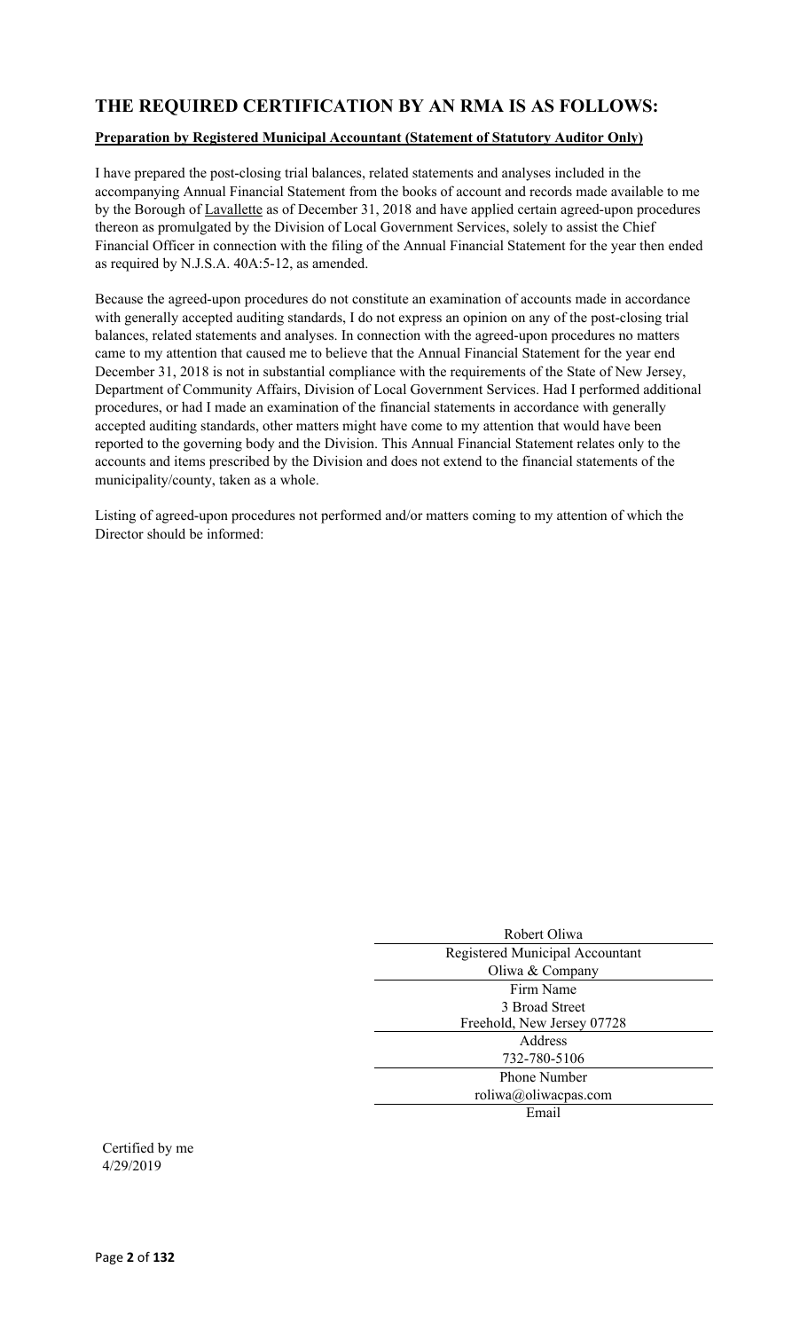### **THE REQUIRED CERTIFICATION BY AN RMA IS AS FOLLOWS:**

#### **Preparation by Registered Municipal Accountant (Statement of Statutory Auditor Only)**

I have prepared the post-closing trial balances, related statements and analyses included in the accompanying Annual Financial Statement from the books of account and records made available to me by the Borough of Lavallette as of December 31, 2018 and have applied certain agreed-upon procedures thereon as promulgated by the Division of Local Government Services, solely to assist the Chief Financial Officer in connection with the filing of the Annual Financial Statement for the year then ended as required by N.J.S.A. 40A:5-12, as amended.

Because the agreed-upon procedures do not constitute an examination of accounts made in accordance with generally accepted auditing standards, I do not express an opinion on any of the post-closing trial balances, related statements and analyses. In connection with the agreed-upon procedures no matters came to my attention that caused me to believe that the Annual Financial Statement for the year end December 31, 2018 is not in substantial compliance with the requirements of the State of New Jersey, Department of Community Affairs, Division of Local Government Services. Had I performed additional procedures, or had I made an examination of the financial statements in accordance with generally accepted auditing standards, other matters might have come to my attention that would have been reported to the governing body and the Division. This Annual Financial Statement relates only to the accounts and items prescribed by the Division and does not extend to the financial statements of the municipality/county, taken as a whole.

Listing of agreed-upon procedures not performed and/or matters coming to my attention of which the Director should be informed:

| Robert Oliwa                    |
|---------------------------------|
| Registered Municipal Accountant |
| Oliwa & Company                 |
| Firm Name                       |
| 3 Broad Street                  |
| Freehold, New Jersey 07728      |
| Address                         |
| 732-780-5106                    |
| <b>Phone Number</b>             |
| roliwa@oliwacpas.com            |
| Email                           |
|                                 |

Certified by me 4/29/2019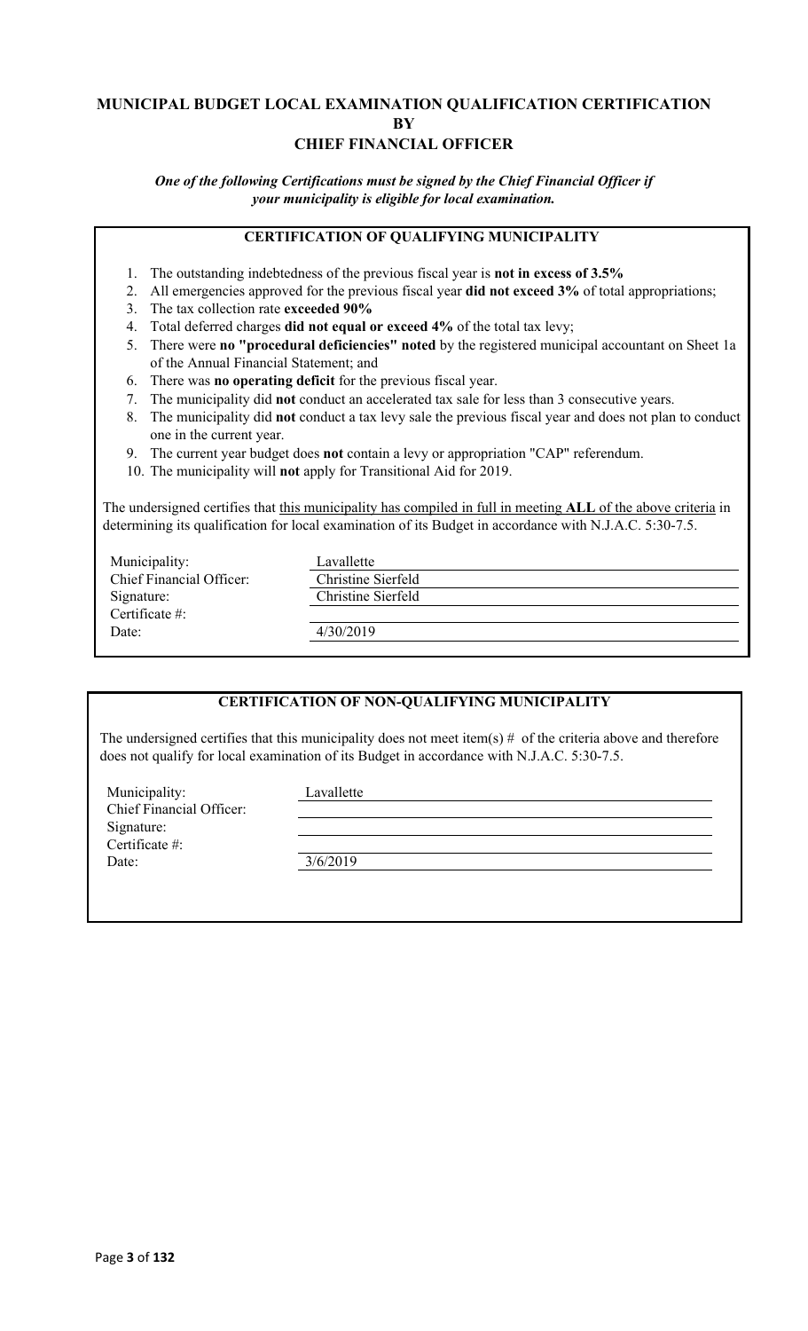### **MUNICIPAL BUDGET LOCAL EXAMINATION QUALIFICATION CERTIFICATION BY CHIEF FINANCIAL OFFICER**

*One of the following Certifications must be signed by the Chief Financial Officer if your municipality is eligible for local examination.*

### **CERTIFICATION OF QUALIFYING MUNICIPALITY**

- 1. The outstanding indebtedness of the previous fiscal year is **not in excess of 3.5%**
- 2. All emergencies approved for the previous fiscal year **did not exceed 3%** of total appropriations;
- 3. The tax collection rate **exceeded 90%**
- 4. Total deferred charges **did not equal or exceed 4%** of the total tax levy;
- 5. There were **no "procedural deficiencies" noted** by the registered municipal accountant on Sheet 1a of the Annual Financial Statement; and
- 6. There was **no operating deficit** for the previous fiscal year.
- 7. The municipality did **not** conduct an accelerated tax sale for less than 3 consecutive years.
- 8. The municipality did **not** conduct a tax levy sale the previous fiscal year and does not plan to conduct one in the current year.
- 9. The current year budget does **not** contain a levy or appropriation "CAP" referendum.
- 10. The municipality will **not** apply for Transitional Aid for 2019.

The undersigned certifies that this municipality has compiled in full in meeting **ALL** of the above criteria in determining its qualification for local examination of its Budget in accordance with N.J.A.C. 5:30-7.5.

| Municipality:            | Lavallette         |
|--------------------------|--------------------|
| Chief Financial Officer: | Christine Sierfeld |
| Signature:               | Christine Sierfeld |
| Certificate $\#$ :       |                    |
| Date:                    | 4/30/2019          |
|                          |                    |

### **CERTIFICATION OF NON-QUALIFYING MUNICIPALITY**

The undersigned certifies that this municipality does not meet item(s)  $#$  of the criteria above and therefore does not qualify for local examination of its Budget in accordance with N.J.A.C. 5:30-7.5.

Municipality: Lavallette Chief Financial Officer: Signature: Certificate #: Date: 3/6/2019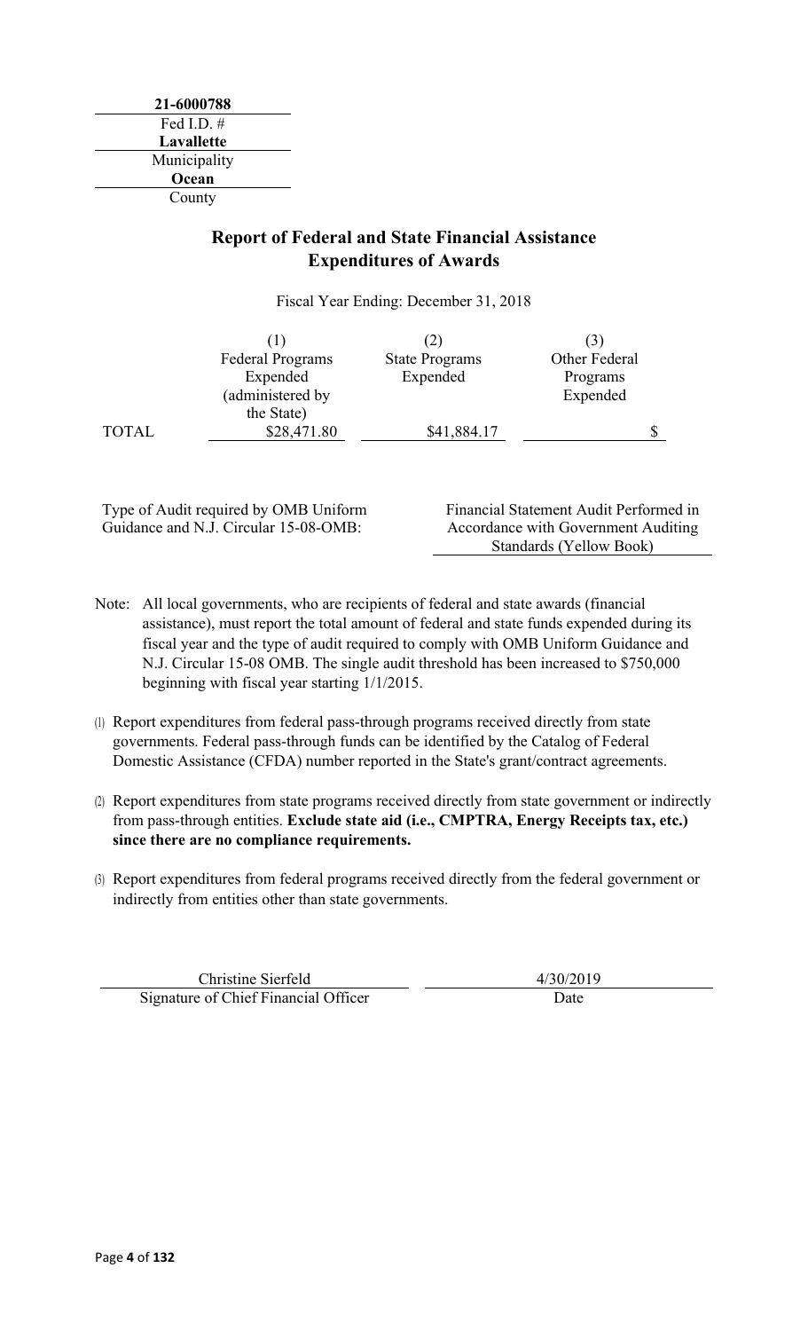**21-6000788** Fed I.D. # **Lavallette** Municipality **Ocean** County

### **Report of Federal and State Financial Assistance Expenditures of Awards**

Fiscal Year Ending: December 31, 2018

|              | <b>Federal Programs</b> | <b>State Programs</b> | Other Federal |  |
|--------------|-------------------------|-----------------------|---------------|--|
|              | Expended                | Expended              | Programs      |  |
|              | (administered by        |                       | Expended      |  |
|              | the State)              |                       |               |  |
| <b>TOTAL</b> | \$28,471.80             | \$41,884.17           |               |  |

Type of Audit required by OMB Uniform Guidance and N.J. Circular 15-08-OMB:

Financial Statement Audit Performed in Accordance with Government Auditing Standards (Yellow Book)

- Note: All local governments, who are recipients of federal and state awards (financial assistance), must report the total amount of federal and state funds expended during its fiscal year and the type of audit required to comply with OMB Uniform Guidance and N.J. Circular 15-08 OMB. The single audit threshold has been increased to \$750,000 beginning with fiscal year starting 1/1/2015.
- (1) Report expenditures from federal pass-through programs received directly from state governments. Federal pass-through funds can be identified by the Catalog of Federal Domestic Assistance (CFDA) number reported in the State's grant/contract agreements.
- (2) Report expenditures from state programs received directly from state government or indirectly from pass-through entities. **Exclude state aid (i.e., CMPTRA, Energy Receipts tax, etc.) since there are no compliance requirements.**
- (3) Report expenditures from federal programs received directly from the federal government or indirectly from entities other than state governments.

Christine Sierfeld 4/30/2019 Signature of Chief Financial Officer Date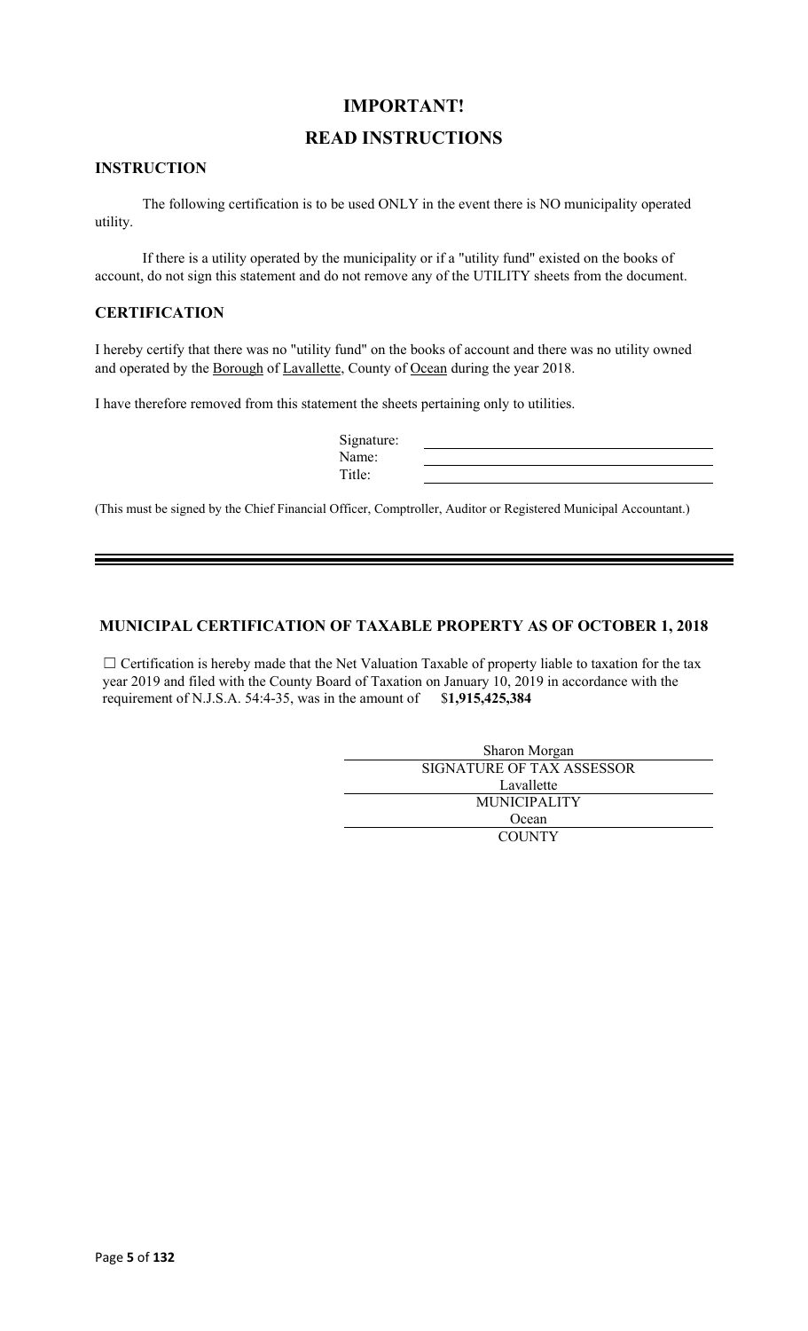### **IMPORTANT!**

### **READ INSTRUCTIONS**

### **INSTRUCTION**

The following certification is to be used ONLY in the event there is NO municipality operated utility.

If there is a utility operated by the municipality or if a "utility fund" existed on the books of account, do not sign this statement and do not remove any of the UTILITY sheets from the document.

### **CERTIFICATION**

I hereby certify that there was no "utility fund" on the books of account and there was no utility owned and operated by the Borough of Lavallette, County of Ocean during the year 2018.

I have therefore removed from this statement the sheets pertaining only to utilities.

| Signature: |  |
|------------|--|
| Name:      |  |
| Title:     |  |

(This must be signed by the Chief Financial Officer, Comptroller, Auditor or Registered Municipal Accountant.)

### **MUNICIPAL CERTIFICATION OF TAXABLE PROPERTY AS OF OCTOBER 1, 2018**

□ Certification is hereby made that the Net Valuation Taxable of property liable to taxation for the tax year 2019 and filed with the County Board of Taxation on January 10, 2019 in accordance with the requirement of N.J.S.A. 54:4-35, was in the amount of \$**1,915,425,384**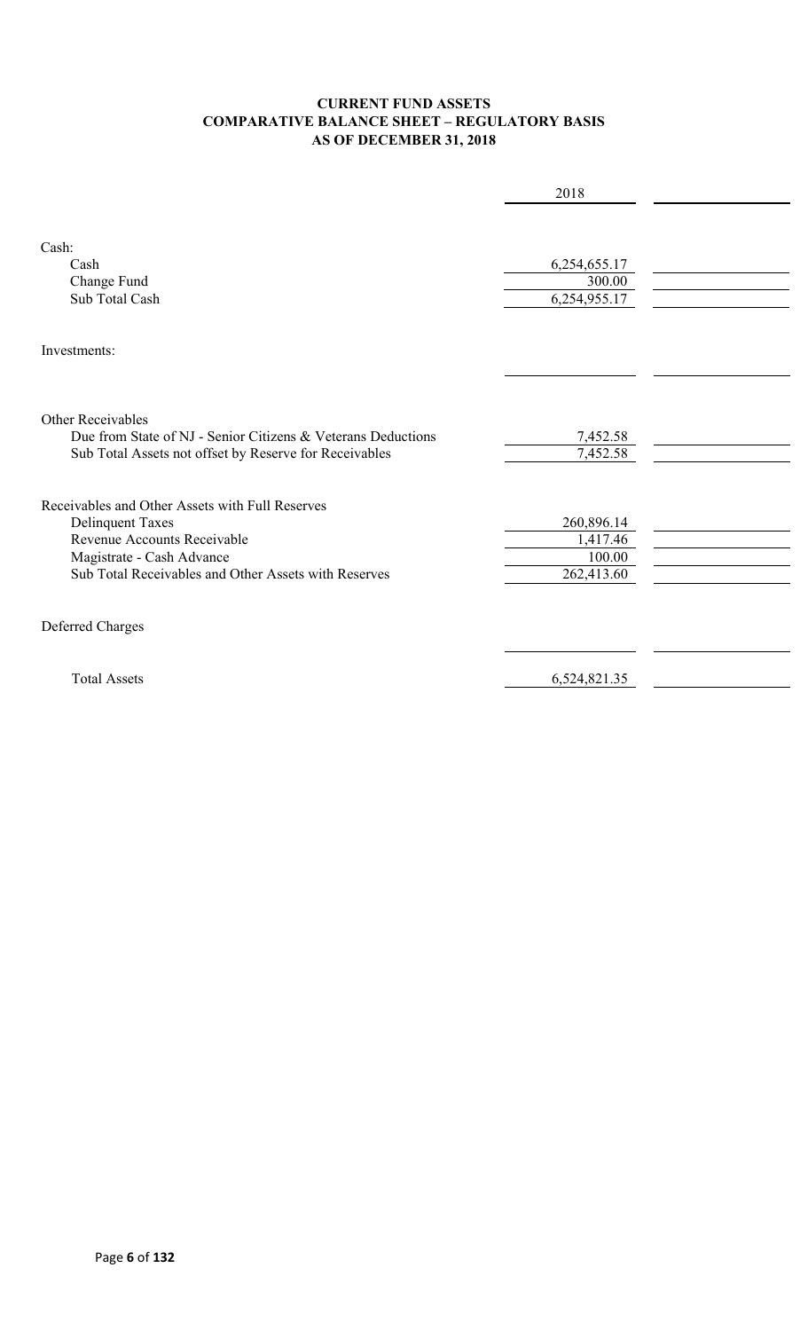### **CURRENT FUND ASSETS COMPARATIVE BALANCE SHEET – REGULATORY BASIS AS OF DECEMBER 31, 2018**

|                                                                                                                                                                                                | 2018                                           |  |
|------------------------------------------------------------------------------------------------------------------------------------------------------------------------------------------------|------------------------------------------------|--|
| Cash:<br>Cash<br>Change Fund<br>Sub Total Cash                                                                                                                                                 | 6,254,655.17<br>300.00<br>6,254,955.17         |  |
| Investments:                                                                                                                                                                                   |                                                |  |
| <b>Other Receivables</b><br>Due from State of NJ - Senior Citizens & Veterans Deductions<br>Sub Total Assets not offset by Reserve for Receivables                                             | 7,452.58<br>7,452.58                           |  |
| Receivables and Other Assets with Full Reserves<br><b>Delinquent Taxes</b><br>Revenue Accounts Receivable<br>Magistrate - Cash Advance<br>Sub Total Receivables and Other Assets with Reserves | 260,896.14<br>1,417.46<br>100.00<br>262,413.60 |  |
| Deferred Charges                                                                                                                                                                               |                                                |  |
| <b>Total Assets</b>                                                                                                                                                                            | 6,524,821.35                                   |  |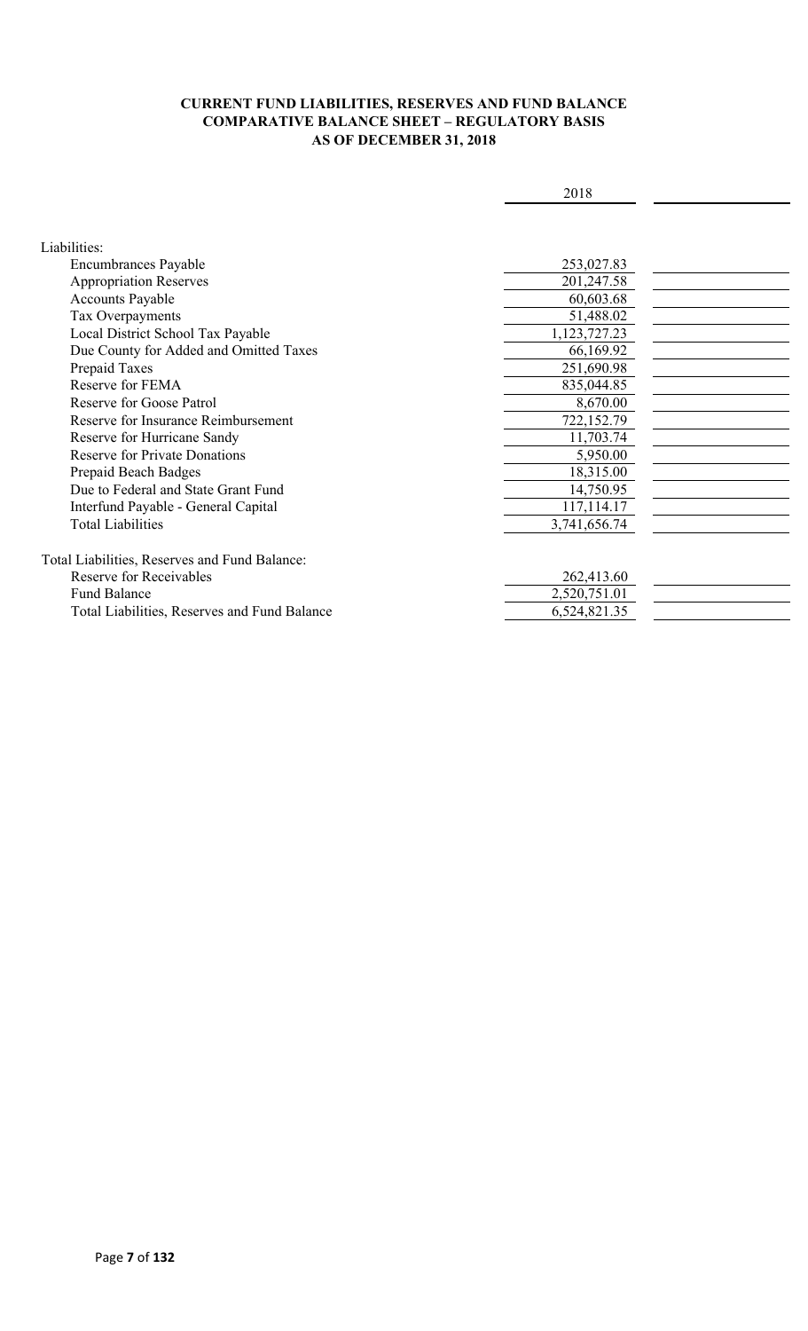### **CURRENT FUND LIABILITIES, RESERVES AND FUND BALANCE COMPARATIVE BALANCE SHEET – REGULATORY BASIS AS OF DECEMBER 31, 2018**

|                                               | 2018         |  |
|-----------------------------------------------|--------------|--|
|                                               |              |  |
|                                               |              |  |
| Liabilities:                                  |              |  |
| Encumbrances Payable                          | 253,027.83   |  |
| <b>Appropriation Reserves</b>                 | 201,247.58   |  |
| <b>Accounts Payable</b>                       | 60,603.68    |  |
| Tax Overpayments                              | 51,488.02    |  |
| Local District School Tax Payable             | 1,123,727.23 |  |
| Due County for Added and Omitted Taxes        | 66,169.92    |  |
| Prepaid Taxes                                 | 251,690.98   |  |
| Reserve for FEMA                              | 835,044.85   |  |
| Reserve for Goose Patrol                      | 8,670.00     |  |
| Reserve for Insurance Reimbursement           | 722,152.79   |  |
| Reserve for Hurricane Sandy                   | 11,703.74    |  |
| <b>Reserve for Private Donations</b>          | 5,950.00     |  |
| Prepaid Beach Badges                          | 18,315.00    |  |
| Due to Federal and State Grant Fund           | 14,750.95    |  |
| Interfund Payable - General Capital           | 117,114.17   |  |
| <b>Total Liabilities</b>                      | 3,741,656.74 |  |
|                                               |              |  |
| Total Liabilities, Reserves and Fund Balance: |              |  |
| <b>Reserve for Receivables</b>                | 262,413.60   |  |
| <b>Fund Balance</b>                           | 2,520,751.01 |  |
| Total Liabilities, Reserves and Fund Balance  | 6,524,821.35 |  |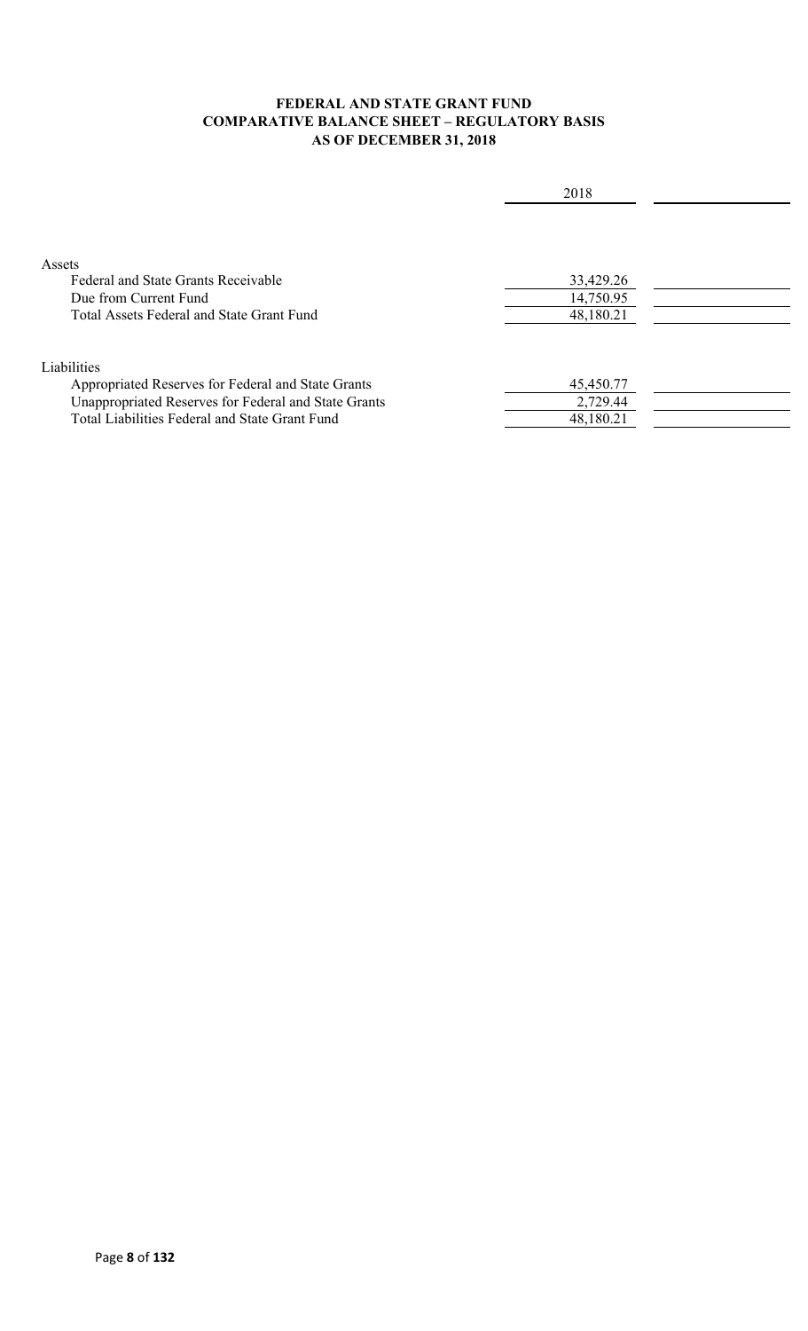### **FEDERAL AND STATE GRANT FUND COMPARATIVE BALANCE SHEET – REGULATORY BASIS AS OF DECEMBER 31, 2018**

|                                                      | 2018      |  |
|------------------------------------------------------|-----------|--|
|                                                      |           |  |
|                                                      |           |  |
| Assets                                               |           |  |
| Federal and State Grants Receivable                  | 33,429.26 |  |
| Due from Current Fund                                | 14,750.95 |  |
| Total Assets Federal and State Grant Fund            | 48,180.21 |  |
| Liabilities                                          |           |  |
| Appropriated Reserves for Federal and State Grants   | 45,450.77 |  |
| Unappropriated Reserves for Federal and State Grants | 2,729.44  |  |
| Total Liabilities Federal and State Grant Fund       | 48,180.21 |  |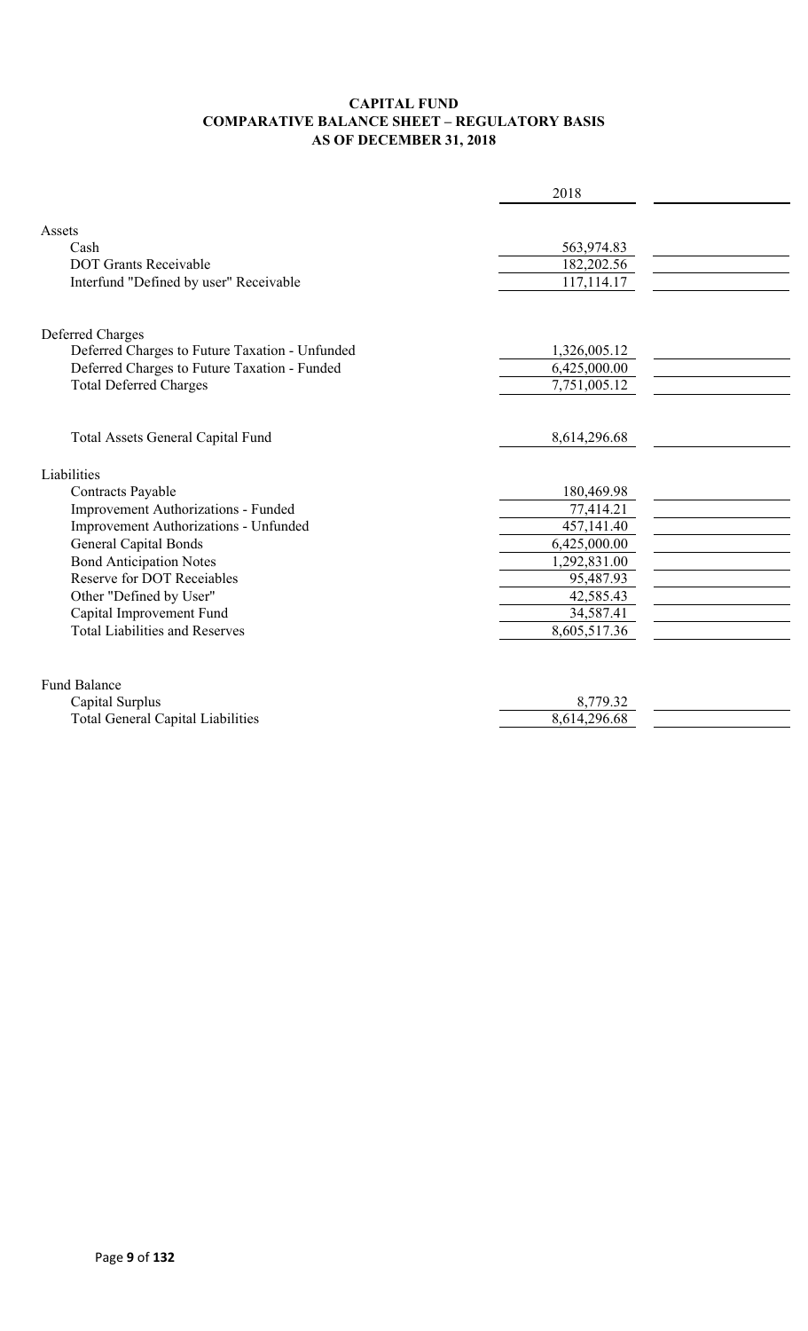### **CAPITAL FUND COMPARATIVE BALANCE SHEET – REGULATORY BASIS AS OF DECEMBER 31, 2018**

|                                                | 2018         |  |
|------------------------------------------------|--------------|--|
|                                                |              |  |
| Assets                                         |              |  |
| Cash                                           | 563,974.83   |  |
| <b>DOT Grants Receivable</b>                   | 182,202.56   |  |
| Interfund "Defined by user" Receivable         | 117,114.17   |  |
| Deferred Charges                               |              |  |
| Deferred Charges to Future Taxation - Unfunded | 1,326,005.12 |  |
| Deferred Charges to Future Taxation - Funded   | 6,425,000.00 |  |
| <b>Total Deferred Charges</b>                  | 7,751,005.12 |  |
|                                                |              |  |
| Total Assets General Capital Fund              | 8,614,296.68 |  |
| Liabilities                                    |              |  |
| Contracts Payable                              | 180,469.98   |  |
| Improvement Authorizations - Funded            | 77,414.21    |  |
| Improvement Authorizations - Unfunded          | 457,141.40   |  |
| <b>General Capital Bonds</b>                   | 6,425,000.00 |  |
| <b>Bond Anticipation Notes</b>                 | 1,292,831.00 |  |
| Reserve for DOT Receiables                     | 95,487.93    |  |
| Other "Defined by User"                        | 42,585.43    |  |
| Capital Improvement Fund                       | 34,587.41    |  |
| <b>Total Liabilities and Reserves</b>          | 8,605,517.36 |  |
|                                                |              |  |
| <b>Fund Balance</b>                            |              |  |
| Capital Surplus                                | 8,779.32     |  |
| <b>Total General Capital Liabilities</b>       | 8,614,296.68 |  |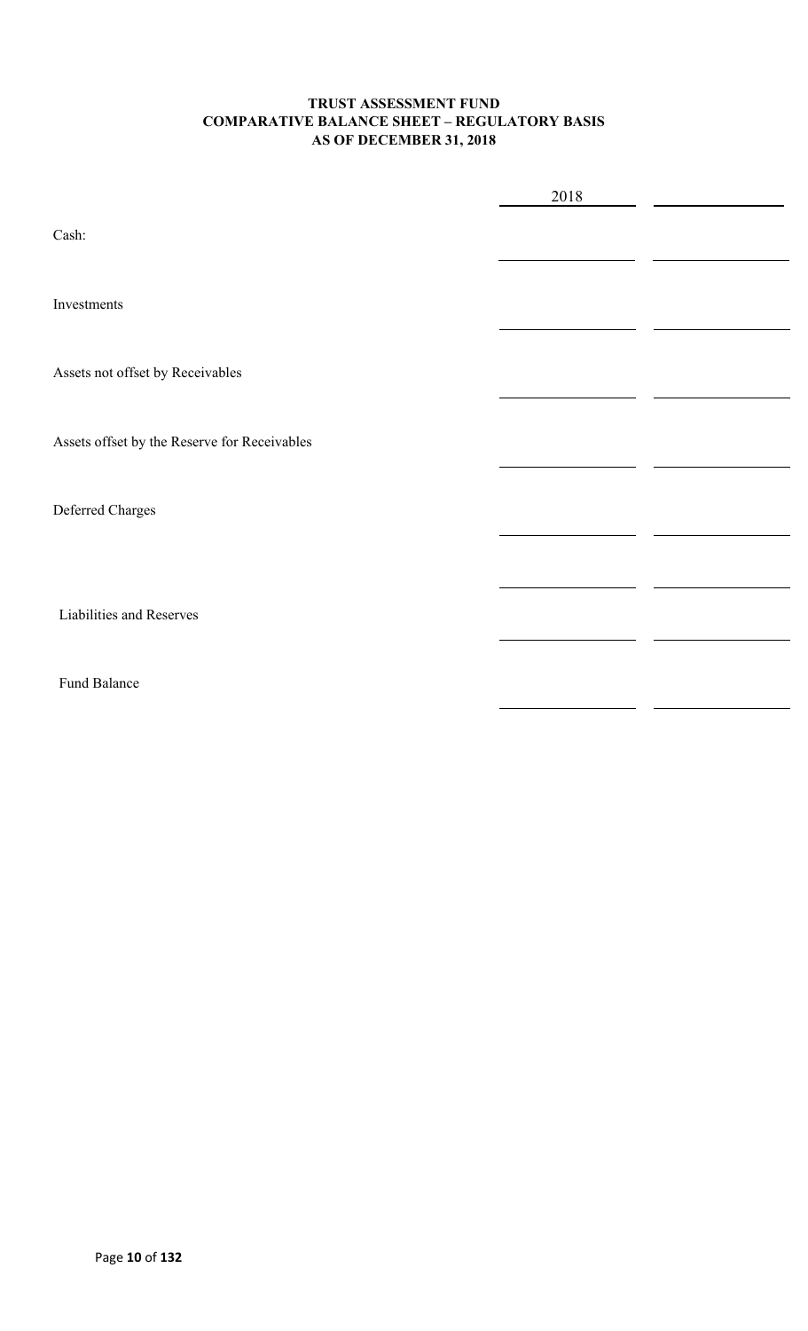### **TRUST ASSESSMENT FUND COMPARATIVE BALANCE SHEET – REGULATORY BASIS AS OF DECEMBER 31, 2018**

|                                              | 2018 |  |
|----------------------------------------------|------|--|
| Cash:                                        |      |  |
| Investments                                  |      |  |
| Assets not offset by Receivables             |      |  |
| Assets offset by the Reserve for Receivables |      |  |
| Deferred Charges                             |      |  |
|                                              |      |  |
| Liabilities and Reserves                     |      |  |
| Fund Balance                                 |      |  |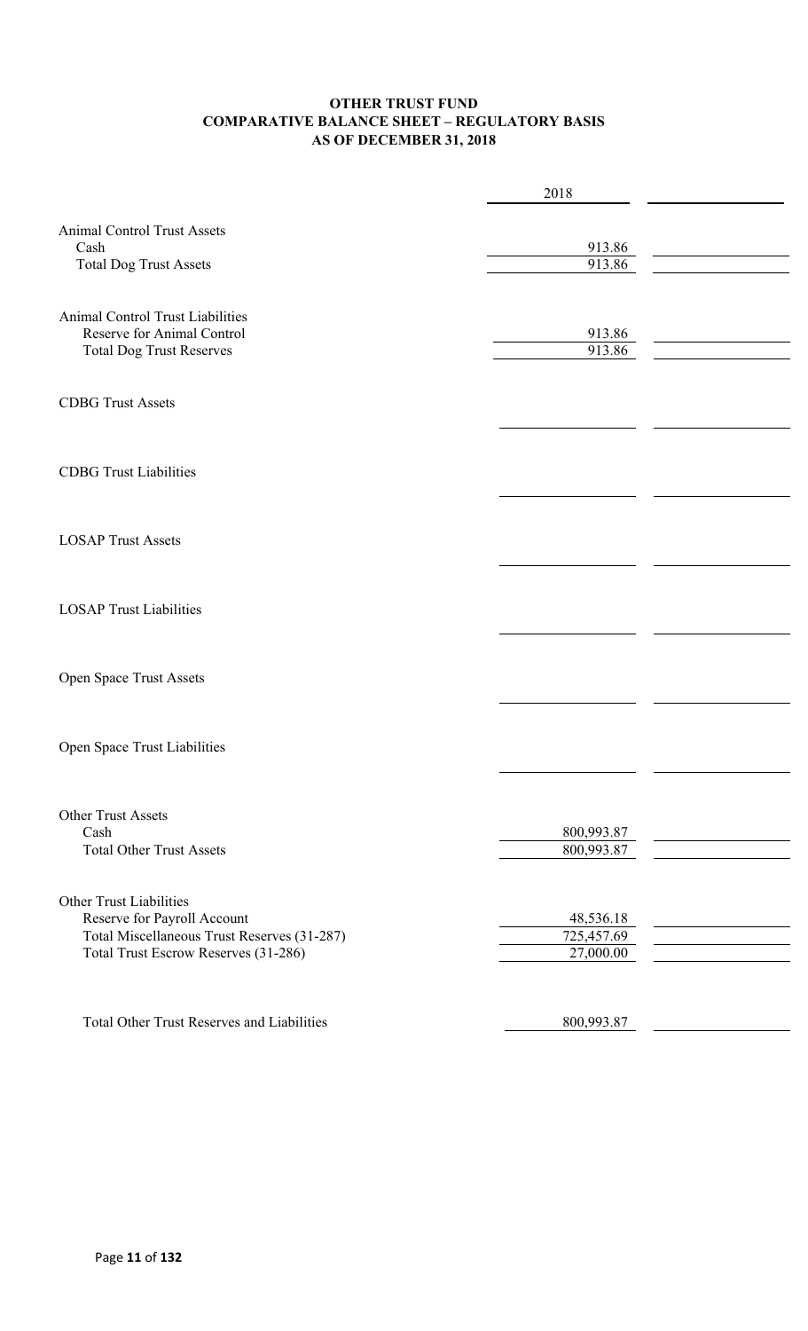### **OTHER TRUST FUND COMPARATIVE BALANCE SHEET – REGULATORY BASIS AS OF DECEMBER 31, 2018**

|                                                                                                                                                      | 2018                                 |  |
|------------------------------------------------------------------------------------------------------------------------------------------------------|--------------------------------------|--|
| <b>Animal Control Trust Assets</b><br>Cash<br><b>Total Dog Trust Assets</b>                                                                          | 913.86<br>913.86                     |  |
| Animal Control Trust Liabilities<br>Reserve for Animal Control<br><b>Total Dog Trust Reserves</b>                                                    | 913.86<br>913.86                     |  |
| <b>CDBG Trust Assets</b>                                                                                                                             |                                      |  |
| <b>CDBG</b> Trust Liabilities                                                                                                                        |                                      |  |
| <b>LOSAP Trust Assets</b>                                                                                                                            |                                      |  |
| <b>LOSAP Trust Liabilities</b>                                                                                                                       |                                      |  |
| Open Space Trust Assets                                                                                                                              |                                      |  |
| Open Space Trust Liabilities                                                                                                                         |                                      |  |
| Other Trust Assets<br>Cash<br><b>Total Other Trust Assets</b>                                                                                        | 800,993.87<br>800,993.87             |  |
| <b>Other Trust Liabilities</b><br>Reserve for Payroll Account<br>Total Miscellaneous Trust Reserves (31-287)<br>Total Trust Escrow Reserves (31-286) | 48,536.18<br>725,457.69<br>27,000.00 |  |
| <b>Total Other Trust Reserves and Liabilities</b>                                                                                                    | 800,993.87                           |  |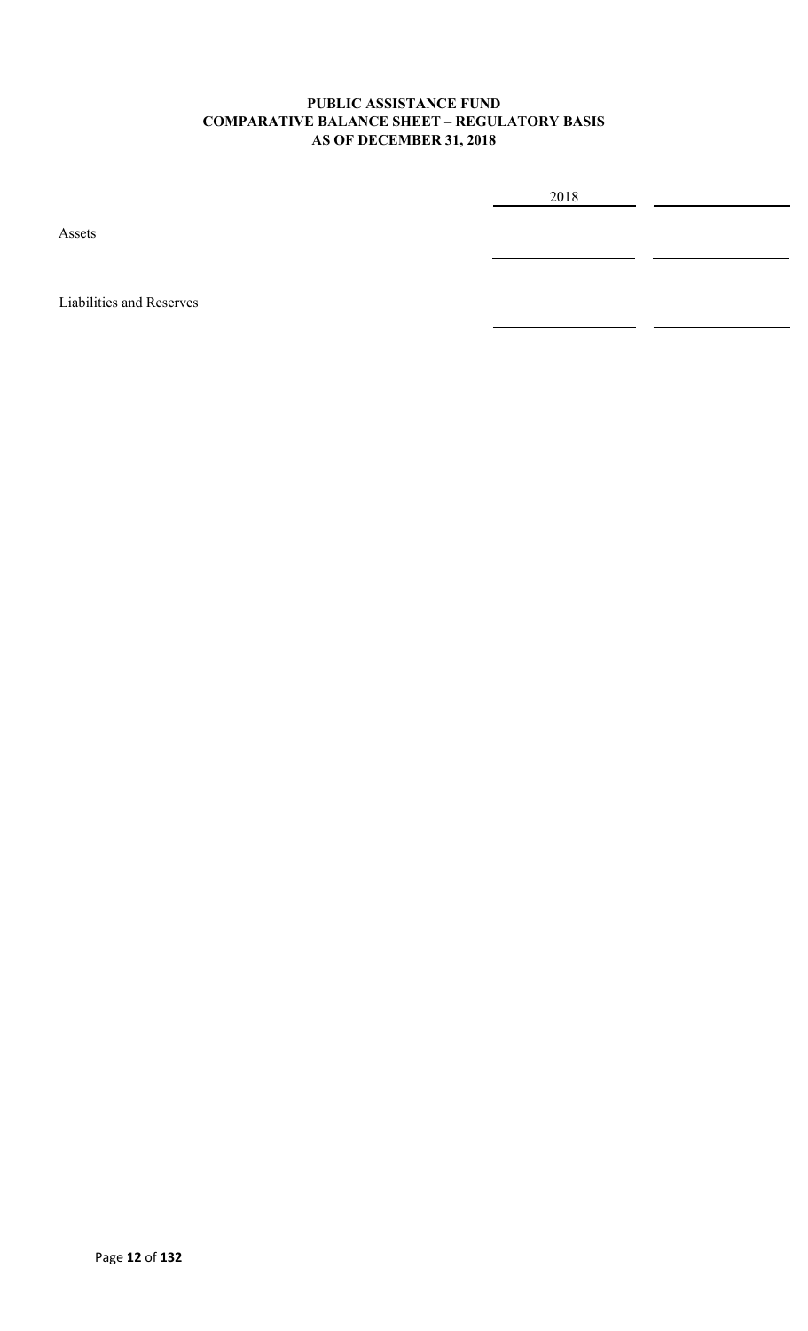### **PUBLIC ASSISTANCE FUND COMPARATIVE BALANCE SHEET – REGULATORY BASIS AS OF DECEMBER 31, 2018**

2018

Assets

Liabilities and Reserves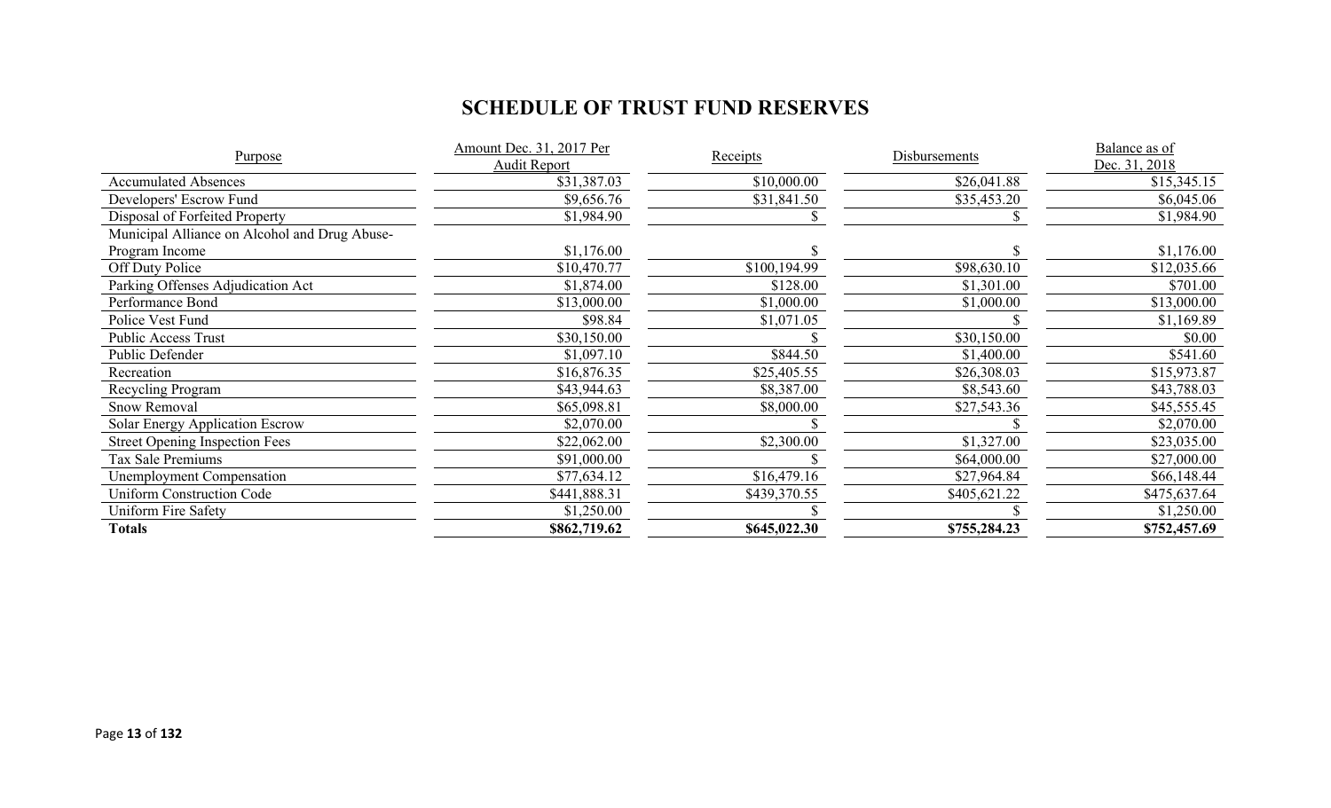# **SCHEDULE OF TRUST FUND RESERVES**

|                                               | Amount Dec. 31, 2017 Per |              |               | Balance as of |
|-----------------------------------------------|--------------------------|--------------|---------------|---------------|
| Purpose                                       | Audit Report             | Receipts     | Disbursements | Dec. 31, 2018 |
| <b>Accumulated Absences</b>                   | \$31,387.03              | \$10,000.00  | \$26,041.88   | \$15,345.15   |
| Developers' Escrow Fund                       | \$9,656.76               | \$31,841.50  | \$35,453.20   | \$6,045.06    |
| Disposal of Forfeited Property                | \$1,984.90               |              |               | \$1,984.90    |
| Municipal Alliance on Alcohol and Drug Abuse- |                          |              |               |               |
| Program Income                                | \$1,176.00               |              |               | \$1,176.00    |
| Off Duty Police                               | \$10,470.77              | \$100,194.99 | \$98,630.10   | \$12,035.66   |
| Parking Offenses Adjudication Act             | \$1,874.00               | \$128.00     | \$1,301.00    | \$701.00      |
| Performance Bond                              | \$13,000.00              | \$1,000.00   | \$1,000.00    | \$13,000.00   |
| Police Vest Fund                              | \$98.84                  | \$1,071.05   |               | \$1,169.89    |
| Public Access Trust                           | \$30,150.00              |              | \$30,150.00   | \$0.00        |
| Public Defender                               | \$1,097.10               | \$844.50     | \$1,400.00    | \$541.60      |
| Recreation                                    | \$16,876.35              | \$25,405.55  | \$26,308.03   | \$15,973.87   |
| Recycling Program                             | \$43,944.63              | \$8,387.00   | \$8,543.60    | \$43,788.03   |
| Snow Removal                                  | \$65,098.81              | \$8,000.00   | \$27,543.36   | \$45,555.45   |
| Solar Energy Application Escrow               | \$2,070.00               |              |               | \$2,070.00    |
| <b>Street Opening Inspection Fees</b>         | \$22,062.00              | \$2,300.00   | \$1,327.00    | \$23,035.00   |
| Tax Sale Premiums                             | \$91,000.00              |              | \$64,000.00   | \$27,000.00   |
| Unemployment Compensation                     | \$77,634.12              | \$16,479.16  | \$27,964.84   | \$66,148.44   |
| <b>Uniform Construction Code</b>              | \$441,888.31             | \$439,370.55 | \$405,621.22  | \$475,637.64  |
| Uniform Fire Safety                           | \$1,250.00               |              |               | \$1,250.00    |
| <b>Totals</b>                                 | \$862,719.62             | \$645,022.30 | \$755,284.23  | \$752,457.69  |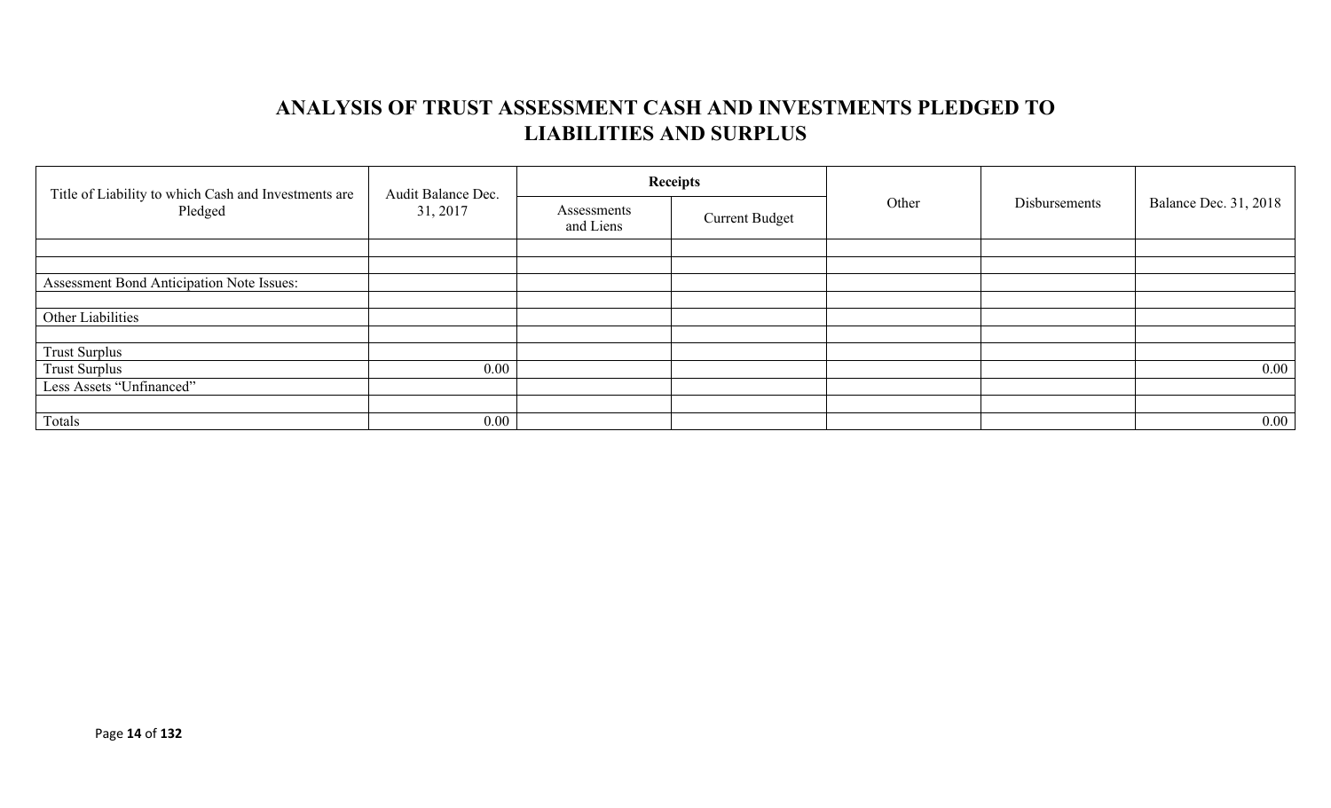# **ANALYSIS OF TRUST ASSESSMENT CASH AND INVESTMENTS PLEDGED TO LIABILITIES AND SURPLUS**

| Title of Liability to which Cash and Investments are<br>Pledged | Audit Balance Dec.<br>31, 2017 |                          | <b>Receipts</b>       | Other | Disbursements |                              |
|-----------------------------------------------------------------|--------------------------------|--------------------------|-----------------------|-------|---------------|------------------------------|
|                                                                 |                                | Assessments<br>and Liens | <b>Current Budget</b> |       |               | <b>Balance Dec. 31, 2018</b> |
|                                                                 |                                |                          |                       |       |               |                              |
|                                                                 |                                |                          |                       |       |               |                              |
| Assessment Bond Anticipation Note Issues:                       |                                |                          |                       |       |               |                              |
|                                                                 |                                |                          |                       |       |               |                              |
| Other Liabilities                                               |                                |                          |                       |       |               |                              |
|                                                                 |                                |                          |                       |       |               |                              |
| <b>Trust Surplus</b>                                            |                                |                          |                       |       |               |                              |
| <b>Trust Surplus</b>                                            | $0.00\,$                       |                          |                       |       |               | $0.00\,$                     |
| Less Assets "Unfinanced"                                        |                                |                          |                       |       |               |                              |
|                                                                 |                                |                          |                       |       |               |                              |
| Totals                                                          | $0.00\,$                       |                          |                       |       |               | $0.00\,$                     |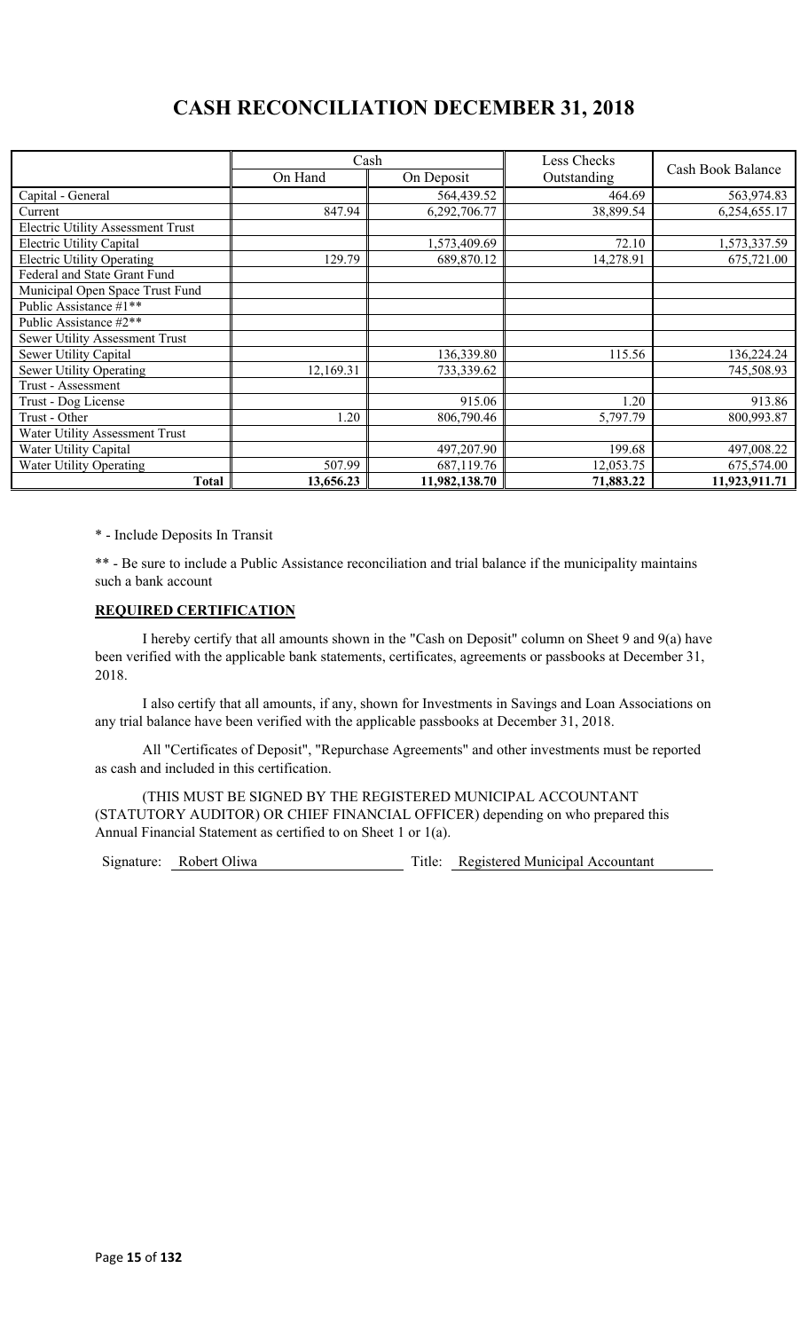# **CASH RECONCILIATION DECEMBER 31, 2018**

|                                          | Cash      |               | Less Checks |                   |
|------------------------------------------|-----------|---------------|-------------|-------------------|
|                                          | On Hand   | On Deposit    | Outstanding | Cash Book Balance |
| Capital - General                        |           | 564,439.52    | 464.69      | 563,974.83        |
| Current                                  | 847.94    | 6,292,706.77  | 38,899.54   | 6,254,655.17      |
| <b>Electric Utility Assessment Trust</b> |           |               |             |                   |
| Electric Utility Capital                 |           | 1,573,409.69  | 72.10       | 1,573,337.59      |
| <b>Electric Utility Operating</b>        | 129.79    | 689,870.12    | 14,278.91   | 675,721.00        |
| Federal and State Grant Fund             |           |               |             |                   |
| Municipal Open Space Trust Fund          |           |               |             |                   |
| Public Assistance #1**                   |           |               |             |                   |
| Public Assistance #2**                   |           |               |             |                   |
| Sewer Utility Assessment Trust           |           |               |             |                   |
| Sewer Utility Capital                    |           | 136,339.80    | 115.56      | 136,224.24        |
| <b>Sewer Utility Operating</b>           | 12,169.31 | 733,339.62    |             | 745,508.93        |
| Trust - Assessment                       |           |               |             |                   |
| Trust - Dog License                      |           | 915.06        | 1.20        | 913.86            |
| Trust - Other                            | 1.20      | 806,790.46    | 5,797.79    | 800,993.87        |
| Water Utility Assessment Trust           |           |               |             |                   |
| Water Utility Capital                    |           | 497,207.90    | 199.68      | 497,008.22        |
| <b>Water Utility Operating</b>           | 507.99    | 687,119.76    | 12,053.75   | 675,574.00        |
| <b>Total</b>                             | 13,656.23 | 11,982,138.70 | 71,883.22   | 11,923,911.71     |

\* - Include Deposits In Transit

\*\* - Be sure to include a Public Assistance reconciliation and trial balance if the municipality maintains such a bank account

### **REQUIRED CERTIFICATION**

I hereby certify that all amounts shown in the "Cash on Deposit" column on Sheet 9 and 9(a) have been verified with the applicable bank statements, certificates, agreements or passbooks at December 31, 2018.

I also certify that all amounts, if any, shown for Investments in Savings and Loan Associations on any trial balance have been verified with the applicable passbooks at December 31, 2018.

All "Certificates of Deposit", "Repurchase Agreements" and other investments must be reported as cash and included in this certification.

(THIS MUST BE SIGNED BY THE REGISTERED MUNICIPAL ACCOUNTANT (STATUTORY AUDITOR) OR CHIEF FINANCIAL OFFICER) depending on who prepared this Annual Financial Statement as certified to on Sheet 1 or 1(a).

Signature: Robert Oliwa Title: Registered Municipal Accountant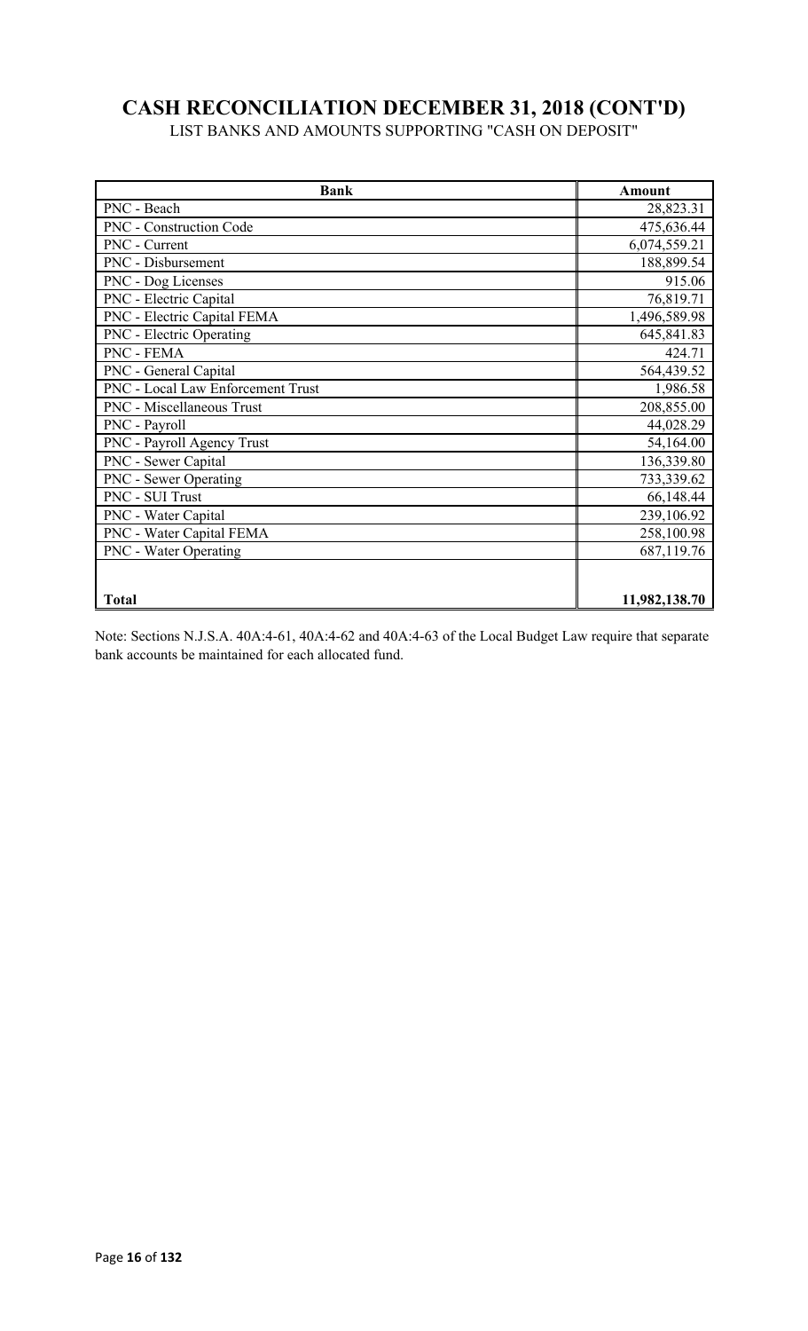# **CASH RECONCILIATION DECEMBER 31, 2018 (CONT'D)**

LIST BANKS AND AMOUNTS SUPPORTING "CASH ON DEPOSIT"

| <b>Bank</b>                       | Amount        |
|-----------------------------------|---------------|
| PNC - Beach                       | 28,823.31     |
| PNC - Construction Code           | 475,636.44    |
| PNC - Current                     | 6,074,559.21  |
| PNC - Disbursement                | 188,899.54    |
| PNC - Dog Licenses                | 915.06        |
| PNC - Electric Capital            | 76,819.71     |
| PNC - Electric Capital FEMA       | 1,496,589.98  |
| PNC - Electric Operating          | 645,841.83    |
| PNC - FEMA                        | 424.71        |
| PNC - General Capital             | 564,439.52    |
| PNC - Local Law Enforcement Trust | 1,986.58      |
| PNC - Miscellaneous Trust         | 208,855.00    |
| PNC - Payroll                     | 44,028.29     |
| PNC - Payroll Agency Trust        | 54,164.00     |
| PNC - Sewer Capital               | 136,339.80    |
| PNC - Sewer Operating             | 733,339.62    |
| PNC - SUI Trust                   | 66,148.44     |
| PNC - Water Capital               | 239,106.92    |
| PNC - Water Capital FEMA          | 258,100.98    |
| <b>PNC</b> - Water Operating      | 687,119.76    |
| <b>Total</b>                      | 11,982,138.70 |

Note: Sections N.J.S.A. 40A:4-61, 40A:4-62 and 40A:4-63 of the Local Budget Law require that separate bank accounts be maintained for each allocated fund.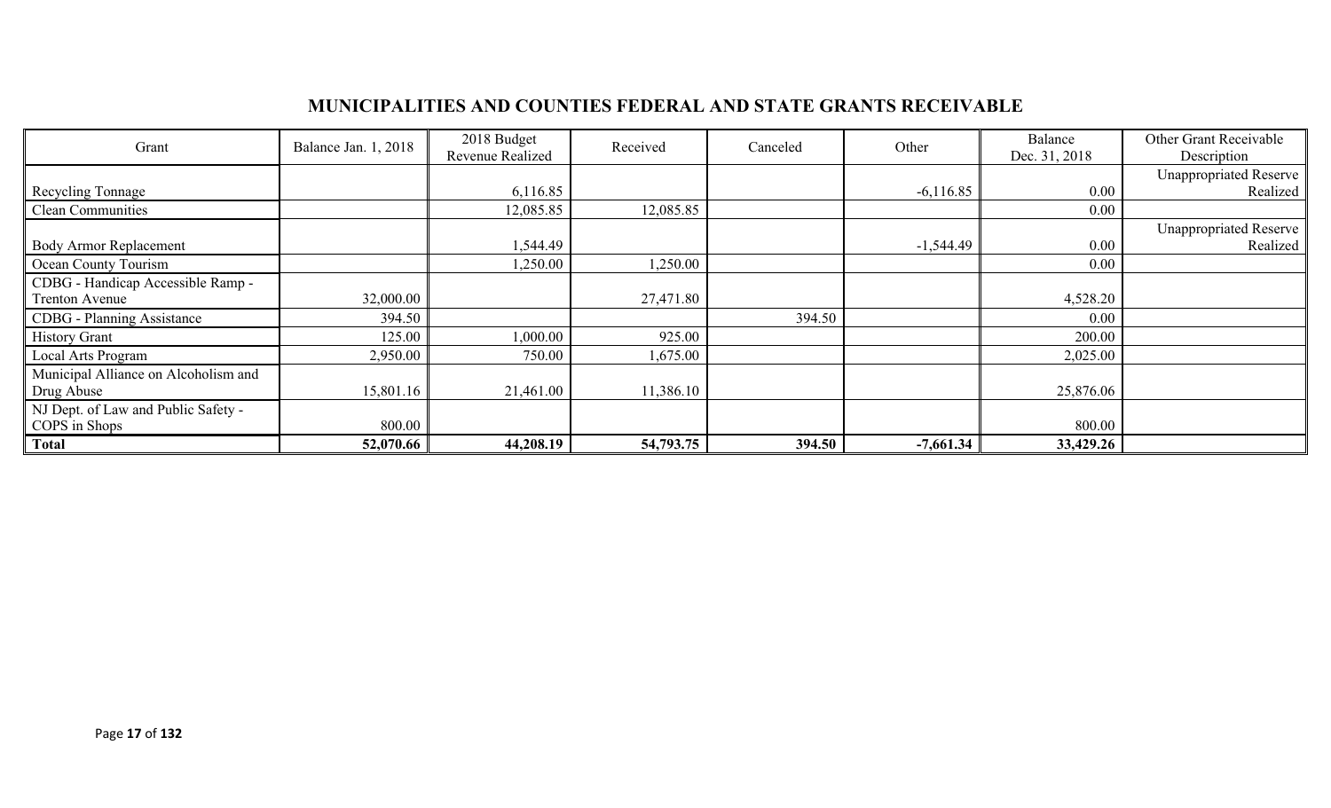## **MUNICIPALITIES AND COUNTIES FEDERAL AND STATE GRANTS RECEIVABLE**

| Grant                                | Balance Jan. 1, 2018 | 2018 Budget<br>Revenue Realized | Received  | Canceled | Other       | Balance<br>Dec. 31, 2018 | Other Grant Receivable<br>Description |
|--------------------------------------|----------------------|---------------------------------|-----------|----------|-------------|--------------------------|---------------------------------------|
|                                      |                      |                                 |           |          |             |                          | <b>Unappropriated Reserve</b>         |
| Recycling Tonnage                    |                      | 6,116.85                        |           |          | $-6,116.85$ | 0.00                     | Realized                              |
| <b>Clean Communities</b>             |                      | 12,085.85                       | 12,085.85 |          |             | 0.00                     |                                       |
|                                      |                      |                                 |           |          |             |                          | <b>Unappropriated Reserve</b>         |
| <b>Body Armor Replacement</b>        |                      | 544.49                          |           |          | $-1,544.49$ | 0.00                     | Realized                              |
| Ocean County Tourism                 |                      | 1,250.00                        | 1,250.00  |          |             | $0.00\,$                 |                                       |
| CDBG - Handicap Accessible Ramp -    |                      |                                 |           |          |             |                          |                                       |
| Trenton Avenue                       | 32,000.00            |                                 | 27,471.80 |          |             | 4,528.20                 |                                       |
| <b>CDBG</b> - Planning Assistance    | 394.50               |                                 |           | 394.50   |             | $0.00\,$                 |                                       |
| <b>History Grant</b>                 | 125.00               | 0.000, 00                       | 925.00    |          |             | 200.00                   |                                       |
| Local Arts Program                   | 2,950.00             | 750.00                          | 1,675.00  |          |             | 2,025.00                 |                                       |
| Municipal Alliance on Alcoholism and |                      |                                 |           |          |             |                          |                                       |
| Drug Abuse                           | 15,801.16            | 21,461.00                       | 11,386.10 |          |             | 25,876.06                |                                       |
| NJ Dept. of Law and Public Safety -  |                      |                                 |           |          |             |                          |                                       |
| COPS in Shops                        | 800.00               |                                 |           |          |             | 800.00                   |                                       |
| <b>Total</b>                         | 52,070.66            | 44,208.19                       | 54,793.75 | 394.50   | $-7,661.34$ | 33,429.26                |                                       |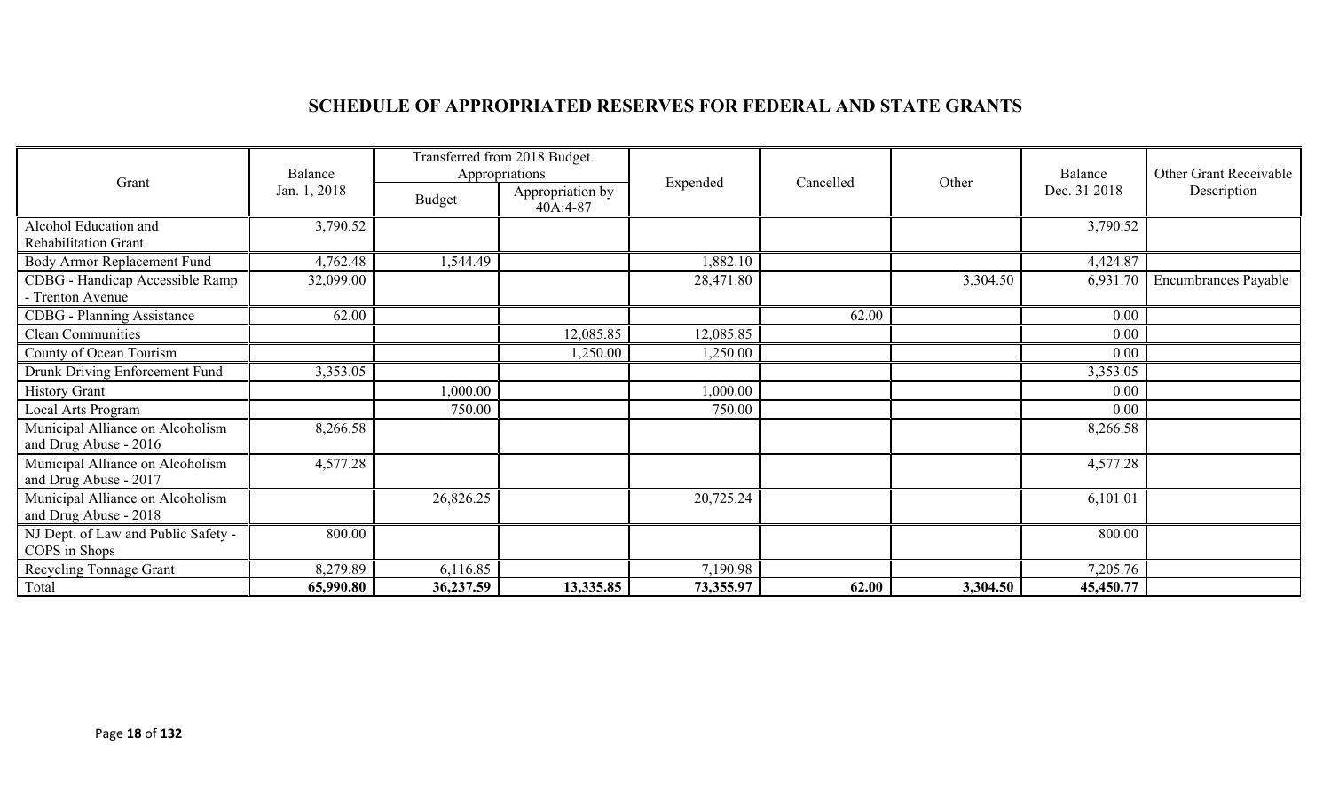# **SCHEDULE OF APPROPRIATED RESERVES FOR FEDERAL AND STATE GRANTS**

|                                                           | Balance      | Transferred from 2018 Budget<br>Appropriations |                              |           |           |          | Balance      | Other Grant Receivable |
|-----------------------------------------------------------|--------------|------------------------------------------------|------------------------------|-----------|-----------|----------|--------------|------------------------|
| Grant                                                     | Jan. 1, 2018 | <b>Budget</b>                                  | Appropriation by<br>40A:4-87 | Expended  | Cancelled | Other    | Dec. 31 2018 | Description            |
| Alcohol Education and<br>Rehabilitation Grant             | 3,790.52     |                                                |                              |           |           |          | 3,790.52     |                        |
| Body Armor Replacement Fund                               | 4,762.48     | 1,544.49                                       |                              | 1,882.10  |           |          | 4,424.87     |                        |
| CDBG - Handicap Accessible Ramp<br>- Trenton Avenue       | 32,099.00    |                                                |                              | 28,471.80 |           | 3,304.50 | 6,931.70     | Encumbrances Payable   |
| <b>CDBG</b> - Planning Assistance                         | 62.00        |                                                |                              |           | 62.00     |          | 0.00         |                        |
| Clean Communities                                         |              |                                                | 12,085.85                    | 12,085.85 |           |          | 0.00         |                        |
| County of Ocean Tourism                                   |              |                                                | 1,250.00                     | 1,250.00  |           |          | 0.00         |                        |
| Drunk Driving Enforcement Fund                            | 3,353.05     |                                                |                              |           |           |          | 3,353.05     |                        |
| <b>History Grant</b>                                      |              | 1,000.00                                       |                              | 1,000.00  |           |          | 0.00         |                        |
| Local Arts Program                                        |              | 750.00                                         |                              | 750.00    |           |          | 0.00         |                        |
| Municipal Alliance on Alcoholism<br>and Drug Abuse - 2016 | 8,266.58     |                                                |                              |           |           |          | 8,266.58     |                        |
| Municipal Alliance on Alcoholism<br>and Drug Abuse - 2017 | 4,577.28     |                                                |                              |           |           |          | 4,577.28     |                        |
| Municipal Alliance on Alcoholism<br>and Drug Abuse - 2018 |              | 26,826.25                                      |                              | 20,725.24 |           |          | 6,101.01     |                        |
| NJ Dept. of Law and Public Safety -<br>COPS in Shops      | 800.00       |                                                |                              |           |           |          | 800.00       |                        |
| Recycling Tonnage Grant                                   | 8,279.89     | 6,116.85                                       |                              | 7,190.98  |           |          | 7,205.76     |                        |
| Total                                                     | 65,990.80    | 36,237.59                                      | 13,335.85                    | 73,355.97 | 62.00     | 3,304.50 | 45,450.77    |                        |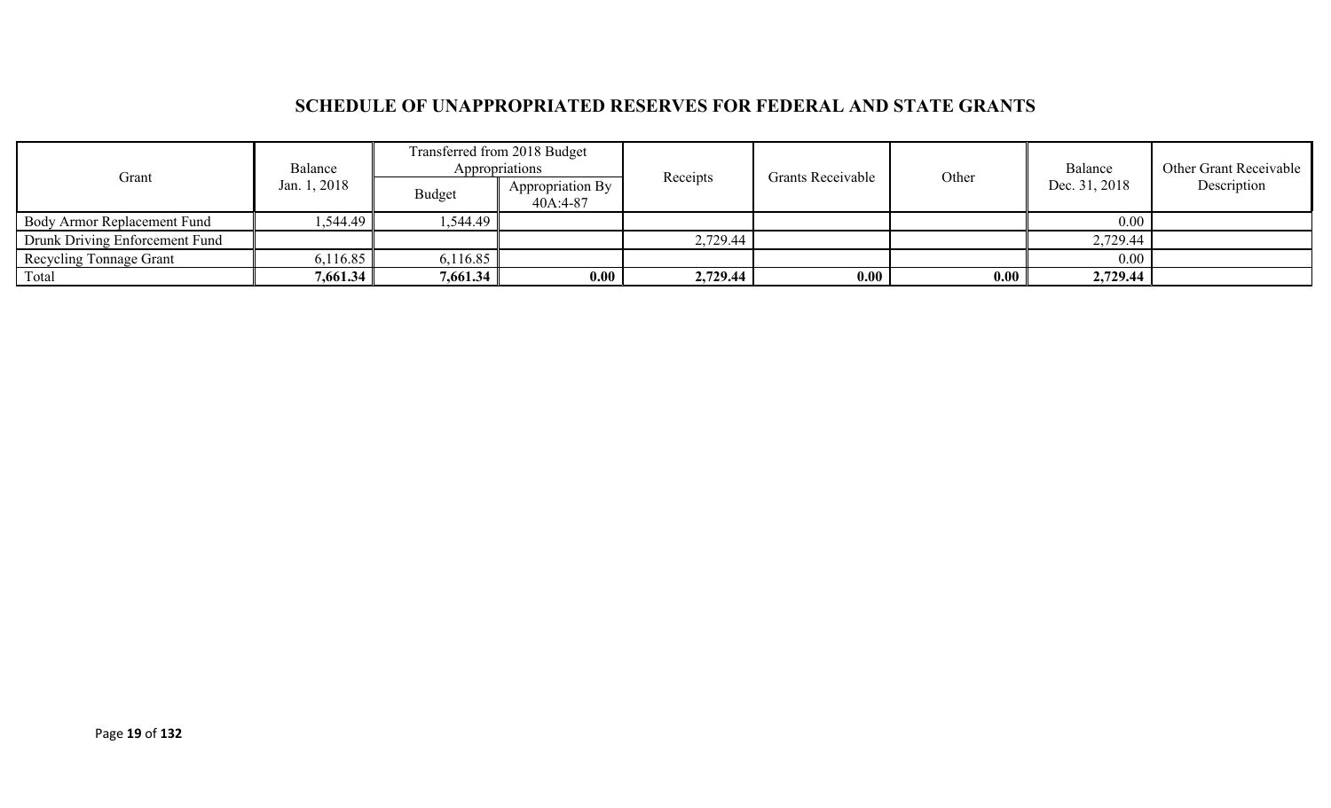## **SCHEDULE OF UNAPPROPRIATED RESERVES FOR FEDERAL AND STATE GRANTS**

|                                | Transferred from 2018 Budget<br>Appropriations<br>Balance |          |                                |          | Grants Receivable |       | Balance       | <b>Other Grant Receivable</b> |
|--------------------------------|-----------------------------------------------------------|----------|--------------------------------|----------|-------------------|-------|---------------|-------------------------------|
| Grant                          | Jan. 1, 2018                                              | Budget   | Appropriation By<br>$40A:4-87$ | Receipts |                   | Other | Dec. 31, 2018 | Description                   |
| Body Armor Replacement Fund    | .544.49                                                   | ,544.49  |                                |          |                   |       | 0.00          |                               |
| Drunk Driving Enforcement Fund |                                                           |          |                                | 2,729.44 |                   |       | 2,729.44      |                               |
| <b>Recycling Tonnage Grant</b> | 6,116.85                                                  | 6,116.85 |                                |          |                   |       | $0.00\,$      |                               |
| Total                          | 7,661.34                                                  | 7,661.34 | 0.00                           | 2,729.44 | 0.00              | 0.00  | 2,729.44      |                               |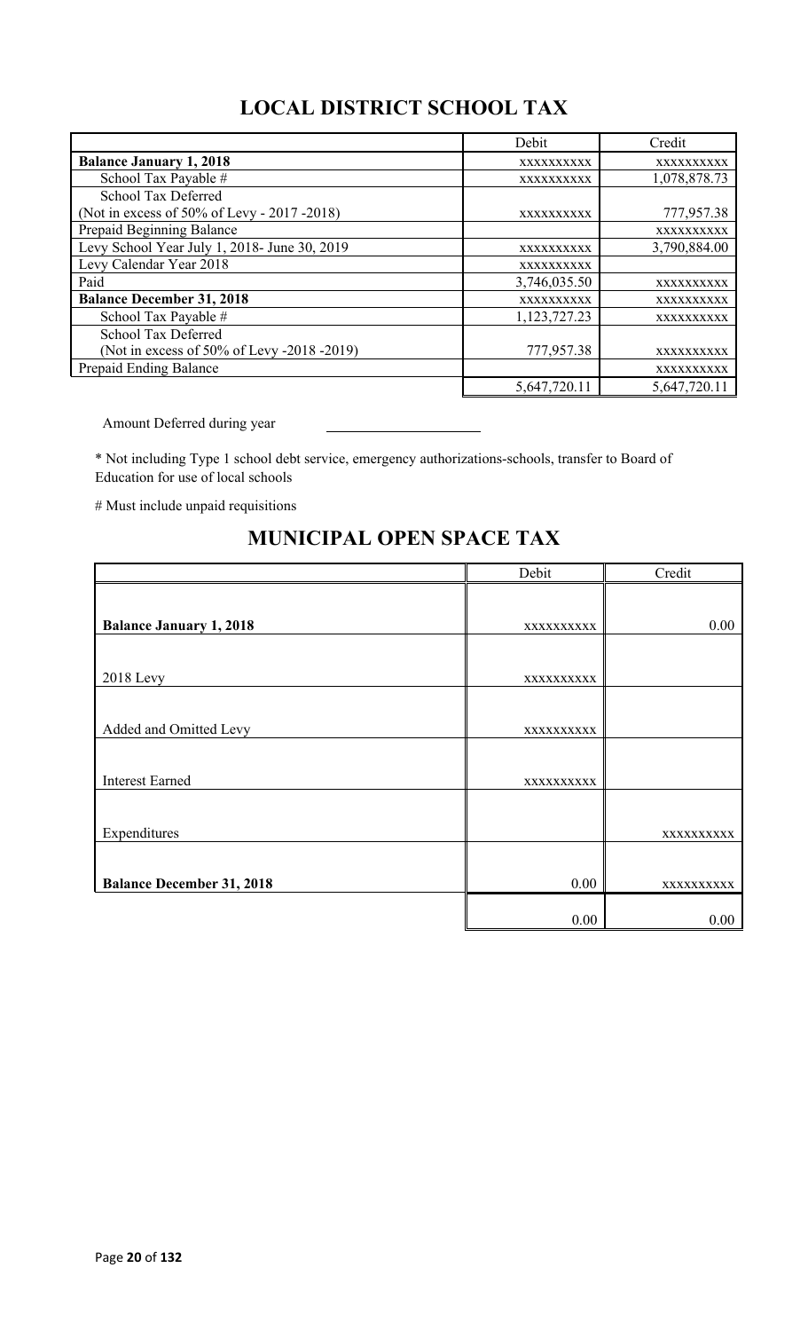# **LOCAL DISTRICT SCHOOL TAX**

|                                              | Debit        | Credit       |
|----------------------------------------------|--------------|--------------|
| <b>Balance January 1, 2018</b>               | XXXXXXXXXX   | XXXXXXXXXX   |
| School Tax Payable #                         | XXXXXXXXXX   | 1,078,878.73 |
| School Tax Deferred                          |              |              |
| (Not in excess of 50% of Levy - 2017 - 2018) | XXXXXXXXXX   | 777,957.38   |
| Prepaid Beginning Balance                    |              | XXXXXXXXXX   |
| Levy School Year July 1, 2018- June 30, 2019 | XXXXXXXXXX   | 3,790,884.00 |
| Levy Calendar Year 2018                      | XXXXXXXXXX   |              |
| Paid                                         | 3,746,035.50 | XXXXXXXXXX   |
| <b>Balance December 31, 2018</b>             | XXXXXXXXXX   | XXXXXXXXXX   |
| School Tax Payable #                         | 1,123,727.23 | XXXXXXXXXX   |
| School Tax Deferred                          |              |              |
| (Not in excess of 50% of Levy -2018 -2019)   | 777,957.38   | XXXXXXXXXX   |
| Prepaid Ending Balance                       |              | XXXXXXXXXX   |
|                                              | 5,647,720.11 | 5,647,720.11 |

Amount Deferred during year

\* Not including Type 1 school debt service, emergency authorizations-schools, transfer to Board of Education for use of local schools

# Must include unpaid requisitions

|                                  | Debit      | Credit     |
|----------------------------------|------------|------------|
|                                  |            |            |
| <b>Balance January 1, 2018</b>   | XXXXXXXXXX | 0.00       |
|                                  |            |            |
| <b>2018 Levy</b>                 | XXXXXXXXXX |            |
|                                  |            |            |
| Added and Omitted Levy           | XXXXXXXXXX |            |
|                                  |            |            |
| <b>Interest Earned</b>           | XXXXXXXXXX |            |
|                                  |            |            |
| Expenditures                     |            | XXXXXXXXXX |
|                                  |            |            |
| <b>Balance December 31, 2018</b> | 0.00       | XXXXXXXXXX |
|                                  |            |            |
|                                  | 0.00       | 0.00       |

## **MUNICIPAL OPEN SPACE TAX**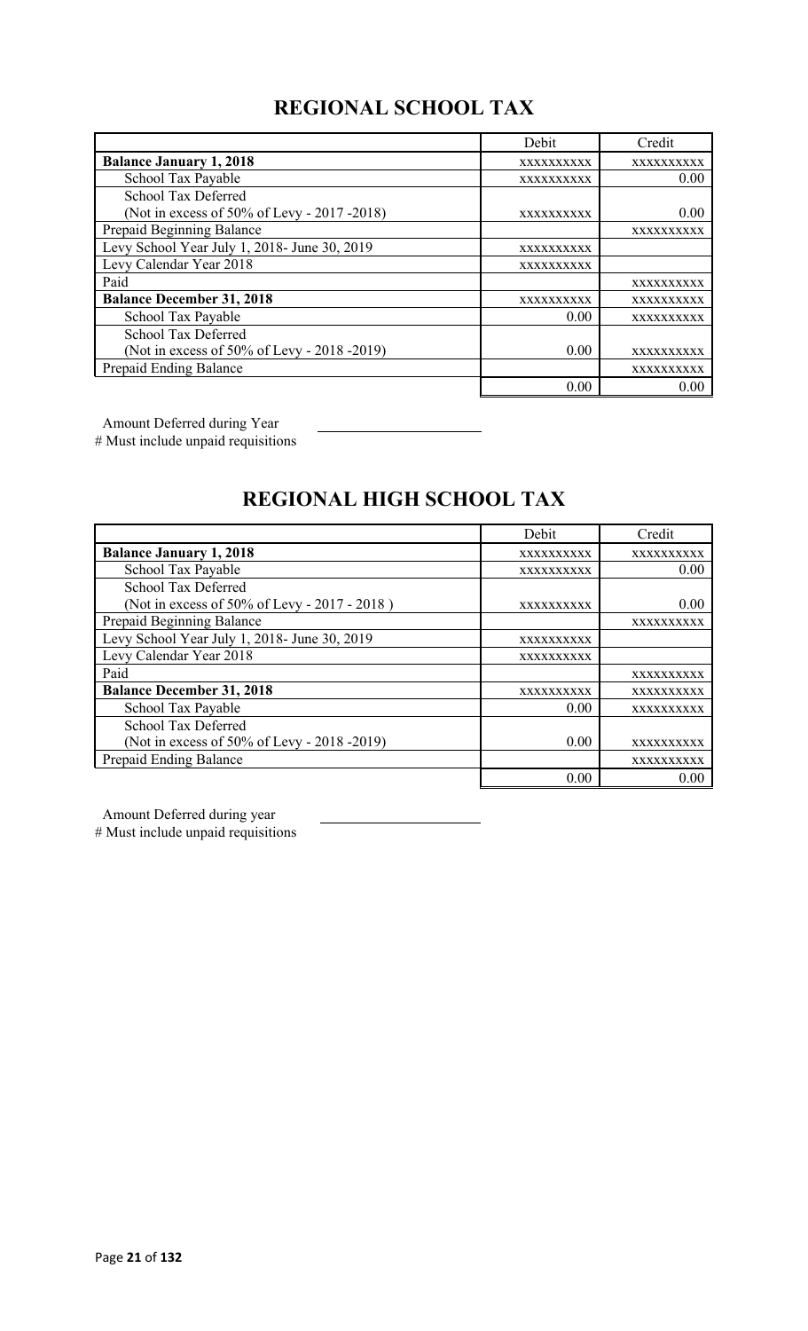# **REGIONAL SCHOOL TAX**

|                                              | Debit      | Credit     |
|----------------------------------------------|------------|------------|
| <b>Balance January 1, 2018</b>               | XXXXXXXXXX | XXXXXXXXXX |
| School Tax Payable                           | XXXXXXXXXX | 0.00       |
| School Tax Deferred                          |            |            |
| (Not in excess of 50% of Levy - 2017 -2018)  | XXXXXXXXXX | 0.00       |
| Prepaid Beginning Balance                    |            | XXXXXXXXXX |
| Levy School Year July 1, 2018- June 30, 2019 | XXXXXXXXXX |            |
| Levy Calendar Year 2018                      | XXXXXXXXXX |            |
| Paid                                         |            | XXXXXXXXXX |
| <b>Balance December 31, 2018</b>             | XXXXXXXXXX | XXXXXXXXXX |
| School Tax Payable                           | 0.00       | XXXXXXXXXX |
| <b>School Tax Deferred</b>                   |            |            |
| (Not in excess of 50% of Levy - 2018 -2019)  | 0.00       | XXXXXXXXXX |
| Prepaid Ending Balance                       |            | XXXXXXXXXX |
|                                              | 0.00       | 0.00       |

Amount Deferred during Year

# Must include unpaid requisitions

# **REGIONAL HIGH SCHOOL TAX**

|                                              | Debit      | Credit     |
|----------------------------------------------|------------|------------|
| <b>Balance January 1, 2018</b>               | XXXXXXXXXX | XXXXXXXXXX |
| School Tax Payable                           | XXXXXXXXXX | 0.00       |
| <b>School Tax Deferred</b>                   |            |            |
| (Not in excess of 50% of Levy - 2017 - 2018) | XXXXXXXXXX | 0.00       |
| Prepaid Beginning Balance                    |            | XXXXXXXXXX |
| Levy School Year July 1, 2018- June 30, 2019 | XXXXXXXXXX |            |
| Levy Calendar Year 2018                      | XXXXXXXXXX |            |
| Paid                                         |            | XXXXXXXXXX |
| <b>Balance December 31, 2018</b>             | XXXXXXXXXX | XXXXXXXXXX |
| School Tax Payable                           | 0.00       | XXXXXXXXXX |
| <b>School Tax Deferred</b>                   |            |            |
| (Not in excess of 50% of Levy - 2018 -2019)  | 0.00       | XXXXXXXXXX |
| Prepaid Ending Balance                       |            | XXXXXXXXXX |
|                                              | 0.00       | 0.00       |

Amount Deferred during year

# Must include unpaid requisitions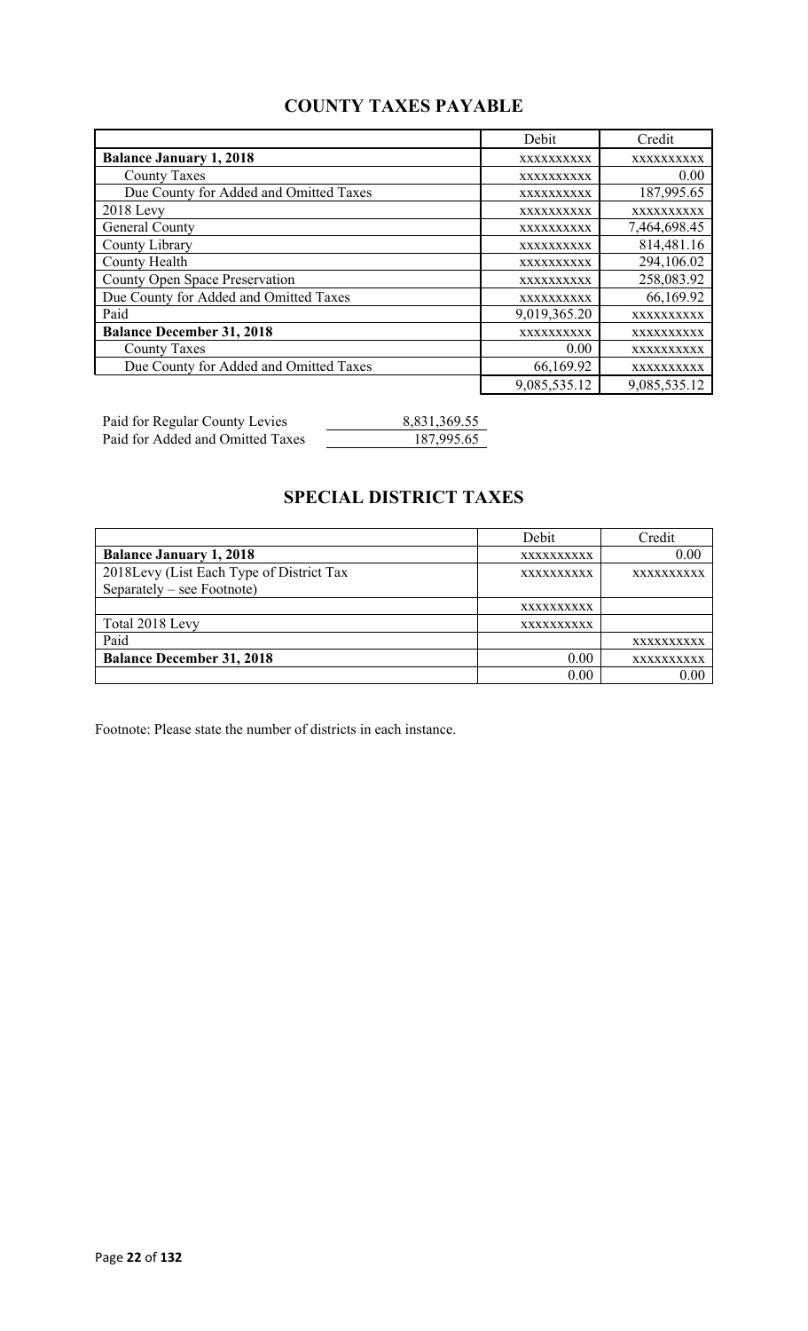## **COUNTY TAXES PAYABLE**

|                                        | Debit        | Credit       |
|----------------------------------------|--------------|--------------|
| <b>Balance January 1, 2018</b>         | XXXXXXXXXX   | XXXXXXXXXX   |
| <b>County Taxes</b>                    | XXXXXXXXXX   | 0.00         |
| Due County for Added and Omitted Taxes | XXXXXXXXXX   | 187,995.65   |
| $2018$ Levy                            | XXXXXXXXXX   | XXXXXXXXXX   |
| General County                         | XXXXXXXXXX   | 7,464,698.45 |
| County Library                         | XXXXXXXXXX   | 814,481.16   |
| <b>County Health</b>                   | XXXXXXXXXX   | 294,106.02   |
| <b>County Open Space Preservation</b>  | XXXXXXXXXX   | 258,083.92   |
| Due County for Added and Omitted Taxes | XXXXXXXXXX   | 66,169.92    |
| Paid                                   | 9,019,365.20 | XXXXXXXXXX   |
| <b>Balance December 31, 2018</b>       | XXXXXXXXXX   | XXXXXXXXXX   |
| <b>County Taxes</b>                    | 0.00         | XXXXXXXXXX   |
| Due County for Added and Omitted Taxes | 66,169.92    | XXXXXXXXXX   |
|                                        | 9,085,535.12 | 9,085,535.12 |

Paid for Regular County Levies 8,831,369.55 Paid for Added and Omitted Taxes 187,995.65

## **SPECIAL DISTRICT TAXES**

|                                          | Debit             | Credit            |
|------------------------------------------|-------------------|-------------------|
| <b>Balance January 1, 2018</b>           | XXXXXXXXXX        | 0.00              |
| 2018Levy (List Each Type of District Tax | <b>XXXXXXXXXX</b> | <b>XXXXXXXXXX</b> |
| Separately – see Footnote)               |                   |                   |
|                                          | XXXXXXXXXX        |                   |
| Total 2018 Levy                          | XXXXXXXXXX        |                   |
| Paid                                     |                   | XXXXXXXXXX        |
| <b>Balance December 31, 2018</b>         | 0.00              | XXXXXXXXXX        |
|                                          | 0.00              |                   |

Footnote: Please state the number of districts in each instance.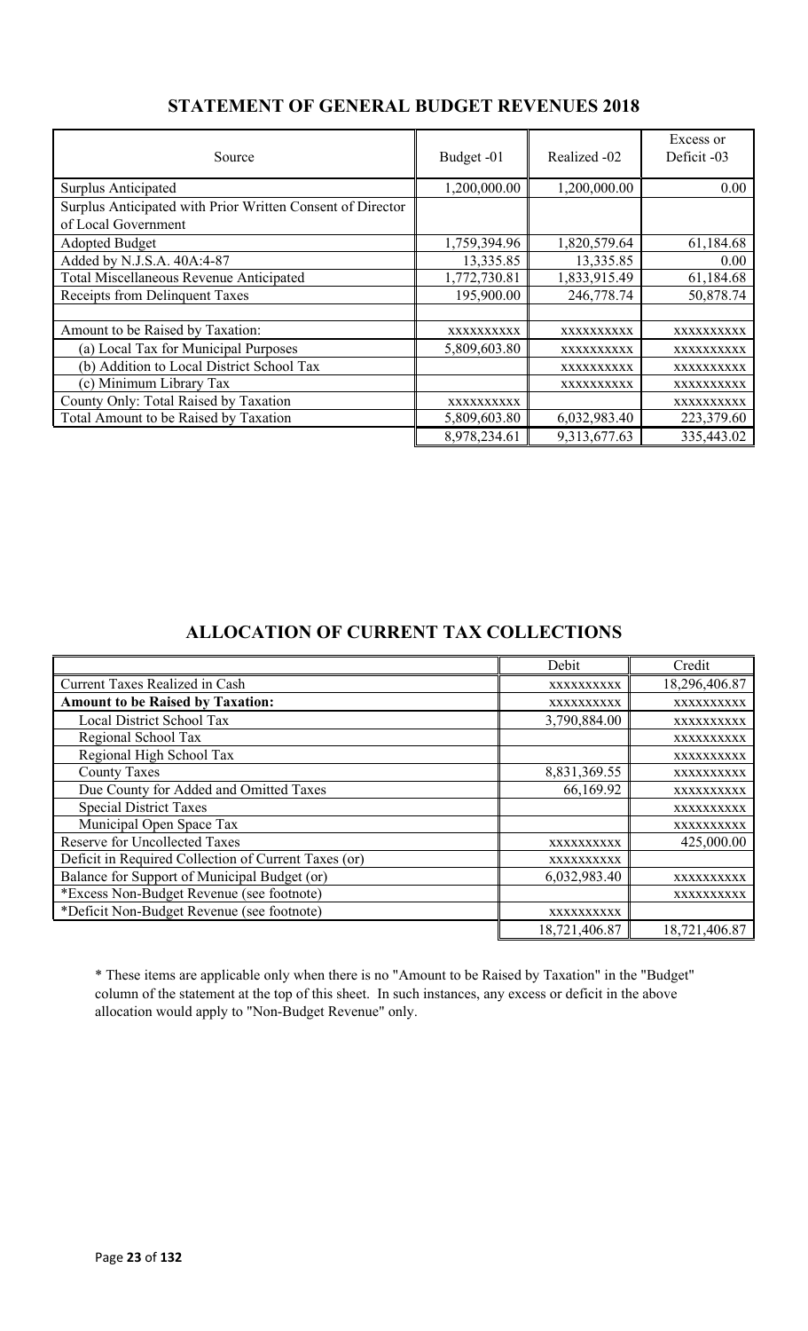| Source                                                     | Budget -01   | Realized -02 | Excess or<br>Deficit -03 |
|------------------------------------------------------------|--------------|--------------|--------------------------|
| Surplus Anticipated                                        | 1,200,000.00 | 1,200,000.00 | 0.00                     |
| Surplus Anticipated with Prior Written Consent of Director |              |              |                          |
| of Local Government                                        |              |              |                          |
| <b>Adopted Budget</b>                                      | 1,759,394.96 | 1,820,579.64 | 61,184.68                |
| Added by N.J.S.A. 40A:4-87                                 | 13,335.85    | 13,335.85    | 0.00                     |
| Total Miscellaneous Revenue Anticipated                    | 1,772,730.81 | 1,833,915.49 | 61,184.68                |
| Receipts from Delinquent Taxes                             | 195,900.00   | 246,778.74   | 50,878.74                |
|                                                            |              |              |                          |
| Amount to be Raised by Taxation:                           | XXXXXXXXXX   | XXXXXXXXXX   | XXXXXXXXXX               |
| (a) Local Tax for Municipal Purposes                       | 5,809,603.80 | XXXXXXXXXX   | XXXXXXXXXX               |
| (b) Addition to Local District School Tax                  |              | XXXXXXXXXX   | XXXXXXXXXX               |
| (c) Minimum Library Tax                                    |              | XXXXXXXXXX   | XXXXXXXXXX               |
| County Only: Total Raised by Taxation                      | XXXXXXXXXX   |              | XXXXXXXXXX               |
| Total Amount to be Raised by Taxation                      | 5,809,603.80 | 6,032,983.40 | 223,379.60               |
|                                                            | 8,978,234.61 | 9,313,677.63 | 335,443.02               |

## **STATEMENT OF GENERAL BUDGET REVENUES 2018**

## **ALLOCATION OF CURRENT TAX COLLECTIONS**

|                                                      | Debit         | Credit        |
|------------------------------------------------------|---------------|---------------|
| <b>Current Taxes Realized in Cash</b>                | XXXXXXXXXX    | 18,296,406.87 |
| <b>Amount to be Raised by Taxation:</b>              | XXXXXXXXXX    | XXXXXXXXXX    |
| Local District School Tax                            | 3,790,884.00  | XXXXXXXXXX    |
| Regional School Tax                                  |               | XXXXXXXXXX    |
| Regional High School Tax                             |               | XXXXXXXXXX    |
| <b>County Taxes</b>                                  | 8,831,369.55  | XXXXXXXXXX    |
| Due County for Added and Omitted Taxes               | 66,169.92     | XXXXXXXXXX    |
| <b>Special District Taxes</b>                        |               | XXXXXXXXXX    |
| Municipal Open Space Tax                             |               | XXXXXXXXXX    |
| <b>Reserve for Uncollected Taxes</b>                 | XXXXXXXXXX    | 425,000.00    |
| Deficit in Required Collection of Current Taxes (or) | XXXXXXXXXX    |               |
| Balance for Support of Municipal Budget (or)         | 6,032,983.40  | XXXXXXXXXX    |
| *Excess Non-Budget Revenue (see footnote)            |               | XXXXXXXXXX    |
| *Deficit Non-Budget Revenue (see footnote)           | XXXXXXXXXX    |               |
|                                                      | 18,721,406.87 | 18,721,406.87 |

\* These items are applicable only when there is no "Amount to be Raised by Taxation" in the "Budget" column of the statement at the top of this sheet. In such instances, any excess or deficit in the above allocation would apply to "Non-Budget Revenue" only.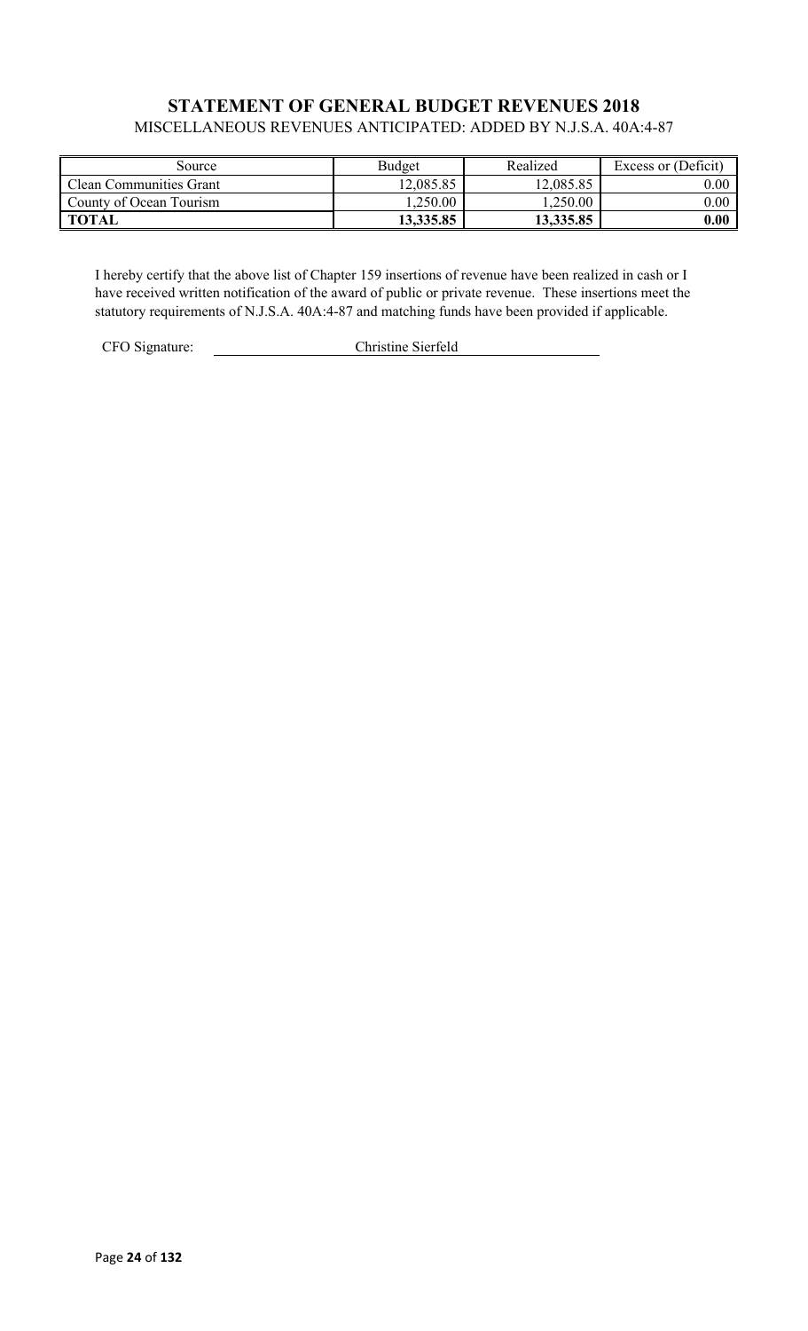### **STATEMENT OF GENERAL BUDGET REVENUES 2018** MISCELLANEOUS REVENUES ANTICIPATED: ADDED BY N.J.S.A. 40A:4-87

| Source                  | Budget    | Realized  | Excess or (Deficit) |
|-------------------------|-----------|-----------|---------------------|
| Clean Communities Grant | 12,085.85 | 12,085.85 | $0.00\,$            |
| County of Ocean Tourism | ,250.00   | 1,250.00  | $0.00\,$            |
| <b>TOTAL</b>            | 13,335.85 | 13,335.85 | 0.00                |

I hereby certify that the above list of Chapter 159 insertions of revenue have been realized in cash or I have received written notification of the award of public or private revenue. These insertions meet the statutory requirements of N.J.S.A. 40A:4-87 and matching funds have been provided if applicable.

CFO Signature: Christine Sierfeld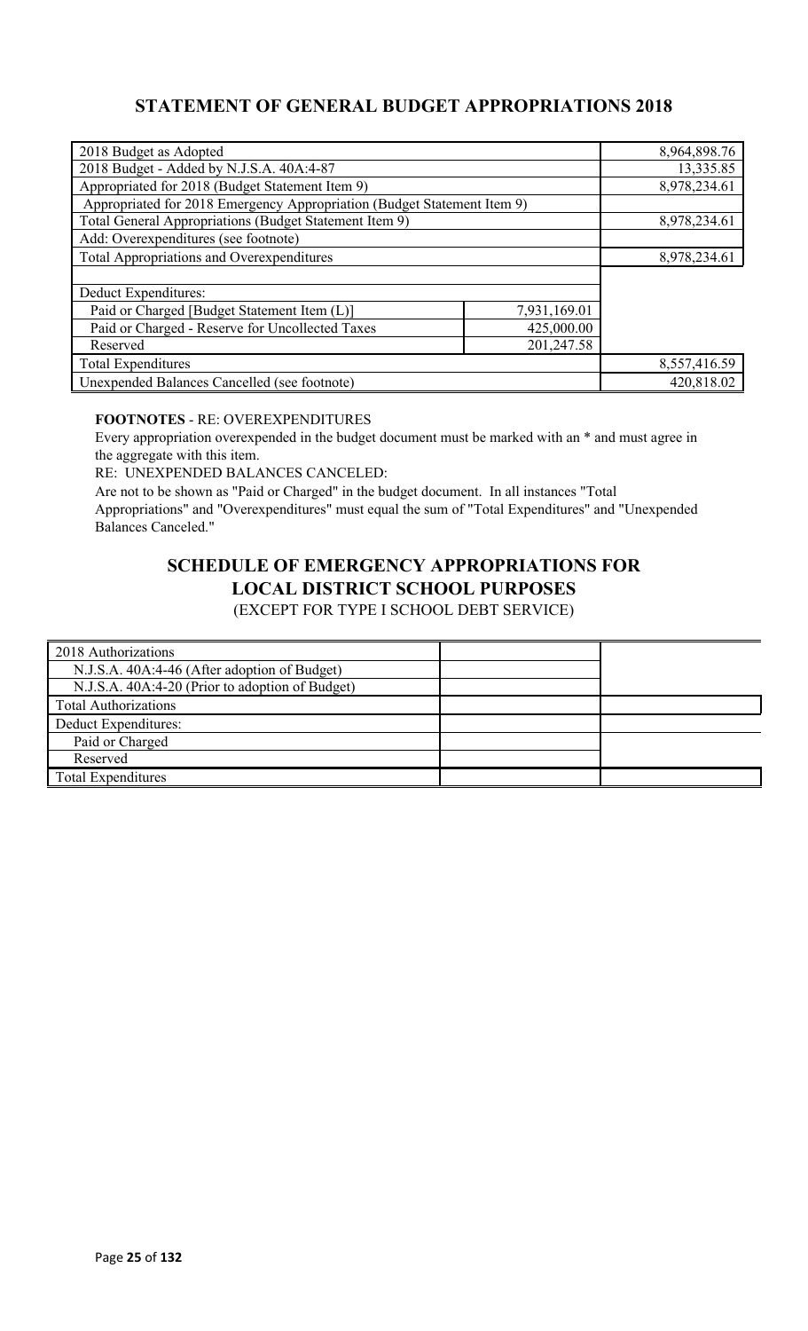## **STATEMENT OF GENERAL BUDGET APPROPRIATIONS 2018**

| 2018 Budget as Adopted                                                  |              | 8,964,898.76 |
|-------------------------------------------------------------------------|--------------|--------------|
| 2018 Budget - Added by N.J.S.A. 40A:4-87                                |              | 13,335.85    |
| Appropriated for 2018 (Budget Statement Item 9)                         |              | 8,978,234.61 |
| Appropriated for 2018 Emergency Appropriation (Budget Statement Item 9) |              |              |
| Total General Appropriations (Budget Statement Item 9)                  |              | 8,978,234.61 |
| Add: Overexpenditures (see footnote)                                    |              |              |
| <b>Total Appropriations and Overexpenditures</b>                        |              | 8,978,234.61 |
|                                                                         |              |              |
| Deduct Expenditures:                                                    |              |              |
| Paid or Charged [Budget Statement Item (L)]                             | 7,931,169.01 |              |
| Paid or Charged - Reserve for Uncollected Taxes<br>425,000.00           |              |              |
| 201,247.58<br>Reserved                                                  |              |              |
| <b>Total Expenditures</b>                                               |              | 8,557,416.59 |
| Unexpended Balances Cancelled (see footnote)                            |              | 420,818.02   |

### **FOOTNOTES** - RE: OVEREXPENDITURES

Every appropriation overexpended in the budget document must be marked with an \* and must agree in the aggregate with this item.

RE: UNEXPENDED BALANCES CANCELED:

Are not to be shown as "Paid or Charged" in the budget document. In all instances "Total Appropriations" and "Overexpenditures" must equal the sum of "Total Expenditures" and "Unexpended Balances Canceled."

# **SCHEDULE OF EMERGENCY APPROPRIATIONS FOR LOCAL DISTRICT SCHOOL PURPOSES**

(EXCEPT FOR TYPE I SCHOOL DEBT SERVICE)

| 2018 Authorizations                             |  |
|-------------------------------------------------|--|
| N.J.S.A. 40A:4-46 (After adoption of Budget)    |  |
| N.J.S.A. 40A:4-20 (Prior to adoption of Budget) |  |
| <b>Total Authorizations</b>                     |  |
| Deduct Expenditures:                            |  |
| Paid or Charged                                 |  |
| Reserved                                        |  |
| Total Expenditures                              |  |
|                                                 |  |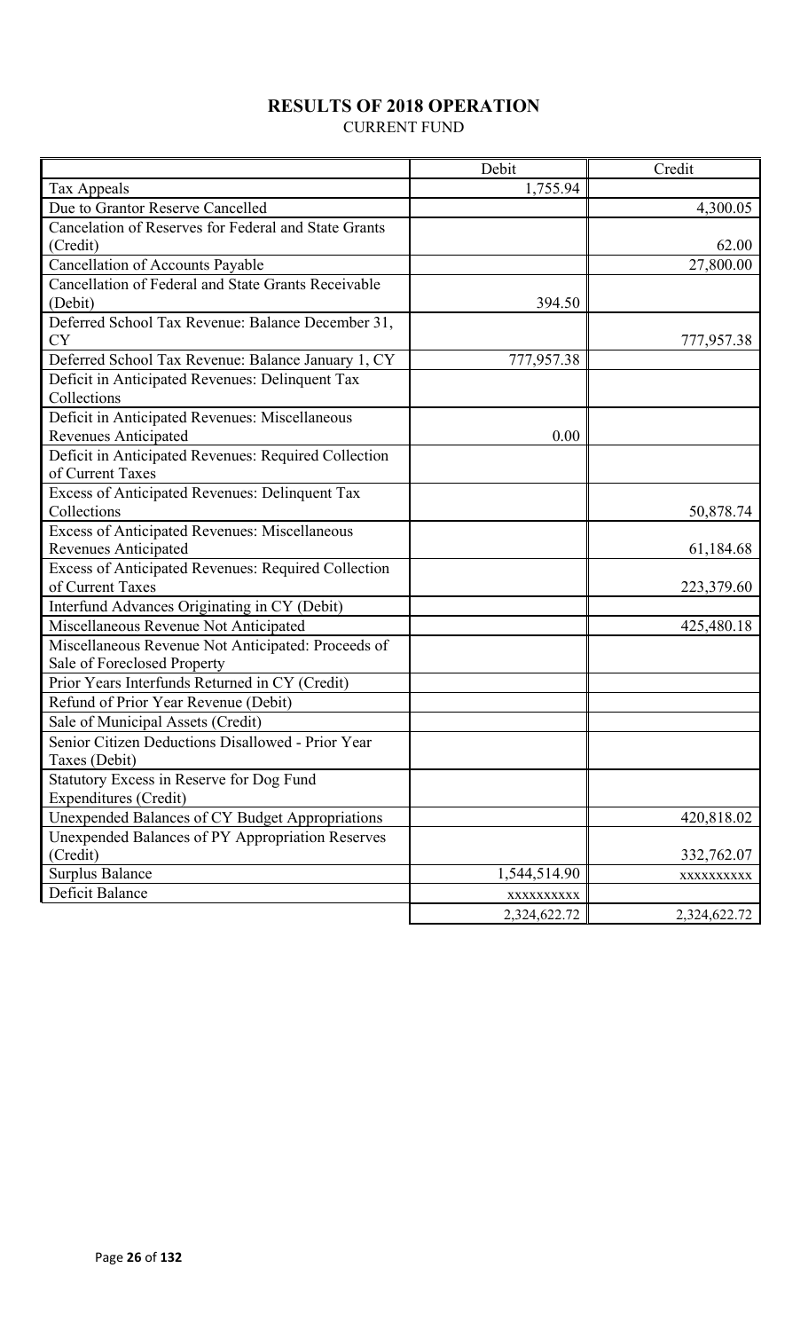# **RESULTS OF 2018 OPERATION**

CURRENT FUND

|                                                      | Debit        | Credit       |
|------------------------------------------------------|--------------|--------------|
| Tax Appeals                                          | 1,755.94     |              |
| Due to Grantor Reserve Cancelled                     |              | 4,300.05     |
| Cancelation of Reserves for Federal and State Grants |              |              |
| (Credit)                                             |              | 62.00        |
| Cancellation of Accounts Payable                     |              | 27,800.00    |
| Cancellation of Federal and State Grants Receivable  |              |              |
| (Debit)                                              | 394.50       |              |
| Deferred School Tax Revenue: Balance December 31,    |              |              |
| <b>CY</b>                                            |              | 777,957.38   |
| Deferred School Tax Revenue: Balance January 1, CY   | 777,957.38   |              |
| Deficit in Anticipated Revenues: Delinquent Tax      |              |              |
| Collections                                          |              |              |
| Deficit in Anticipated Revenues: Miscellaneous       |              |              |
| <b>Revenues Anticipated</b>                          | 0.00         |              |
| Deficit in Anticipated Revenues: Required Collection |              |              |
| of Current Taxes                                     |              |              |
| Excess of Anticipated Revenues: Delinquent Tax       |              |              |
| Collections                                          |              | 50,878.74    |
| Excess of Anticipated Revenues: Miscellaneous        |              |              |
| <b>Revenues Anticipated</b>                          |              | 61,184.68    |
| Excess of Anticipated Revenues: Required Collection  |              |              |
| of Current Taxes                                     |              | 223,379.60   |
| Interfund Advances Originating in CY (Debit)         |              |              |
| Miscellaneous Revenue Not Anticipated                |              | 425,480.18   |
| Miscellaneous Revenue Not Anticipated: Proceeds of   |              |              |
| Sale of Foreclosed Property                          |              |              |
| Prior Years Interfunds Returned in CY (Credit)       |              |              |
| Refund of Prior Year Revenue (Debit)                 |              |              |
| Sale of Municipal Assets (Credit)                    |              |              |
| Senior Citizen Deductions Disallowed - Prior Year    |              |              |
| Taxes (Debit)                                        |              |              |
| Statutory Excess in Reserve for Dog Fund             |              |              |
| Expenditures (Credit)                                |              |              |
| Unexpended Balances of CY Budget Appropriations      |              | 420,818.02   |
| Unexpended Balances of PY Appropriation Reserves     |              |              |
| (Credit)                                             |              | 332,762.07   |
| <b>Surplus Balance</b>                               | 1,544,514.90 | XXXXXXXXXX   |
| Deficit Balance                                      | XXXXXXXXXX   |              |
|                                                      | 2,324,622.72 | 2,324,622.72 |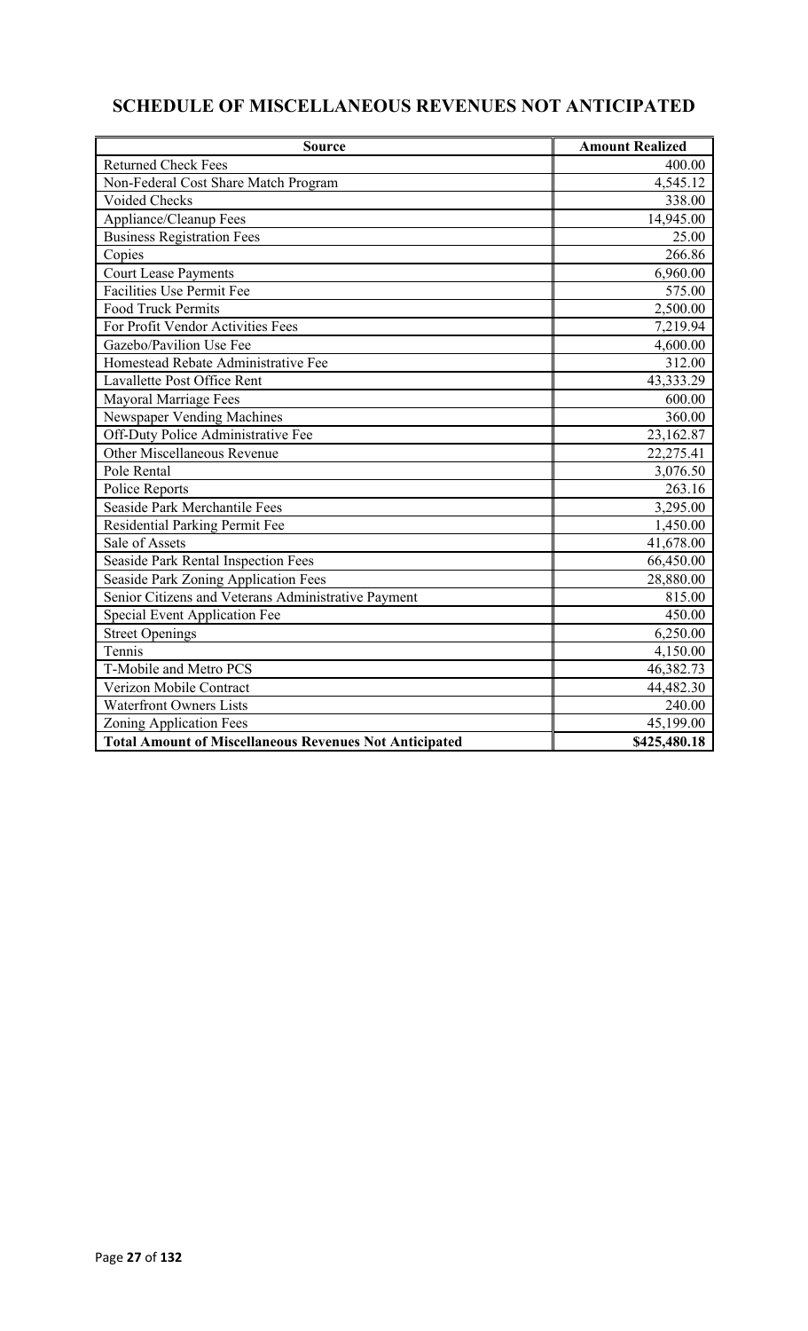# **SCHEDULE OF MISCELLANEOUS REVENUES NOT ANTICIPATED**

| <b>Source</b>                                                 | <b>Amount Realized</b> |
|---------------------------------------------------------------|------------------------|
| <b>Returned Check Fees</b>                                    | 400.00                 |
| Non-Federal Cost Share Match Program                          | 4,545.12               |
| Voided Checks                                                 | 338.00                 |
| Appliance/Cleanup Fees                                        | 14,945.00              |
| <b>Business Registration Fees</b>                             | 25.00                  |
| Copies                                                        | 266.86                 |
| <b>Court Lease Payments</b>                                   | 6,960.00               |
| <b>Facilities Use Permit Fee</b>                              | 575.00                 |
| <b>Food Truck Permits</b>                                     | 2,500.00               |
| For Profit Vendor Activities Fees                             | 7,219.94               |
| Gazebo/Pavilion Use Fee                                       | 4,600.00               |
| Homestead Rebate Administrative Fee                           | 312.00                 |
| Lavallette Post Office Rent                                   | 43,333.29              |
| Mayoral Marriage Fees                                         | 600.00                 |
| Newspaper Vending Machines                                    | 360.00                 |
| Off-Duty Police Administrative Fee                            | 23,162.87              |
| Other Miscellaneous Revenue                                   | 22,275.41              |
| Pole Rental                                                   | 3,076.50               |
| Police Reports                                                | 263.16                 |
| Seaside Park Merchantile Fees                                 | 3,295.00               |
| Residential Parking Permit Fee                                | 1,450.00               |
| Sale of Assets                                                | 41,678.00              |
| <b>Seaside Park Rental Inspection Fees</b>                    | 66,450.00              |
| Seaside Park Zoning Application Fees                          | 28,880.00              |
| Senior Citizens and Veterans Administrative Payment           | 815.00                 |
| Special Event Application Fee                                 | 450.00                 |
| <b>Street Openings</b>                                        | 6,250.00               |
| Tennis                                                        | 4,150.00               |
| T-Mobile and Metro PCS                                        | 46,382.73              |
| Verizon Mobile Contract                                       | 44,482.30              |
| <b>Waterfront Owners Lists</b>                                | 240.00                 |
| Zoning Application Fees                                       | 45,199.00              |
| <b>Total Amount of Miscellaneous Revenues Not Anticipated</b> | \$425,480.18           |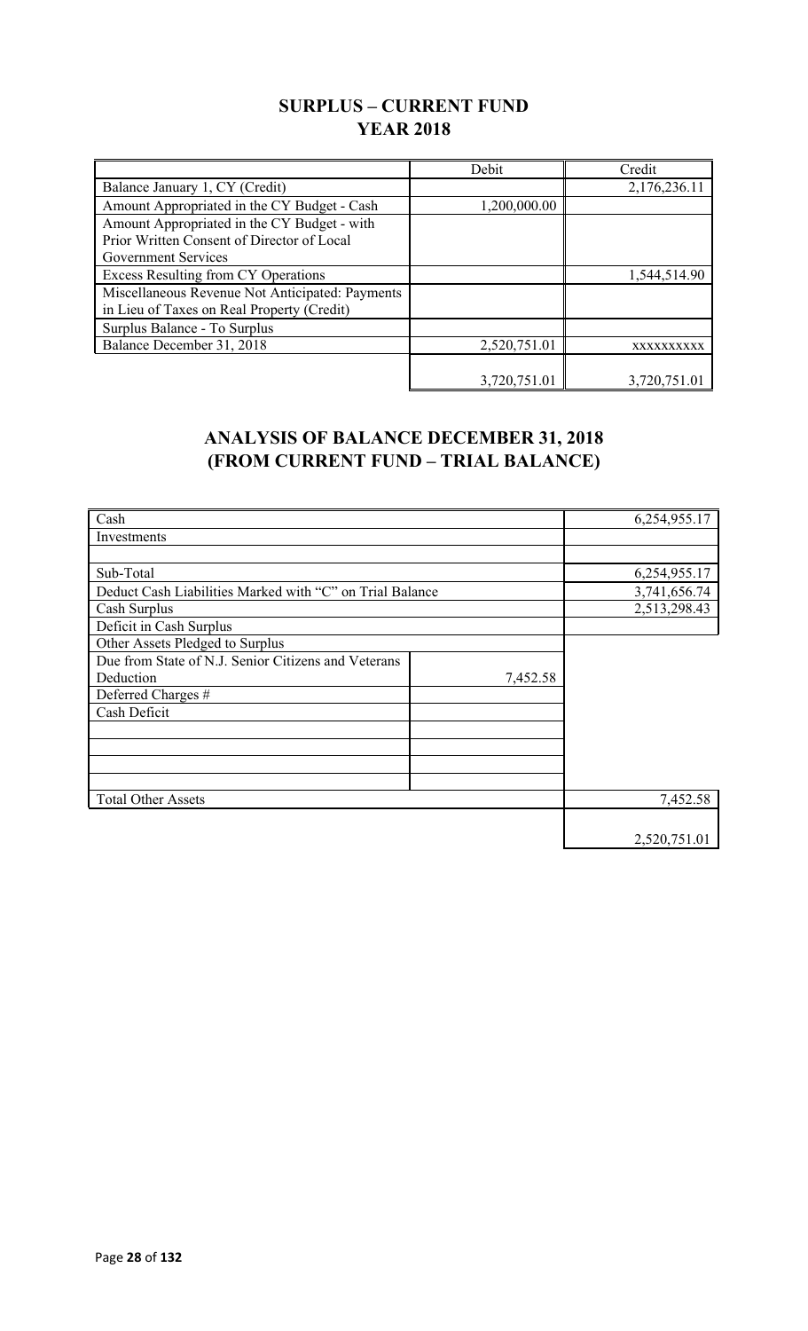## **SURPLUS – CURRENT FUND YEAR 2018**

|                                                                                                                         | Debit        | Credit       |
|-------------------------------------------------------------------------------------------------------------------------|--------------|--------------|
| Balance January 1, CY (Credit)                                                                                          |              | 2,176,236.11 |
| Amount Appropriated in the CY Budget - Cash                                                                             | 1,200,000.00 |              |
| Amount Appropriated in the CY Budget - with<br>Prior Written Consent of Director of Local<br><b>Government Services</b> |              |              |
| <b>Excess Resulting from CY Operations</b>                                                                              |              | 1,544,514.90 |
| Miscellaneous Revenue Not Anticipated: Payments<br>in Lieu of Taxes on Real Property (Credit)                           |              |              |
| Surplus Balance - To Surplus                                                                                            |              |              |
| Balance December 31, 2018                                                                                               | 2,520,751.01 | XXXXXXXXXX   |
|                                                                                                                         | 3,720,751.01 | 3,720,751.01 |

## **ANALYSIS OF BALANCE DECEMBER 31, 2018 (FROM CURRENT FUND – TRIAL BALANCE)**

| Cash                                                     |          | 6,254,955.17 |
|----------------------------------------------------------|----------|--------------|
| Investments                                              |          |              |
|                                                          |          |              |
| Sub-Total                                                |          | 6,254,955.17 |
| Deduct Cash Liabilities Marked with "C" on Trial Balance |          | 3,741,656.74 |
| Cash Surplus                                             |          | 2,513,298.43 |
| Deficit in Cash Surplus                                  |          |              |
| Other Assets Pledged to Surplus                          |          |              |
| Due from State of N.J. Senior Citizens and Veterans      |          |              |
| Deduction                                                | 7,452.58 |              |
| Deferred Charges #                                       |          |              |
| Cash Deficit                                             |          |              |
|                                                          |          |              |
|                                                          |          |              |
|                                                          |          |              |
|                                                          |          |              |
| <b>Total Other Assets</b>                                |          | 7,452.58     |
|                                                          |          |              |
|                                                          |          | 2,520,751.01 |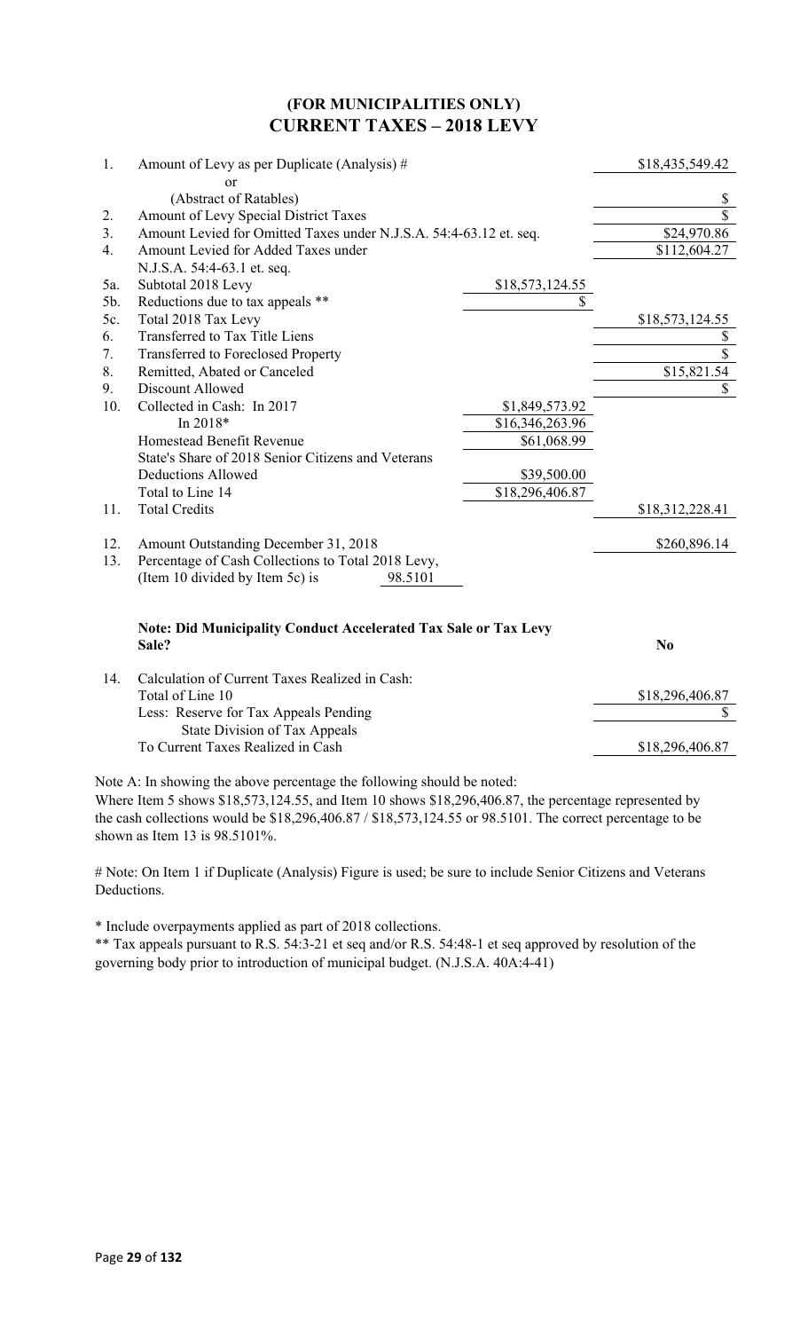### **(FOR MUNICIPALITIES ONLY) CURRENT TAXES – 2018 LEVY**

| 1.  | Amount of Levy as per Duplicate (Analysis) #                           |                 | \$18,435,549.42 |
|-----|------------------------------------------------------------------------|-----------------|-----------------|
|     | or                                                                     |                 |                 |
|     | (Abstract of Ratables)                                                 |                 | \$              |
| 2.  | Amount of Levy Special District Taxes                                  |                 | \$              |
| 3.  | Amount Levied for Omitted Taxes under N.J.S.A. 54:4-63.12 et. seq.     |                 | \$24,970.86     |
| 4.  | Amount Levied for Added Taxes under                                    |                 | \$112,604.27    |
|     | N.J.S.A. 54:4-63.1 et. seq.                                            |                 |                 |
| 5a. | Subtotal 2018 Levy                                                     | \$18,573,124.55 |                 |
| 5b. | Reductions due to tax appeals **                                       | \$              |                 |
| 5c. | Total 2018 Tax Levy                                                    |                 | \$18,573,124.55 |
| 6.  | Transferred to Tax Title Liens                                         |                 | \$              |
| 7.  | Transferred to Foreclosed Property                                     |                 | $\overline{\$}$ |
| 8.  | Remitted, Abated or Canceled                                           |                 | \$15,821.54     |
| 9.  | Discount Allowed                                                       |                 | $\mathbb{S}$    |
| 10. | Collected in Cash: In 2017                                             | \$1,849,573.92  |                 |
|     | In 2018*                                                               | \$16,346,263.96 |                 |
|     | Homestead Benefit Revenue                                              | \$61,068.99     |                 |
|     | State's Share of 2018 Senior Citizens and Veterans                     |                 |                 |
|     | <b>Deductions Allowed</b>                                              | \$39,500.00     |                 |
|     | Total to Line 14                                                       | \$18,296,406.87 |                 |
| 11. | <b>Total Credits</b>                                                   |                 | \$18,312,228.41 |
| 12. | Amount Outstanding December 31, 2018                                   |                 | \$260,896.14    |
| 13. | Percentage of Cash Collections to Total 2018 Levy,                     |                 |                 |
|     | (Item 10 divided by Item 5c) is<br>98.5101                             |                 |                 |
|     | <b>Note: Did Municipality Conduct Accelerated Tax Sale or Tax Levy</b> |                 |                 |
|     | Sale?                                                                  |                 | N <sub>o</sub>  |
| 14. | Calculation of Current Taxes Realized in Cash:                         |                 |                 |
|     | Total of Line 10                                                       |                 | \$18,296,406.87 |
|     | Less: Reserve for Tax Appeals Pending                                  |                 | \$              |
|     | State Division of Tax Appeals                                          |                 |                 |
|     | To Current Taxes Realized in Cash                                      |                 | \$18,296,406.87 |

Note A: In showing the above percentage the following should be noted:

Where Item 5 shows \$18,573,124.55, and Item 10 shows \$18,296,406.87, the percentage represented by the cash collections would be \$18,296,406.87 / \$18,573,124.55 or 98.5101. The correct percentage to be shown as Item 13 is 98.5101%.

# Note: On Item 1 if Duplicate (Analysis) Figure is used; be sure to include Senior Citizens and Veterans Deductions.

\* Include overpayments applied as part of 2018 collections.

\*\* Tax appeals pursuant to R.S. 54:3-21 et seq and/or R.S. 54:48-1 et seq approved by resolution of the governing body prior to introduction of municipal budget. (N.J.S.A. 40A:4-41)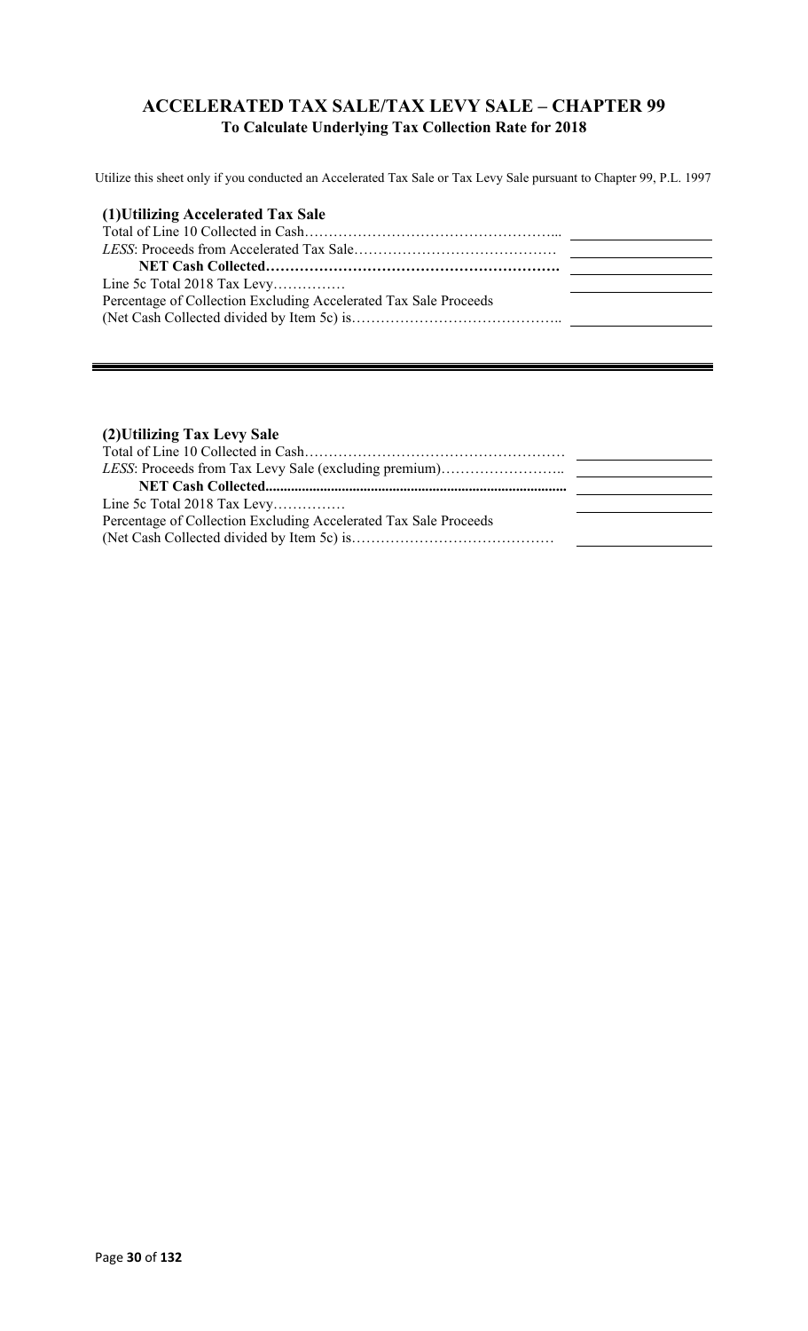### **ACCELERATED TAX SALE/TAX LEVY SALE – CHAPTER 99 To Calculate Underlying Tax Collection Rate for 2018**

Utilize this sheet only if you conducted an Accelerated Tax Sale or Tax Levy Sale pursuant to Chapter 99, P.L. 1997

| (1) Utilizing Accelerated Tax Sale                               |  |
|------------------------------------------------------------------|--|
|                                                                  |  |
|                                                                  |  |
|                                                                  |  |
| Line 5c Total 2018 Tax Levy                                      |  |
| Percentage of Collection Excluding Accelerated Tax Sale Proceeds |  |
|                                                                  |  |

### **(2)Utilizing Tax Levy Sale**

| Line 5c Total 2018 Tax Levy                                      |  |
|------------------------------------------------------------------|--|
| Percentage of Collection Excluding Accelerated Tax Sale Proceeds |  |
|                                                                  |  |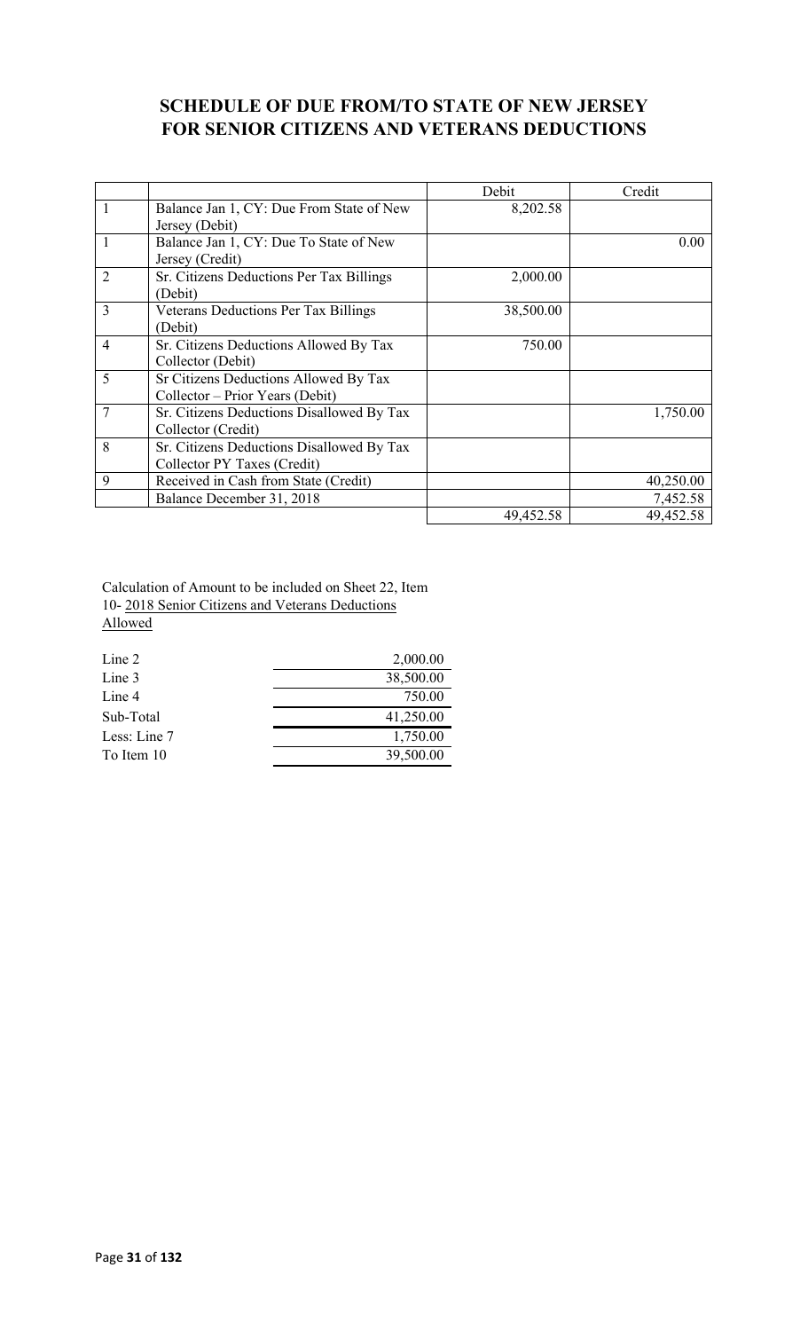## **SCHEDULE OF DUE FROM/TO STATE OF NEW JERSEY FOR SENIOR CITIZENS AND VETERANS DEDUCTIONS**

|                |                                             | Debit     | Credit    |
|----------------|---------------------------------------------|-----------|-----------|
| 1              | Balance Jan 1, CY: Due From State of New    | 8,202.58  |           |
|                | Jersey (Debit)                              |           |           |
| $\mathbf{1}$   | Balance Jan 1, CY: Due To State of New      |           | 0.00      |
|                | Jersey (Credit)                             |           |           |
| $\overline{2}$ | Sr. Citizens Deductions Per Tax Billings    | 2,000.00  |           |
|                | (Debit)                                     |           |           |
| 3              | <b>Veterans Deductions Per Tax Billings</b> | 38,500.00 |           |
|                | (Debit)                                     |           |           |
| $\overline{4}$ | Sr. Citizens Deductions Allowed By Tax      | 750.00    |           |
|                | Collector (Debit)                           |           |           |
| 5              | Sr Citizens Deductions Allowed By Tax       |           |           |
|                | Collector – Prior Years (Debit)             |           |           |
| 7              | Sr. Citizens Deductions Disallowed By Tax   |           | 1,750.00  |
|                | Collector (Credit)                          |           |           |
| 8              | Sr. Citizens Deductions Disallowed By Tax   |           |           |
|                | Collector PY Taxes (Credit)                 |           |           |
| 9              | Received in Cash from State (Credit)        |           | 40,250.00 |
|                | Balance December 31, 2018                   |           | 7,452.58  |
|                |                                             | 49,452.58 | 49,452.58 |

Calculation of Amount to be included on Sheet 22, Item 10- 2018 Senior Citizens and Veterans Deductions Allowed

| Line 2       | 2,000.00  |
|--------------|-----------|
| Line 3       | 38,500.00 |
| Line 4       | 750.00    |
| Sub-Total    | 41,250.00 |
| Less: Line 7 | 1,750.00  |
| To Item 10   | 39,500.00 |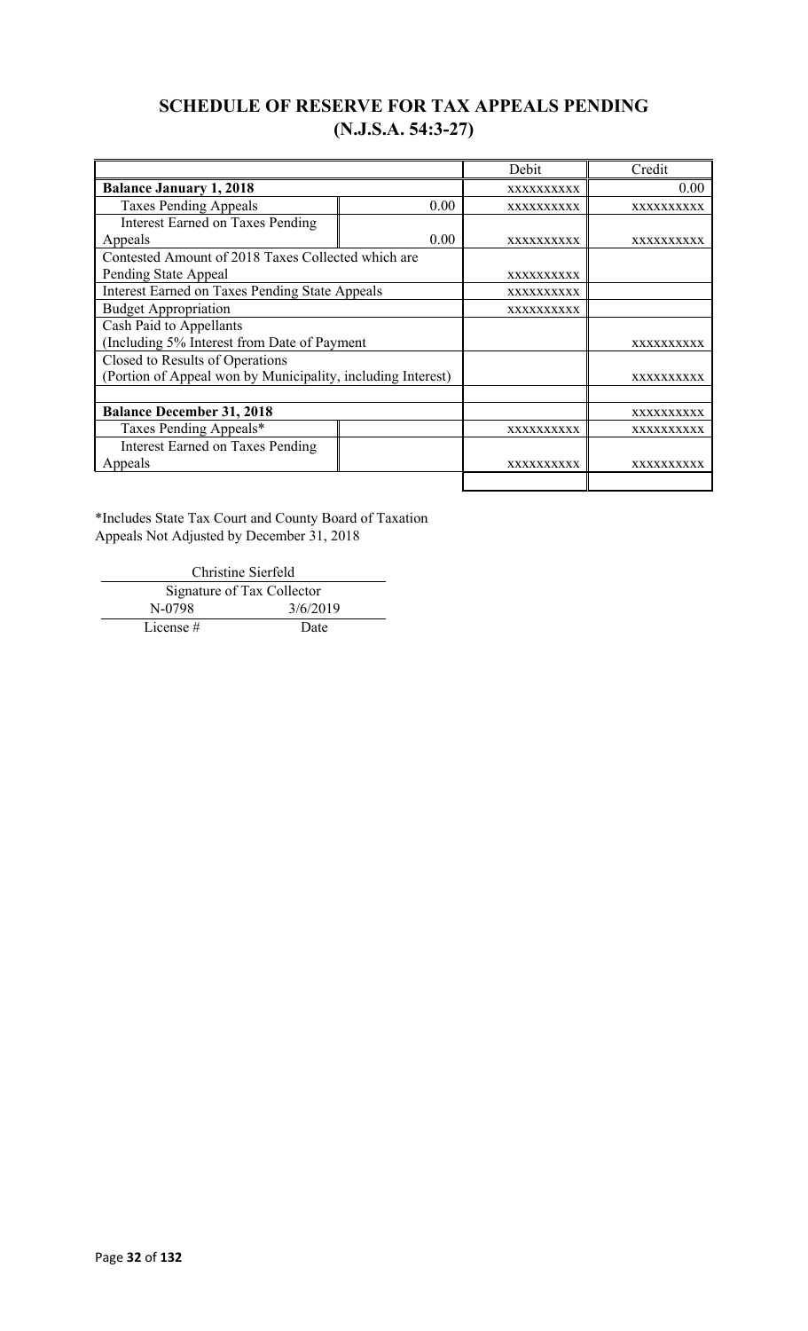## **SCHEDULE OF RESERVE FOR TAX APPEALS PENDING (N.J.S.A. 54:3-27)**

|                                                             |                   | Debit             | Credit            |
|-------------------------------------------------------------|-------------------|-------------------|-------------------|
| <b>Balance January 1, 2018</b>                              |                   | <b>XXXXXXXXXX</b> | 0.00              |
| <b>Taxes Pending Appeals</b>                                | 0.00              | <b>XXXXXXXXXX</b> | XXXXXXXXXX        |
| <b>Interest Earned on Taxes Pending</b>                     |                   |                   |                   |
| Appeals                                                     | 0.00              | <b>XXXXXXXXXX</b> | <b>XXXXXXXXXX</b> |
| Contested Amount of 2018 Taxes Collected which are          |                   |                   |                   |
| Pending State Appeal                                        |                   | <b>XXXXXXXXXX</b> |                   |
| <b>Interest Earned on Taxes Pending State Appeals</b>       |                   | <b>XXXXXXXXXX</b> |                   |
| <b>Budget Appropriation</b>                                 |                   | <b>XXXXXXXXXX</b> |                   |
| Cash Paid to Appellants                                     |                   |                   |                   |
| (Including 5% Interest from Date of Payment                 |                   |                   | XXXXXXXXXX        |
| Closed to Results of Operations                             |                   |                   |                   |
| (Portion of Appeal won by Municipality, including Interest) |                   |                   | XXXXXXXXXX        |
|                                                             |                   |                   |                   |
| <b>Balance December 31, 2018</b>                            |                   |                   | XXXXXXXXXX        |
| Taxes Pending Appeals*                                      |                   | XXXXXXXXXX        | XXXXXXXXXX        |
| <b>Interest Earned on Taxes Pending</b>                     |                   |                   |                   |
| Appeals                                                     | <b>XXXXXXXXXX</b> | <b>XXXXXXXXXX</b> |                   |
|                                                             |                   |                   |                   |

\*Includes State Tax Court and County Board of Taxation Appeals Not Adjusted by December 31, 2018

Christine Sierfeld Signature of Tax Collector<br>N-0798 3/6/20 3/6/2019 License # Date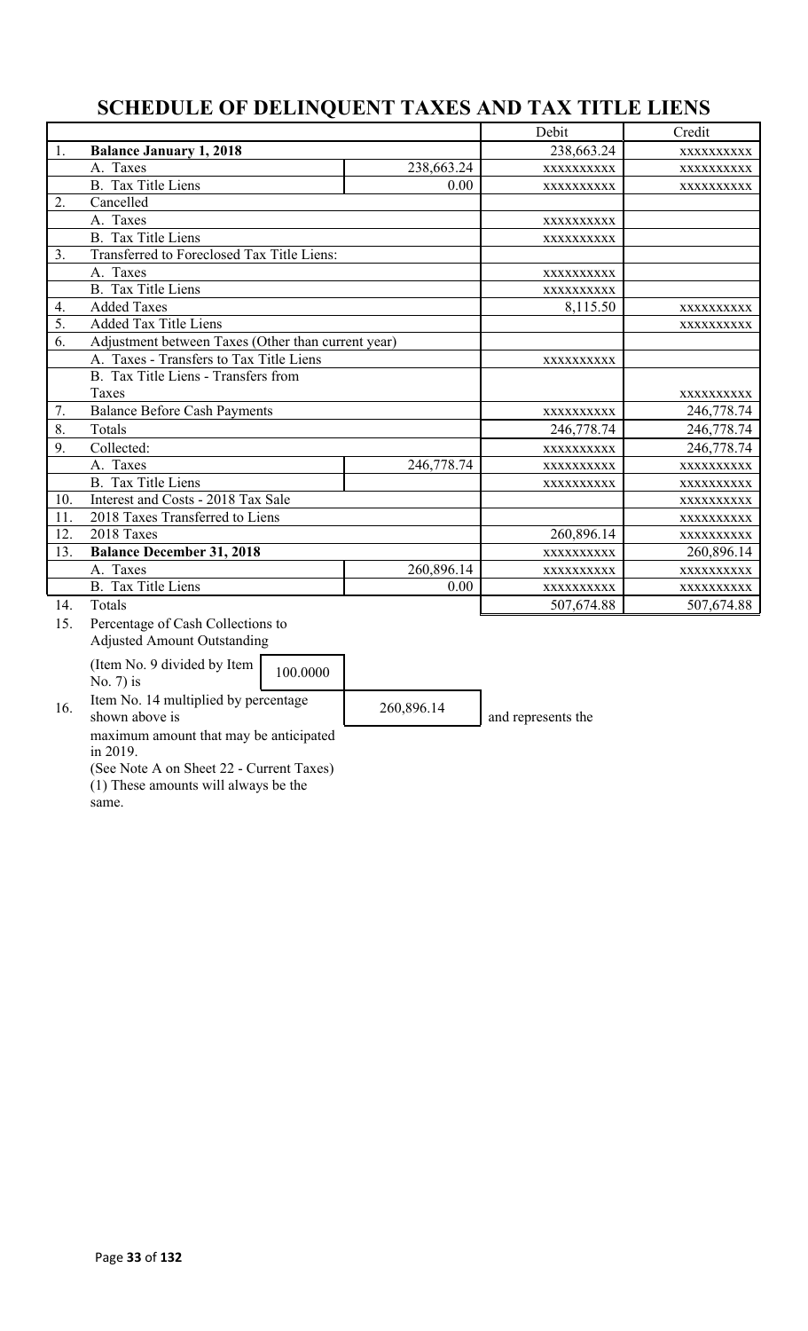# **SCHEDULE OF DELINQUENT TAXES AND TAX TITLE LIENS**

|     |                                                        |            | Debit              | Credit     |
|-----|--------------------------------------------------------|------------|--------------------|------------|
| 1.  | <b>Balance January 1, 2018</b>                         |            | 238,663.24         | XXXXXXXXXX |
|     | A. Taxes                                               | 238,663.24 | XXXXXXXXXX         | XXXXXXXXXX |
|     | B. Tax Title Liens                                     | 0.00       | XXXXXXXXXX         | XXXXXXXXXX |
| 2.  | Cancelled                                              |            |                    |            |
|     | A. Taxes                                               |            | XXXXXXXXXX         |            |
|     | <b>B.</b> Tax Title Liens                              |            | XXXXXXXXXX         |            |
| 3.  | Transferred to Foreclosed Tax Title Liens:             |            |                    |            |
|     | A. Taxes                                               |            | XXXXXXXXXX         |            |
|     | <b>B.</b> Tax Title Liens                              |            | XXXXXXXXXX         |            |
| 4.  | <b>Added Taxes</b>                                     |            | 8,115.50           | XXXXXXXXXX |
| 5.  | <b>Added Tax Title Liens</b>                           |            |                    | XXXXXXXXXX |
| 6.  | Adjustment between Taxes (Other than current year)     |            |                    |            |
|     | A. Taxes - Transfers to Tax Title Liens                |            | XXXXXXXXXX         |            |
|     | B. Tax Title Liens - Transfers from                    |            |                    |            |
|     | Taxes                                                  |            |                    | XXXXXXXXXX |
| 7.  | <b>Balance Before Cash Payments</b>                    | XXXXXXXXXX | 246,778.74         |            |
| 8.  | Totals                                                 |            | 246,778.74         | 246,778.74 |
| 9.  | Collected:                                             |            | XXXXXXXXXX         | 246,778.74 |
|     | A. Taxes                                               | 246,778.74 | XXXXXXXXXX         | XXXXXXXXXX |
|     | <b>B.</b> Tax Title Liens                              |            | XXXXXXXXXX         | XXXXXXXXXX |
| 10. | Interest and Costs - 2018 Tax Sale                     |            |                    | XXXXXXXXXX |
| 11. | 2018 Taxes Transferred to Liens                        |            |                    | XXXXXXXXXX |
| 12. | 2018 Taxes                                             |            | 260,896.14         | XXXXXXXXXX |
| 13. | <b>Balance December 31, 2018</b>                       |            | XXXXXXXXXX         | 260,896.14 |
|     | A. Taxes                                               | 260,896.14 | XXXXXXXXXX         | XXXXXXXXXX |
|     | <b>B.</b> Tax Title Liens                              | 0.00       | XXXXXXXXXX         | XXXXXXXXXX |
| 14. | Totals                                                 |            | 507,674.88         | 507,674.88 |
| 15. | Percentage of Cash Collections to                      |            |                    |            |
|     | <b>Adjusted Amount Outstanding</b>                     |            |                    |            |
|     | (Item No. 9 divided by Item                            |            |                    |            |
|     | 100.0000<br>No. $7$ ) is                               |            |                    |            |
| 16. | Item No. 14 multiplied by percentage<br>shown above is | 260,896.14 | and represents the |            |
|     | movimum omovet that move ha antiquated                 |            |                    |            |

maximum amount that may be anticipated in 2019.

(See Note A on Sheet 22 - Current Taxes) (1) These amounts will always be the

same.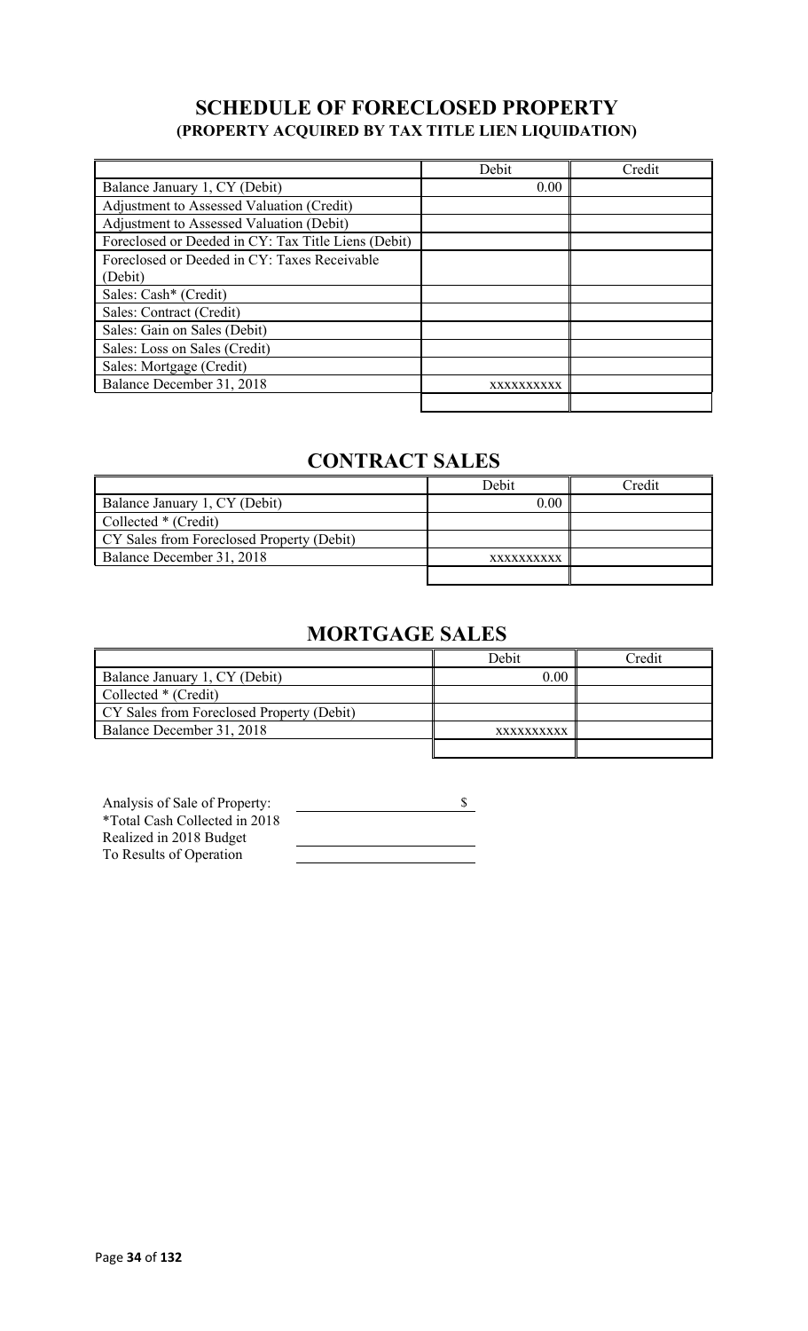## **SCHEDULE OF FORECLOSED PROPERTY (PROPERTY ACQUIRED BY TAX TITLE LIEN LIQUIDATION)**

|                                                     | Debit      | Credit |
|-----------------------------------------------------|------------|--------|
| Balance January 1, CY (Debit)                       | 0.00       |        |
| Adjustment to Assessed Valuation (Credit)           |            |        |
| Adjustment to Assessed Valuation (Debit)            |            |        |
| Foreclosed or Deeded in CY: Tax Title Liens (Debit) |            |        |
| Foreclosed or Deeded in CY: Taxes Receivable        |            |        |
| (Debit)                                             |            |        |
| Sales: Cash* (Credit)                               |            |        |
| Sales: Contract (Credit)                            |            |        |
| Sales: Gain on Sales (Debit)                        |            |        |
| Sales: Loss on Sales (Credit)                       |            |        |
| Sales: Mortgage (Credit)                            |            |        |
| Balance December 31, 2018                           | XXXXXXXXXX |        |
|                                                     |            |        |

# **CONTRACT SALES**

|                                           | Debit      | <b>Tredit</b> |
|-------------------------------------------|------------|---------------|
| Balance January 1, CY (Debit)             | 0.00       |               |
| Collected * (Credit)                      |            |               |
| CY Sales from Foreclosed Property (Debit) |            |               |
| Balance December 31, 2018                 | XXXXXXXXXX |               |
|                                           |            |               |

# **MORTGAGE SALES**

|                                           | Debit      | Credit |
|-------------------------------------------|------------|--------|
| Balance January 1, CY (Debit)             | 0.00       |        |
| Collected * (Credit)                      |            |        |
| CY Sales from Foreclosed Property (Debit) |            |        |
| Balance December 31, 2018                 | XXXXXXXXXX |        |
|                                           |            |        |

| Analysis of Sale of Property: |  |
|-------------------------------|--|
| *Total Cash Collected in 2018 |  |
| Realized in 2018 Budget       |  |
| To Results of Operation       |  |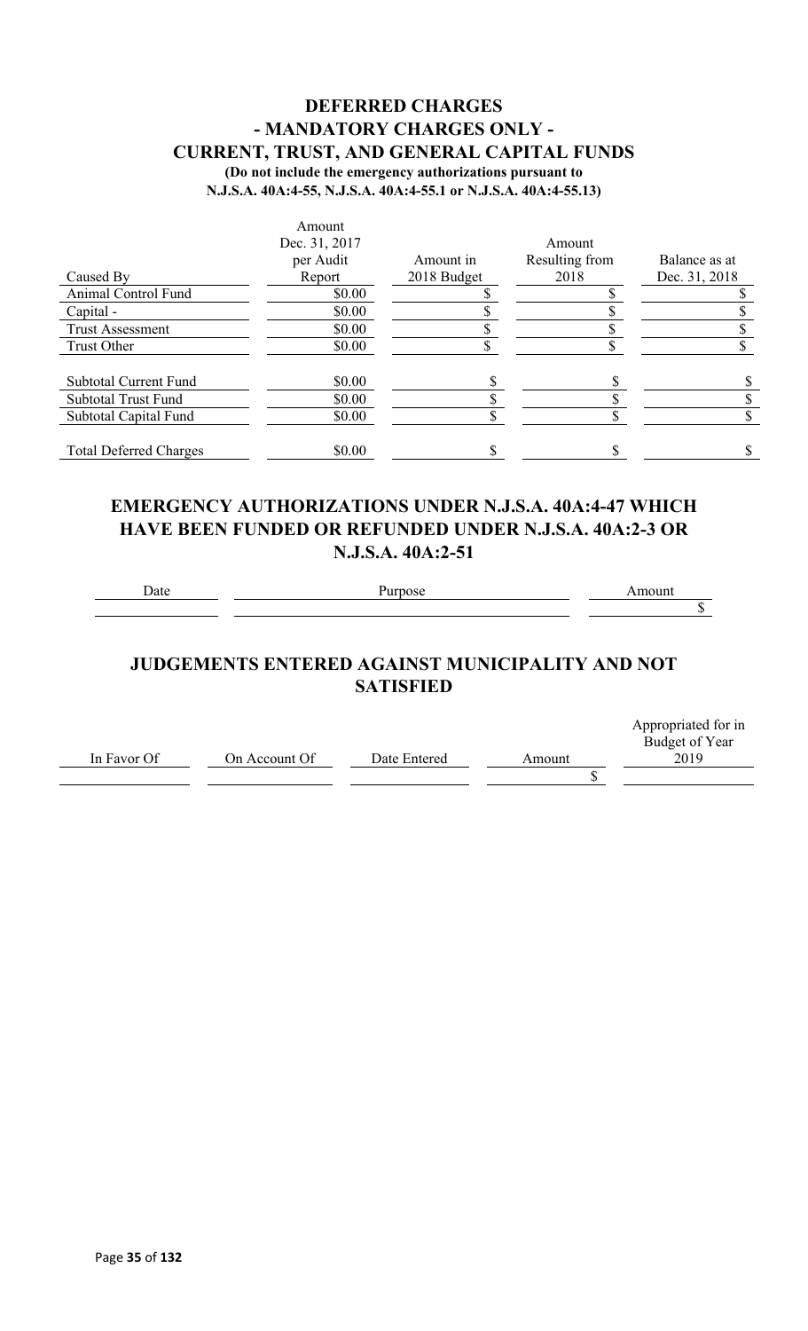### **DEFERRED CHARGES - MANDATORY CHARGES ONLY - CURRENT, TRUST, AND GENERAL CAPITAL FUNDS (Do not include the emergency authorizations pursuant to**

**N.J.S.A. 40A:4-55, N.J.S.A. 40A:4-55.1 or N.J.S.A. 40A:4-55.13)**

|                               | Amount        |             |                |               |
|-------------------------------|---------------|-------------|----------------|---------------|
|                               | Dec. 31, 2017 |             | Amount         |               |
|                               | per Audit     | Amount in   | Resulting from | Balance as at |
| Caused By                     | Report        | 2018 Budget | 2018           | Dec. 31, 2018 |
| Animal Control Fund           | \$0.00        |             |                |               |
| Capital -                     | \$0.00        |             |                |               |
| <b>Trust Assessment</b>       | \$0.00        |             |                |               |
| Trust Other                   | \$0.00        |             |                |               |
| <b>Subtotal Current Fund</b>  | \$0.00        |             |                |               |
| <b>Subtotal Trust Fund</b>    | \$0.00        |             |                |               |
| Subtotal Capital Fund         | \$0.00        |             |                |               |
| <b>Total Deferred Charges</b> | \$0.00        |             |                |               |

### **EMERGENCY AUTHORIZATIONS UNDER N.J.S.A. 40A:4-47 WHICH HAVE BEEN FUNDED OR REFUNDED UNDER N.J.S.A. 40A:2-3 OR N.J.S.A. 40A:2-51**

### **JUDGEMENTS ENTERED AGAINST MUNICIPALITY AND NOT SATISFIED**

|             |               |              |        | Appropriated for in |
|-------------|---------------|--------------|--------|---------------------|
|             |               |              |        | Budget of Year      |
| In Favor Of | On Account Of | Date Entered | Amount | 2019                |
|             |               |              |        |                     |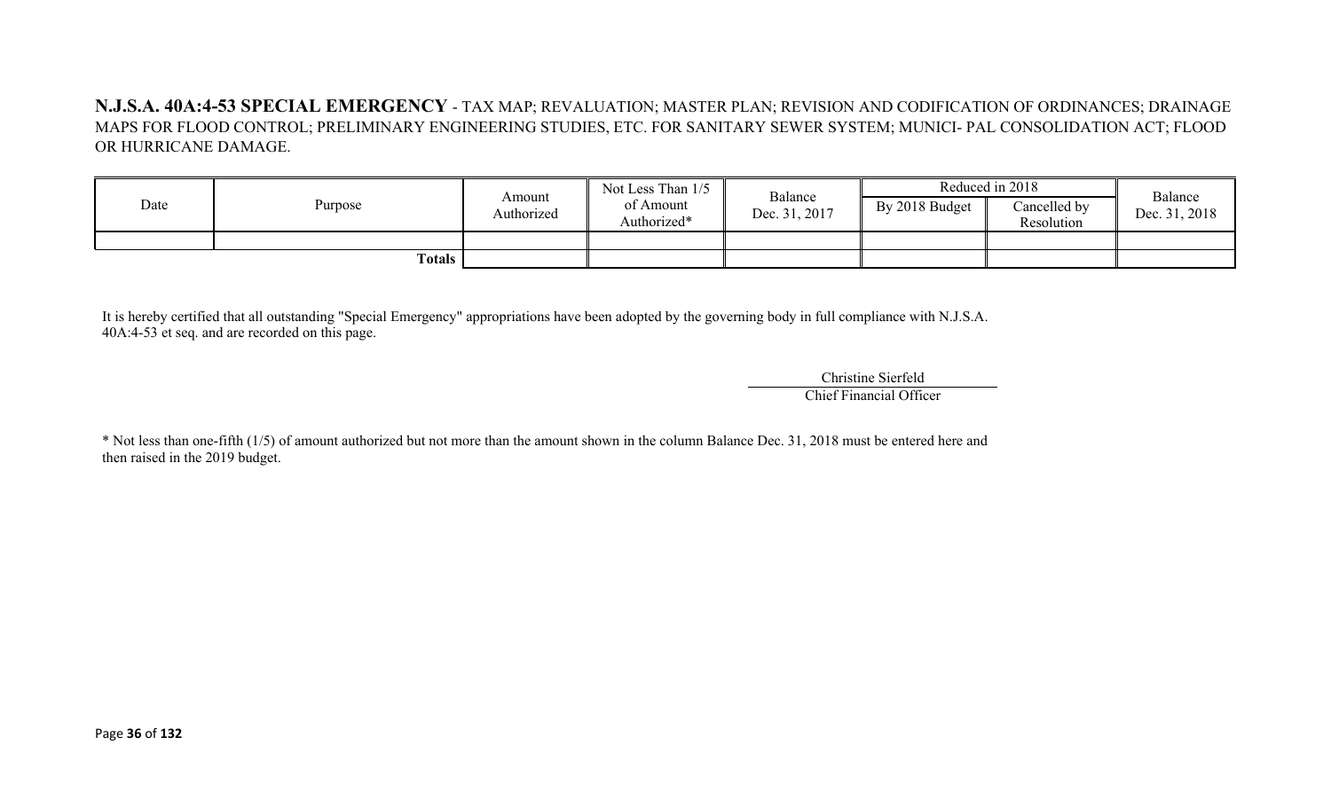**N.J.S.A. 40A:4-53 SPECIAL EMERGENCY** - TAX MAP; REVALUATION; MASTER PLAN; REVISION AND CODIFICATION OF ORDINANCES; DRAINAGE MAPS FOR FLOOD CONTROL; PRELIMINARY ENGINEERING STUDIES, ETC. FOR SANITARY SEWER SYSTEM; MUNICI- PAL CONSOLIDATION ACT; FLOOD OR HURRICANE DAMAGE.

| Date          | Purpose | Amount<br>Authorized | Not Less Than 1/5<br>of Amount<br>Authorized* | Balance<br>Dec. 31, 2017 | Reduced in 2018 |                            | Balance       |
|---------------|---------|----------------------|-----------------------------------------------|--------------------------|-----------------|----------------------------|---------------|
|               |         |                      |                                               |                          | By 2018 Budget  | Cancelled by<br>Resolution | Dec. 31, 2018 |
|               |         |                      |                                               |                          |                 |                            |               |
| <b>Totals</b> |         |                      |                                               |                          |                 |                            |               |

It is hereby certified that all outstanding "Special Emergency" appropriations have been adopted by the governing body in full compliance with N.J.S.A. 40A:4-53 et seq. and are recorded on this page.

> Christine Sierfeld Chief Financial Officer

\* Not less than one-fifth (1/5) of amount authorized but not more than the amount shown in the column Balance Dec. 31, 2018 must be entered here and then raised in the 2019 budget.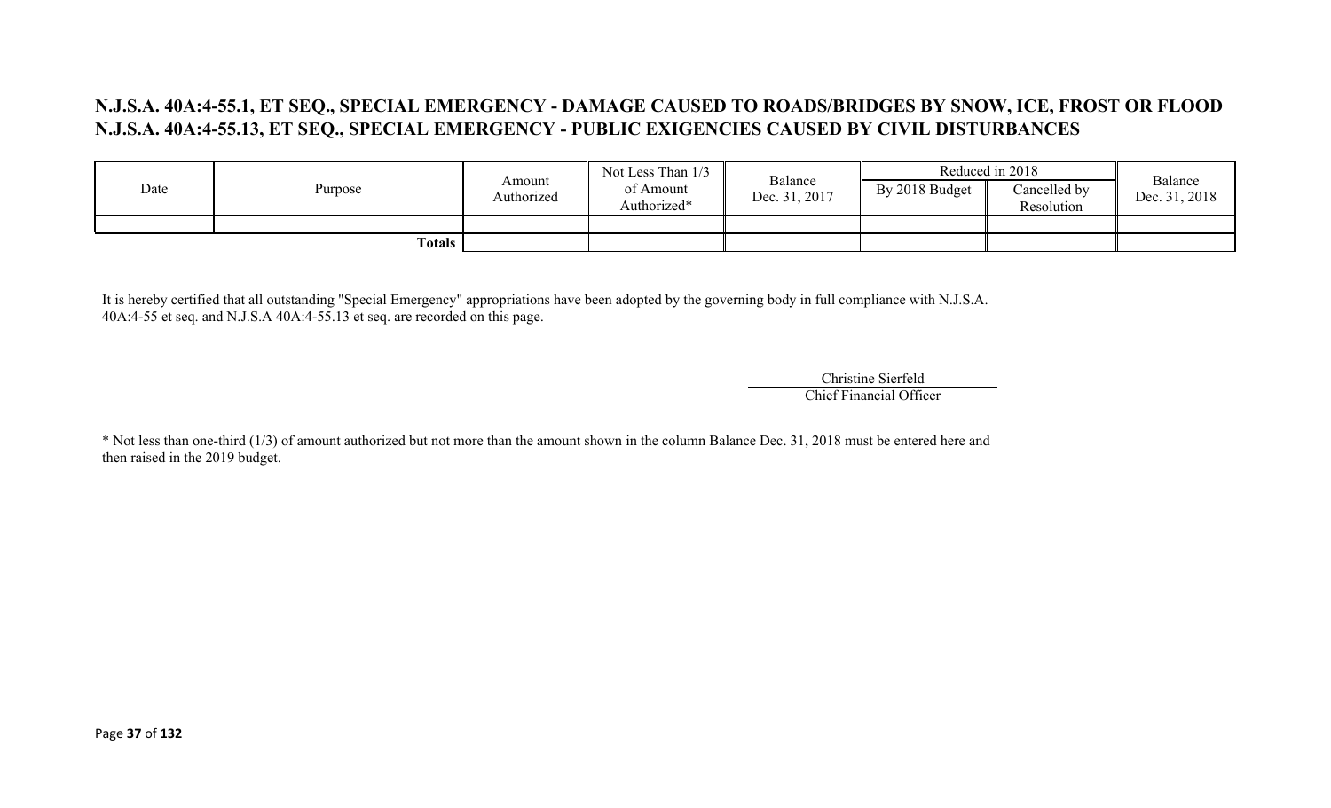## **N.J.S.A. 40A:4-55.1, ET SEQ., SPECIAL EMERGENCY - DAMAGE CAUSED TO ROADS/BRIDGES BY SNOW, ICE, FROST OR FLOOD N.J.S.A. 40A:4-55.13, ET SEQ., SPECIAL EMERGENCY - PUBLIC EXIGENCIES CAUSED BY CIVIL DISTURBANCES**

|      |                     |                      | Not Less Than 1/3        | Balance       |                | Reduced in 2018            | Balance       |
|------|---------------------|----------------------|--------------------------|---------------|----------------|----------------------------|---------------|
| Date | Purpose             | Amount<br>Authorized | of Amount<br>Authorized* | Dec. 31, 2017 | By 2018 Budget | Cancelled by<br>Resolution | Dec. 31, 2018 |
|      |                     |                      |                          |               |                |                            |               |
|      | Totals $\mathbf{r}$ |                      |                          |               |                |                            |               |

It is hereby certified that all outstanding "Special Emergency" appropriations have been adopted by the governing body in full compliance with N.J.S.A. 40A:4-55 et seq. and N.J.S.A 40A:4-55.13 et seq. are recorded on this page.

> Christine Sierfeld Chief Financial Officer

\* Not less than one-third (1/3) of amount authorized but not more than the amount shown in the column Balance Dec. 31, 2018 must be entered here and then raised in the 2019 budget.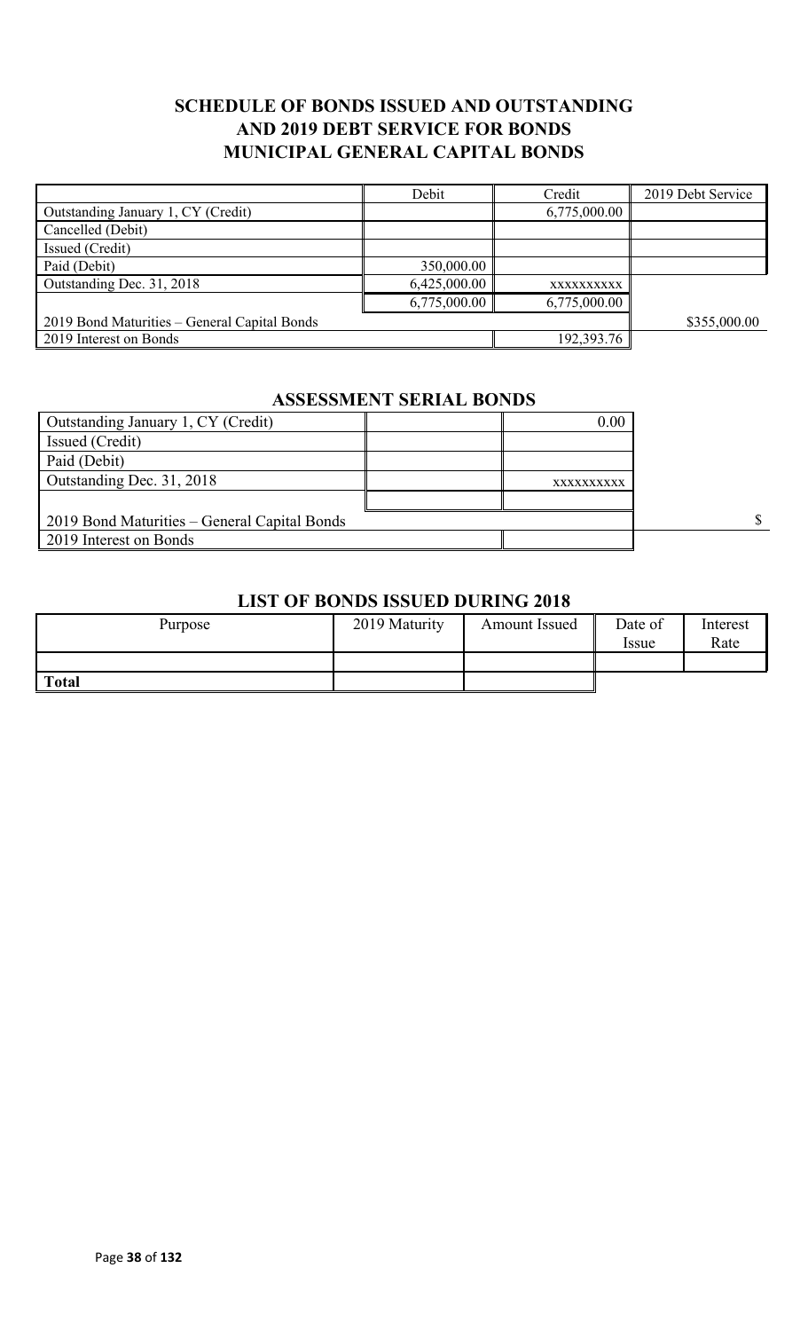## **SCHEDULE OF BONDS ISSUED AND OUTSTANDING AND 2019 DEBT SERVICE FOR BONDS MUNICIPAL GENERAL CAPITAL BONDS**

|                                              | Debit        | Credit       | 2019 Debt Service |
|----------------------------------------------|--------------|--------------|-------------------|
| Outstanding January 1, CY (Credit)           |              | 6,775,000.00 |                   |
| Cancelled (Debit)                            |              |              |                   |
| Issued (Credit)                              |              |              |                   |
| Paid (Debit)                                 | 350,000.00   |              |                   |
| Outstanding Dec. 31, 2018                    | 6,425,000.00 | XXXXXXXXXX   |                   |
|                                              | 6,775,000.00 | 6,775,000.00 |                   |
| 2019 Bond Maturities – General Capital Bonds |              |              | \$355,000.00      |
| 2019 Interest on Bonds                       |              | 192,393.76   |                   |

# **ASSESSMENT SERIAL BONDS**

| Outstanding January 1, CY (Credit)           | 0.00       |  |
|----------------------------------------------|------------|--|
| Issued (Credit)                              |            |  |
| Paid (Debit)                                 |            |  |
| Outstanding Dec. 31, 2018                    | XXXXXXXXXX |  |
|                                              |            |  |
| 2019 Bond Maturities – General Capital Bonds |            |  |
| 2019 Interest on Bonds                       |            |  |

## **LIST OF BONDS ISSUED DURING 2018**

| Purpose      | 2019 Maturity | Amount Issued | Date of<br>Issue | Interest<br>Rate |
|--------------|---------------|---------------|------------------|------------------|
|              |               |               |                  |                  |
| <b>Total</b> |               |               |                  |                  |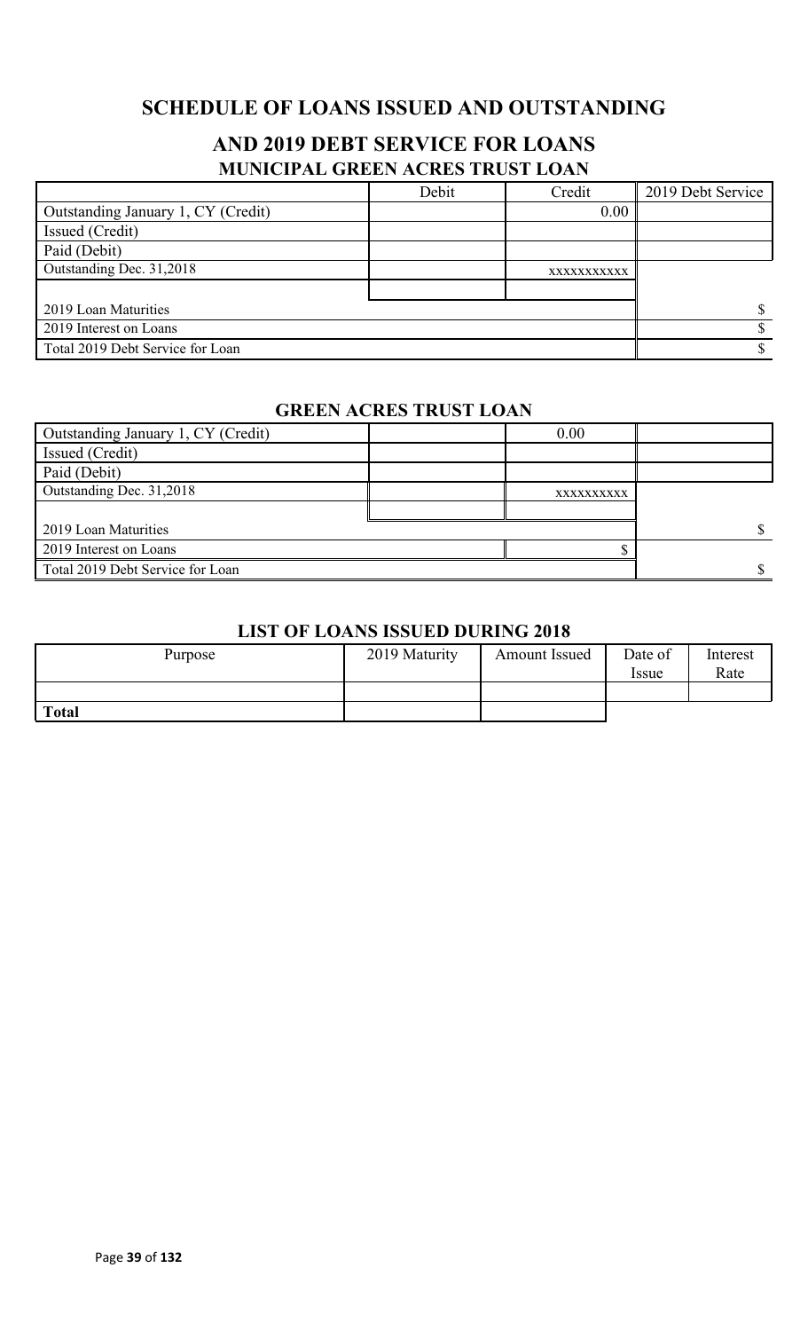# **SCHEDULE OF LOANS ISSUED AND OUTSTANDING**

## **AND 2019 DEBT SERVICE FOR LOANS MUNICIPAL GREEN ACRES TRUST LOAN**

|                                    | Debit | Credit      | 2019 Debt Service |
|------------------------------------|-------|-------------|-------------------|
| Outstanding January 1, CY (Credit) |       | 0.00        |                   |
| Issued (Credit)                    |       |             |                   |
| Paid (Debit)                       |       |             |                   |
| Outstanding Dec. 31,2018           |       | XXXXXXXXXXX |                   |
|                                    |       |             |                   |
| 2019 Loan Maturities               |       |             |                   |
| 2019 Interest on Loans             |       |             |                   |
| Total 2019 Debt Service for Loan   |       |             |                   |

### **GREEN ACRES TRUST LOAN**

| Outstanding January 1, CY (Credit) | 0.00       |  |
|------------------------------------|------------|--|
| <b>Issued</b> (Credit)             |            |  |
| Paid (Debit)                       |            |  |
| Outstanding Dec. 31,2018           | XXXXXXXXXX |  |
|                                    |            |  |
| 2019 Loan Maturities               |            |  |
| 2019 Interest on Loans             |            |  |
| Total 2019 Debt Service for Loan   |            |  |

### **LIST OF LOANS ISSUED DURING 2018**

| Purpose      | 2019 Maturity | <b>Amount Issued</b> | Date of<br><i>Issue</i> | Interest<br>Rate |
|--------------|---------------|----------------------|-------------------------|------------------|
|              |               |                      |                         |                  |
| <b>Total</b> |               |                      |                         |                  |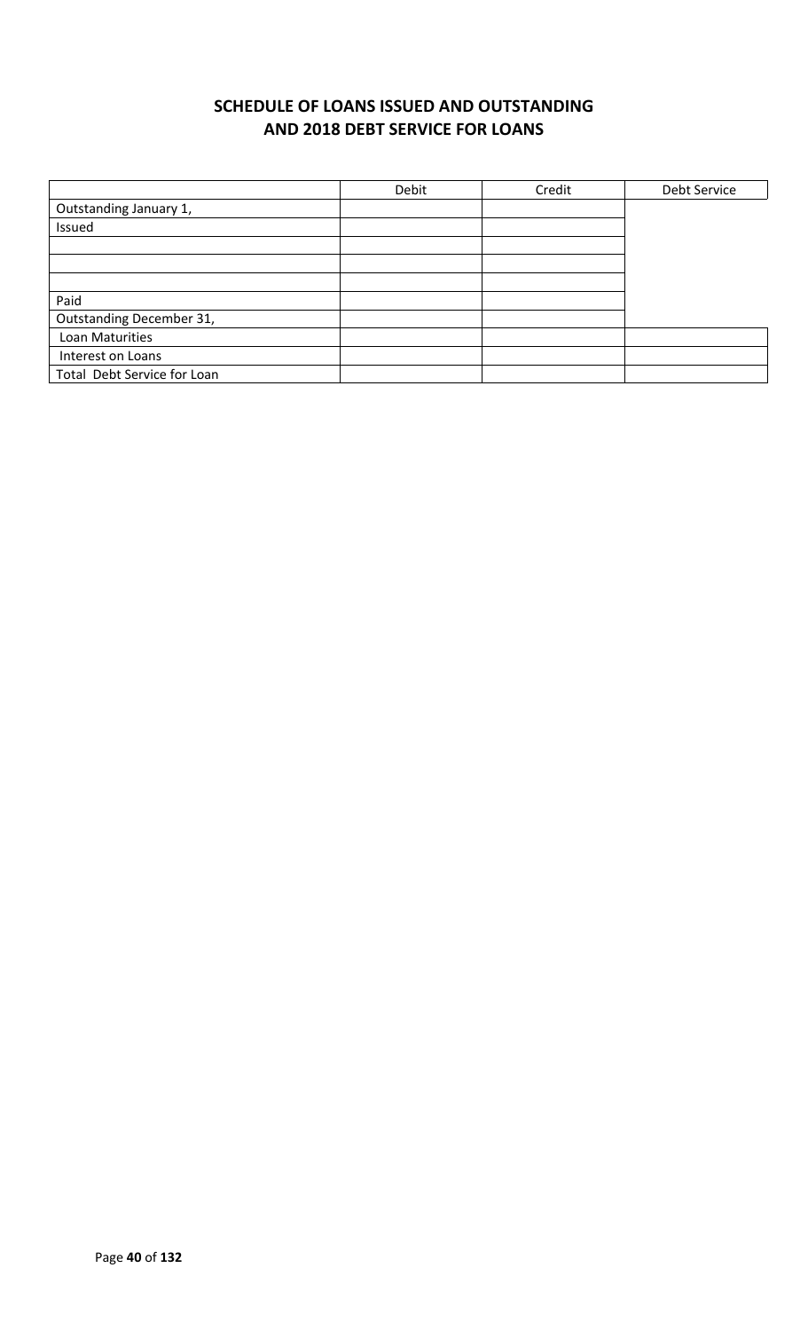# **SCHEDULE OF LOANS ISSUED AND OUTSTANDING AND 2018 DEBT SERVICE FOR LOANS**

|                             | Debit | Credit | Debt Service |
|-----------------------------|-------|--------|--------------|
| Outstanding January 1,      |       |        |              |
| Issued                      |       |        |              |
|                             |       |        |              |
|                             |       |        |              |
|                             |       |        |              |
| Paid                        |       |        |              |
| Outstanding December 31,    |       |        |              |
| Loan Maturities             |       |        |              |
| Interest on Loans           |       |        |              |
| Total Debt Service for Loan |       |        |              |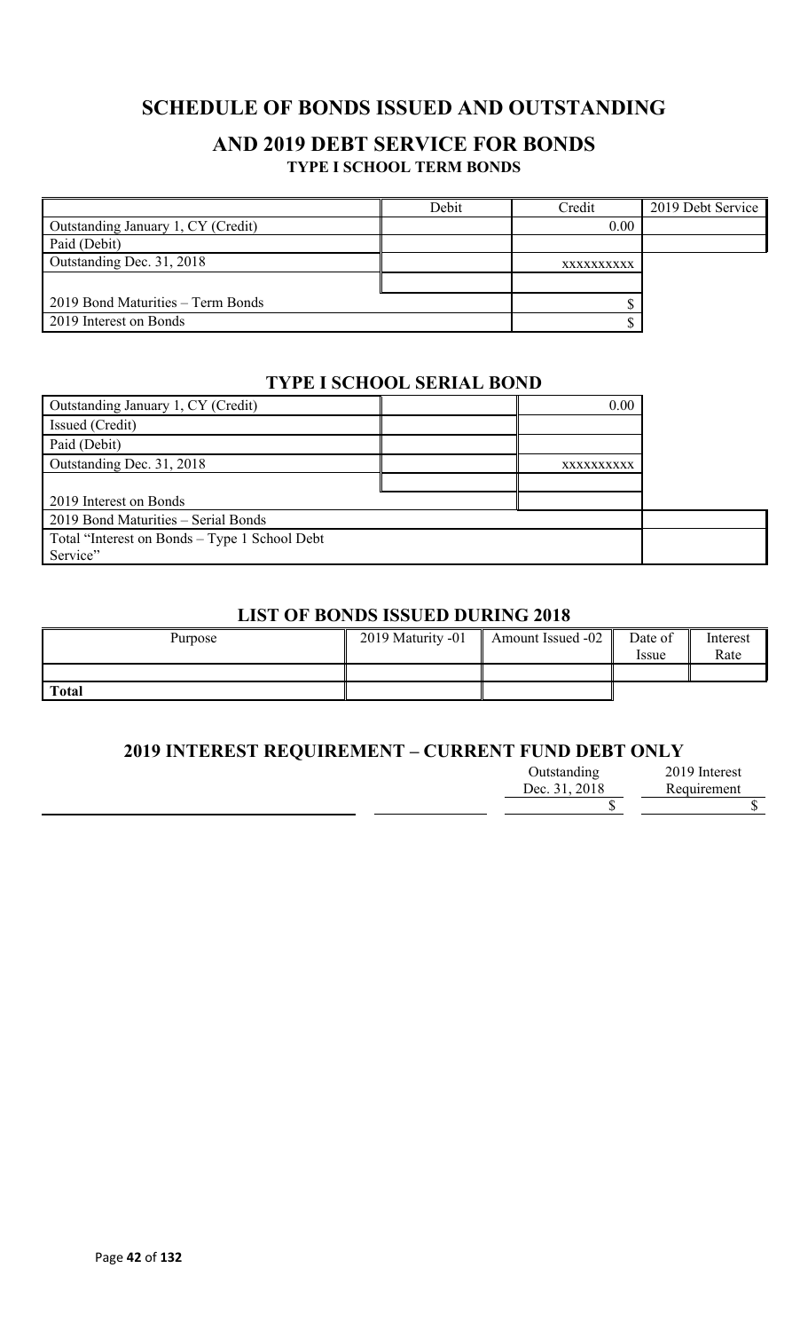# **SCHEDULE OF BONDS ISSUED AND OUTSTANDING**

## **AND 2019 DEBT SERVICE FOR BONDS TYPE I SCHOOL TERM BONDS**

|                                    | Debit | Credit     | 2019 Debt Service |
|------------------------------------|-------|------------|-------------------|
| Outstanding January 1, CY (Credit) |       | 0.00       |                   |
| Paid (Debit)                       |       |            |                   |
| Outstanding Dec. 31, 2018          |       | XXXXXXXXXX |                   |
|                                    |       |            |                   |
| 2019 Bond Maturities – Term Bonds  |       |            |                   |
| 2019 Interest on Bonds             |       |            |                   |

### **TYPE I SCHOOL SERIAL BOND**

| Outstanding January 1, CY (Credit)            | 0.00       |  |
|-----------------------------------------------|------------|--|
| Issued (Credit)                               |            |  |
| Paid (Debit)                                  |            |  |
| Outstanding Dec. 31, 2018                     | XXXXXXXXXX |  |
|                                               |            |  |
| 2019 Interest on Bonds                        |            |  |
| 2019 Bond Maturities - Serial Bonds           |            |  |
| Total "Interest on Bonds - Type 1 School Debt |            |  |
| Service"                                      |            |  |

## **LIST OF BONDS ISSUED DURING 2018**

| Purpose      | 2019 Maturity -01 | Amount Issued -02 | Date of<br><i>ssue</i> | Interest<br>Rate |
|--------------|-------------------|-------------------|------------------------|------------------|
|              |                   |                   |                        |                  |
| <b>Total</b> |                   |                   |                        |                  |

### **2019 INTEREST REQUIREMENT – CURRENT FUND DEBT ONLY**

| Outstanding   | 2019 Interest |
|---------------|---------------|
| Dec. 31, 2018 | Requirement   |
|               |               |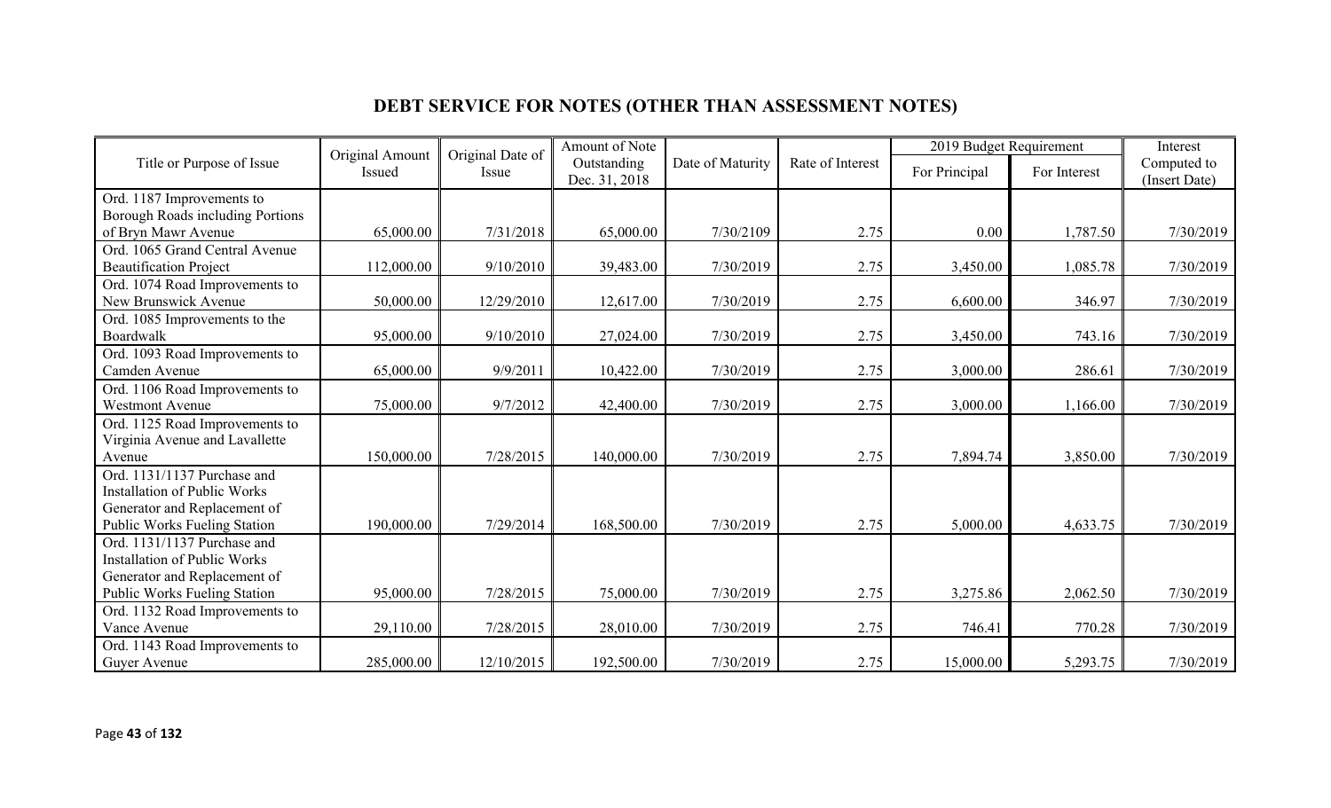# **DEBT SERVICE FOR NOTES (OTHER THAN ASSESSMENT NOTES)**

|                                     | Original Amount | Original Date of | Amount of Note               |                  |                  | 2019 Budget Requirement |              | Interest                     |
|-------------------------------------|-----------------|------------------|------------------------------|------------------|------------------|-------------------------|--------------|------------------------------|
| Title or Purpose of Issue           | Issued          | Issue            | Outstanding<br>Dec. 31, 2018 | Date of Maturity | Rate of Interest | For Principal           | For Interest | Computed to<br>(Insert Date) |
| Ord. 1187 Improvements to           |                 |                  |                              |                  |                  |                         |              |                              |
| Borough Roads including Portions    |                 |                  |                              |                  |                  |                         |              |                              |
| of Bryn Mawr Avenue                 | 65,000.00       | 7/31/2018        | 65,000.00                    | 7/30/2109        | 2.75             | 0.00                    | 1,787.50     | 7/30/2019                    |
| Ord. 1065 Grand Central Avenue      |                 |                  |                              |                  |                  |                         |              |                              |
| <b>Beautification Project</b>       | 112,000.00      | 9/10/2010        | 39,483.00                    | 7/30/2019        | 2.75             | 3,450.00                | 1,085.78     | 7/30/2019                    |
| Ord. 1074 Road Improvements to      |                 |                  |                              |                  |                  |                         |              |                              |
| New Brunswick Avenue                | 50,000.00       | 12/29/2010       | 12,617.00                    | 7/30/2019        | 2.75             | 6,600.00                | 346.97       | 7/30/2019                    |
| Ord. 1085 Improvements to the       |                 |                  |                              |                  |                  |                         |              |                              |
| Boardwalk                           | 95,000.00       | 9/10/2010        | 27,024.00                    | 7/30/2019        | 2.75             | 3,450.00                | 743.16       | 7/30/2019                    |
| Ord. 1093 Road Improvements to      |                 |                  |                              |                  |                  |                         |              |                              |
| Camden Avenue                       | 65,000.00       | 9/9/2011         | 10,422.00                    | 7/30/2019        | 2.75             | 3,000.00                | 286.61       | 7/30/2019                    |
| Ord. 1106 Road Improvements to      |                 |                  |                              |                  |                  |                         |              |                              |
| <b>Westmont Avenue</b>              | 75,000.00       | 9/7/2012         | 42,400.00                    | 7/30/2019        | 2.75             | 3,000.00                | 1,166.00     | 7/30/2019                    |
| Ord. 1125 Road Improvements to      |                 |                  |                              |                  |                  |                         |              |                              |
| Virginia Avenue and Lavallette      |                 |                  |                              |                  |                  |                         |              |                              |
| Avenue                              | 150,000.00      | 7/28/2015        | 140,000.00                   | 7/30/2019        | 2.75             | 7,894.74                | 3,850.00     | 7/30/2019                    |
| Ord. 1131/1137 Purchase and         |                 |                  |                              |                  |                  |                         |              |                              |
| <b>Installation of Public Works</b> |                 |                  |                              |                  |                  |                         |              |                              |
| Generator and Replacement of        |                 |                  |                              |                  |                  |                         |              |                              |
| Public Works Fueling Station        | 190,000.00      | 7/29/2014        | 168,500.00                   | 7/30/2019        | 2.75             | 5,000.00                | 4,633.75     | 7/30/2019                    |
| Ord. 1131/1137 Purchase and         |                 |                  |                              |                  |                  |                         |              |                              |
| <b>Installation of Public Works</b> |                 |                  |                              |                  |                  |                         |              |                              |
| Generator and Replacement of        |                 |                  |                              |                  |                  |                         |              |                              |
| Public Works Fueling Station        | 95,000.00       | 7/28/2015        | 75,000.00                    | 7/30/2019        | 2.75             | 3,275.86                | 2,062.50     | 7/30/2019                    |
| Ord. 1132 Road Improvements to      |                 |                  |                              |                  |                  |                         |              |                              |
| Vance Avenue                        | 29,110.00       | 7/28/2015        | 28,010.00                    | 7/30/2019        | 2.75             | 746.41                  | 770.28       | 7/30/2019                    |
| Ord. 1143 Road Improvements to      |                 |                  |                              |                  |                  |                         |              |                              |
| Guyer Avenue                        | 285,000.00      | 12/10/2015       | 192,500.00                   | 7/30/2019        | 2.75             | 15,000.00               | 5,293.75     | 7/30/2019                    |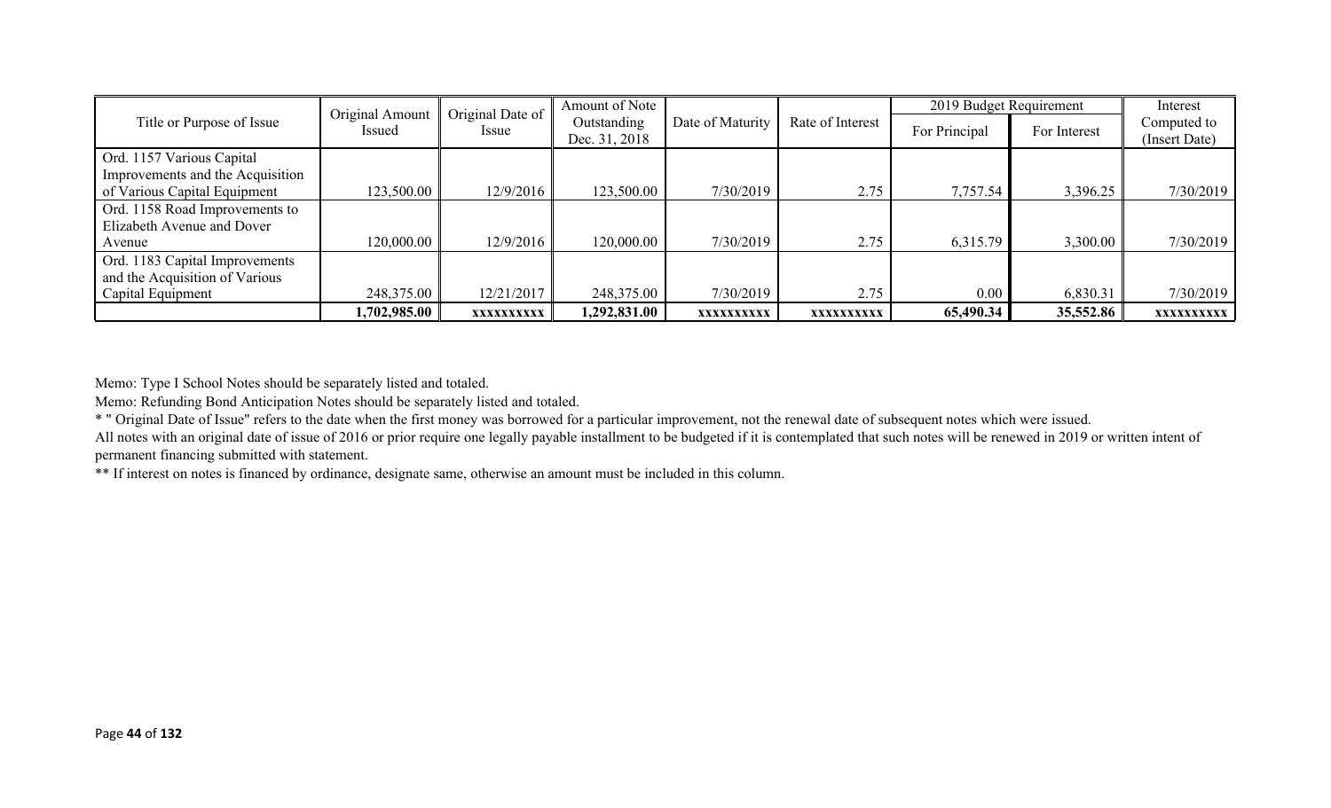|                                  | Original Amount | Original Date of | Amount of Note |                  |                  | 2019 Budget Requirement |              | Interest      |
|----------------------------------|-----------------|------------------|----------------|------------------|------------------|-------------------------|--------------|---------------|
| Title or Purpose of Issue        | <i>Issued</i>   | <i>Issue</i>     | Outstanding    | Date of Maturity | Rate of Interest | For Principal           | For Interest | Computed to   |
|                                  |                 |                  | Dec. 31, 2018  |                  |                  |                         |              | (Insert Date) |
| Ord. 1157 Various Capital        |                 |                  |                |                  |                  |                         |              |               |
| Improvements and the Acquisition |                 |                  |                |                  |                  |                         |              |               |
| of Various Capital Equipment     | 123,500.00      | 12/9/2016        | 123,500.00     | 7/30/2019        | 2.75             | 7,757.54                | 3,396.25     | 7/30/2019     |
| Ord. 1158 Road Improvements to   |                 |                  |                |                  |                  |                         |              |               |
| Elizabeth Avenue and Dover       |                 |                  |                |                  |                  |                         |              |               |
| Avenue                           | 120,000.00      | 12/9/2016        | 120,000.00     | 7/30/2019        | 2.75             | 6,315.79                | 3,300.00     | 7/30/2019     |
| Ord. 1183 Capital Improvements   |                 |                  |                |                  |                  |                         |              |               |
| and the Acquisition of Various   |                 |                  |                |                  |                  |                         |              |               |
| Capital Equipment                | 248,375.00      | 12/21/2017       | 248,375.00     | 7/30/2019        | 2.75             | 0.00                    | 6,830.31     | 7/30/2019     |
|                                  | 1,702,985.00    | XXXXXXXXXX       | 1,292,831.00   | XXXXXXXXXX       | XXXXXXXXXX       | 65,490.34               | 35,552.86    | XXXXXXXXXX    |

Memo: Type I School Notes should be separately listed and totaled.

Memo: Refunding Bond Anticipation Notes should be separately listed and totaled.

\* " Original Date of Issue" refers to the date when the first money was borrowed for a particular improvement, not the renewal date of subsequent notes which were issued. All notes with an original date of issue of 2016 or prior require one legally payable installment to be budgeted if it is contemplated that such notes will be renewed in 2019 or written intent of permanent financing submitted with statement.

\*\* If interest on notes is financed by ordinance, designate same, otherwise an amount must be included in this column.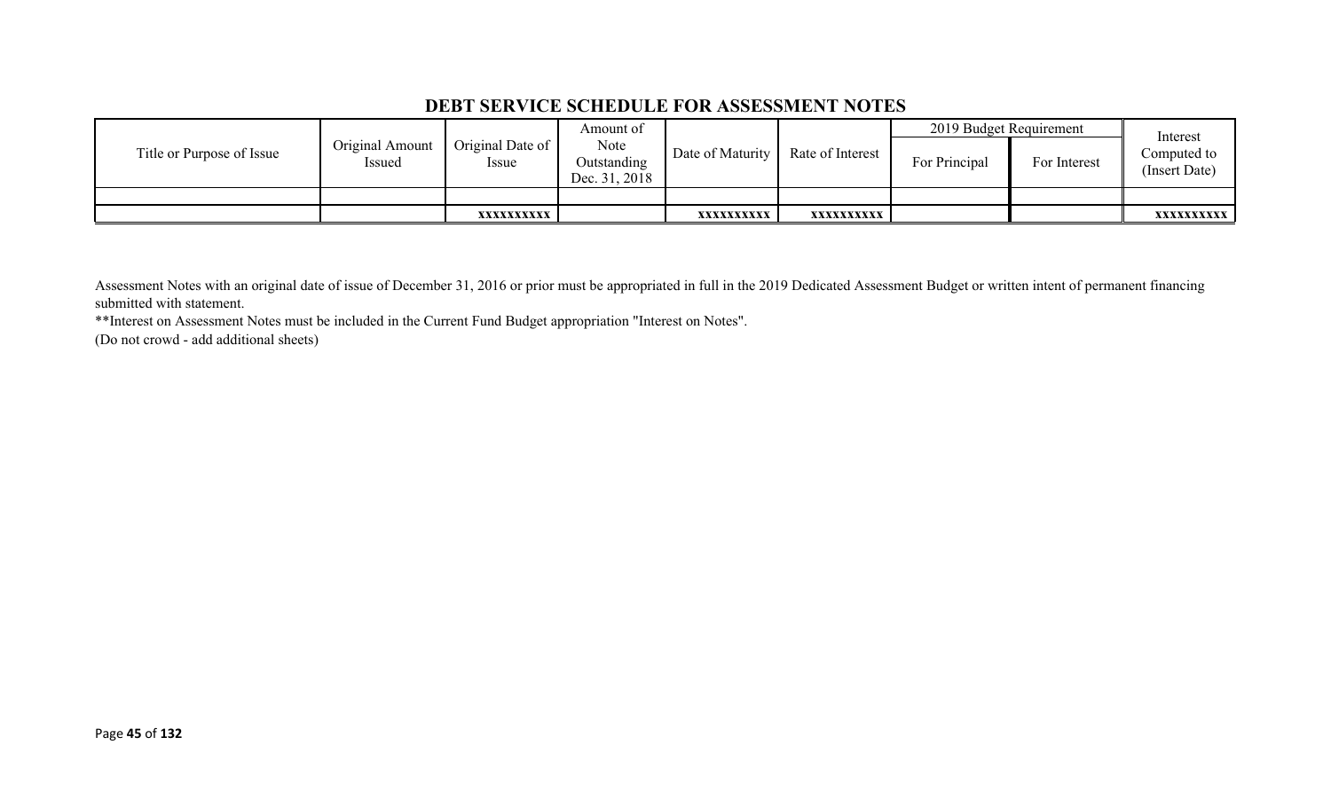### **DEBT SERVICE SCHEDULE FOR ASSESSMENT NOTES**

|                           |                           |                                 | Amount of                            |                  |                  | 2019 Budget Requirement |              | Interest                     |
|---------------------------|---------------------------|---------------------------------|--------------------------------------|------------------|------------------|-------------------------|--------------|------------------------------|
| Title or Purpose of Issue | Original Amount<br>Issued | Original Date of<br><i>ssue</i> | Note<br>Outstanding<br>Dec. 31, 2018 | Date of Maturity | Rate of Interest | For Principal           | For Interest | Computed to<br>(Insert Date) |
|                           |                           |                                 |                                      |                  |                  |                         |              |                              |
|                           |                           | XXXXXXXXXX                      |                                      | XXXXXXXXXX       | xxxxxxxxxx       |                         |              | <b>XXXXXXXXXX</b>            |

Assessment Notes with an original date of issue of December 31, 2016 or prior must be appropriated in full in the 2019 Dedicated Assessment Budget or written intent of permanent financing submitted with statement.

\*\*Interest on Assessment Notes must be included in the Current Fund Budget appropriation "Interest on Notes".

(Do not crowd - add additional sheets)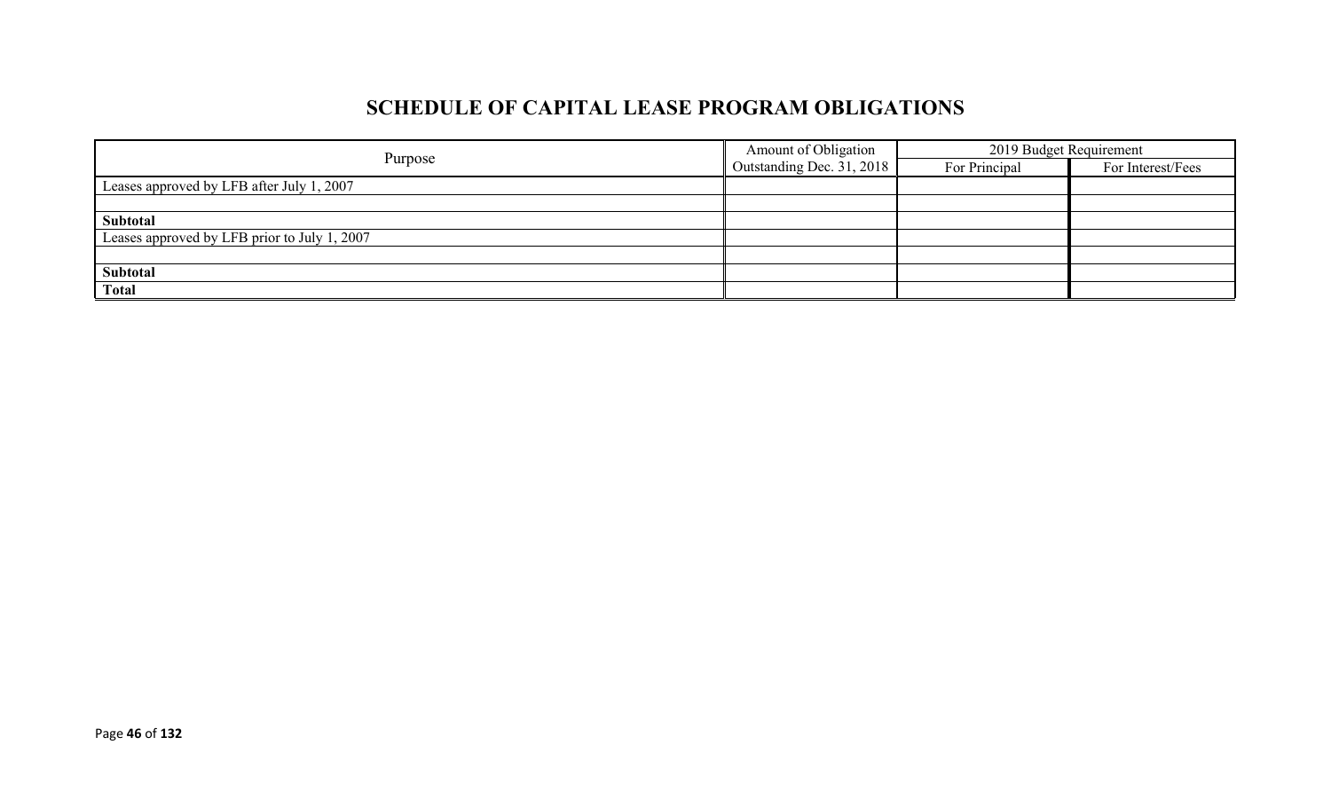# **SCHEDULE OF CAPITAL LEASE PROGRAM OBLIGATIONS**

|                                              | Amount of Obligation        | 2019 Budget Requirement |                   |
|----------------------------------------------|-----------------------------|-------------------------|-------------------|
| Purpose                                      | Outstanding Dec. $31, 2018$ | For Principal           | For Interest/Fees |
| Leases approved by LFB after July 1, 2007    |                             |                         |                   |
|                                              |                             |                         |                   |
| Subtotal                                     |                             |                         |                   |
| Leases approved by LFB prior to July 1, 2007 |                             |                         |                   |
|                                              |                             |                         |                   |
| Subtotal                                     |                             |                         |                   |
| <b>Total</b>                                 |                             |                         |                   |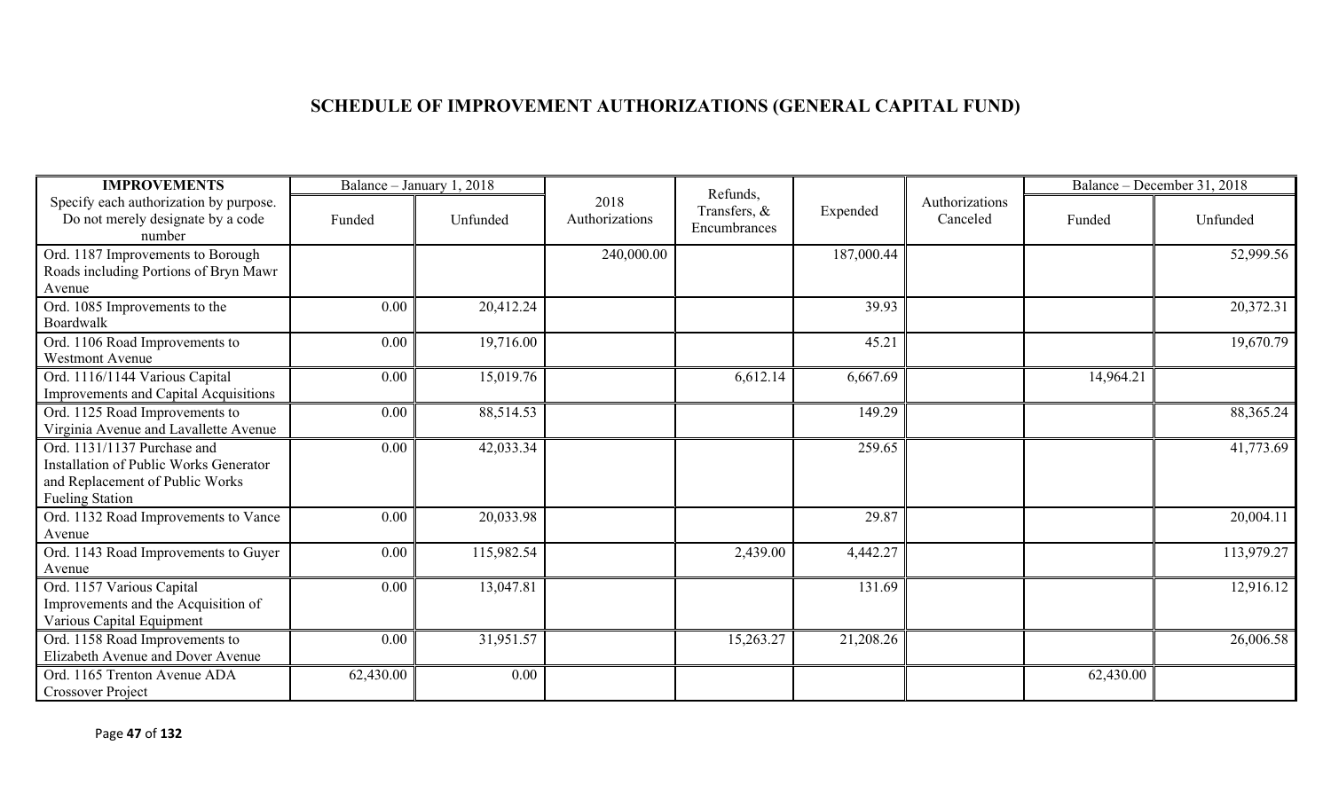# **SCHEDULE OF IMPROVEMENT AUTHORIZATIONS (GENERAL CAPITAL FUND)**

| <b>IMPROVEMENTS</b>                                                                   |           | Balance - January 1, 2018 |                        | Refunds,                     |            |                            |           | Balance - December 31, 2018 |
|---------------------------------------------------------------------------------------|-----------|---------------------------|------------------------|------------------------------|------------|----------------------------|-----------|-----------------------------|
| Specify each authorization by purpose.<br>Do not merely designate by a code<br>number | Funded    | Unfunded                  | 2018<br>Authorizations | Transfers, &<br>Encumbrances | Expended   | Authorizations<br>Canceled | Funded    | Unfunded                    |
| Ord. 1187 Improvements to Borough                                                     |           |                           | 240,000.00             |                              | 187,000.44 |                            |           | 52,999.56                   |
| Roads including Portions of Bryn Mawr                                                 |           |                           |                        |                              |            |                            |           |                             |
| Avenue                                                                                |           |                           |                        |                              | 39.93      |                            |           | 20,372.31                   |
| Ord. 1085 Improvements to the<br>Boardwalk                                            | 0.00      | 20,412.24                 |                        |                              |            |                            |           |                             |
| Ord. 1106 Road Improvements to                                                        | 0.00      | 19,716.00                 |                        |                              | 45.21      |                            |           | 19,670.79                   |
| <b>Westmont Avenue</b>                                                                |           |                           |                        |                              |            |                            |           |                             |
| Ord. 1116/1144 Various Capital                                                        | 0.00      | 15,019.76                 |                        | 6,612.14                     | 6,667.69   |                            | 14,964.21 |                             |
| Improvements and Capital Acquisitions                                                 |           |                           |                        |                              |            |                            |           |                             |
| Ord. 1125 Road Improvements to                                                        | 0.00      | 88,514.53                 |                        |                              | 149.29     |                            |           | 88, 365. 24                 |
| Virginia Avenue and Lavallette Avenue                                                 |           |                           |                        |                              |            |                            |           |                             |
| Ord. 1131/1137 Purchase and                                                           | 0.00      | 42,033.34                 |                        |                              | 259.65     |                            |           | 41,773.69                   |
| Installation of Public Works Generator                                                |           |                           |                        |                              |            |                            |           |                             |
| and Replacement of Public Works<br><b>Fueling Station</b>                             |           |                           |                        |                              |            |                            |           |                             |
| Ord. 1132 Road Improvements to Vance                                                  | 0.00      | 20,033.98                 |                        |                              | 29.87      |                            |           | 20,004.11                   |
| Avenue                                                                                |           |                           |                        |                              |            |                            |           |                             |
| Ord. 1143 Road Improvements to Guyer                                                  | 0.00      | 115,982.54                |                        | 2,439.00                     | 4,442.27   |                            |           | 113,979.27                  |
| Avenue                                                                                |           |                           |                        |                              |            |                            |           |                             |
| Ord. 1157 Various Capital                                                             | 0.00      | 13,047.81                 |                        |                              | 131.69     |                            |           | 12,916.12                   |
| Improvements and the Acquisition of                                                   |           |                           |                        |                              |            |                            |           |                             |
| Various Capital Equipment                                                             |           |                           |                        |                              |            |                            |           |                             |
| Ord. 1158 Road Improvements to                                                        | 0.00      | 31,951.57                 |                        | 15,263.27                    | 21,208.26  |                            |           | 26,006.58                   |
| Elizabeth Avenue and Dover Avenue                                                     |           |                           |                        |                              |            |                            |           |                             |
| Ord. 1165 Trenton Avenue ADA                                                          | 62,430.00 | 0.00                      |                        |                              |            |                            | 62,430.00 |                             |
| <b>Crossover Project</b>                                                              |           |                           |                        |                              |            |                            |           |                             |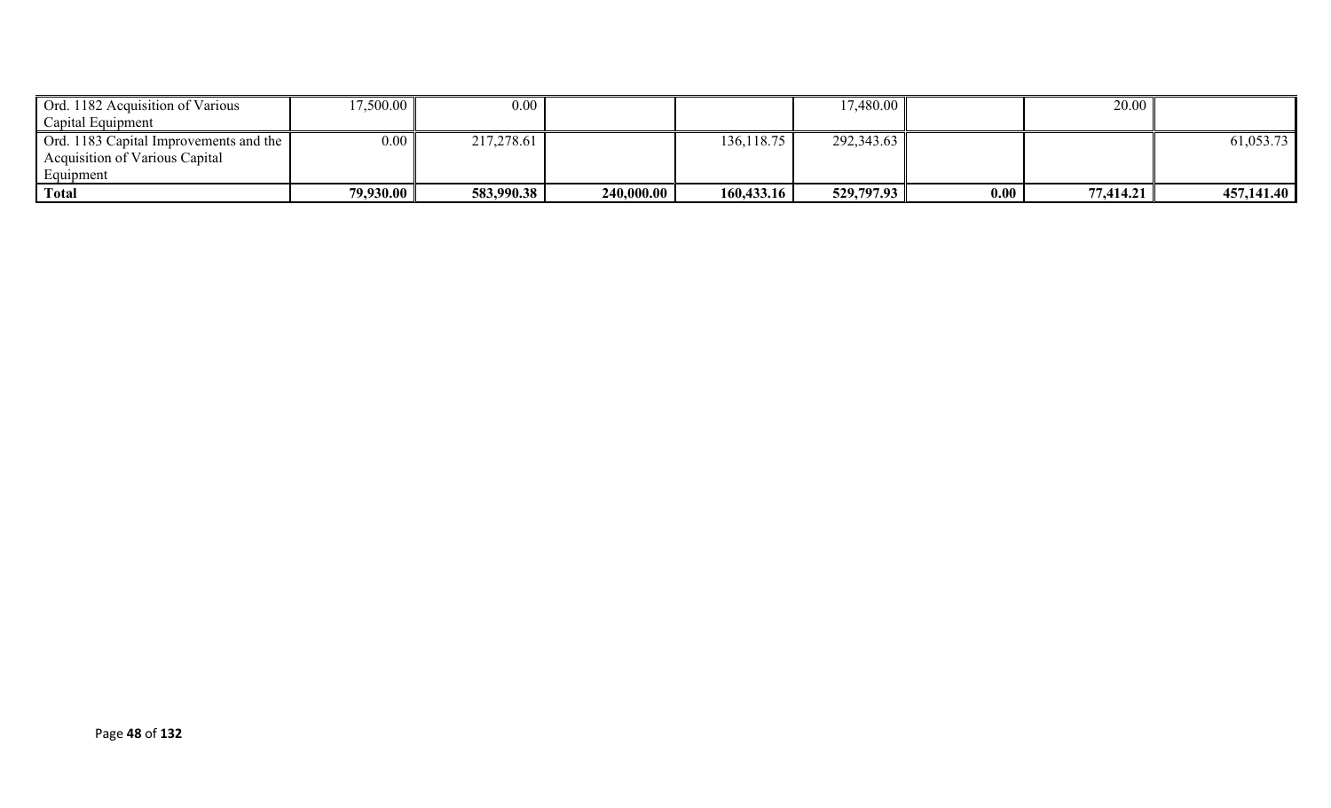| Ord. 1182 Acquisition of Various       | 17,500.00 | $0.00\,$   |            |             | 17,480.00  |          | 20.00     |            |
|----------------------------------------|-----------|------------|------------|-------------|------------|----------|-----------|------------|
| Capital Equipment                      |           |            |            |             |            |          |           |            |
| Ord. 1183 Capital Improvements and the | 0.00      | 217,278.61 |            | 136, 118.75 | 292,343.63 |          |           | 61,053.73  |
| Acquisition of Various Capital         |           |            |            |             |            |          |           |            |
| Equipment                              |           |            |            |             |            |          |           |            |
| Total                                  | 79,930.00 | 583,990.38 | 240,000.00 | 160,433.16  | 529,797.93 | $0.00\,$ | 77,414.21 | 457,141.40 |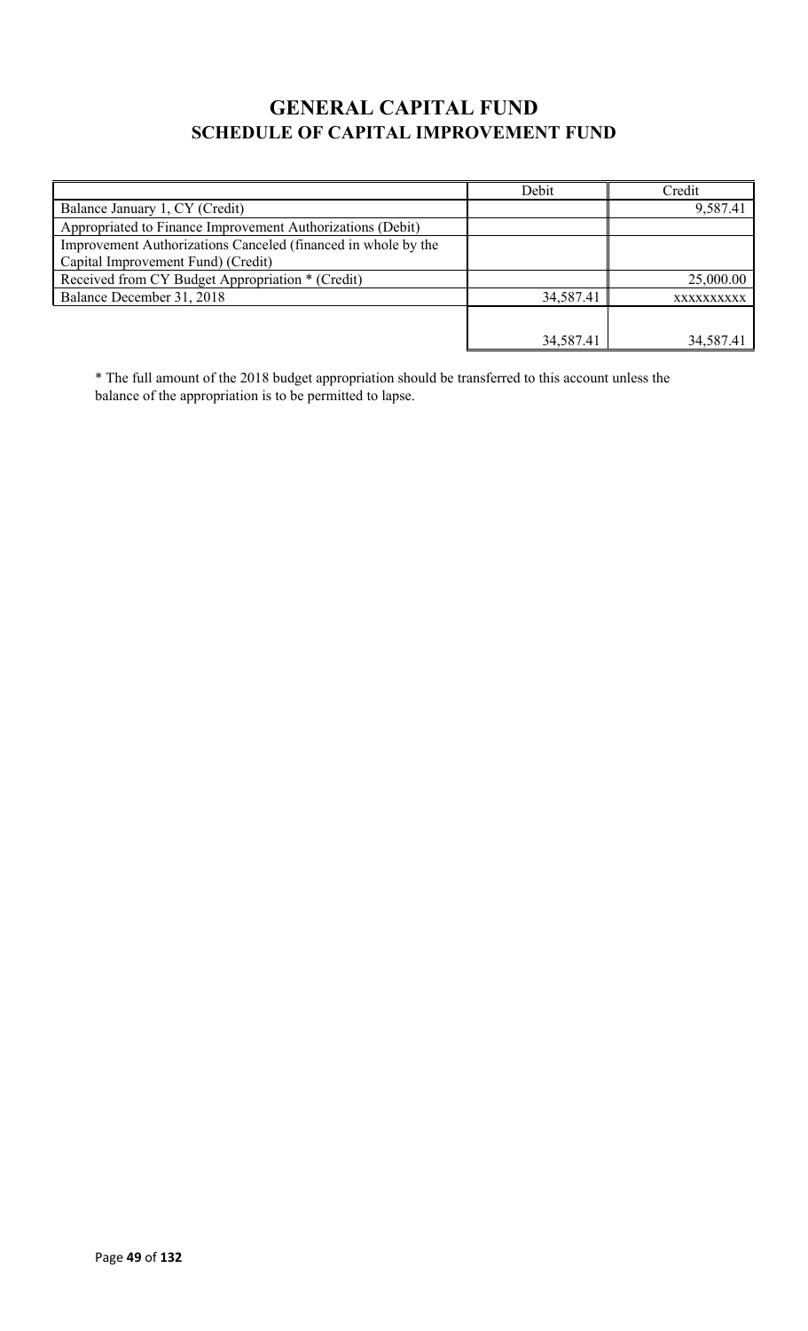# **GENERAL CAPITAL FUND SCHEDULE OF CAPITAL IMPROVEMENT FUND**

|                                                               | Debit     | Credit     |
|---------------------------------------------------------------|-----------|------------|
| Balance January 1, CY (Credit)                                |           | 9,587.41   |
| Appropriated to Finance Improvement Authorizations (Debit)    |           |            |
| Improvement Authorizations Canceled (financed in whole by the |           |            |
| Capital Improvement Fund) (Credit)                            |           |            |
| Received from CY Budget Appropriation * (Credit)              |           | 25,000.00  |
| Balance December 31, 2018                                     | 34,587.41 | XXXXXXXXXX |
|                                                               |           |            |
|                                                               | 34,587.41 | 34,587.41  |

\* The full amount of the 2018 budget appropriation should be transferred to this account unless the balance of the appropriation is to be permitted to lapse.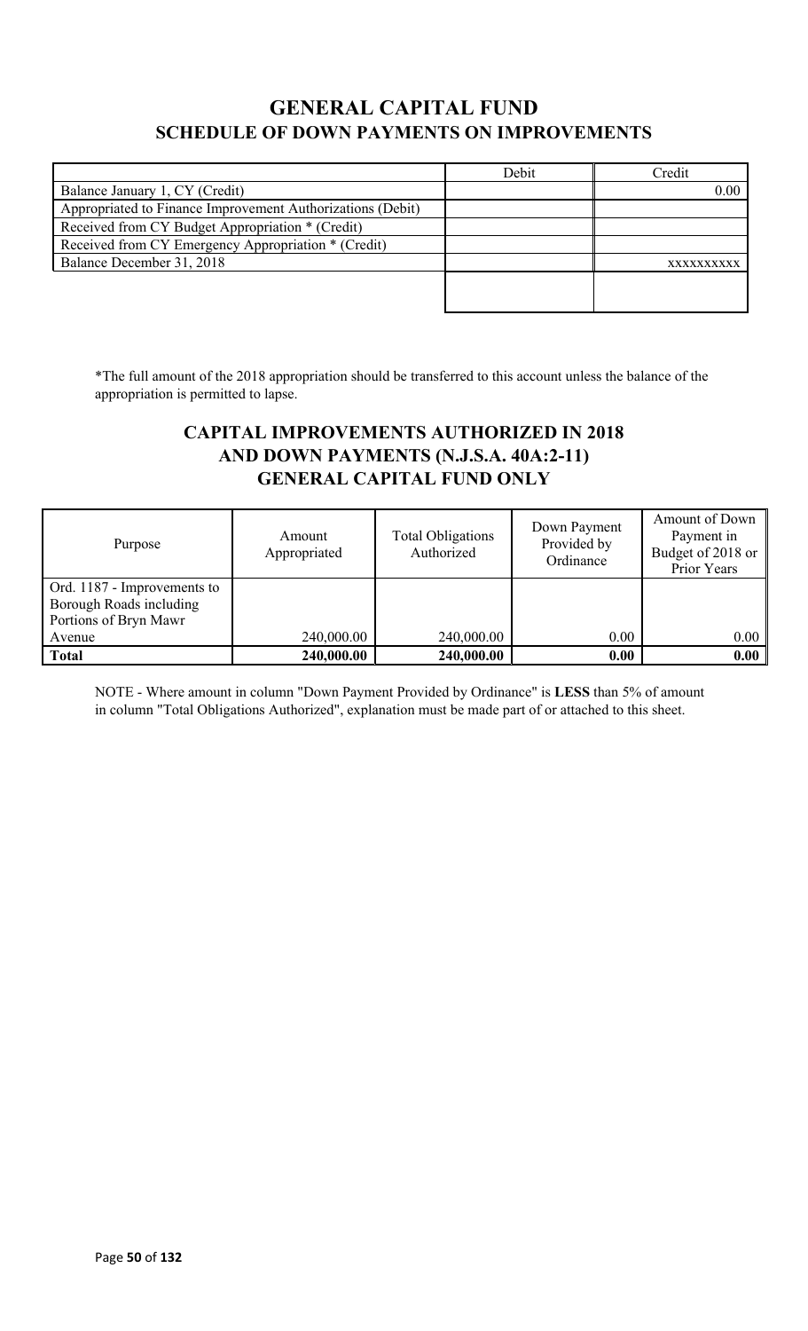## **GENERAL CAPITAL FUND SCHEDULE OF DOWN PAYMENTS ON IMPROVEMENTS**

|                                                            | Debit | Credit     |
|------------------------------------------------------------|-------|------------|
| Balance January 1, CY (Credit)                             |       | 0.00       |
| Appropriated to Finance Improvement Authorizations (Debit) |       |            |
| Received from CY Budget Appropriation * (Credit)           |       |            |
| Received from CY Emergency Appropriation * (Credit)        |       |            |
| Balance December 31, 2018                                  |       | XXXXXXXXXX |
|                                                            |       |            |
|                                                            |       |            |

\*The full amount of the 2018 appropriation should be transferred to this account unless the balance of the appropriation is permitted to lapse.

## **CAPITAL IMPROVEMENTS AUTHORIZED IN 2018 AND DOWN PAYMENTS (N.J.S.A. 40A:2-11) GENERAL CAPITAL FUND ONLY**

| Purpose                                                                         | Amount<br>Appropriated | <b>Total Obligations</b><br>Authorized | Down Payment<br>Provided by<br>Ordinance | Amount of Down<br>Payment in<br>Budget of 2018 or<br>Prior Years |
|---------------------------------------------------------------------------------|------------------------|----------------------------------------|------------------------------------------|------------------------------------------------------------------|
| Ord. 1187 - Improvements to<br>Borough Roads including<br>Portions of Bryn Mawr |                        |                                        |                                          |                                                                  |
| Avenue                                                                          | 240,000.00             | 240,000.00                             | 0.00                                     | 0.00                                                             |
| <b>Total</b>                                                                    | 240,000.00             | 240,000.00                             | 0.00                                     | 0.00                                                             |

NOTE - Where amount in column "Down Payment Provided by Ordinance" is **LESS** than 5% of amount in column "Total Obligations Authorized", explanation must be made part of or attached to this sheet.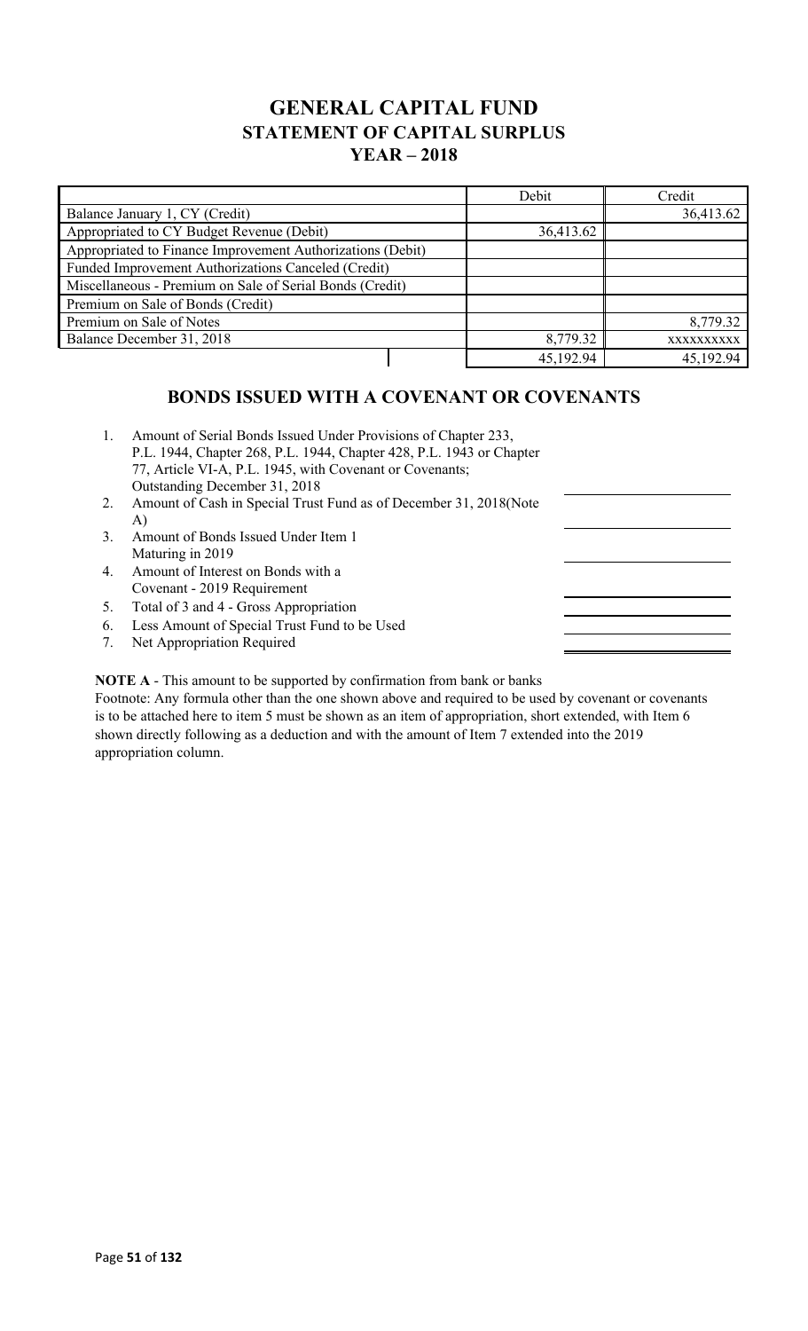## **GENERAL CAPITAL FUND STATEMENT OF CAPITAL SURPLUS YEAR – 2018**

|                                                            | Debit     | Credit     |
|------------------------------------------------------------|-----------|------------|
| Balance January 1, CY (Credit)                             |           | 36,413.62  |
| Appropriated to CY Budget Revenue (Debit)                  | 36,413.62 |            |
| Appropriated to Finance Improvement Authorizations (Debit) |           |            |
| Funded Improvement Authorizations Canceled (Credit)        |           |            |
| Miscellaneous - Premium on Sale of Serial Bonds (Credit)   |           |            |
| Premium on Sale of Bonds (Credit)                          |           |            |
| Premium on Sale of Notes                                   |           | 8,779.32   |
| Balance December 31, 2018                                  | 8,779.32  | XXXXXXXXXX |
|                                                            | 45,192.94 | 45,192.94  |

## **BONDS ISSUED WITH A COVENANT OR COVENANTS**

| 2.<br>Amount of Cash in Special Trust Fund as of December 31, 2018 (Note<br>A)<br>3.<br>Amount of Bonds Issued Under Item 1<br>Maturing in 2019<br>4.<br>Amount of Interest on Bonds with a<br>Covenant - 2019 Requirement<br>Total of 3 and 4 - Gross Appropriation<br>5.<br>Less Amount of Special Trust Fund to be Used<br>6.<br>7. | 1. | Amount of Serial Bonds Issued Under Provisions of Chapter 233,<br>P.L. 1944, Chapter 268, P.L. 1944, Chapter 428, P.L. 1943 or Chapter<br>77, Article VI-A, P.L. 1945, with Covenant or Covenants;<br>Outstanding December 31, 2018 |  |
|----------------------------------------------------------------------------------------------------------------------------------------------------------------------------------------------------------------------------------------------------------------------------------------------------------------------------------------|----|-------------------------------------------------------------------------------------------------------------------------------------------------------------------------------------------------------------------------------------|--|
|                                                                                                                                                                                                                                                                                                                                        |    |                                                                                                                                                                                                                                     |  |
|                                                                                                                                                                                                                                                                                                                                        |    |                                                                                                                                                                                                                                     |  |
|                                                                                                                                                                                                                                                                                                                                        |    |                                                                                                                                                                                                                                     |  |
|                                                                                                                                                                                                                                                                                                                                        |    |                                                                                                                                                                                                                                     |  |
|                                                                                                                                                                                                                                                                                                                                        |    |                                                                                                                                                                                                                                     |  |
|                                                                                                                                                                                                                                                                                                                                        |    |                                                                                                                                                                                                                                     |  |
|                                                                                                                                                                                                                                                                                                                                        |    |                                                                                                                                                                                                                                     |  |
|                                                                                                                                                                                                                                                                                                                                        |    |                                                                                                                                                                                                                                     |  |
|                                                                                                                                                                                                                                                                                                                                        |    | Net Appropriation Required                                                                                                                                                                                                          |  |

**NOTE A** - This amount to be supported by confirmation from bank or banks

Footnote: Any formula other than the one shown above and required to be used by covenant or covenants is to be attached here to item 5 must be shown as an item of appropriation, short extended, with Item 6 shown directly following as a deduction and with the amount of Item 7 extended into the 2019 appropriation column.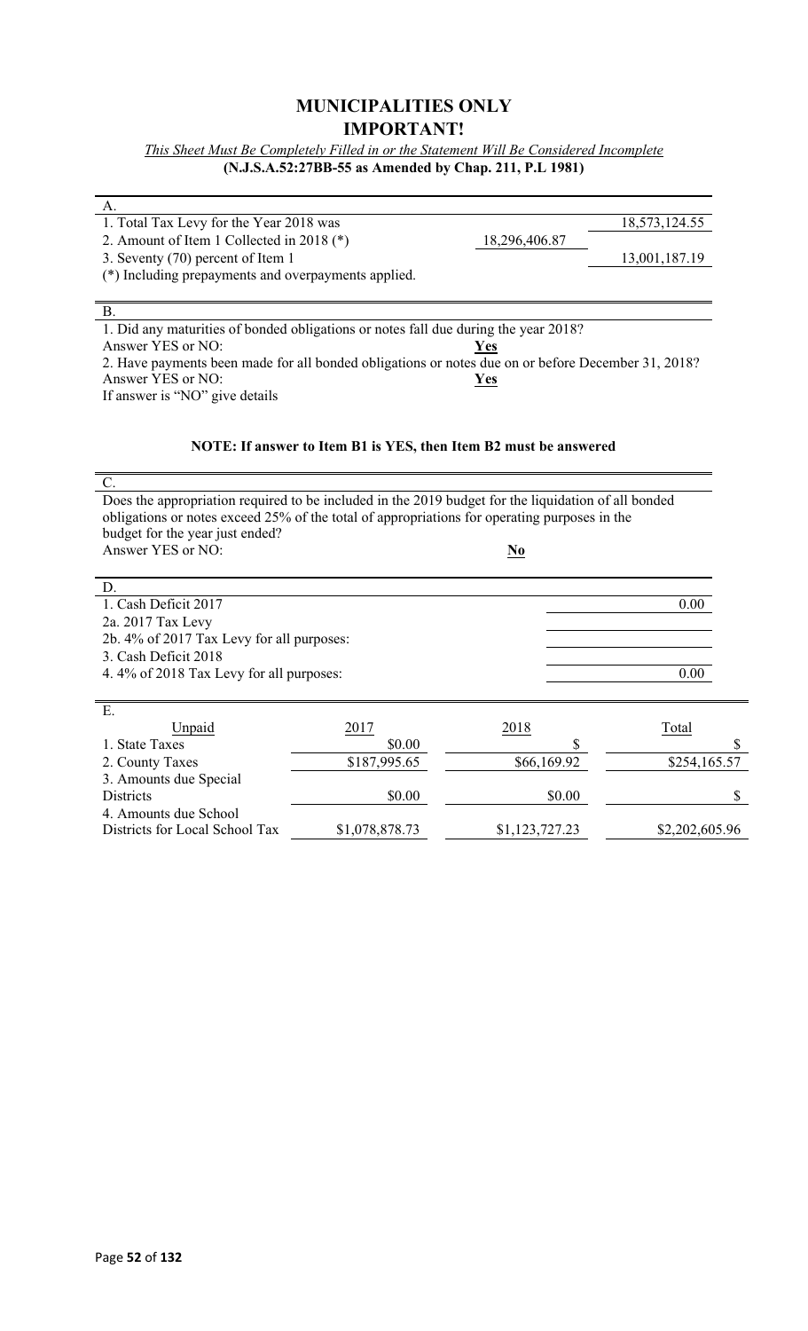## **MUNICIPALITIES ONLY IMPORTANT!**

*This Sheet Must Be Completely Filled in or the Statement Will Be Considered Incomplete* **(N.J.S.A.52:27BB-55 as Amended by Chap. 211, P.L 1981)**

| A.                                                                                                  |                                                                  |                |               |
|-----------------------------------------------------------------------------------------------------|------------------------------------------------------------------|----------------|---------------|
| 1. Total Tax Levy for the Year 2018 was                                                             |                                                                  |                | 18,573,124.55 |
| 2. Amount of Item 1 Collected in 2018 (*)                                                           |                                                                  | 18,296,406.87  |               |
| 3. Seventy (70) percent of Item 1                                                                   |                                                                  |                | 13,001,187.19 |
| (*) Including prepayments and overpayments applied.                                                 |                                                                  |                |               |
|                                                                                                     |                                                                  |                |               |
| <b>B.</b>                                                                                           |                                                                  |                |               |
| 1. Did any maturities of bonded obligations or notes fall due during the year 2018?                 |                                                                  |                |               |
| Answer YES or NO:                                                                                   |                                                                  | <u>Yes</u>     |               |
| 2. Have payments been made for all bonded obligations or notes due on or before December 31, 2018?  |                                                                  |                |               |
| Answer YES or NO:                                                                                   |                                                                  | Yes            |               |
| If answer is "NO" give details                                                                      |                                                                  |                |               |
|                                                                                                     |                                                                  |                |               |
|                                                                                                     |                                                                  |                |               |
|                                                                                                     | NOTE: If answer to Item B1 is YES, then Item B2 must be answered |                |               |
| $\mathcal{C}$ .                                                                                     |                                                                  |                |               |
| Does the appropriation required to be included in the 2019 budget for the liquidation of all bonded |                                                                  |                |               |
| obligations or notes exceed 25% of the total of appropriations for operating purposes in the        |                                                                  |                |               |
| budget for the year just ended?                                                                     |                                                                  |                |               |
| Answer YES or NO:                                                                                   |                                                                  | N <sub>0</sub> |               |
|                                                                                                     |                                                                  |                |               |
| D.                                                                                                  |                                                                  |                |               |
| 1. Cash Deficit 2017                                                                                |                                                                  |                | 0.00          |
| 2a. 2017 Tax Levy                                                                                   |                                                                  |                |               |
| 2b. 4% of 2017 Tax Levy for all purposes:                                                           |                                                                  |                |               |
| 3. Cash Deficit 2018                                                                                |                                                                  |                |               |
| 4.4% of 2018 Tax Levy for all purposes:                                                             |                                                                  |                | 0.00          |
|                                                                                                     |                                                                  |                |               |
| Ε.                                                                                                  |                                                                  |                |               |
| Unpaid                                                                                              | 2017                                                             | 2018           | Total         |
| 1. State Taxes                                                                                      | \$0.00                                                           | \$             |               |
| 2. County Taxes                                                                                     | \$187,995.65                                                     | \$66,169.92    | \$254,165.57  |
| 3. Amounts due Special                                                                              |                                                                  |                |               |
| <b>Districts</b>                                                                                    | \$0.00                                                           | \$0.00         |               |
| 4. Amounts due School                                                                               |                                                                  |                |               |

Districts for Local School Tax \$1,078,878.73 \$1,123,727.23 \$2,202,605.96

L,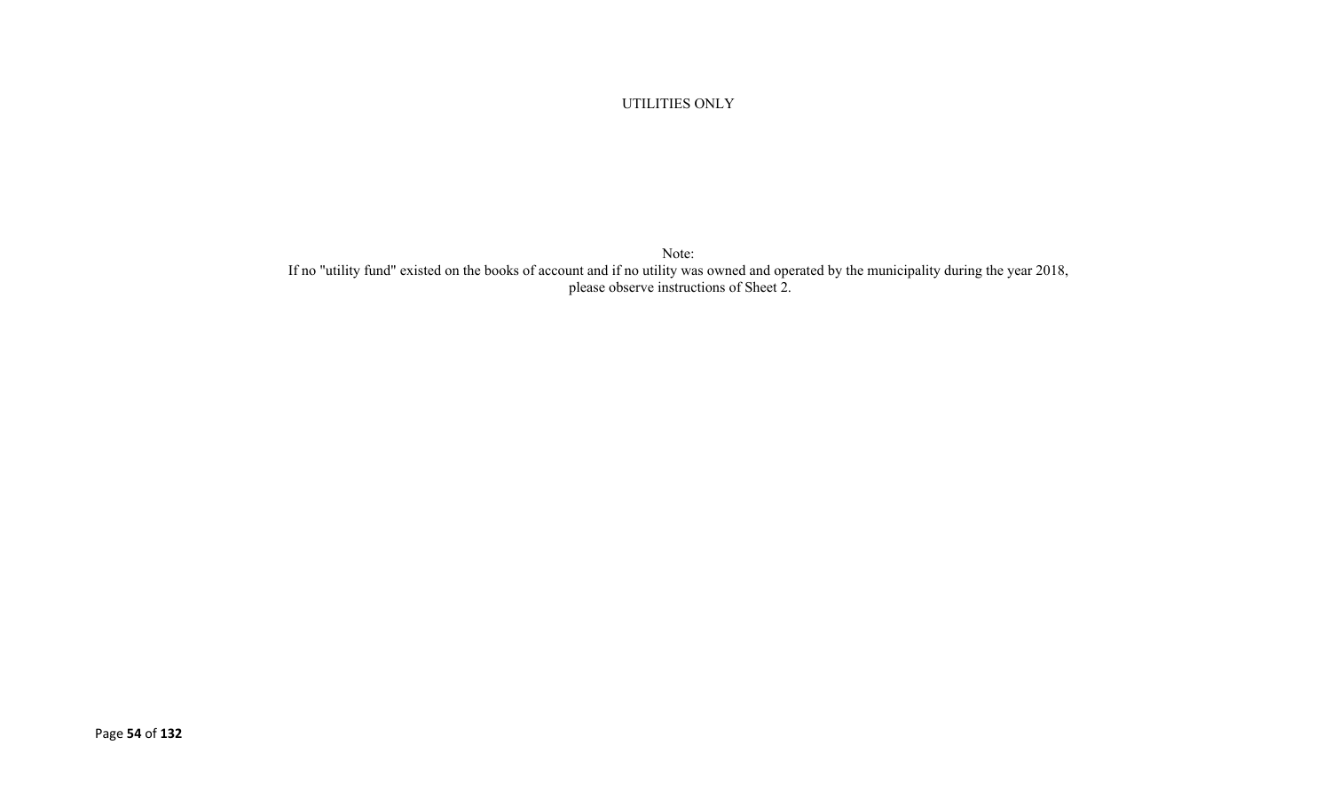UTILITIES ONLY

Note: If no "utility fund" existed on the books of account and if no utility was owned and operated by the municipality during the year 2018, please observe instructions of Sheet 2.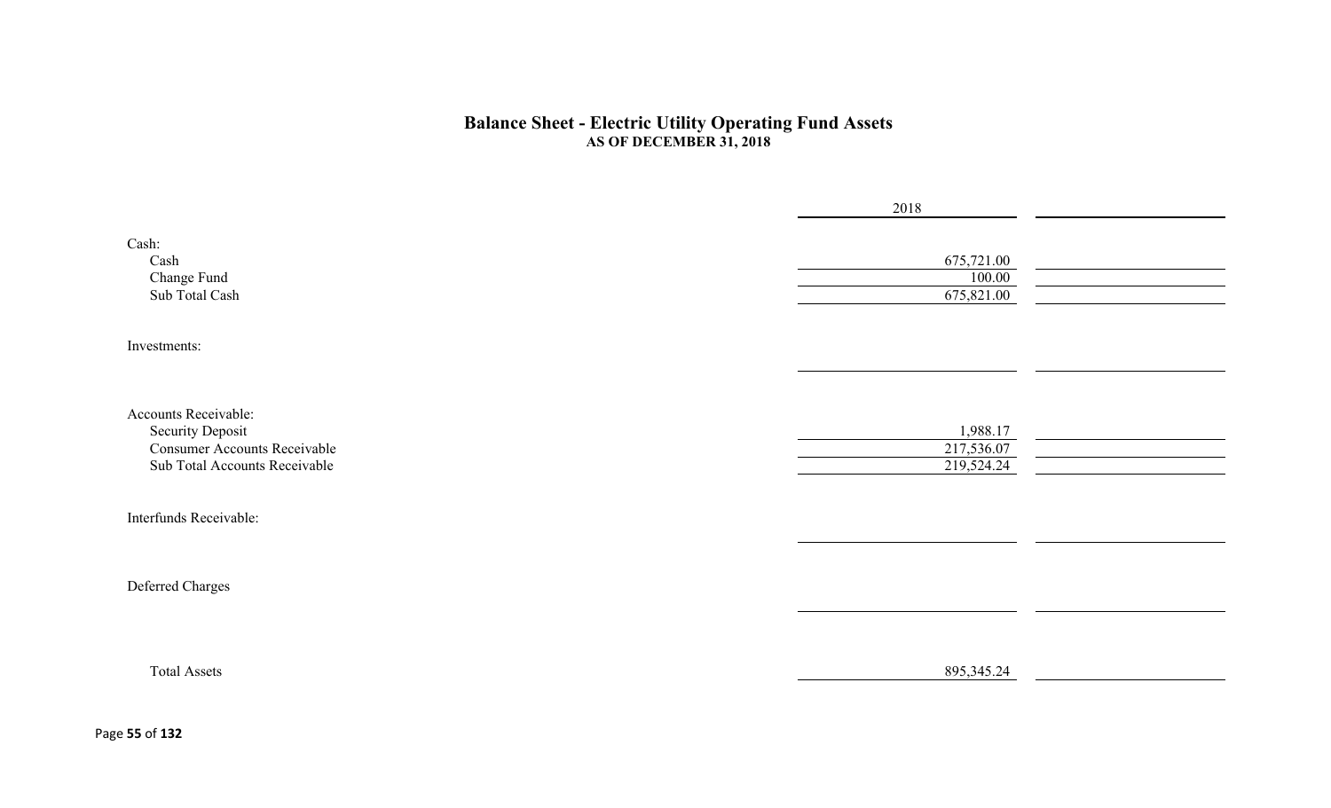#### **Balance Sheet - Electric Utility Operating Fund Assets AS OF DECEMBER 31, 2018**

|                                                                                                                         | 2018                                 |  |
|-------------------------------------------------------------------------------------------------------------------------|--------------------------------------|--|
| Cash:<br>Cash<br>Change Fund<br>Sub Total Cash                                                                          | 675,721.00<br>100.00<br>675,821.00   |  |
| Investments:                                                                                                            |                                      |  |
| Accounts Receivable:<br><b>Security Deposit</b><br><b>Consumer Accounts Receivable</b><br>Sub Total Accounts Receivable | 1,988.17<br>217,536.07<br>219,524.24 |  |
| Interfunds Receivable:                                                                                                  |                                      |  |
| Deferred Charges                                                                                                        |                                      |  |
| <b>Total Assets</b>                                                                                                     | 895, 345. 24                         |  |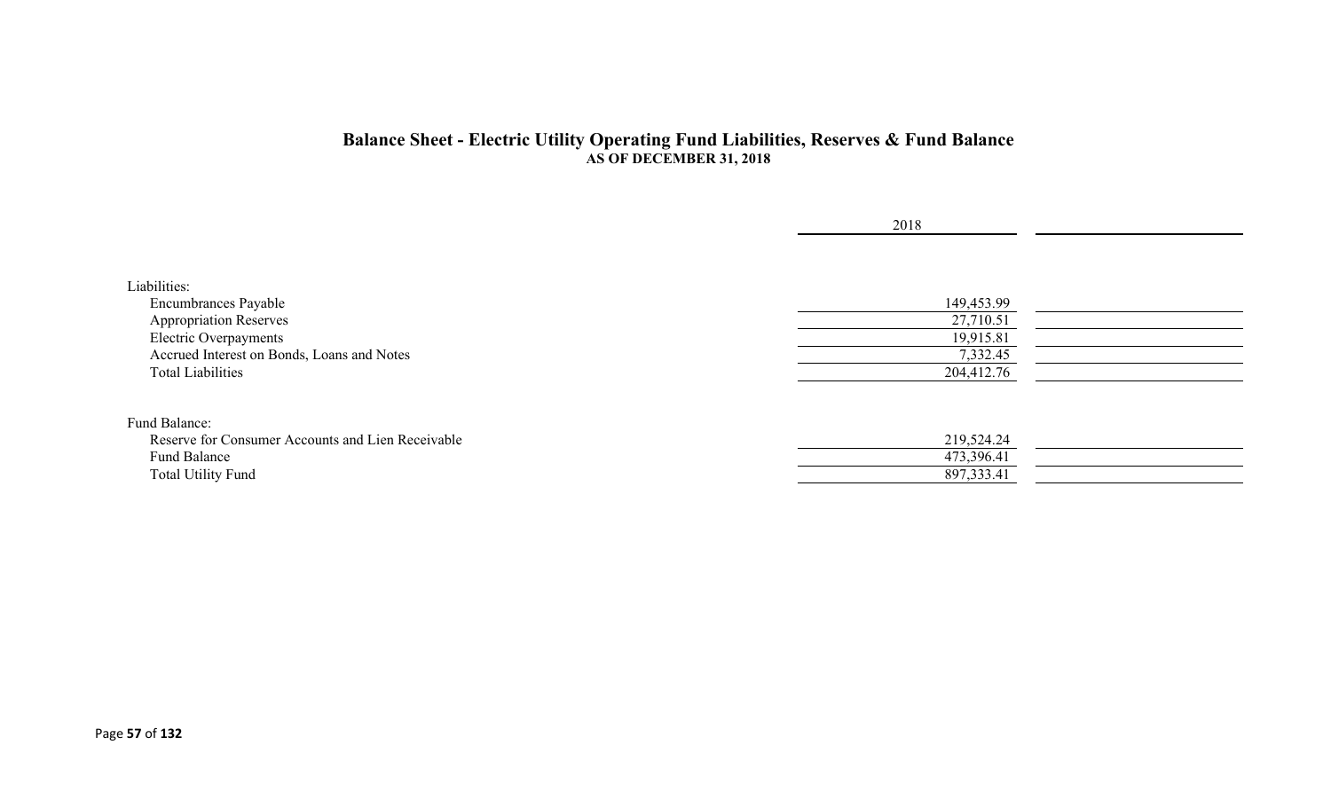#### **Balance Sheet - Electric Utility Operating Fund Liabilities, Reserves & Fund Balance AS OF DECEMBER 31, 2018**

|                                                   | 2018       |  |
|---------------------------------------------------|------------|--|
|                                                   |            |  |
| Liabilities:                                      |            |  |
| <b>Encumbrances Payable</b>                       | 149,453.99 |  |
| <b>Appropriation Reserves</b>                     | 27,710.51  |  |
| Electric Overpayments                             | 19,915.81  |  |
| Accrued Interest on Bonds, Loans and Notes        | 7,332.45   |  |
| <b>Total Liabilities</b>                          | 204,412.76 |  |
| Fund Balance:                                     |            |  |
| Reserve for Consumer Accounts and Lien Receivable | 219,524.24 |  |
| Fund Balance                                      | 473,396.41 |  |
| <b>Total Utility Fund</b>                         | 897,333.41 |  |
|                                                   |            |  |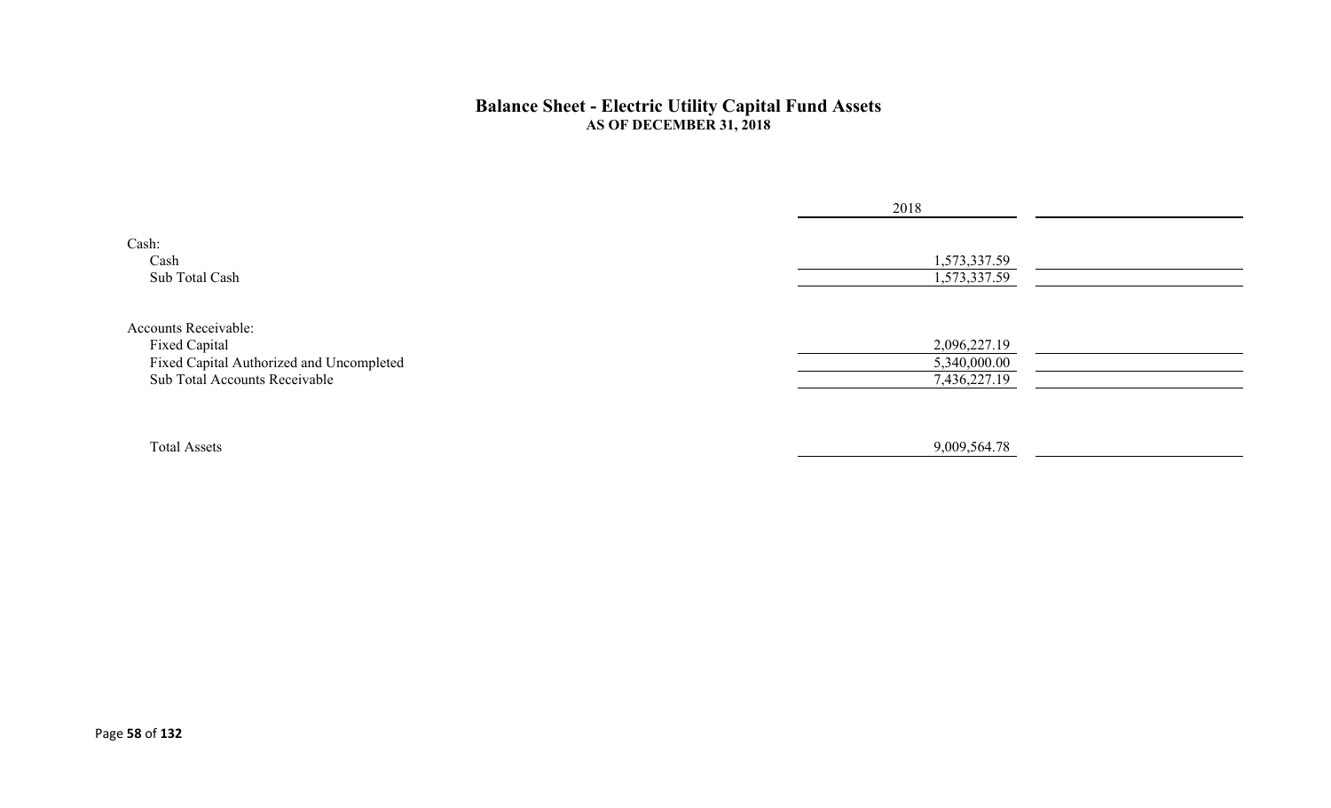#### **Balance Sheet - Electric Utility Capital Fund Assets AS OF DECEMBER 31, 2018**

|                                          | 2018         |  |
|------------------------------------------|--------------|--|
| Cash:<br>Cash                            | 1,573,337.59 |  |
| Sub Total Cash                           | 1,573,337.59 |  |
| Accounts Receivable:                     |              |  |
| Fixed Capital                            | 2,096,227.19 |  |
| Fixed Capital Authorized and Uncompleted | 5,340,000.00 |  |
| Sub Total Accounts Receivable            | 7,436,227.19 |  |
|                                          |              |  |
| <b>Total Assets</b>                      | 9,009,564.78 |  |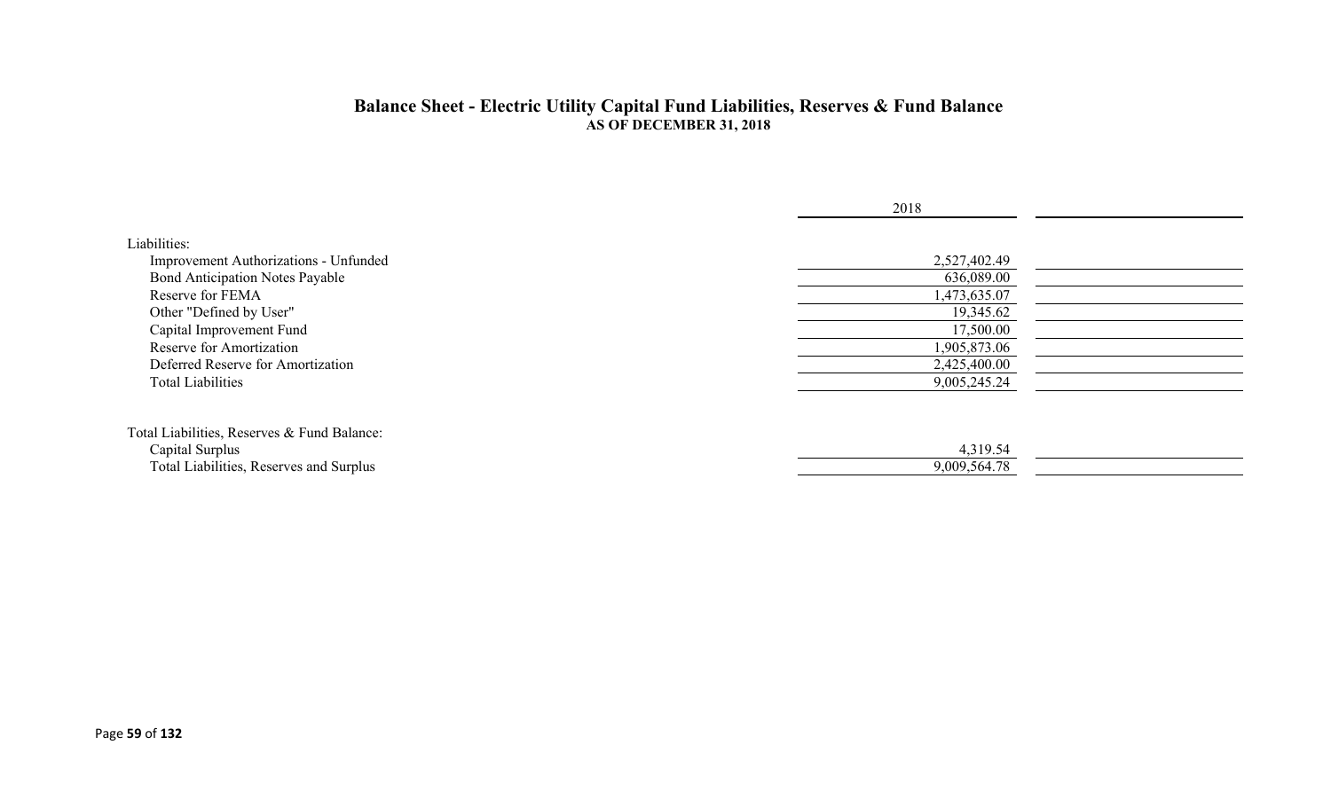#### **Balance Sheet - Electric Utility Capital Fund Liabilities, Reserves & Fund Balance AS OF DECEMBER 31, 2018**

|                                                                                                           | 2018                         |  |
|-----------------------------------------------------------------------------------------------------------|------------------------------|--|
| Liabilities:<br>Improvement Authorizations - Unfunded                                                     | 2,527,402.49                 |  |
| <b>Bond Anticipation Notes Payable</b><br>Reserve for FEMA                                                | 636,089.00<br>1,473,635.07   |  |
| Other "Defined by User"<br>Capital Improvement Fund                                                       | 19,345.62<br>17,500.00       |  |
| Reserve for Amortization<br>Deferred Reserve for Amortization                                             | 1,905,873.06<br>2,425,400.00 |  |
| <b>Total Liabilities</b>                                                                                  | 9,005,245.24                 |  |
| Total Liabilities, Reserves & Fund Balance:<br>Capital Surplus<br>Total Liabilities, Reserves and Surplus | 4,319.54<br>9,009,564.78     |  |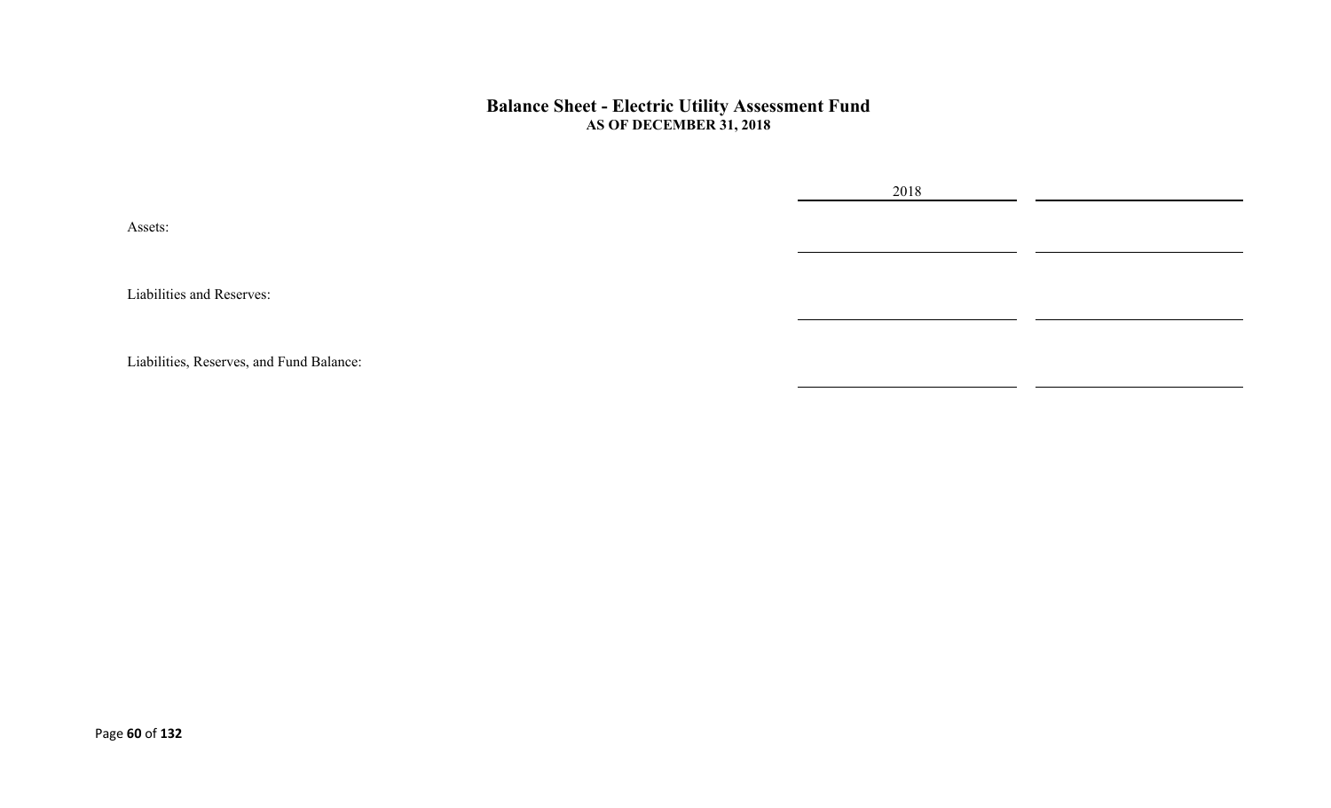#### **Balance Sheet - Electric Utility Assessment Fund AS OF DECEMBER 31, 2018**

Assets:

Liabilities and Reserves:

Liabilities, Reserves, and Fund Balance:

2018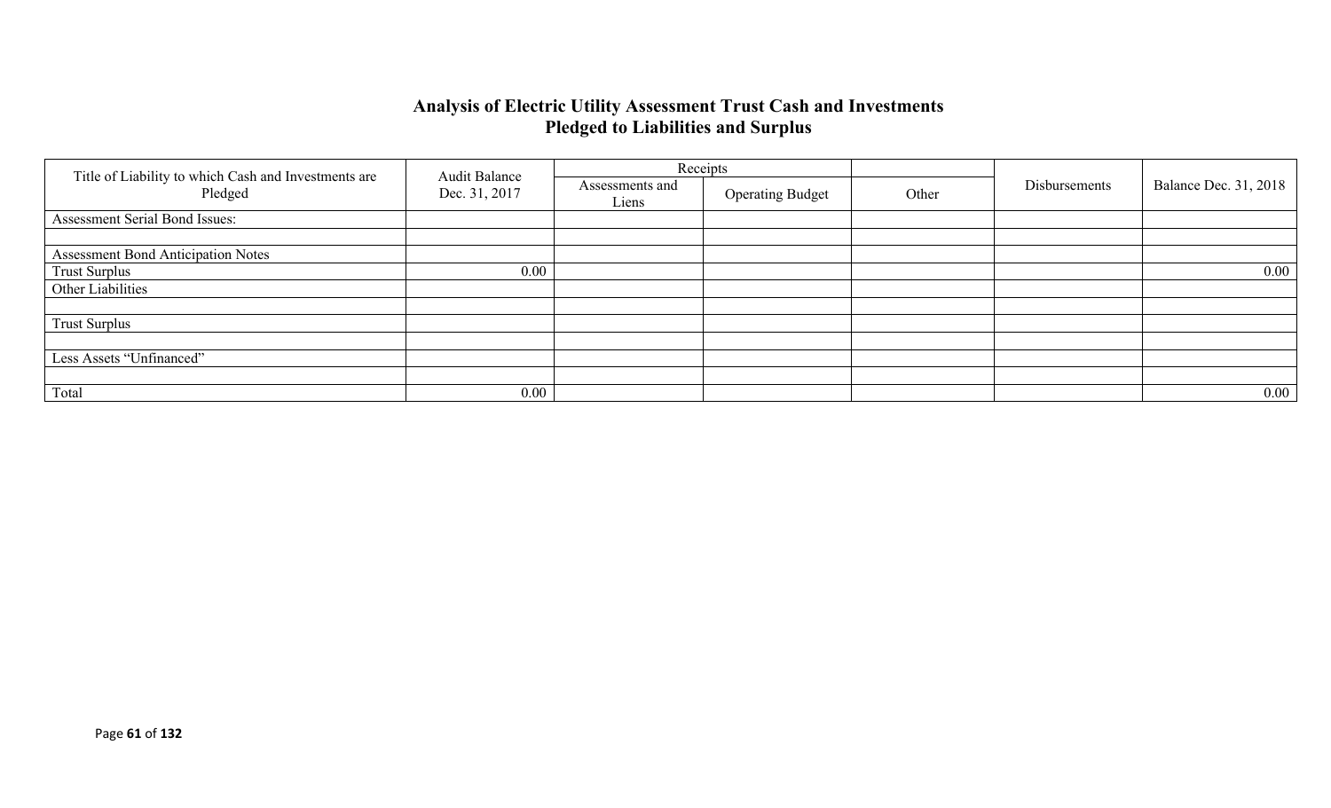### **Analysis of Electric Utility Assessment Trust Cash and Investments Pledged to Liabilities and Surplus**

|                                                                 | <b>Audit Balance</b> |                          | Receipts                |       |               |                              |
|-----------------------------------------------------------------|----------------------|--------------------------|-------------------------|-------|---------------|------------------------------|
| Title of Liability to which Cash and Investments are<br>Pledged | Dec. 31, 2017        | Assessments and<br>Liens | <b>Operating Budget</b> | Other | Disbursements | <b>Balance Dec. 31, 2018</b> |
| Assessment Serial Bond Issues:                                  |                      |                          |                         |       |               |                              |
|                                                                 |                      |                          |                         |       |               |                              |
| <b>Assessment Bond Anticipation Notes</b>                       |                      |                          |                         |       |               |                              |
| <b>Trust Surplus</b>                                            | 0.00                 |                          |                         |       |               | $0.00\,$                     |
| Other Liabilities                                               |                      |                          |                         |       |               |                              |
|                                                                 |                      |                          |                         |       |               |                              |
| <b>Trust Surplus</b>                                            |                      |                          |                         |       |               |                              |
|                                                                 |                      |                          |                         |       |               |                              |
| Less Assets "Unfinanced"                                        |                      |                          |                         |       |               |                              |
|                                                                 |                      |                          |                         |       |               |                              |
| Total                                                           | 0.00                 |                          |                         |       |               | $0.00\,$                     |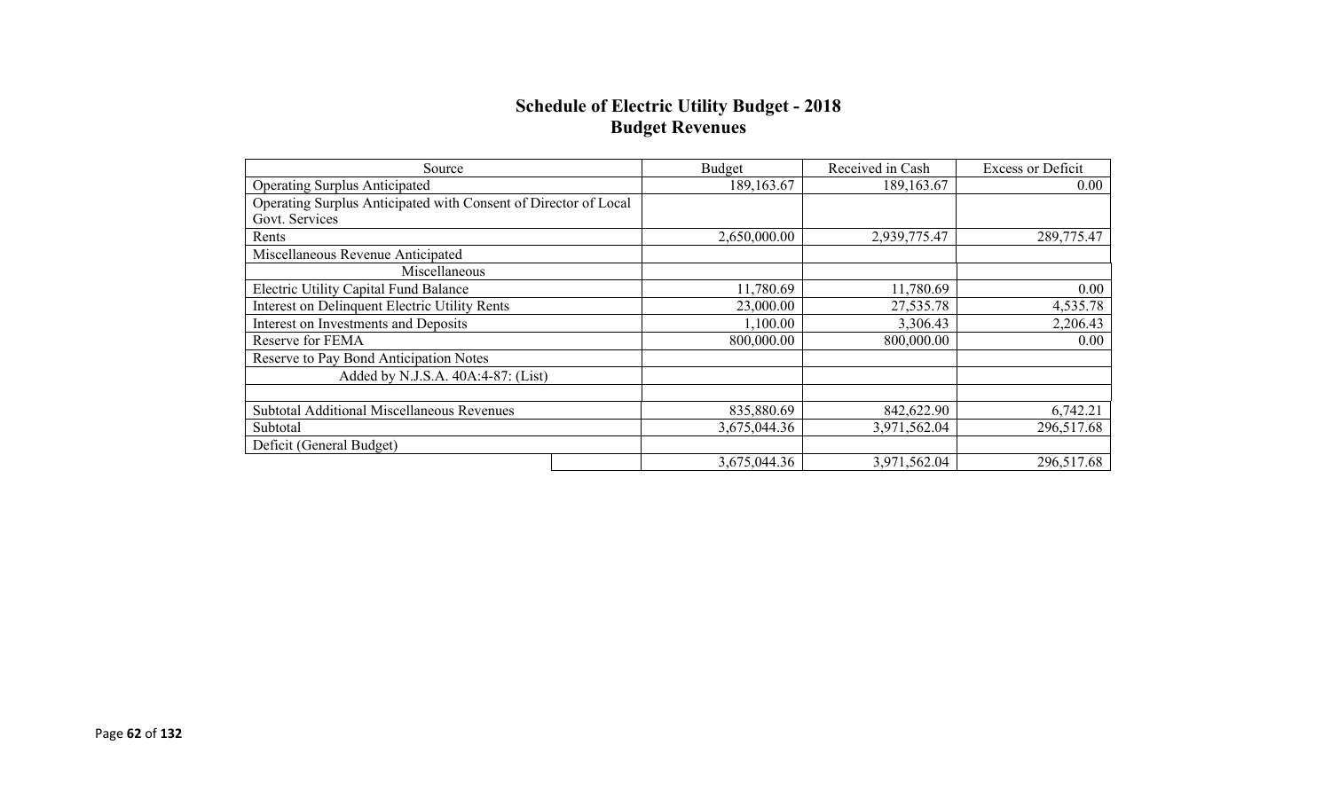### **Schedule of Electric Utility Budget - 2018 Budget Revenues**

| Source                                                          | <b>Budget</b> | Received in Cash | <b>Excess or Deficit</b> |
|-----------------------------------------------------------------|---------------|------------------|--------------------------|
| <b>Operating Surplus Anticipated</b>                            | 189,163.67    | 189, 163.67      | 0.00                     |
| Operating Surplus Anticipated with Consent of Director of Local |               |                  |                          |
| Govt. Services                                                  |               |                  |                          |
| Rents                                                           | 2,650,000.00  | 2,939,775.47     | 289,775.47               |
| Miscellaneous Revenue Anticipated                               |               |                  |                          |
| Miscellaneous                                                   |               |                  |                          |
| <b>Electric Utility Capital Fund Balance</b>                    | 11,780.69     | 11,780.69        | 0.00                     |
| <b>Interest on Delinquent Electric Utility Rents</b>            | 23,000.00     | 27,535.78        | 4,535.78                 |
| Interest on Investments and Deposits                            | 1,100.00      | 3,306.43         | 2,206.43                 |
| Reserve for FEMA                                                | 800,000.00    | 800,000.00       | $0.00\,$                 |
| Reserve to Pay Bond Anticipation Notes                          |               |                  |                          |
| Added by N.J.S.A. 40A:4-87: (List)                              |               |                  |                          |
|                                                                 |               |                  |                          |
| <b>Subtotal Additional Miscellaneous Revenues</b>               | 835,880.69    | 842,622.90       | 6,742.21                 |
| Subtotal                                                        | 3,675,044.36  | 3,971,562.04     | 296,517.68               |
| Deficit (General Budget)                                        |               |                  |                          |
|                                                                 | 3,675,044.36  | 3,971,562.04     | 296,517.68               |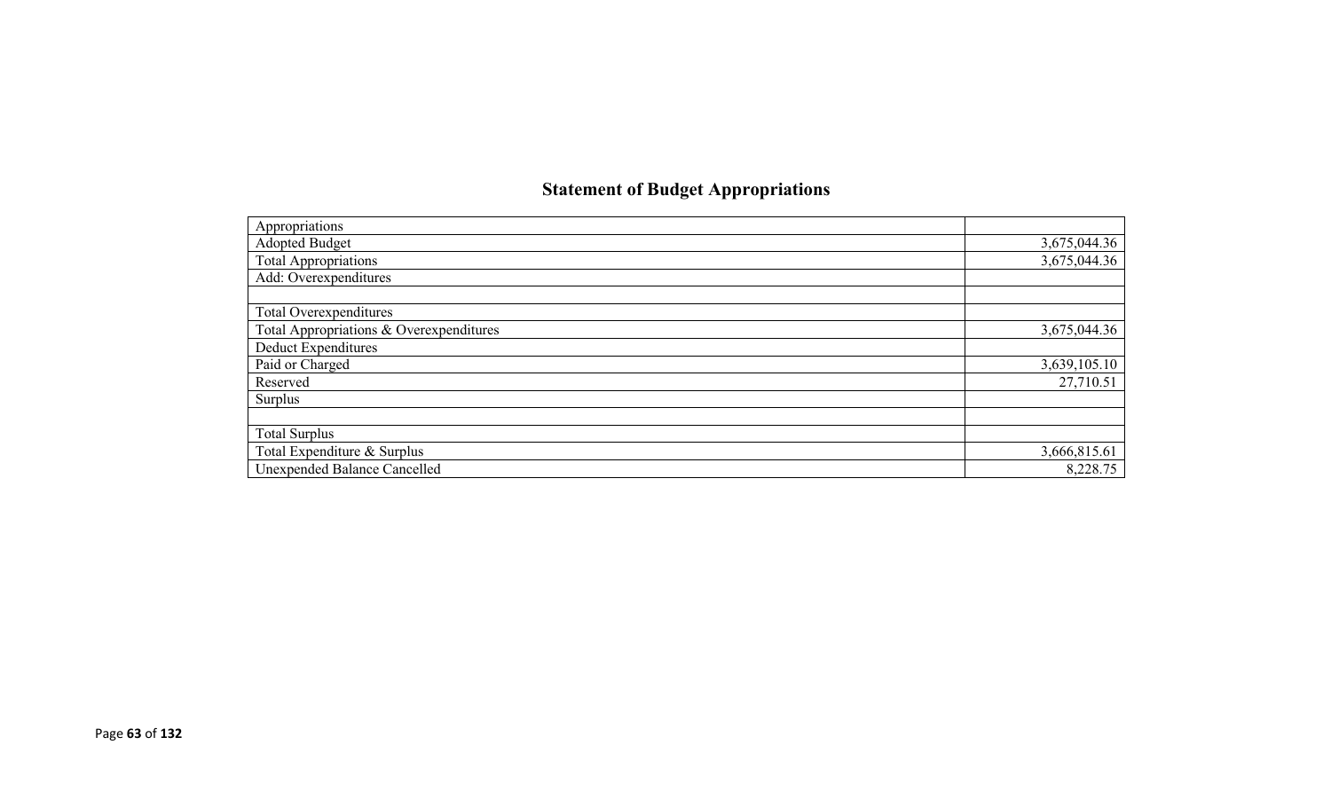# **Statement of Budget Appropriations**

| Appropriations                          |              |
|-----------------------------------------|--------------|
| Adopted Budget                          | 3,675,044.36 |
| <b>Total Appropriations</b>             | 3,675,044.36 |
| Add: Overexpenditures                   |              |
|                                         |              |
| Total Overexpenditures                  |              |
| Total Appropriations & Overexpenditures | 3,675,044.36 |
| <b>Deduct Expenditures</b>              |              |
| Paid or Charged                         | 3,639,105.10 |
| Reserved                                | 27,710.51    |
| Surplus                                 |              |
|                                         |              |
| <b>Total Surplus</b>                    |              |
| Total Expenditure & Surplus             | 3,666,815.61 |
| Unexpended Balance Cancelled            | 8,228.75     |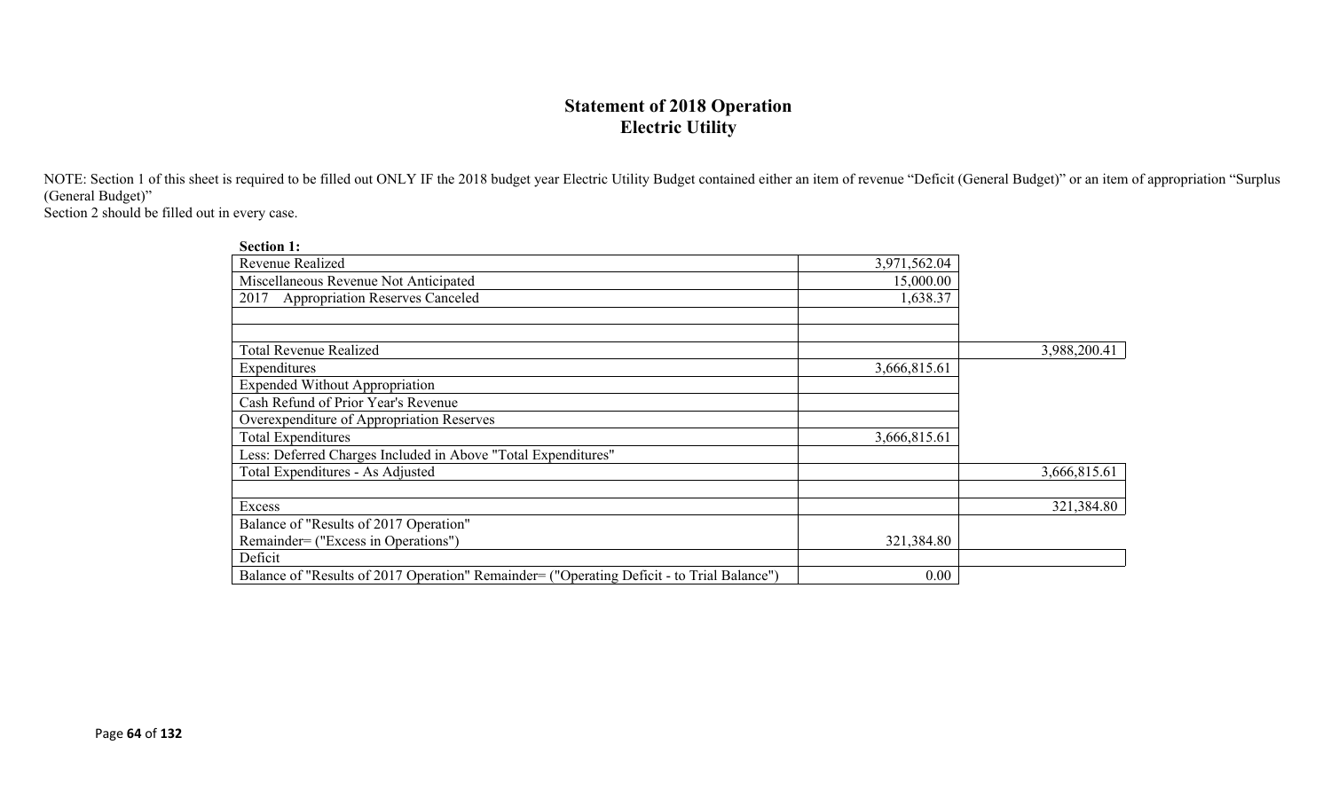## **Statement of 2018 Operation Electric Utility**

NOTE: Section 1 of this sheet is required to be filled out ONLY IF the 2018 budget year Electric Utility Budget contained either an item of revenue "Deficit (General Budget)" or an item of appropriation "Surplus (General Budget)"

Section 2 should be filled out in every case.

| <b>Section 1:</b>                                                                          |              |              |
|--------------------------------------------------------------------------------------------|--------------|--------------|
| Revenue Realized                                                                           | 3,971,562.04 |              |
| Miscellaneous Revenue Not Anticipated                                                      | 15,000.00    |              |
| <b>Appropriation Reserves Canceled</b><br>2017                                             | 1,638.37     |              |
|                                                                                            |              |              |
|                                                                                            |              |              |
| <b>Total Revenue Realized</b>                                                              |              | 3,988,200.41 |
| Expenditures                                                                               | 3,666,815.61 |              |
| <b>Expended Without Appropriation</b>                                                      |              |              |
| Cash Refund of Prior Year's Revenue                                                        |              |              |
| Overexpenditure of Appropriation Reserves                                                  |              |              |
| Total Expenditures                                                                         | 3,666,815.61 |              |
| Less: Deferred Charges Included in Above "Total Expenditures"                              |              |              |
| Total Expenditures - As Adjusted                                                           |              | 3,666,815.61 |
|                                                                                            |              |              |
| Excess                                                                                     |              | 321,384.80   |
| Balance of "Results of 2017 Operation"                                                     |              |              |
| Remainder= ("Excess in Operations")                                                        | 321,384.80   |              |
| Deficit                                                                                    |              |              |
| Balance of "Results of 2017 Operation" Remainder= ("Operating Deficit - to Trial Balance") | 0.00         |              |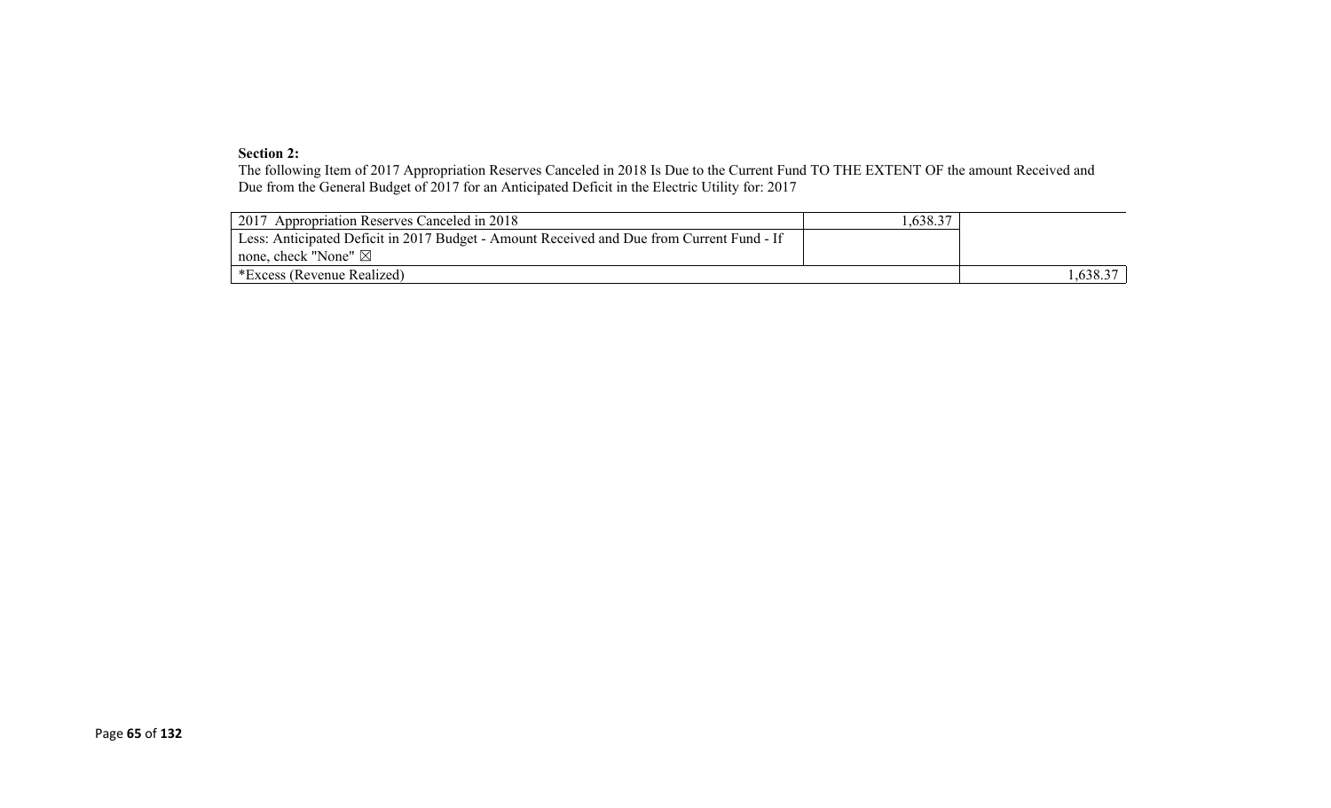#### **Section 2:**

The following Item of 2017 Appropriation Reserves Canceled in 2018 Is Due to the Current Fund TO THE EXTENT OF the amount Received and Due from the General Budget of 2017 for an Anticipated Deficit in the Electric Utility for: 2017

| 2017 Appropriation Reserves Canceled in 2018                                              | .,638.37 |         |
|-------------------------------------------------------------------------------------------|----------|---------|
| Less: Anticipated Deficit in 2017 Budget - Amount Received and Due from Current Fund - If |          |         |
| none, check "None" $\boxtimes$                                                            |          |         |
| *Excess (Revenue Realized)                                                                |          | .638.37 |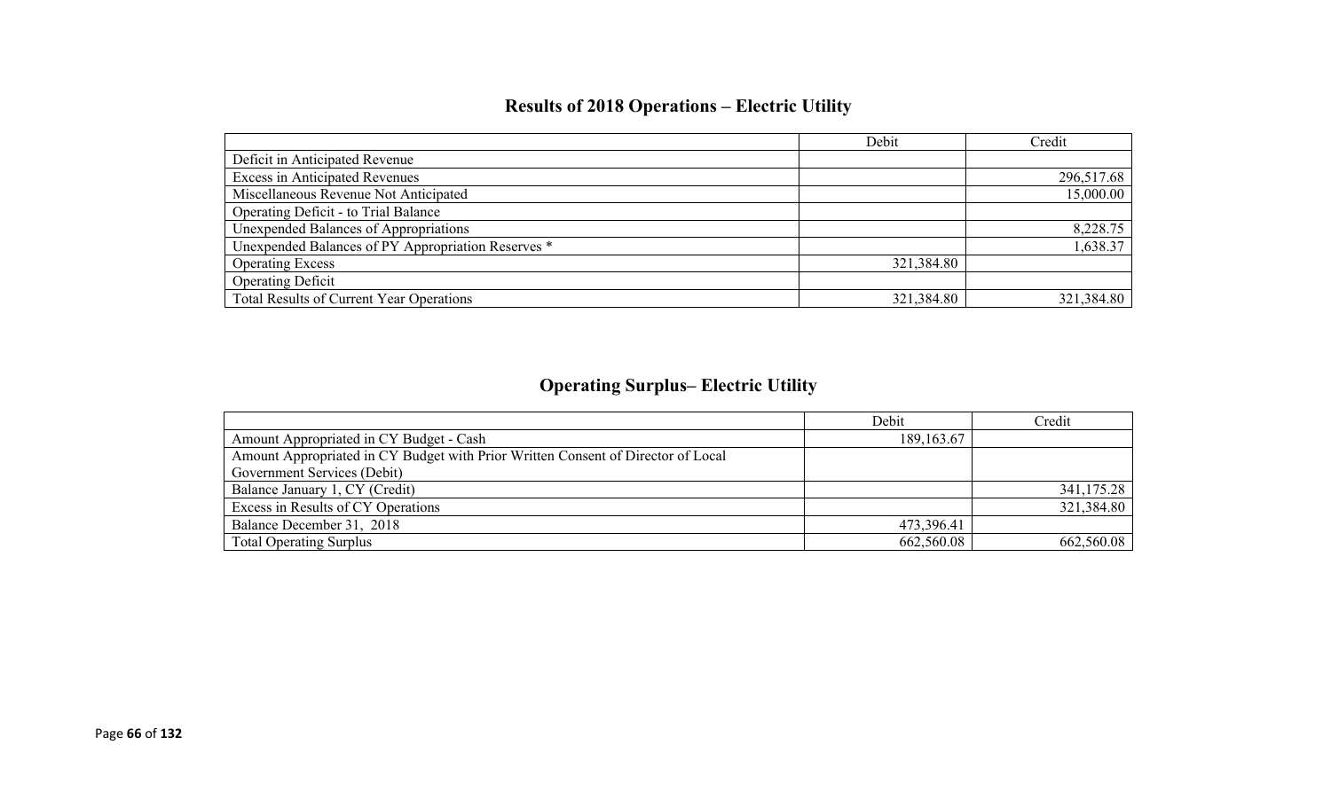# **Results of 2018 Operations – Electric Utility**

|                                                    | Debit      | Credit     |
|----------------------------------------------------|------------|------------|
| Deficit in Anticipated Revenue                     |            |            |
| <b>Excess in Anticipated Revenues</b>              |            | 296,517.68 |
| Miscellaneous Revenue Not Anticipated              |            | 15,000.00  |
| Operating Deficit - to Trial Balance               |            |            |
| Unexpended Balances of Appropriations              |            | 8,228.75   |
| Unexpended Balances of PY Appropriation Reserves * |            | 1,638.37   |
| <b>Operating Excess</b>                            | 321,384.80 |            |
| <b>Operating Deficit</b>                           |            |            |
| Total Results of Current Year Operations           | 321,384.80 | 321,384.80 |

# **Operating Surplus– Electric Utility**

|                                                                                  | Debit        | Credit     |
|----------------------------------------------------------------------------------|--------------|------------|
| Amount Appropriated in CY Budget - Cash                                          | 189, 163. 67 |            |
| Amount Appropriated in CY Budget with Prior Written Consent of Director of Local |              |            |
| Government Services (Debit)                                                      |              |            |
| Balance January 1, CY (Credit)                                                   |              | 341,175.28 |
| Excess in Results of CY Operations                                               |              | 321,384.80 |
| Balance December 31, 2018                                                        | 473,396.41   |            |
| <b>Total Operating Surplus</b>                                                   | 662,560.08   | 662,560.08 |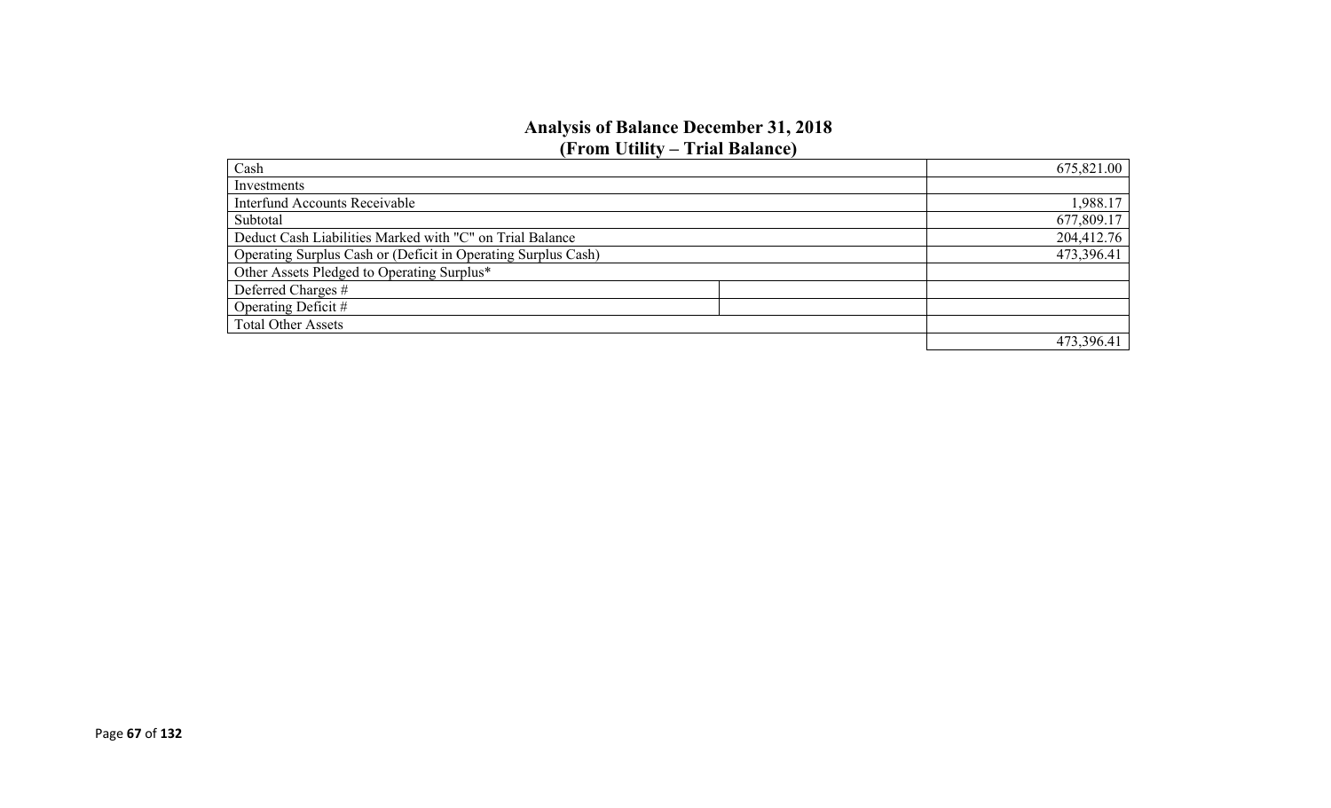### **Analysis of Balance December 31, 2018 (From Utility – Trial Balance)**

| Cash                                                          | 675,821.00 |
|---------------------------------------------------------------|------------|
| Investments                                                   |            |
| <b>Interfund Accounts Receivable</b>                          | 1,988.17   |
| Subtotal                                                      | 677,809.17 |
| Deduct Cash Liabilities Marked with "C" on Trial Balance      | 204,412.76 |
| Operating Surplus Cash or (Deficit in Operating Surplus Cash) | 473,396.41 |
| Other Assets Pledged to Operating Surplus*                    |            |
| Deferred Charges #                                            |            |
| Operating Deficit #                                           |            |
| <b>Total Other Assets</b>                                     |            |
|                                                               | 473,396.41 |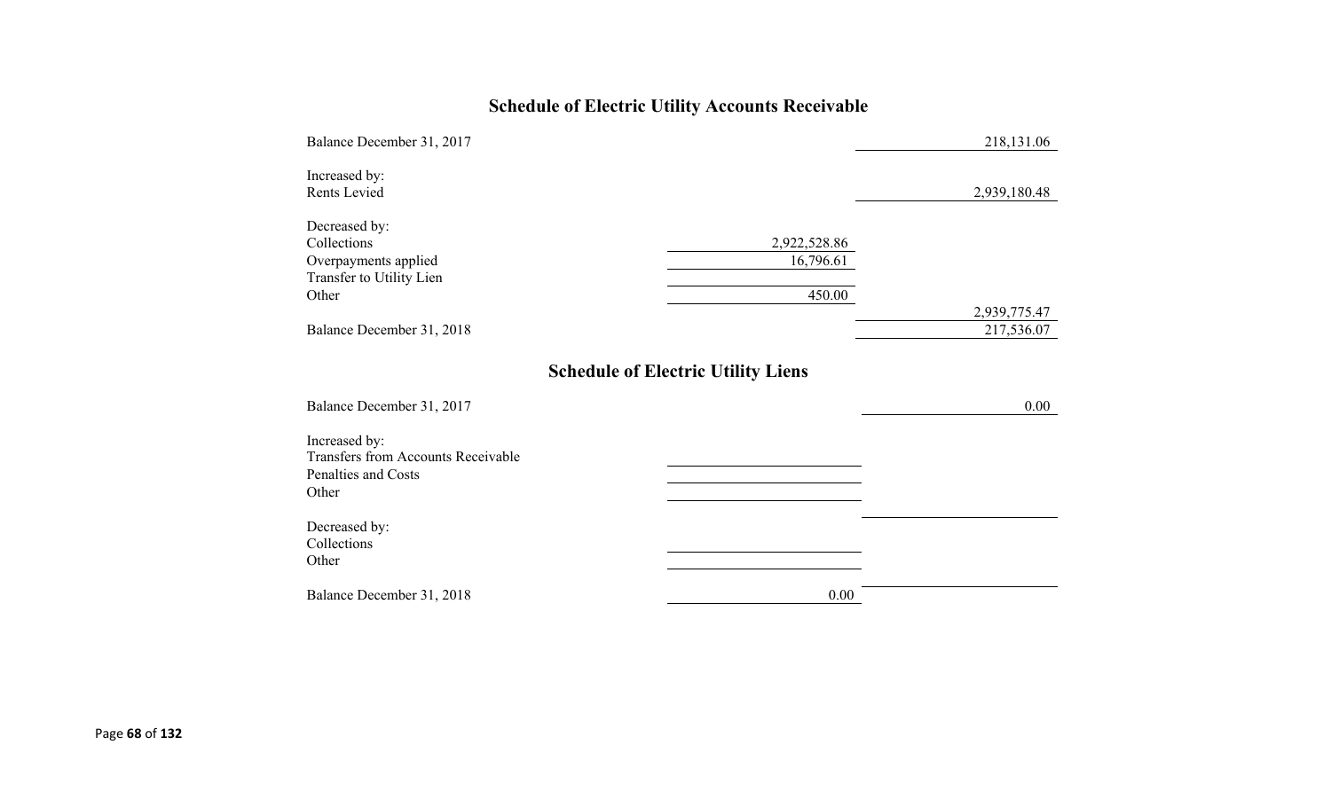# **Schedule of Electric Utility Accounts Receivable**

| Balance December 31, 2017                                                                  |                                           | 218,131.06                 |
|--------------------------------------------------------------------------------------------|-------------------------------------------|----------------------------|
| Increased by:<br>Rents Levied                                                              |                                           | 2,939,180.48               |
| Decreased by:<br>Collections<br>Overpayments applied<br>Transfer to Utility Lien<br>Other  | 2,922,528.86<br>16,796.61<br>450.00       |                            |
| Balance December 31, 2018                                                                  |                                           | 2,939,775.47<br>217,536.07 |
| Balance December 31, 2017                                                                  | <b>Schedule of Electric Utility Liens</b> | 0.00                       |
| Increased by:<br><b>Transfers from Accounts Receivable</b><br>Penalties and Costs<br>Other |                                           |                            |
| Decreased by:<br>Collections<br>Other                                                      |                                           |                            |
| Balance December 31, 2018                                                                  | 0.00                                      |                            |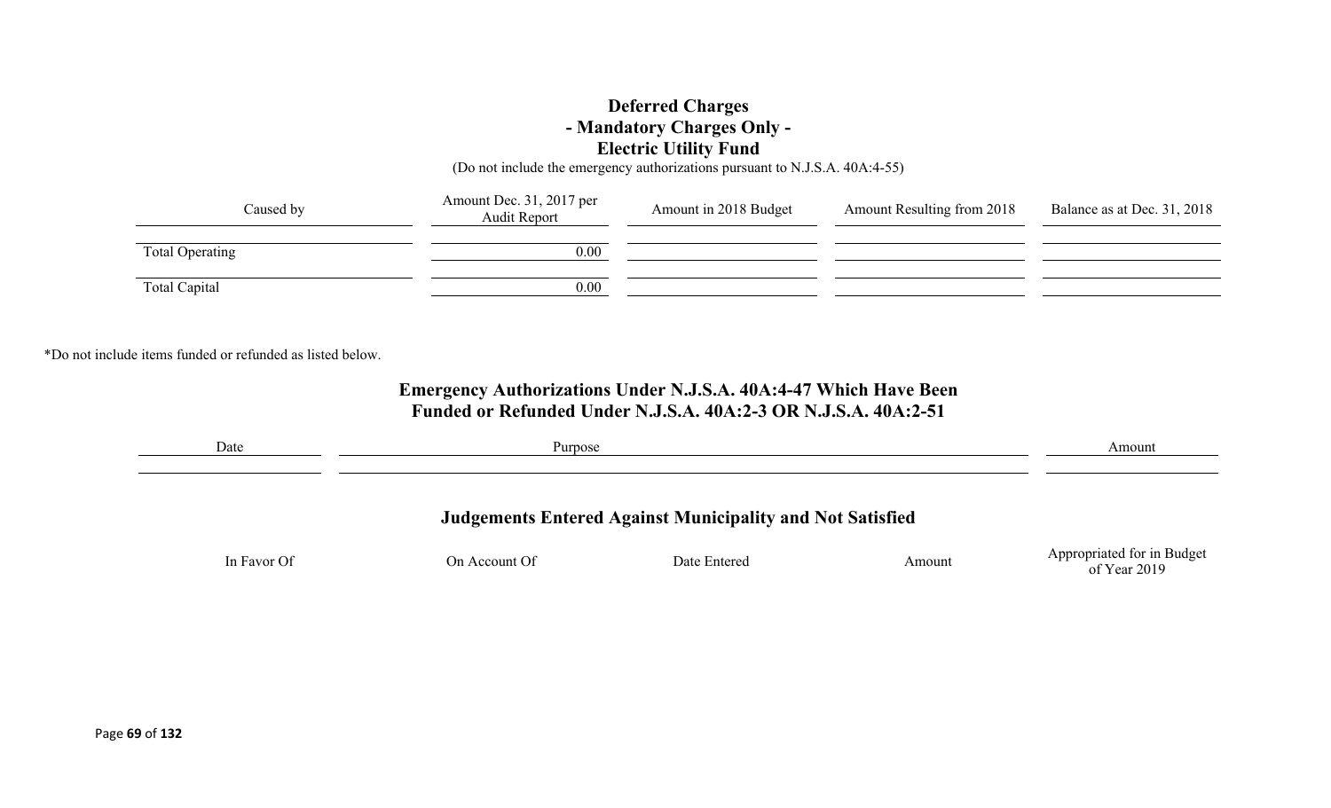## **Deferred Charges - Mandatory Charges Only - Electric Utility Fund**

(Do not include the emergency authorizations pursuant to N.J.S.A. 40A:4-55)

| Caused by       | Amount Dec. 31, 2017 per<br>Audit Report | Amount in 2018 Budget | <b>Amount Resulting from 2018</b> | Balance as at Dec. 31, 2018 |
|-----------------|------------------------------------------|-----------------------|-----------------------------------|-----------------------------|
| Total Operating | 0.00                                     |                       |                                   |                             |
| Total Capital   | 0.00                                     |                       |                                   |                             |

\*Do not include items funded or refunded as listed below.

## **Emergency Authorizations Under N.J.S.A. 40A:4-47 Which Have Been Funded or Refunded Under N.J.S.A. 40A:2-3 OR N.J.S.A. 40A:2-51**

| Date<br>Purpose |               |                                                                  |        | Amount                     |
|-----------------|---------------|------------------------------------------------------------------|--------|----------------------------|
|                 |               | <b>Judgements Entered Against Municipality and Not Satisfied</b> |        |                            |
| In Favor Of     | On Account Of | Date Entered                                                     | Amount | Appropriated for in Budget |
|                 |               |                                                                  |        | of Year 2019               |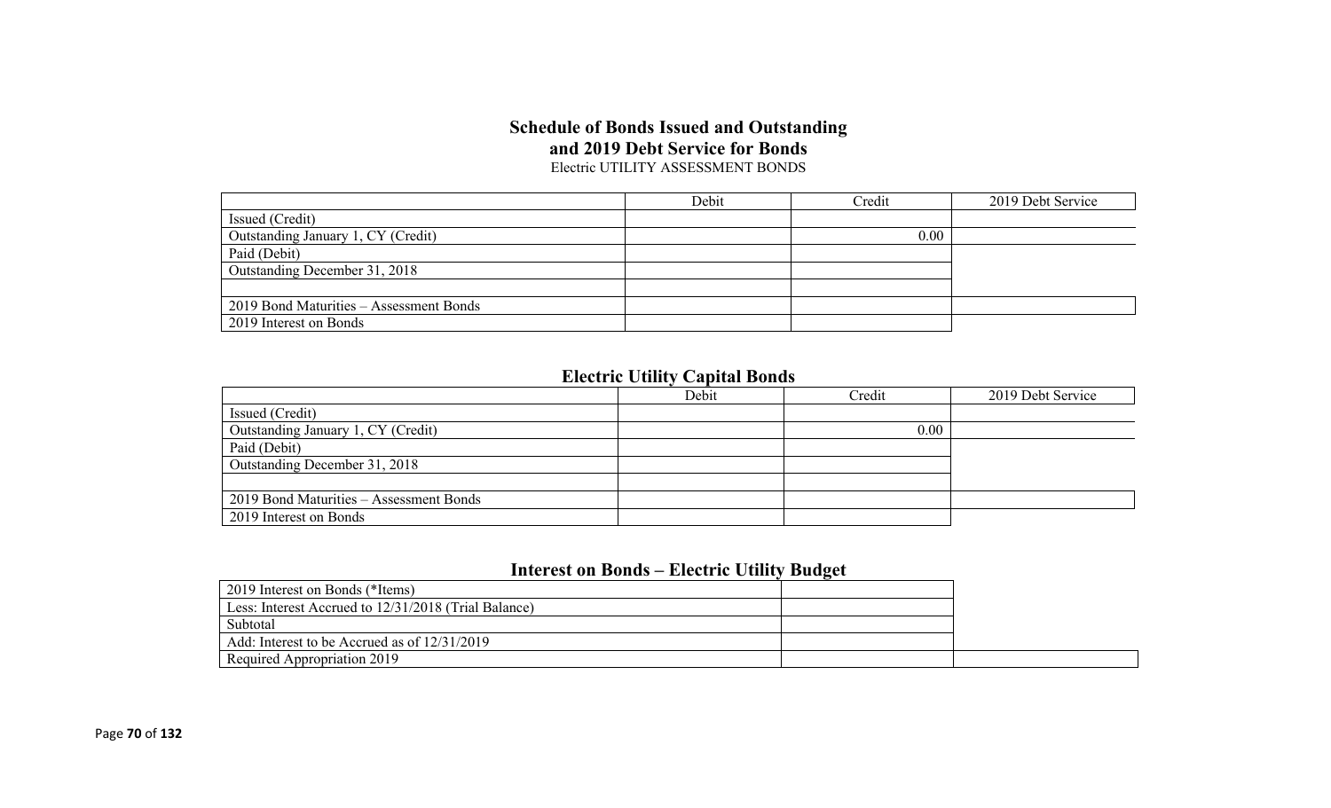#### **Schedule of Bonds Issued and Outstanding and 2019 Debt Service for Bonds** Electric UTILITY ASSESSMENT BONDS

|                                         | Debit | Credit | 2019 Debt Service |
|-----------------------------------------|-------|--------|-------------------|
| Issued (Credit)                         |       |        |                   |
| Outstanding January 1, CY (Credit)      |       | 0.00   |                   |
| Paid (Debit)                            |       |        |                   |
| Outstanding December 31, 2018           |       |        |                   |
|                                         |       |        |                   |
| 2019 Bond Maturities - Assessment Bonds |       |        |                   |
| 2019 Interest on Bonds                  |       |        |                   |

# **Electric Utility Capital Bonds**

|                                         | Debit | Credit | 2019 Debt Service |
|-----------------------------------------|-------|--------|-------------------|
| Issued (Credit)                         |       |        |                   |
| Outstanding January 1, CY (Credit)      |       | 0.00   |                   |
| Paid (Debit)                            |       |        |                   |
| Outstanding December 31, 2018           |       |        |                   |
|                                         |       |        |                   |
| 2019 Bond Maturities – Assessment Bonds |       |        |                   |
| 2019 Interest on Bonds                  |       |        |                   |

# **Interest on Bonds – Electric Utility Budget**

| 2019 Interest on Bonds (*Items)                      |  |
|------------------------------------------------------|--|
| Less: Interest Accrued to 12/31/2018 (Trial Balance) |  |
| Subtotal                                             |  |
| Add: Interest to be Accrued as of 12/31/2019         |  |
| Required Appropriation 2019                          |  |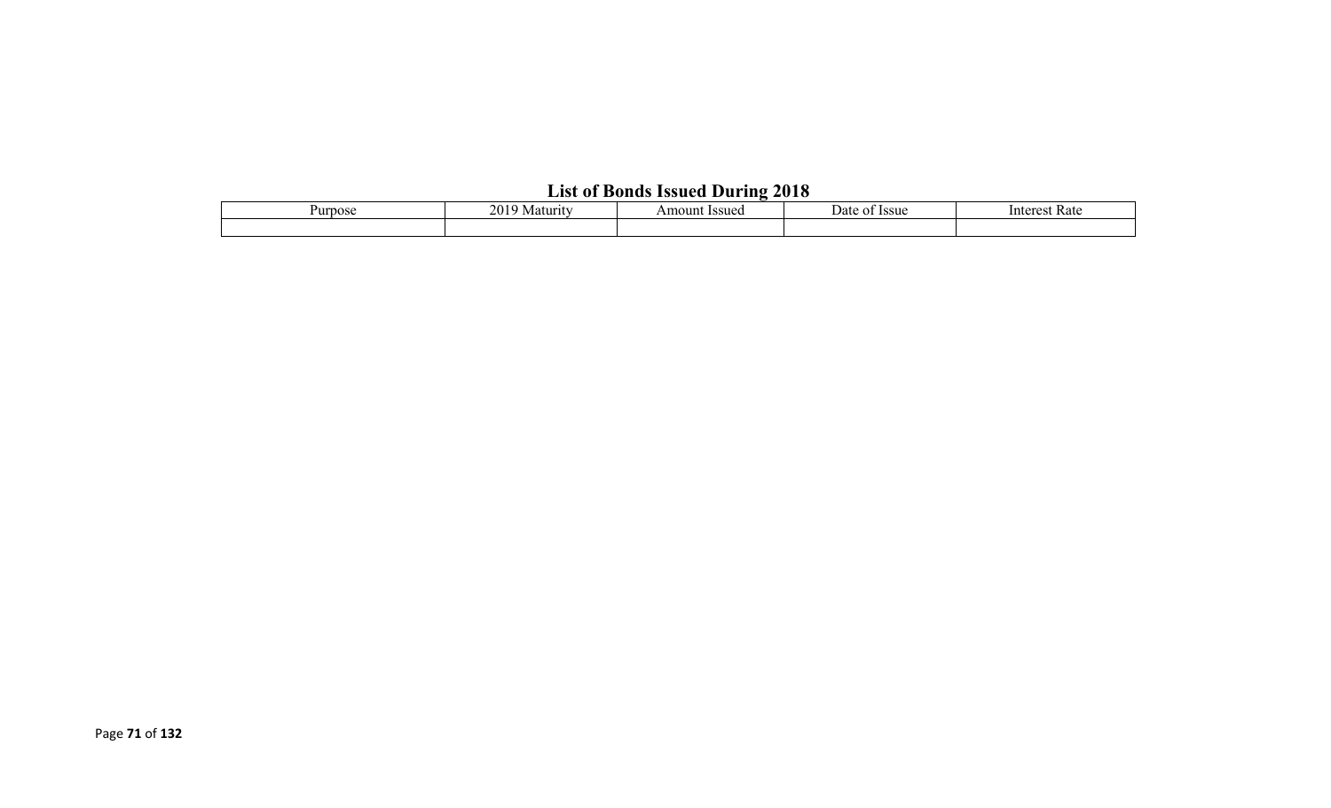# **List of Bonds Issued During 2018**

| Purpose | 201<br>Maturity | Amount Issued | <b>Issue</b><br>Date<br>ΩT |  |  |  |  |
|---------|-----------------|---------------|----------------------------|--|--|--|--|
|         |                 |               |                            |  |  |  |  |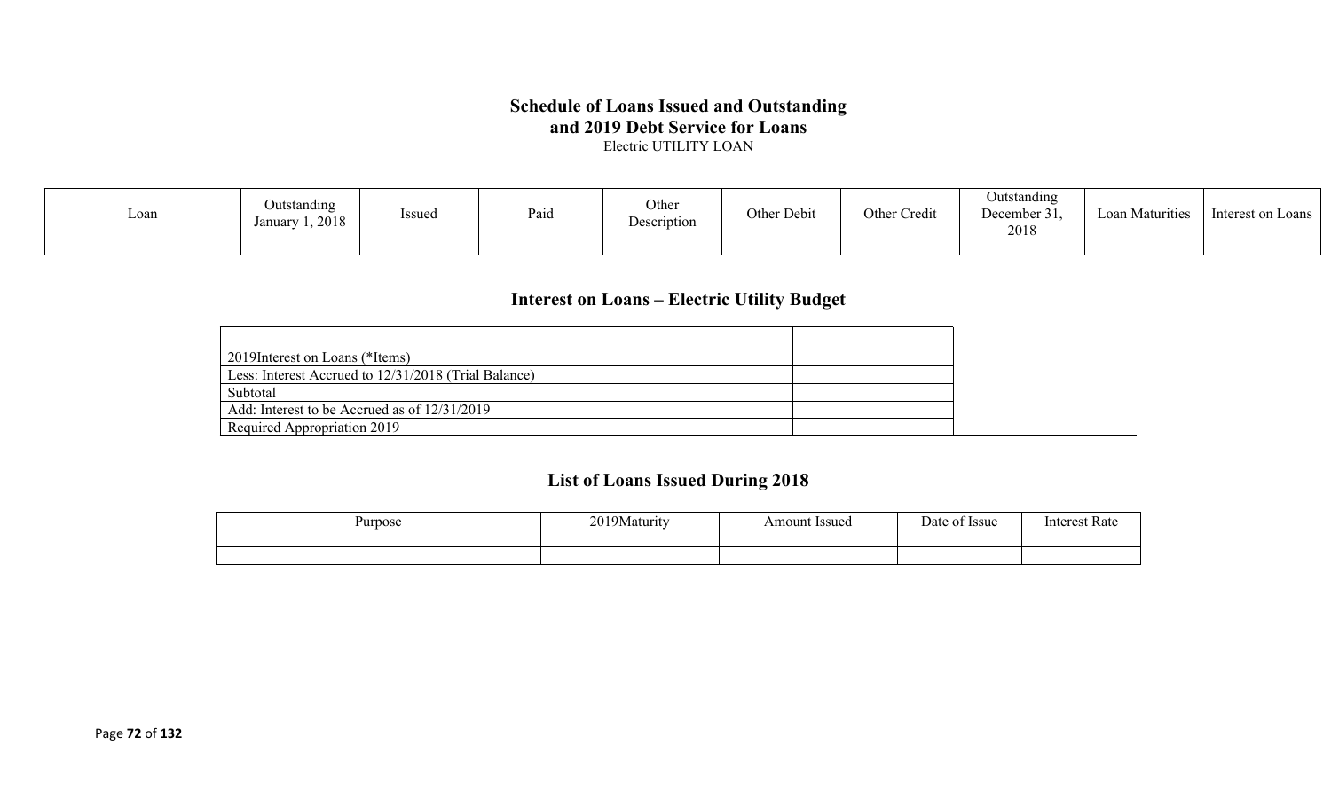## **Schedule of Loans Issued and Outstanding and 2019 Debt Service for Loans**

Electric UTILITY LOAN

| Loan | Outstanding<br>Issued<br>1,2018<br>Januarv | Paio | Other<br>Description | Other Debit | Other Credit | Jutstanding<br>December 31,<br>2018 | Loan Maturities | Interest on Loans |
|------|--------------------------------------------|------|----------------------|-------------|--------------|-------------------------------------|-----------------|-------------------|
|      |                                            |      |                      |             |              |                                     |                 |                   |

# **Interest on Loans – Electric Utility Budget**

| 2019 Interest on Loans (*Items)                      |  |
|------------------------------------------------------|--|
| Less: Interest Accrued to 12/31/2018 (Trial Balance) |  |
| Subtotal                                             |  |
| Add: Interest to be Accrued as of 12/31/2019         |  |
| Required Appropriation 2019                          |  |

# **List of Loans Issued During 2018**

| Purpose | 20103<br>  9Maturity<br>$\sim$ | <b>Issued</b><br>Amount | $\overline{\phantom{0}}$<br>)ate<br><b>Issue</b> | Intorc<br>vak |
|---------|--------------------------------|-------------------------|--------------------------------------------------|---------------|
|         |                                |                         |                                                  |               |
|         |                                |                         |                                                  |               |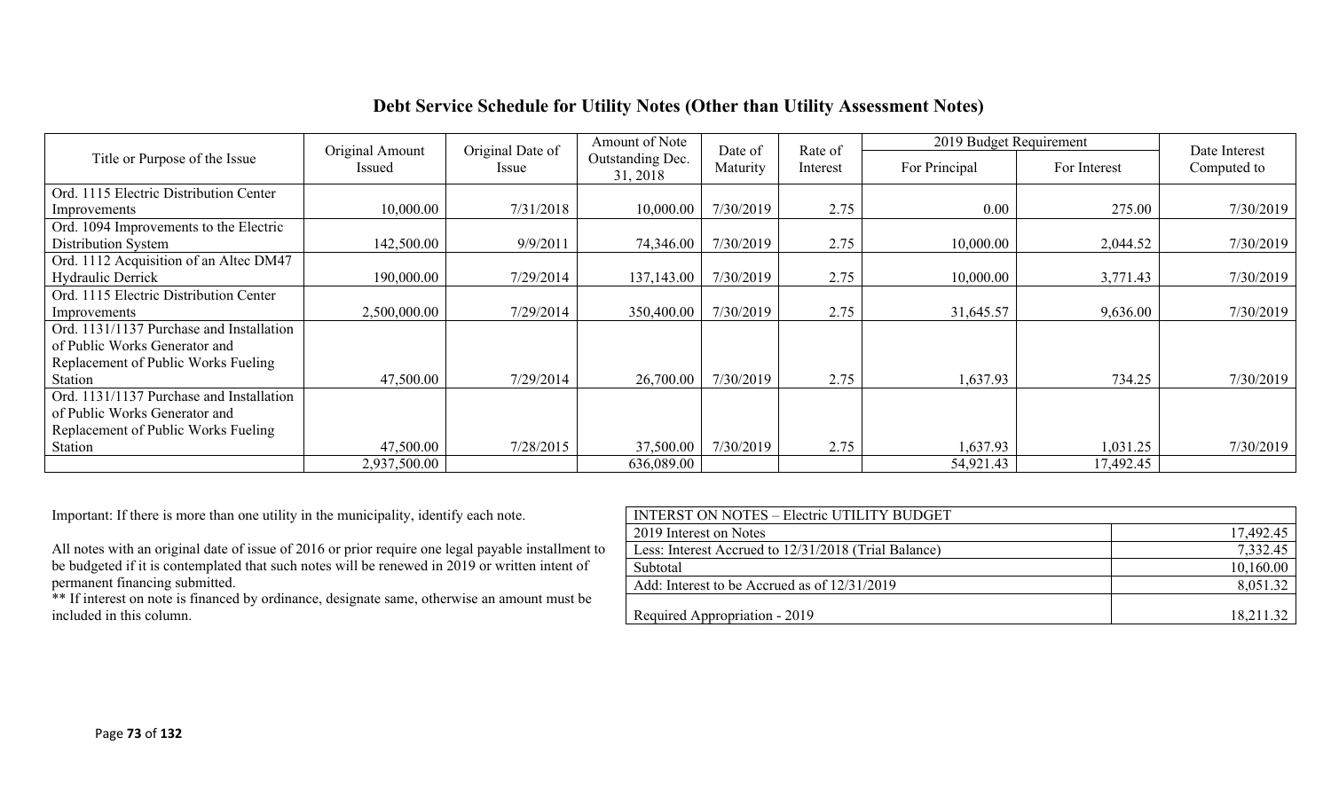## **Debt Service Schedule for Utility Notes (Other than Utility Assessment Notes)**

|                                          | Original Amount | Original Date of | Amount of Note               | Date of   |                     | 2019 Budget Requirement |              | Date Interest |  |
|------------------------------------------|-----------------|------------------|------------------------------|-----------|---------------------|-------------------------|--------------|---------------|--|
| Title or Purpose of the Issue            | Issued          | Issue            | Outstanding Dec.<br>31, 2018 | Maturity  | Rate of<br>Interest | For Principal           | For Interest | Computed to   |  |
| Ord. 1115 Electric Distribution Center   |                 |                  |                              |           |                     |                         |              |               |  |
| Improvements                             | 10,000.00       | 7/31/2018        | 10,000.00                    | 7/30/2019 | 2.75                | 0.00                    | 275.00       | 7/30/2019     |  |
| Ord. 1094 Improvements to the Electric   |                 |                  |                              |           |                     |                         |              |               |  |
| Distribution System                      | 142,500.00      | 9/9/2011         | 74,346.00                    | 7/30/2019 | 2.75                | 10,000.00               | 2,044.52     | 7/30/2019     |  |
| Ord. 1112 Acquisition of an Altec DM47   |                 |                  |                              |           |                     |                         |              |               |  |
| Hydraulic Derrick                        | 190,000.00      | 7/29/2014        | 137,143.00                   | 7/30/2019 | 2.75                | 10,000.00               | 3,771.43     | 7/30/2019     |  |
| Ord. 1115 Electric Distribution Center   |                 |                  |                              |           |                     |                         |              |               |  |
| Improvements                             | 2,500,000.00    | 7/29/2014        | 350,400.00                   | 7/30/2019 | 2.75                | 31,645.57               | 9,636.00     | 7/30/2019     |  |
| Ord. 1131/1137 Purchase and Installation |                 |                  |                              |           |                     |                         |              |               |  |
| of Public Works Generator and            |                 |                  |                              |           |                     |                         |              |               |  |
| Replacement of Public Works Fueling      |                 |                  |                              |           |                     |                         |              |               |  |
| Station                                  | 47,500.00       | 7/29/2014        | 26,700.00                    | 7/30/2019 | 2.75                | 1,637.93                | 734.25       | 7/30/2019     |  |
| Ord. 1131/1137 Purchase and Installation |                 |                  |                              |           |                     |                         |              |               |  |
| of Public Works Generator and            |                 |                  |                              |           |                     |                         |              |               |  |
| Replacement of Public Works Fueling      |                 |                  |                              |           |                     |                         |              |               |  |
| Station                                  | 47,500.00       | 7/28/2015        | 37,500.00                    | 7/30/2019 | 2.75                | 1,637.93                | 1,031.25     | 7/30/2019     |  |
|                                          | 2,937,500.00    |                  | 636,089.00                   |           |                     | 54,921.43               | 17,492.45    |               |  |

Important: If there is more than one utility in the municipality, identify each note.

| Important: If there is more than one utility in the municipality, identify each note.              | <b>INTERST ON NOTES - Electric UTILITY BUDGET</b>    |           |
|----------------------------------------------------------------------------------------------------|------------------------------------------------------|-----------|
|                                                                                                    | 2019 Interest on Notes                               | 17,492.45 |
| All notes with an original date of issue of 2016 or prior require one legal payable installment to | Less: Interest Accrued to 12/31/2018 (Trial Balance) | 7,332.45  |
| be budgeted if it is contemplated that such notes will be renewed in 2019 or written intent of     | Subtotal                                             | 10,160.00 |
| permanent financing submitted.                                                                     | Add: Interest to be Accrued as of 12/31/2019         | 8,051.32  |
| ** If interest on note is financed by ordinance, designate same, otherwise an amount must be       |                                                      |           |
| included in this column.                                                                           | Required Appropriation - 2019                        | 18,211.32 |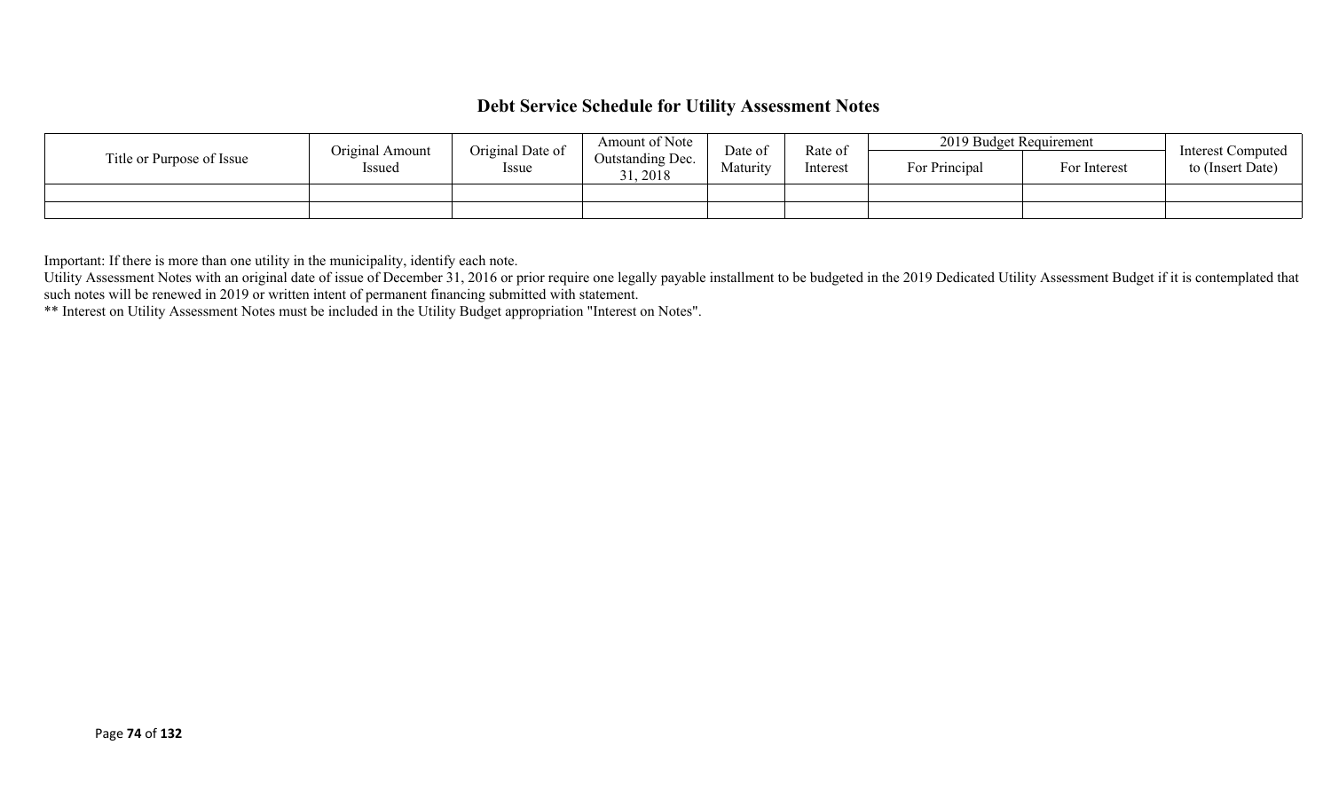## **Debt Service Schedule for Utility Assessment Notes**

|                           | Original Amount | Original Date of | Amount of Note               | Date of  | Rate of  | 2019 Budget Requirement |              | <b>Interest Computed</b> |
|---------------------------|-----------------|------------------|------------------------------|----------|----------|-------------------------|--------------|--------------------------|
| Title or Purpose of Issue | Issued          | Issue            | Outstanding Dec.<br>31, 2018 | Maturity | Interest | For Principal           | For Interest | to (Insert Date)         |
|                           |                 |                  |                              |          |          |                         |              |                          |
|                           |                 |                  |                              |          |          |                         |              |                          |

Important: If there is more than one utility in the municipality, identify each note.

Utility Assessment Notes with an original date of issue of December 31, 2016 or prior require one legally payable installment to be budgeted in the 2019 Dedicated Utility Assessment Budget if it is contemplated that such notes will be renewed in 2019 or written intent of permanent financing submitted with statement.

\*\* Interest on Utility Assessment Notes must be included in the Utility Budget appropriation "Interest on Notes".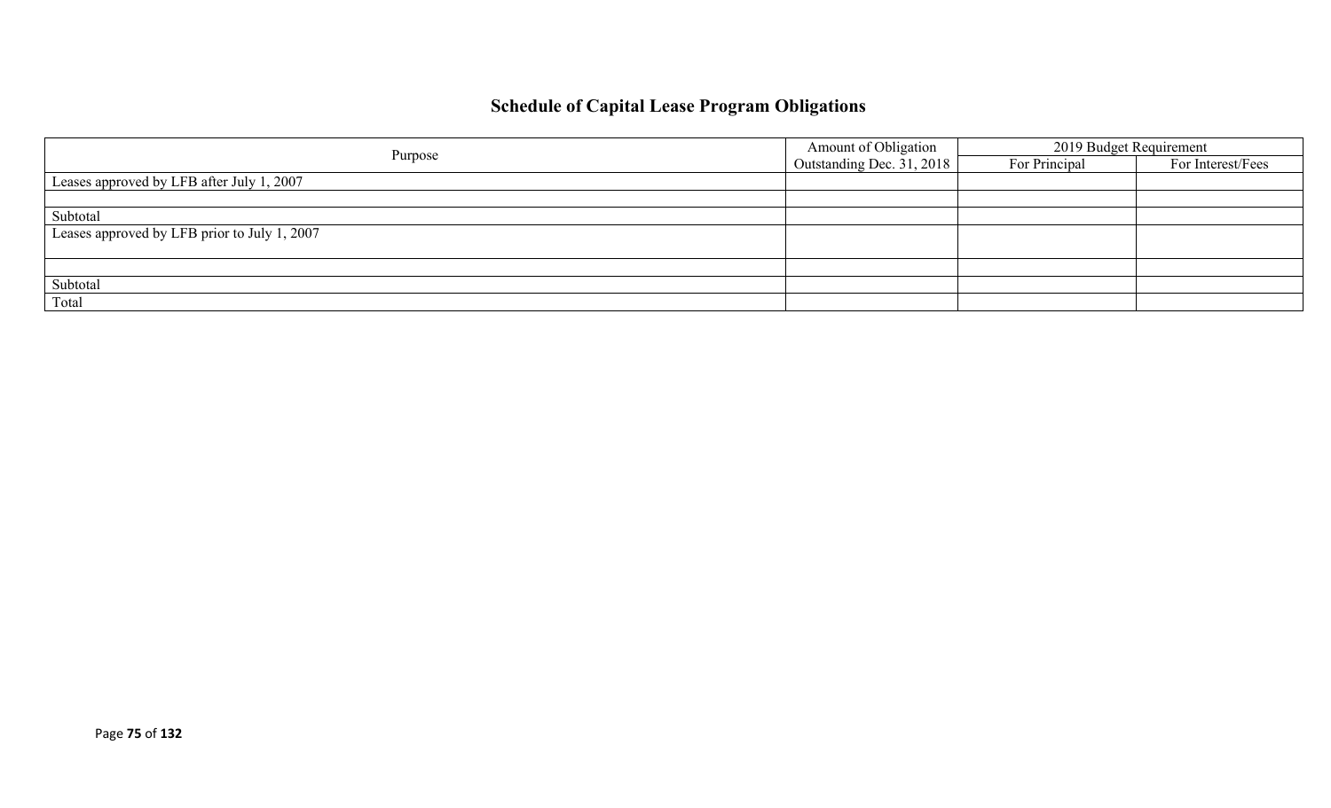# **Schedule of Capital Lease Program Obligations**

| Purpose                                      | Amount of Obligation      | 2019 Budget Requirement |                   |
|----------------------------------------------|---------------------------|-------------------------|-------------------|
|                                              | Outstanding Dec. 31, 2018 | For Principal           | For Interest/Fees |
| Leases approved by LFB after July 1, 2007    |                           |                         |                   |
|                                              |                           |                         |                   |
| Subtotal                                     |                           |                         |                   |
| Leases approved by LFB prior to July 1, 2007 |                           |                         |                   |
|                                              |                           |                         |                   |
|                                              |                           |                         |                   |
| Subtotal                                     |                           |                         |                   |
| Total                                        |                           |                         |                   |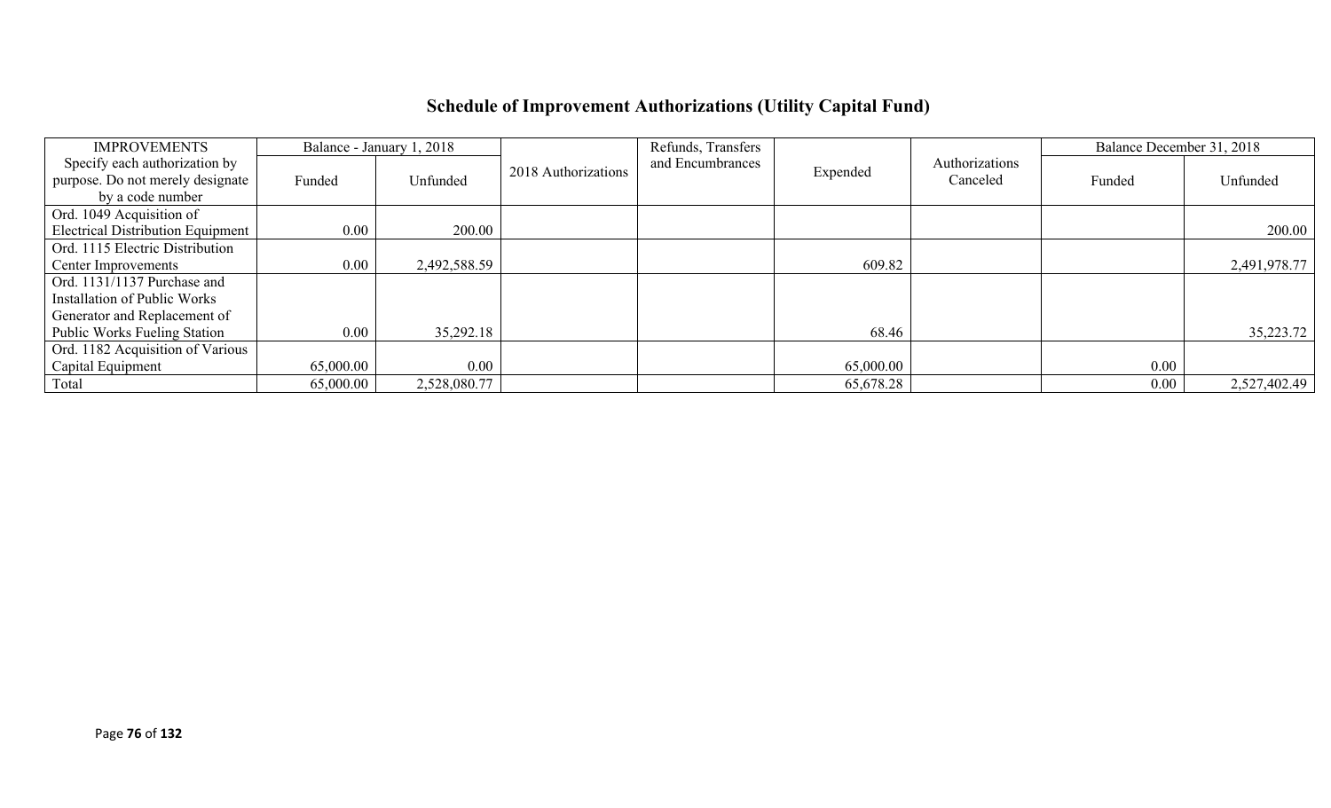# **Schedule of Improvement Authorizations (Utility Capital Fund)**

| <b>IMPROVEMENTS</b>                      |           | Balance - January 1, 2018 |                     | Refunds, Transfers |           |                | Balance December 31, 2018 |              |
|------------------------------------------|-----------|---------------------------|---------------------|--------------------|-----------|----------------|---------------------------|--------------|
| Specify each authorization by            |           |                           | 2018 Authorizations | and Encumbrances   | Expended  | Authorizations |                           |              |
| purpose. Do not merely designate         | Funded    | Unfunded                  |                     |                    |           | Canceled       | Funded                    | Unfunded     |
| by a code number                         |           |                           |                     |                    |           |                |                           |              |
| Ord. 1049 Acquisition of                 |           |                           |                     |                    |           |                |                           |              |
| <b>Electrical Distribution Equipment</b> | $0.00\,$  | 200.00                    |                     |                    |           |                |                           | 200.00       |
| Ord. 1115 Electric Distribution          |           |                           |                     |                    |           |                |                           |              |
| Center Improvements                      | 0.00      | 2,492,588.59              |                     |                    | 609.82    |                |                           | 2,491,978.77 |
| Ord. 1131/1137 Purchase and              |           |                           |                     |                    |           |                |                           |              |
| Installation of Public Works             |           |                           |                     |                    |           |                |                           |              |
| Generator and Replacement of             |           |                           |                     |                    |           |                |                           |              |
| <b>Public Works Fueling Station</b>      | 0.00      | 35,292.18                 |                     |                    | 68.46     |                |                           | 35,223.72    |
| Ord. 1182 Acquisition of Various         |           |                           |                     |                    |           |                |                           |              |
| Capital Equipment                        | 65,000.00 | 0.00                      |                     |                    | 65,000.00 |                | 0.00                      |              |
| Total                                    | 65,000.00 | 2,528,080.77              |                     |                    | 65,678.28 |                | $0.00\,$                  | 2,527,402.49 |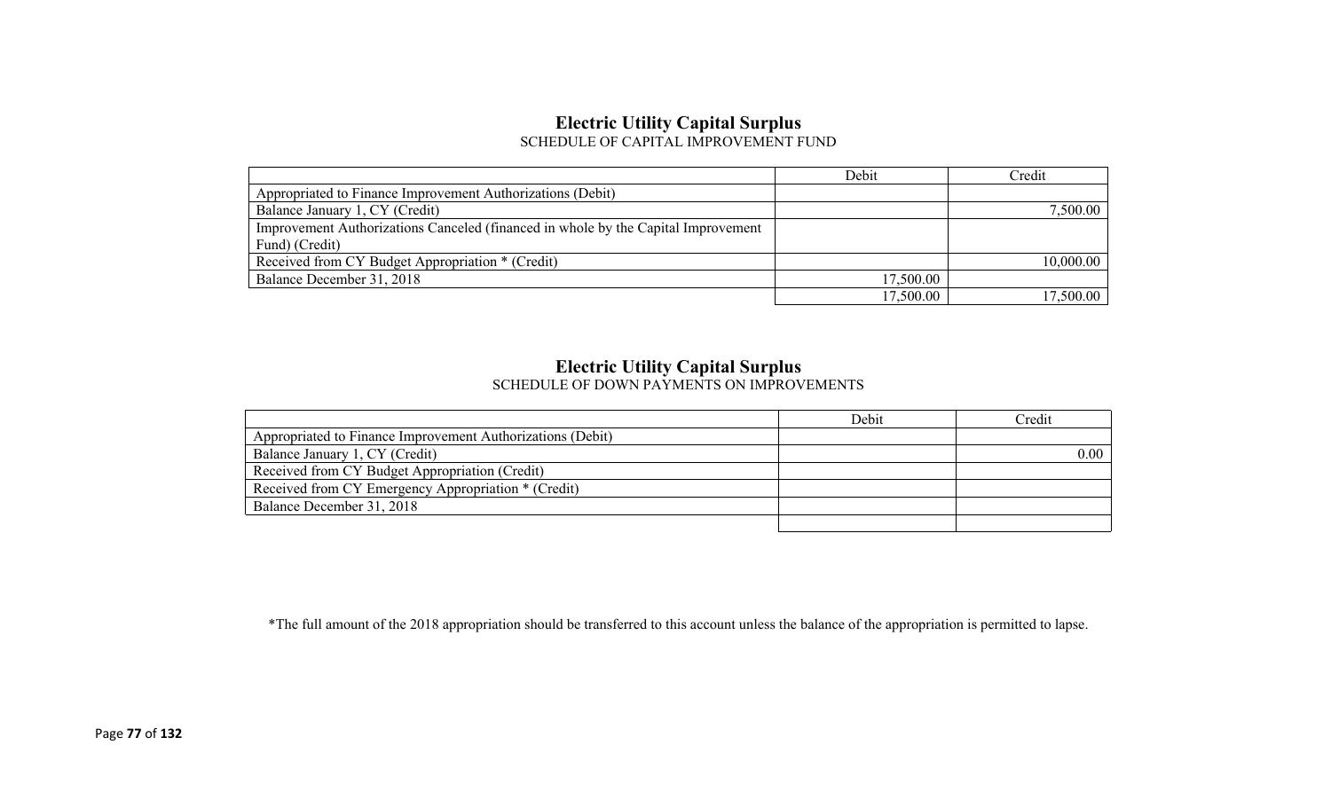### **Electric Utility Capital Surplus** SCHEDULE OF CAPITAL IMPROVEMENT FUND

|                                                                                   | Debit     | Credit    |
|-----------------------------------------------------------------------------------|-----------|-----------|
| Appropriated to Finance Improvement Authorizations (Debit)                        |           |           |
| Balance January 1, CY (Credit)                                                    |           | 7,500.00  |
| Improvement Authorizations Canceled (financed in whole by the Capital Improvement |           |           |
| Fund) (Credit)                                                                    |           |           |
| Received from CY Budget Appropriation * (Credit)                                  |           | 10,000.00 |
| Balance December 31, 2018                                                         | 17,500.00 |           |
|                                                                                   | 17,500.00 | 17,500.00 |

## **Electric Utility Capital Surplus**

SCHEDULE OF DOWN PAYMENTS ON IMPROVEMENTS

|                                                            | Debit | Credit |
|------------------------------------------------------------|-------|--------|
| Appropriated to Finance Improvement Authorizations (Debit) |       |        |
| Balance January 1, CY (Credit)                             |       | 0.00   |
| Received from CY Budget Appropriation (Credit)             |       |        |
| Received from CY Emergency Appropriation * (Credit)        |       |        |
| Balance December 31, 2018                                  |       |        |
|                                                            |       |        |

\*The full amount of the 2018 appropriation should be transferred to this account unless the balance of the appropriation is permitted to lapse.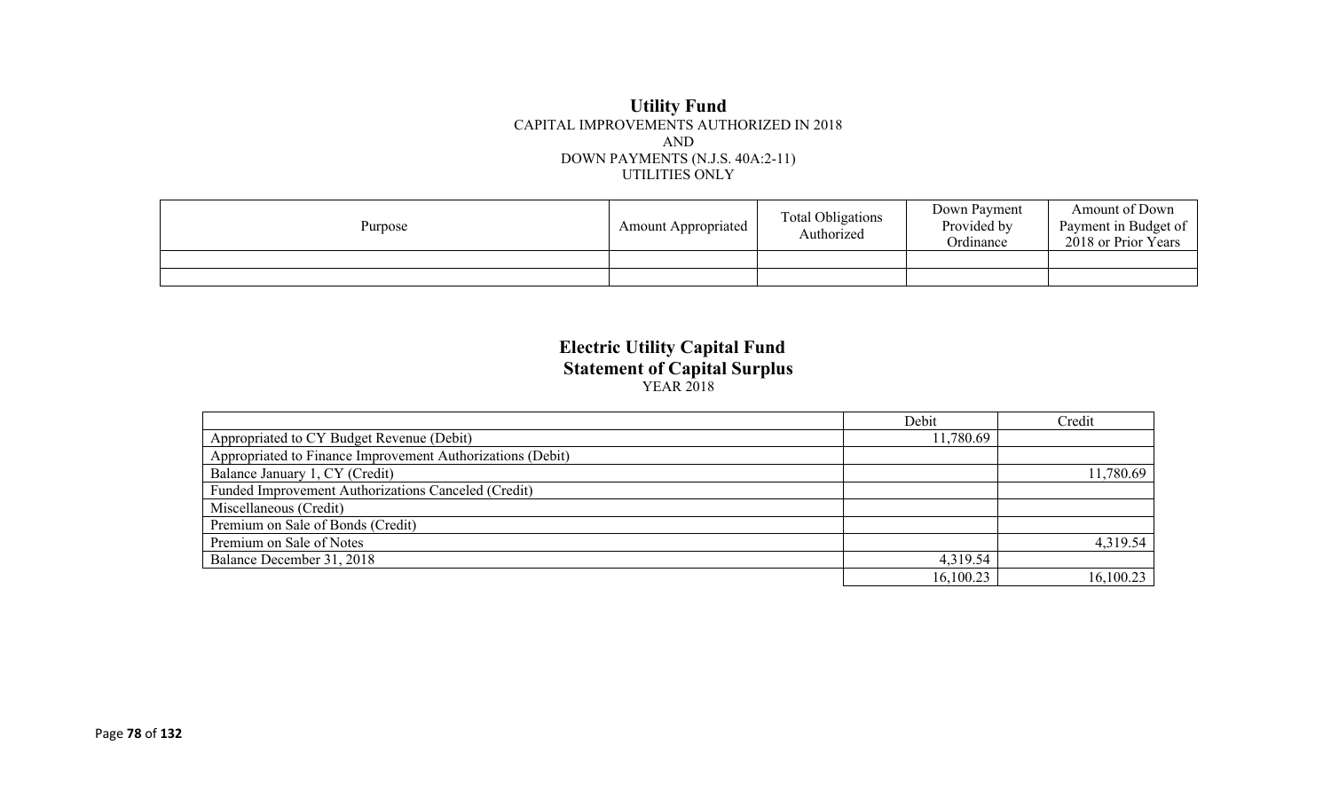#### **Utility Fund** CAPITAL IMPROVEMENTS AUTHORIZED IN 2018 AND DOWN PAYMENTS (N.J.S. 40A:2-11) UTILITIES ONLY

| Purpose | <b>Amount Appropriated</b> | <b>Total Obligations</b><br>Authorized | Down Payment<br>Provided by<br>Ordinance | Amount of Down<br>Payment in Budget of<br>2018 or Prior Years |
|---------|----------------------------|----------------------------------------|------------------------------------------|---------------------------------------------------------------|
|         |                            |                                        |                                          |                                                               |
|         |                            |                                        |                                          |                                                               |

### **Electric Utility Capital Fund Statement of Capital Surplus** YEAR 2018

|                                                            | Debit     | Credit    |
|------------------------------------------------------------|-----------|-----------|
| Appropriated to CY Budget Revenue (Debit)                  | 11,780.69 |           |
| Appropriated to Finance Improvement Authorizations (Debit) |           |           |
| Balance January 1, CY (Credit)                             |           | 11,780.69 |
| Funded Improvement Authorizations Canceled (Credit)        |           |           |
| Miscellaneous (Credit)                                     |           |           |
| Premium on Sale of Bonds (Credit)                          |           |           |
| Premium on Sale of Notes                                   |           | 4,319.54  |
| Balance December 31, 2018                                  | 4,319.54  |           |
|                                                            | 16,100.23 | 16,100.23 |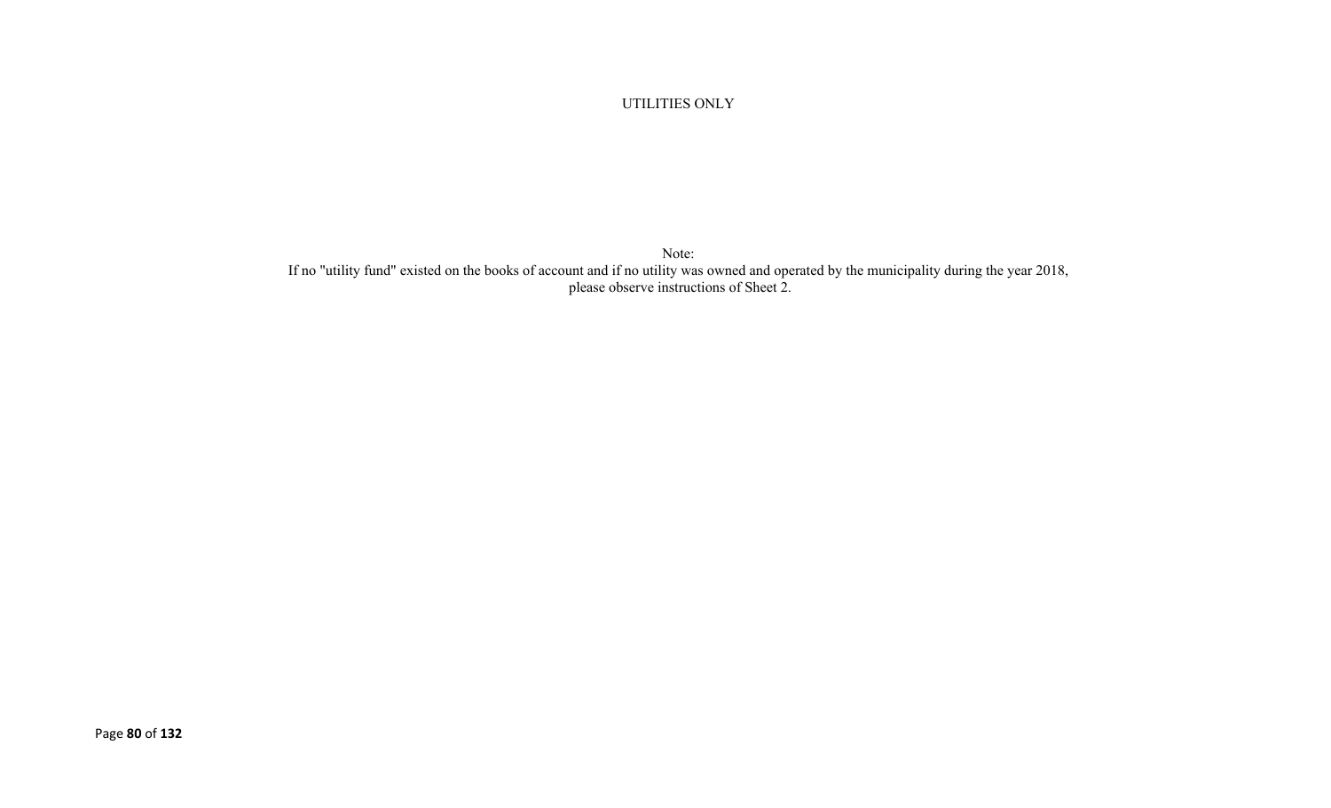UTILITIES ONLY

Note: If no "utility fund" existed on the books of account and if no utility was owned and operated by the municipality during the year 2018, please observe instructions of Sheet 2.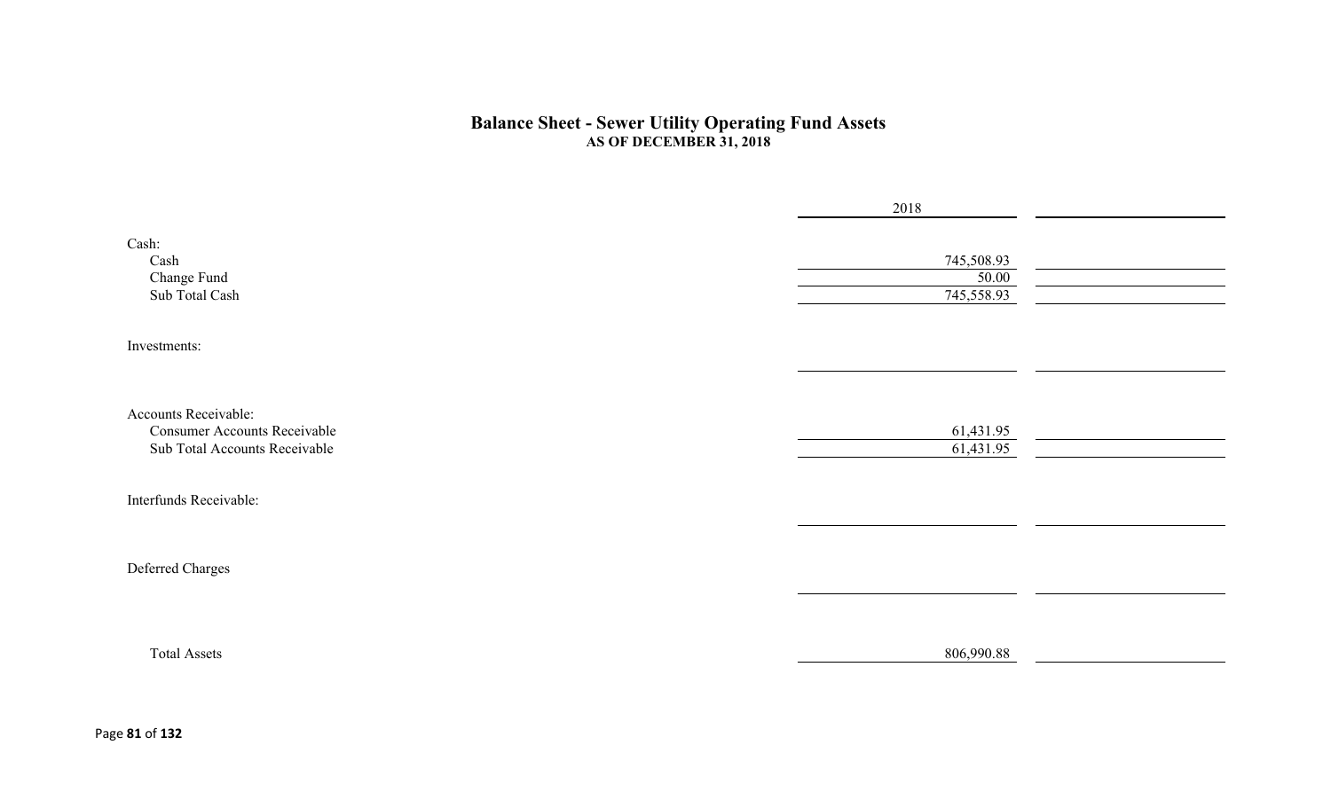#### **Balance Sheet - Sewer Utility Operating Fund Assets AS OF DECEMBER 31, 2018**

|                                                                      | 2018                              |  |
|----------------------------------------------------------------------|-----------------------------------|--|
| Cash:<br>Cash<br>Change Fund<br>Sub Total Cash                       | 745,508.93<br>50.00<br>745,558.93 |  |
| Investments:                                                         |                                   |  |
|                                                                      |                                   |  |
| Accounts Receivable:                                                 |                                   |  |
| <b>Consumer Accounts Receivable</b><br>Sub Total Accounts Receivable | 61,431.95<br>61,431.95            |  |
|                                                                      |                                   |  |
| Interfunds Receivable:                                               |                                   |  |
|                                                                      |                                   |  |
| Deferred Charges                                                     |                                   |  |
|                                                                      |                                   |  |
| <b>Total Assets</b>                                                  | 806,990.88                        |  |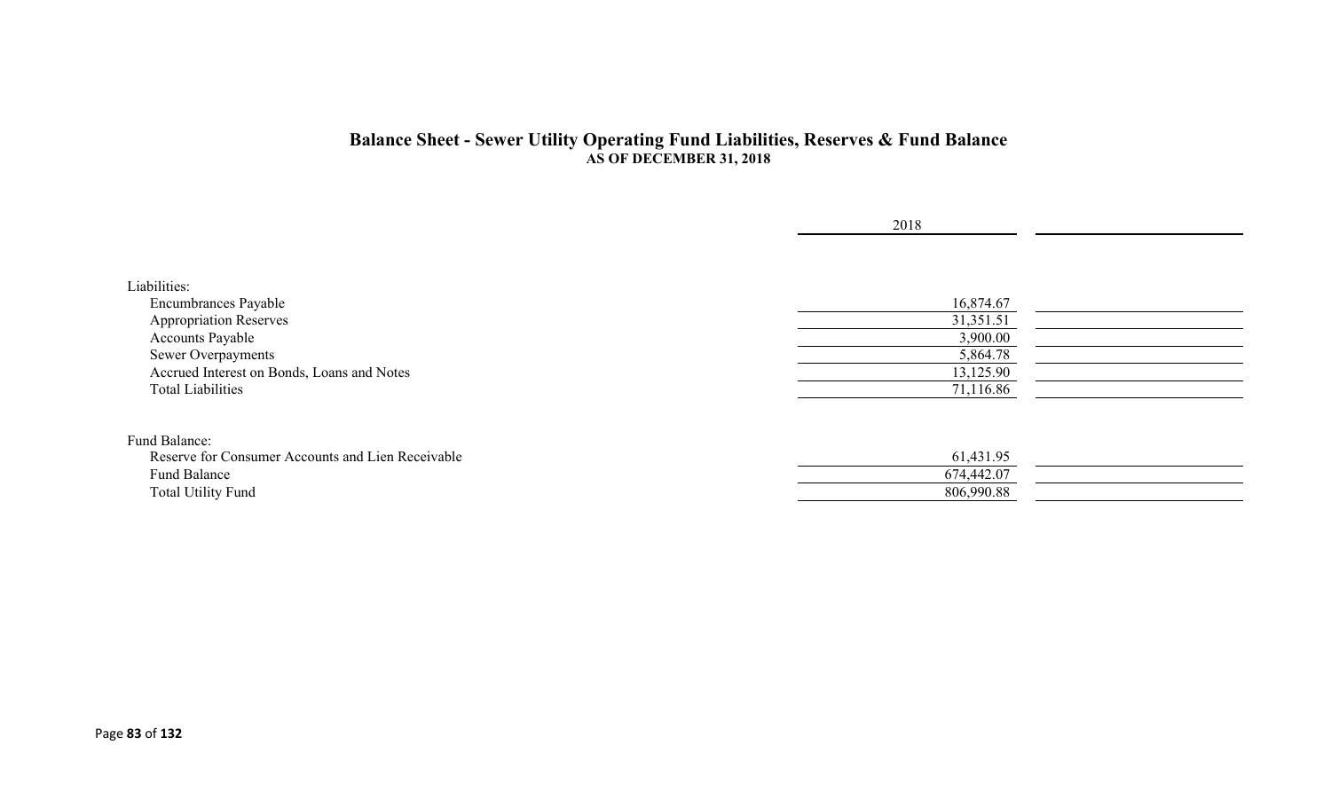### **Balance Sheet - Sewer Utility Operating Fund Liabilities, Reserves & Fund Balance AS OF DECEMBER 31, 2018**

|                                                   | 2018       |  |
|---------------------------------------------------|------------|--|
|                                                   |            |  |
| Liabilities:                                      |            |  |
| Encumbrances Payable                              | 16,874.67  |  |
| <b>Appropriation Reserves</b>                     | 31,351.51  |  |
| <b>Accounts Payable</b>                           | 3,900.00   |  |
| Sewer Overpayments                                | 5,864.78   |  |
| Accrued Interest on Bonds, Loans and Notes        | 13,125.90  |  |
| <b>Total Liabilities</b>                          | 71,116.86  |  |
|                                                   |            |  |
| Fund Balance:                                     |            |  |
| Reserve for Consumer Accounts and Lien Receivable | 61,431.95  |  |
| Fund Balance                                      | 674,442.07 |  |
| <b>Total Utility Fund</b>                         | 806,990.88 |  |
|                                                   |            |  |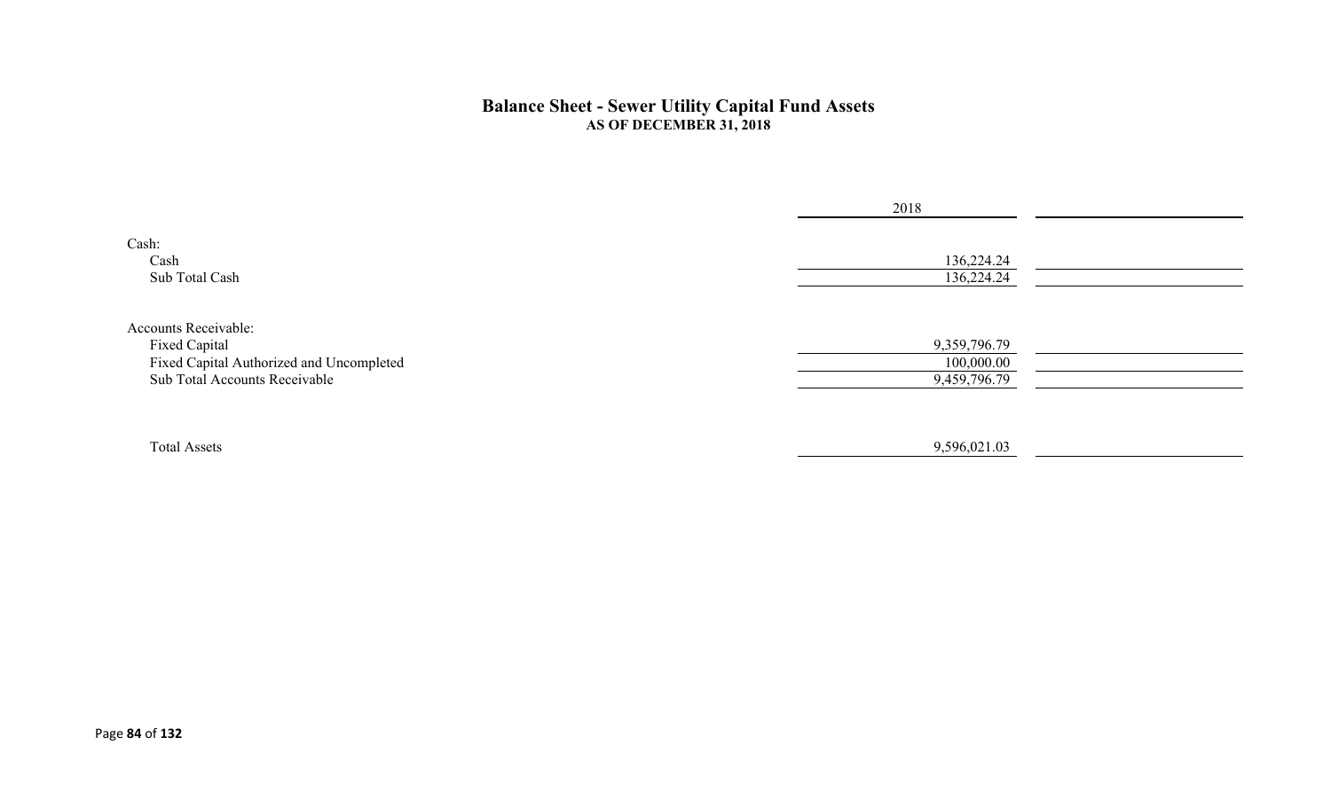#### **Balance Sheet - Sewer Utility Capital Fund Assets AS OF DECEMBER 31, 2018**

|                                                                                                                           | 2018                                       |  |
|---------------------------------------------------------------------------------------------------------------------------|--------------------------------------------|--|
| Cash:<br>Cash<br>Sub Total Cash                                                                                           | 136,224.24<br>136,224.24                   |  |
| <b>Accounts Receivable:</b><br>Fixed Capital<br>Fixed Capital Authorized and Uncompleted<br>Sub Total Accounts Receivable | 9,359,796.79<br>100,000.00<br>9,459,796.79 |  |
| <b>Total Assets</b>                                                                                                       | 9,596,021.03                               |  |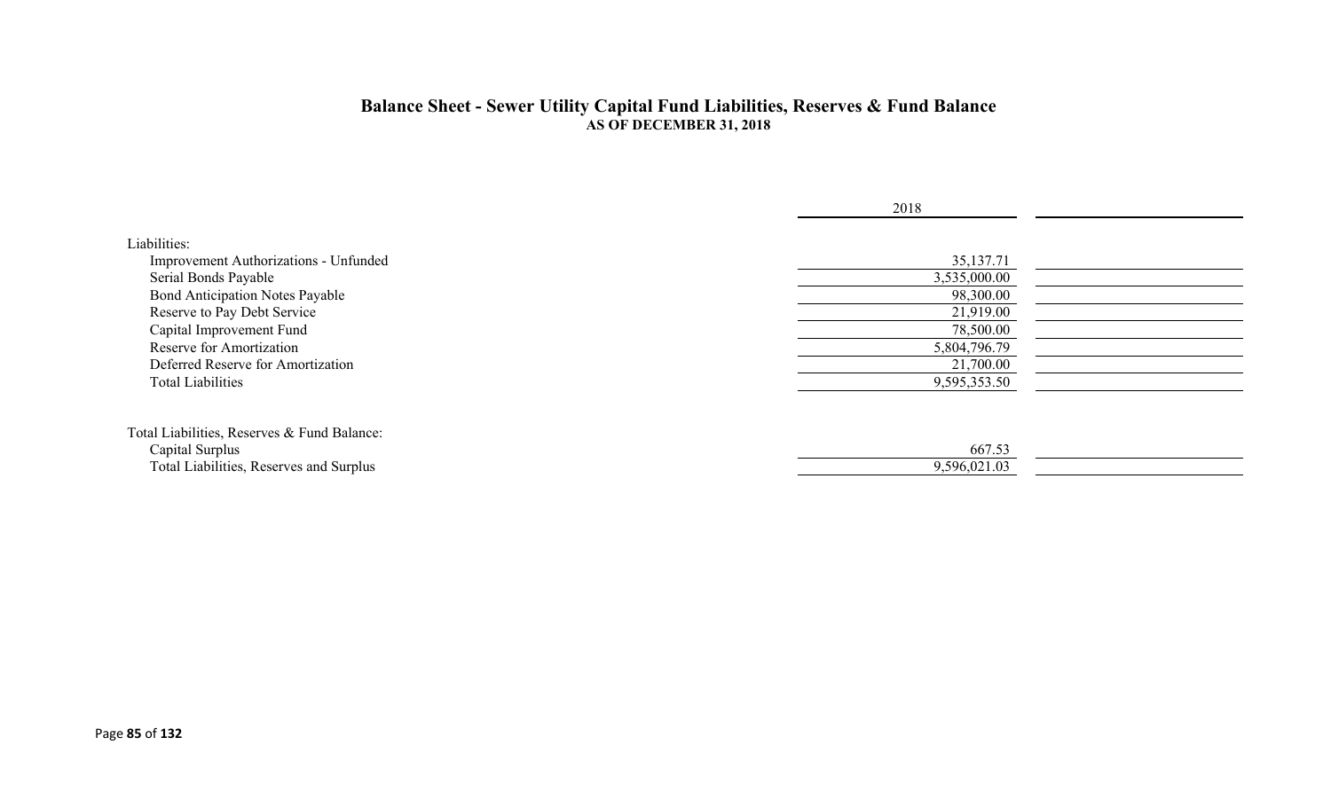#### **Balance Sheet - Sewer Utility Capital Fund Liabilities, Reserves & Fund Balance AS OF DECEMBER 31, 2018**

|                                             | 2018         |
|---------------------------------------------|--------------|
| Liabilities:                                |              |
| Improvement Authorizations - Unfunded       | 35,137.71    |
| Serial Bonds Payable                        | 3,535,000.00 |
| <b>Bond Anticipation Notes Payable</b>      | 98,300.00    |
| Reserve to Pay Debt Service                 | 21,919.00    |
| Capital Improvement Fund                    | 78,500.00    |
| Reserve for Amortization                    | 5,804,796.79 |
| Deferred Reserve for Amortization           | 21,700.00    |
| <b>Total Liabilities</b>                    | 9,595,353.50 |
| Total Liabilities, Reserves & Fund Balance: |              |
| Capital Surplus                             | 667.53       |
| Total Liabilities, Reserves and Surplus     | 9,596,021.03 |
|                                             |              |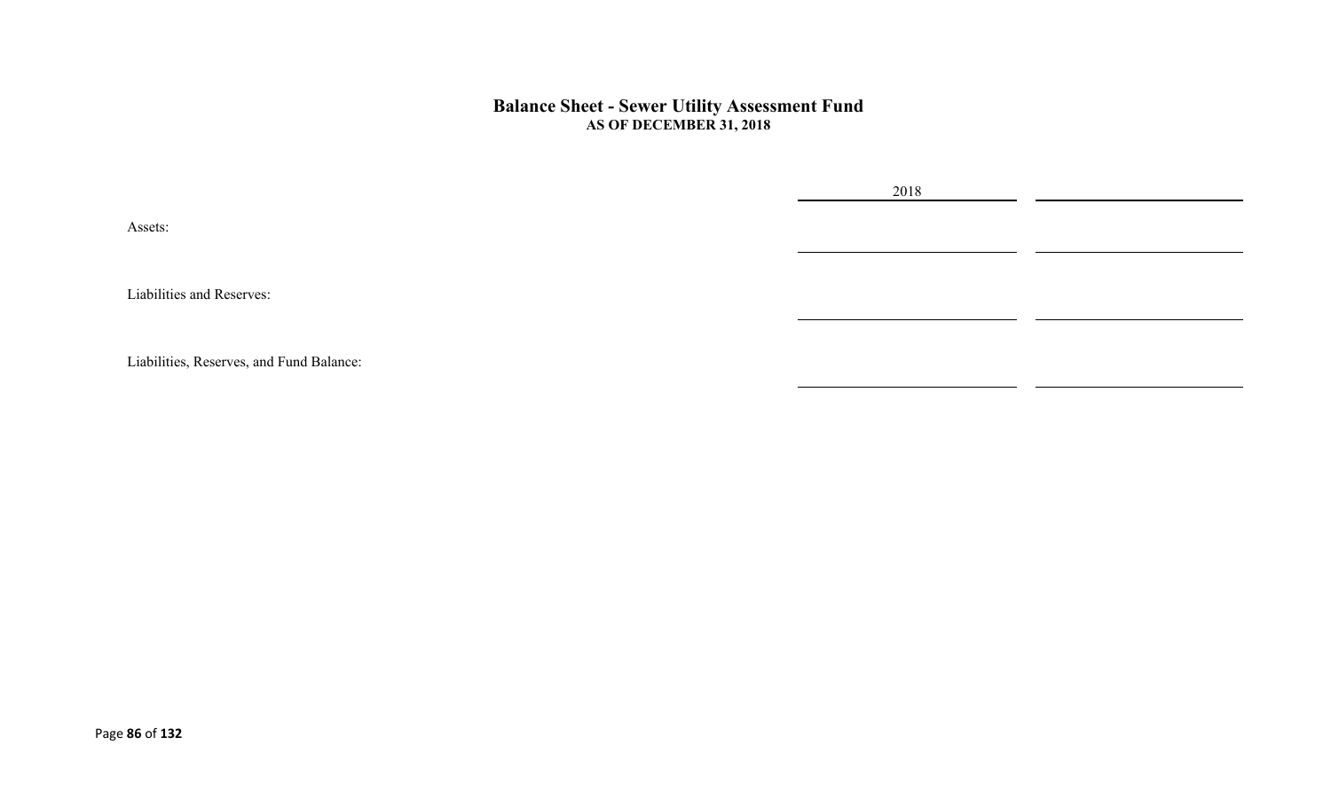#### **Balance Sheet - Sewer Utility Assessment Fund AS OF DECEMBER 31, 2018**

2018

Assets:

Liabilities and Reserves:

Liabilities, Reserves, and Fund Balance: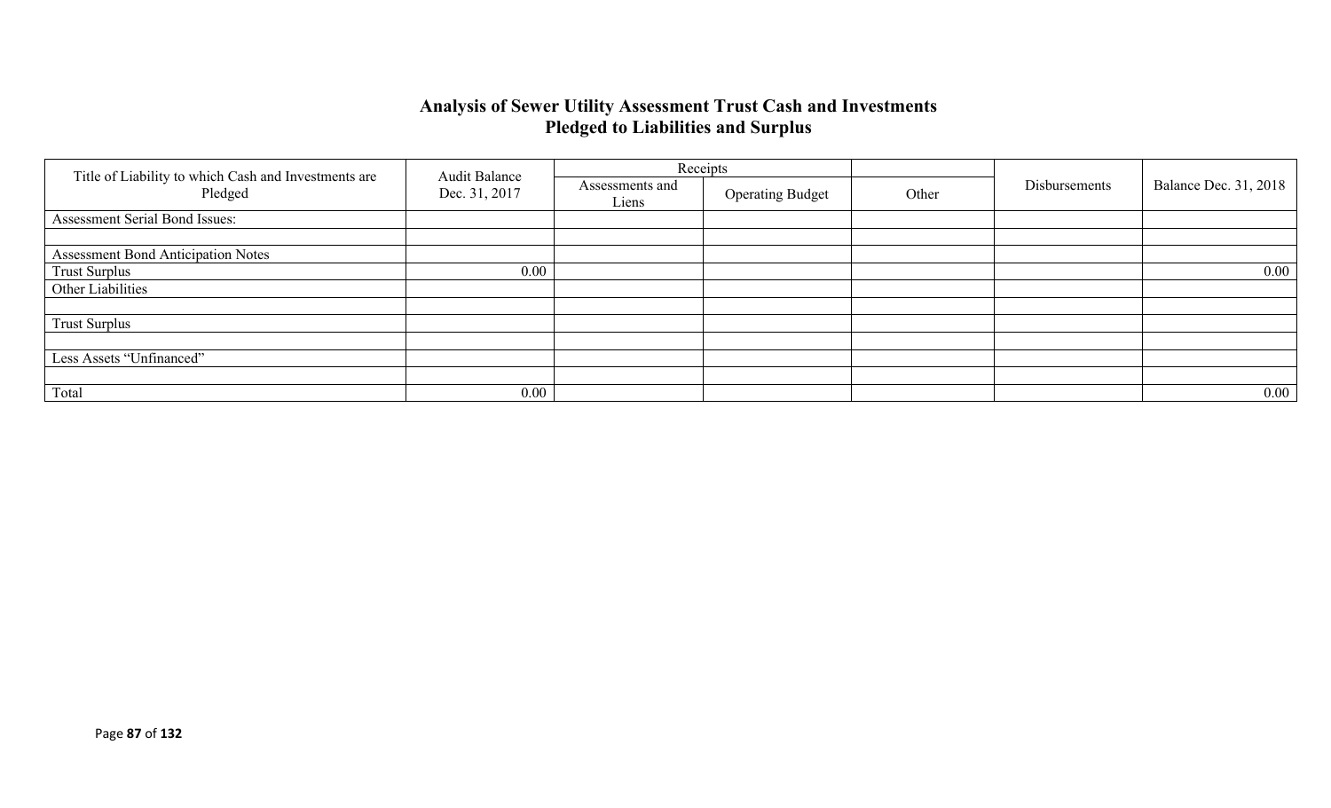## **Analysis of Sewer Utility Assessment Trust Cash and Investments Pledged to Liabilities and Surplus**

|                                                                 | <b>Audit Balance</b> |                          | Receipts                |       |               |          |                              |
|-----------------------------------------------------------------|----------------------|--------------------------|-------------------------|-------|---------------|----------|------------------------------|
| Title of Liability to which Cash and Investments are<br>Pledged | Dec. 31, 2017        | Assessments and<br>Liens | <b>Operating Budget</b> | Other | Disbursements |          | <b>Balance Dec. 31, 2018</b> |
| Assessment Serial Bond Issues:                                  |                      |                          |                         |       |               |          |                              |
|                                                                 |                      |                          |                         |       |               |          |                              |
| <b>Assessment Bond Anticipation Notes</b>                       |                      |                          |                         |       |               |          |                              |
| <b>Trust Surplus</b>                                            | 0.00                 |                          |                         |       |               | $0.00\,$ |                              |
| Other Liabilities                                               |                      |                          |                         |       |               |          |                              |
|                                                                 |                      |                          |                         |       |               |          |                              |
| <b>Trust Surplus</b>                                            |                      |                          |                         |       |               |          |                              |
|                                                                 |                      |                          |                         |       |               |          |                              |
| Less Assets "Unfinanced"                                        |                      |                          |                         |       |               |          |                              |
|                                                                 |                      |                          |                         |       |               |          |                              |
| Total                                                           | 0.00                 |                          |                         |       |               | $0.00\,$ |                              |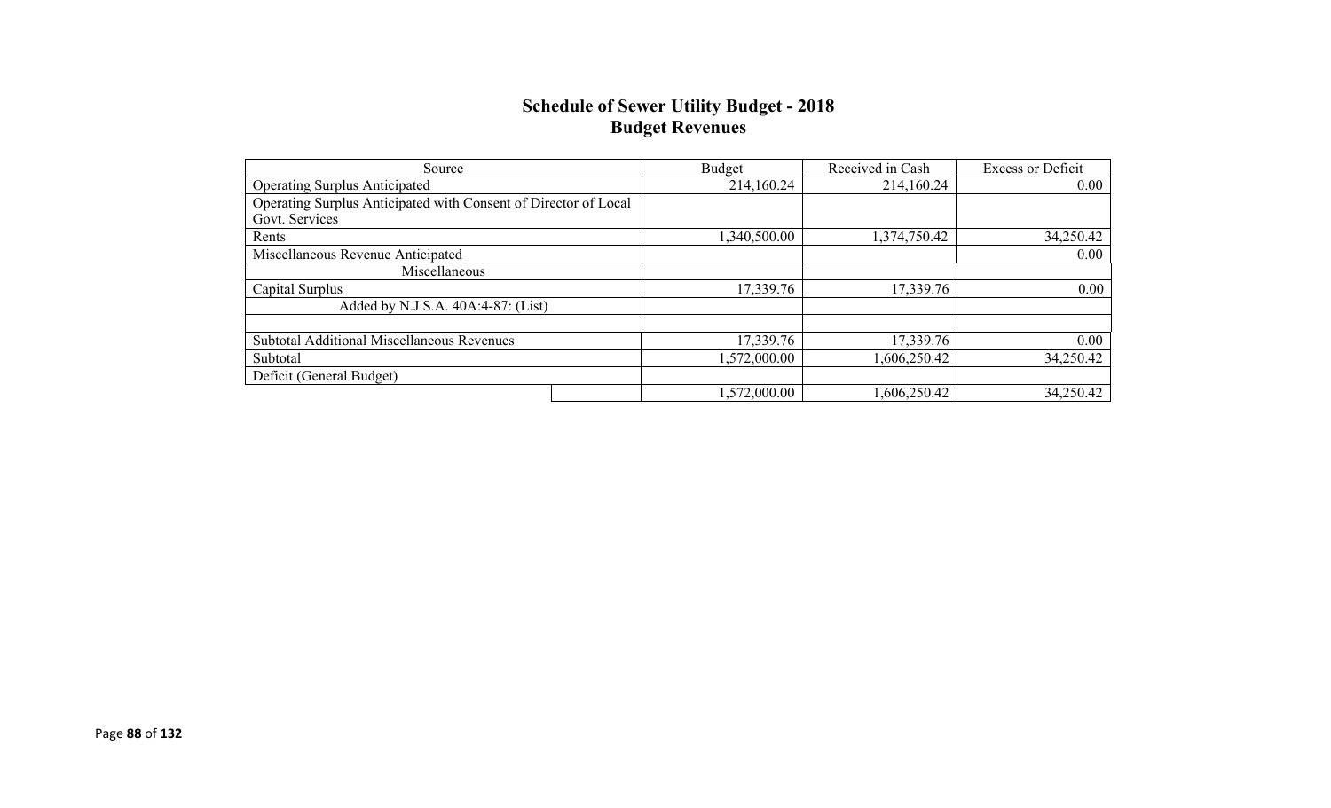## **Schedule of Sewer Utility Budget - 2018 Budget Revenues**

| Source                                                          | Budget       | Received in Cash | <b>Excess or Deficit</b> |
|-----------------------------------------------------------------|--------------|------------------|--------------------------|
| <b>Operating Surplus Anticipated</b>                            | 214,160.24   | 214,160.24       | 0.00                     |
| Operating Surplus Anticipated with Consent of Director of Local |              |                  |                          |
| Govt. Services                                                  |              |                  |                          |
| Rents                                                           | 1,340,500.00 | 1,374,750.42     | 34,250.42                |
| Miscellaneous Revenue Anticipated                               |              |                  | $0.00\,$                 |
| Miscellaneous                                                   |              |                  |                          |
| Capital Surplus                                                 | 17,339.76    | 17,339.76        | 0.00                     |
| Added by N.J.S.A. 40A:4-87: (List)                              |              |                  |                          |
|                                                                 |              |                  |                          |
| <b>Subtotal Additional Miscellaneous Revenues</b>               | 17,339.76    | 17,339.76        | $0.00\,$                 |
| Subtotal                                                        | 1,572,000.00 | 1,606,250.42     | 34,250.42                |
| Deficit (General Budget)                                        |              |                  |                          |
|                                                                 | 1,572,000.00 | 1,606,250.42     | 34,250.42                |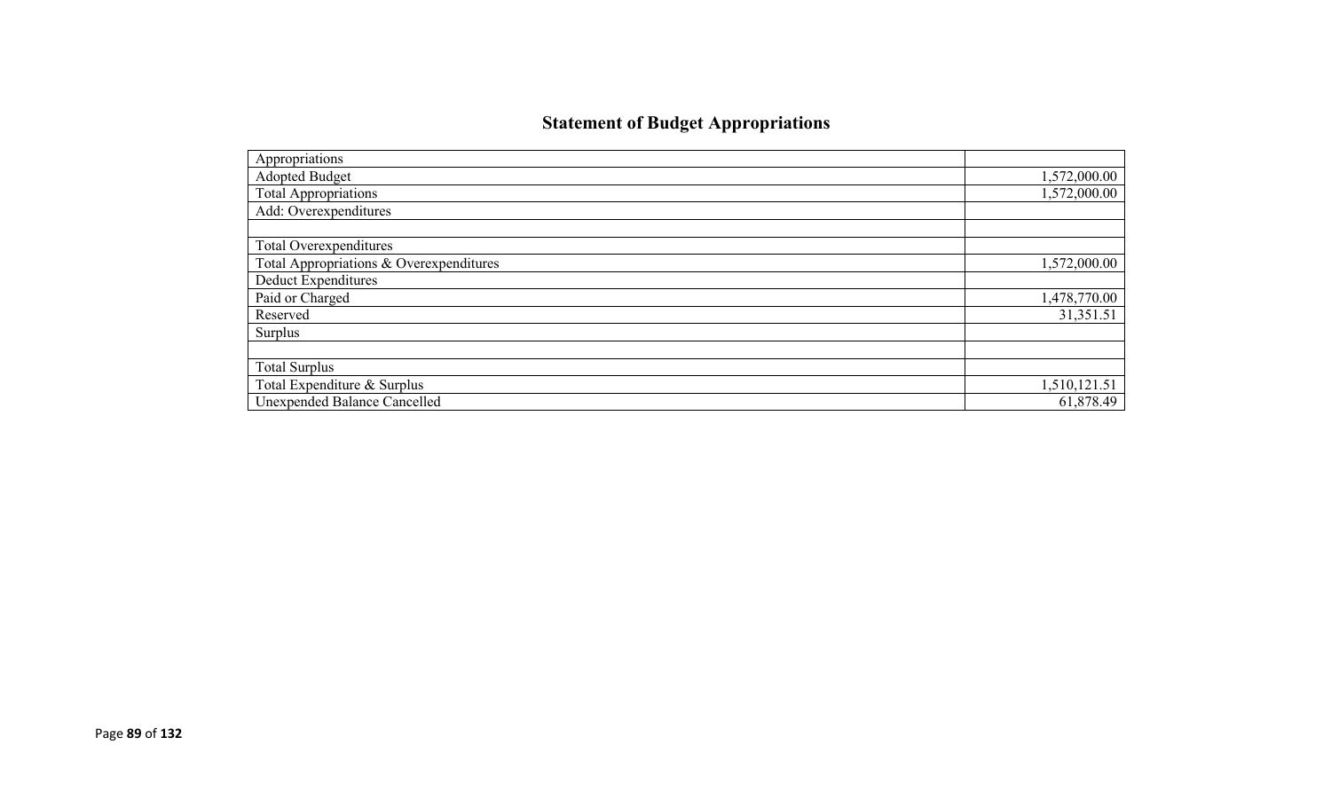# **Statement of Budget Appropriations**

| Appropriations                          |              |
|-----------------------------------------|--------------|
| <b>Adopted Budget</b>                   | 1,572,000.00 |
| <b>Total Appropriations</b>             | 1,572,000.00 |
| Add: Overexpenditures                   |              |
|                                         |              |
| Total Overexpenditures                  |              |
| Total Appropriations & Overexpenditures | 1,572,000.00 |
| Deduct Expenditures                     |              |
| Paid or Charged                         | 1,478,770.00 |
| Reserved                                | 31,351.51    |
| Surplus                                 |              |
|                                         |              |
| <b>Total Surplus</b>                    |              |
| Total Expenditure & Surplus             | 1,510,121.51 |
| <b>Unexpended Balance Cancelled</b>     | 61,878.49    |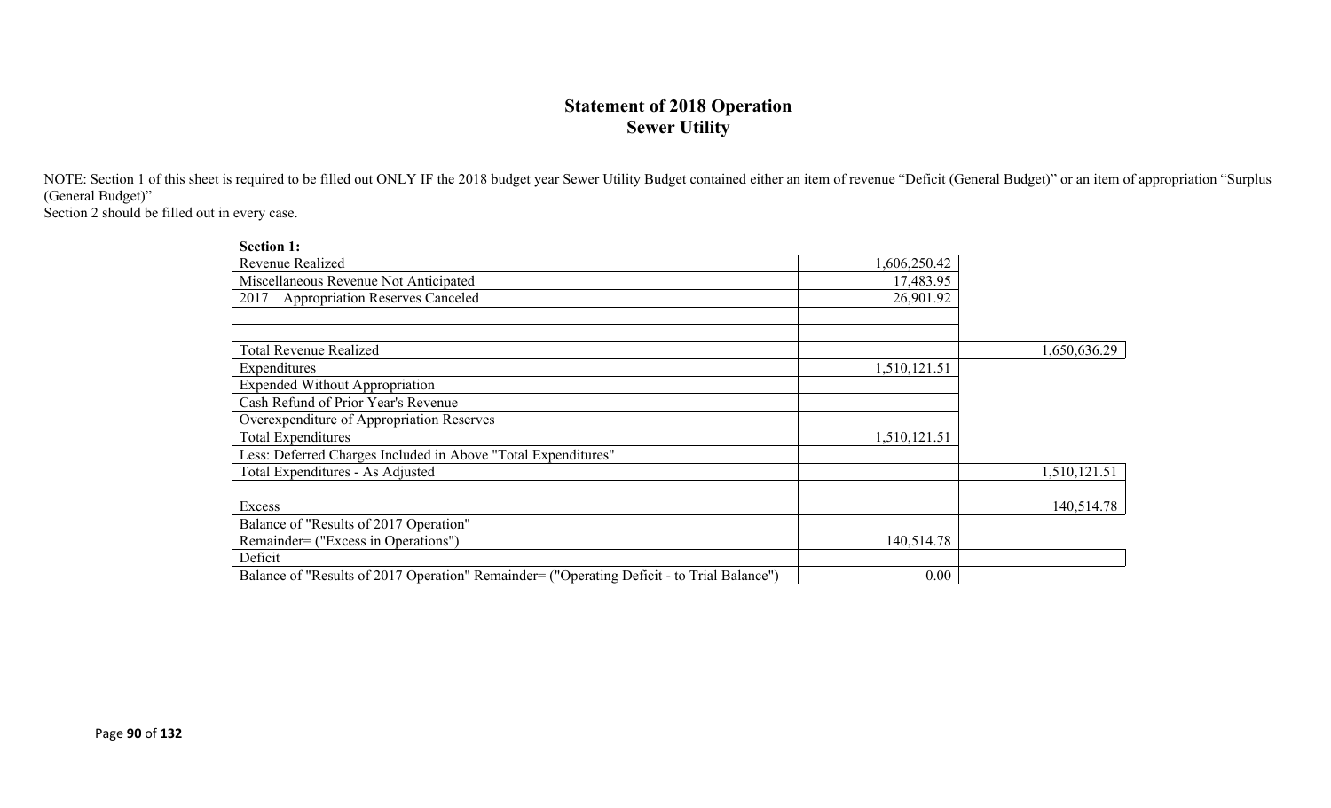## **Statement of 2018 Operation Sewer Utility**

NOTE: Section 1 of this sheet is required to be filled out ONLY IF the 2018 budget year Sewer Utility Budget contained either an item of revenue "Deficit (General Budget)" or an item of appropriation "Surplus (General Budget)"

Section 2 should be filled out in every case.

| <b>Section 1:</b>                                                                          |              |              |
|--------------------------------------------------------------------------------------------|--------------|--------------|
| <b>Revenue Realized</b>                                                                    | 1,606,250.42 |              |
| Miscellaneous Revenue Not Anticipated                                                      | 17,483.95    |              |
| <b>Appropriation Reserves Canceled</b><br>2017                                             | 26,901.92    |              |
|                                                                                            |              |              |
|                                                                                            |              |              |
| <b>Total Revenue Realized</b>                                                              |              | 1,650,636.29 |
| Expenditures                                                                               | 1,510,121.51 |              |
| <b>Expended Without Appropriation</b>                                                      |              |              |
| Cash Refund of Prior Year's Revenue                                                        |              |              |
| Overexpenditure of Appropriation Reserves                                                  |              |              |
| <b>Total Expenditures</b>                                                                  | 1,510,121.51 |              |
| Less: Deferred Charges Included in Above "Total Expenditures"                              |              |              |
| Total Expenditures - As Adjusted                                                           |              | 1,510,121.51 |
|                                                                                            |              |              |
| Excess                                                                                     |              | 140,514.78   |
| Balance of "Results of 2017 Operation"                                                     |              |              |
| Remainder= ("Excess in Operations")                                                        | 140,514.78   |              |
| Deficit                                                                                    |              |              |
| Balance of "Results of 2017 Operation" Remainder= ("Operating Deficit - to Trial Balance") | 0.00         |              |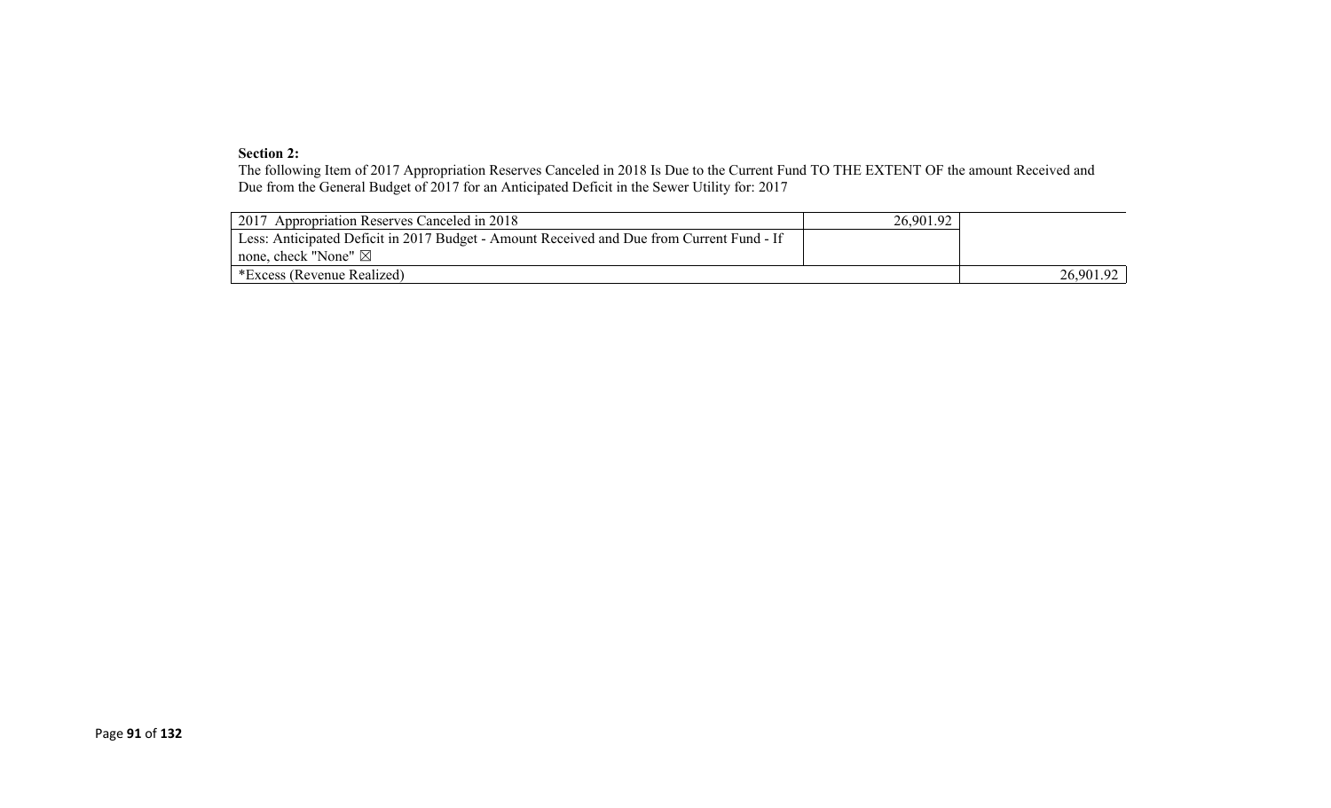#### **Section 2:**

The following Item of 2017 Appropriation Reserves Canceled in 2018 Is Due to the Current Fund TO THE EXTENT OF the amount Received and Due from the General Budget of 2017 for an Anticipated Deficit in the Sewer Utility for: 2017

| 2017 Appropriation Reserves Canceled in 2018                                              | 26,901.92 |           |
|-------------------------------------------------------------------------------------------|-----------|-----------|
| Less: Anticipated Deficit in 2017 Budget - Amount Received and Due from Current Fund - If |           |           |
| none, check "None" $\boxtimes$                                                            |           |           |
| *Excess (Revenue Realized)                                                                |           | 26,901.92 |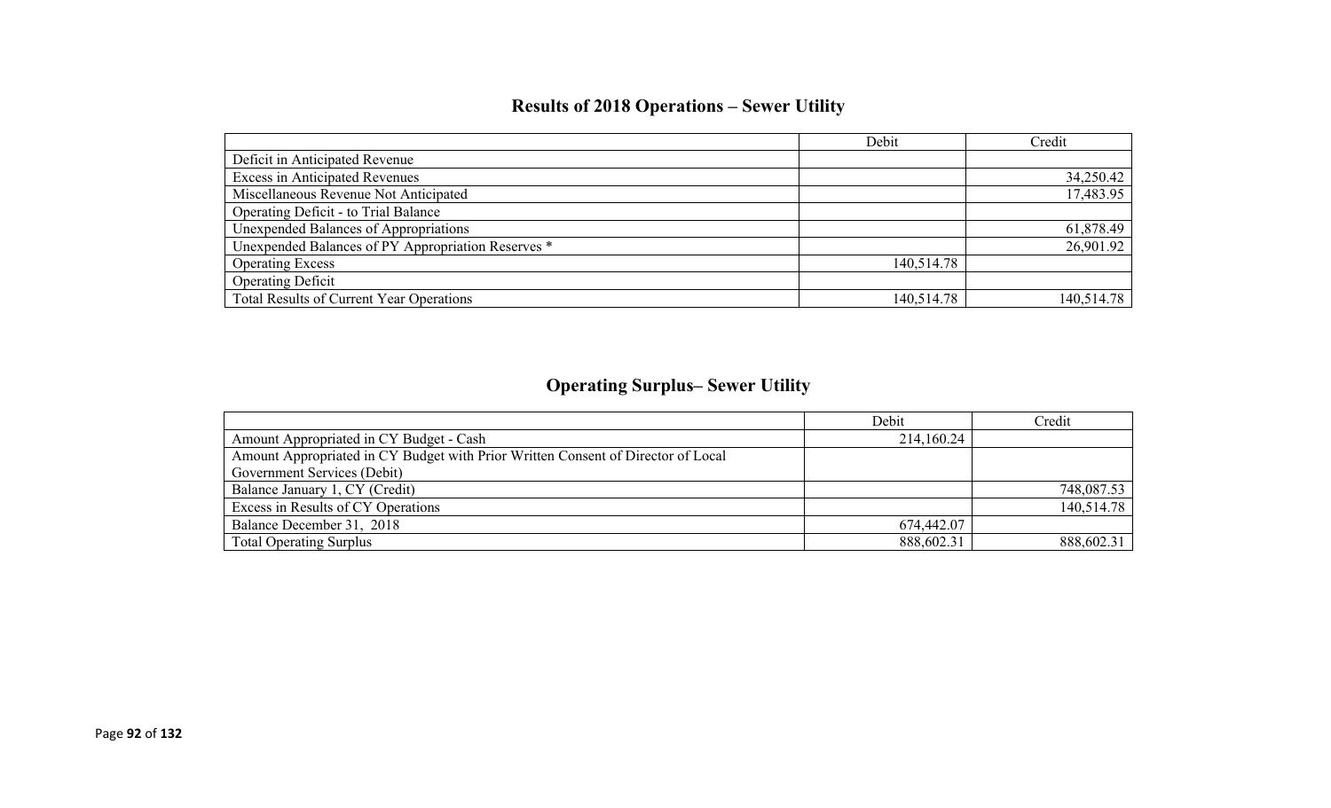# **Results of 2018 Operations – Sewer Utility**

|                                                    | Debit      | Credit     |
|----------------------------------------------------|------------|------------|
| Deficit in Anticipated Revenue                     |            |            |
| <b>Excess in Anticipated Revenues</b>              |            | 34,250.42  |
| Miscellaneous Revenue Not Anticipated              |            | 17,483.95  |
| Operating Deficit - to Trial Balance               |            |            |
| Unexpended Balances of Appropriations              |            | 61,878.49  |
| Unexpended Balances of PY Appropriation Reserves * |            | 26,901.92  |
| <b>Operating Excess</b>                            | 140,514.78 |            |
| <b>Operating Deficit</b>                           |            |            |
| Total Results of Current Year Operations           | 140,514.78 | 140,514.78 |

# **Operating Surplus– Sewer Utility**

|                                                                                  | Debit      | Credit     |
|----------------------------------------------------------------------------------|------------|------------|
| Amount Appropriated in CY Budget - Cash                                          | 214,160.24 |            |
| Amount Appropriated in CY Budget with Prior Written Consent of Director of Local |            |            |
| Government Services (Debit)                                                      |            |            |
| Balance January 1, CY (Credit)                                                   |            | 748,087.53 |
| Excess in Results of CY Operations                                               |            | 140,514.78 |
| Balance December 31, 2018                                                        | 674,442.07 |            |
| <b>Total Operating Surplus</b>                                                   | 888,602.31 | 888,602.31 |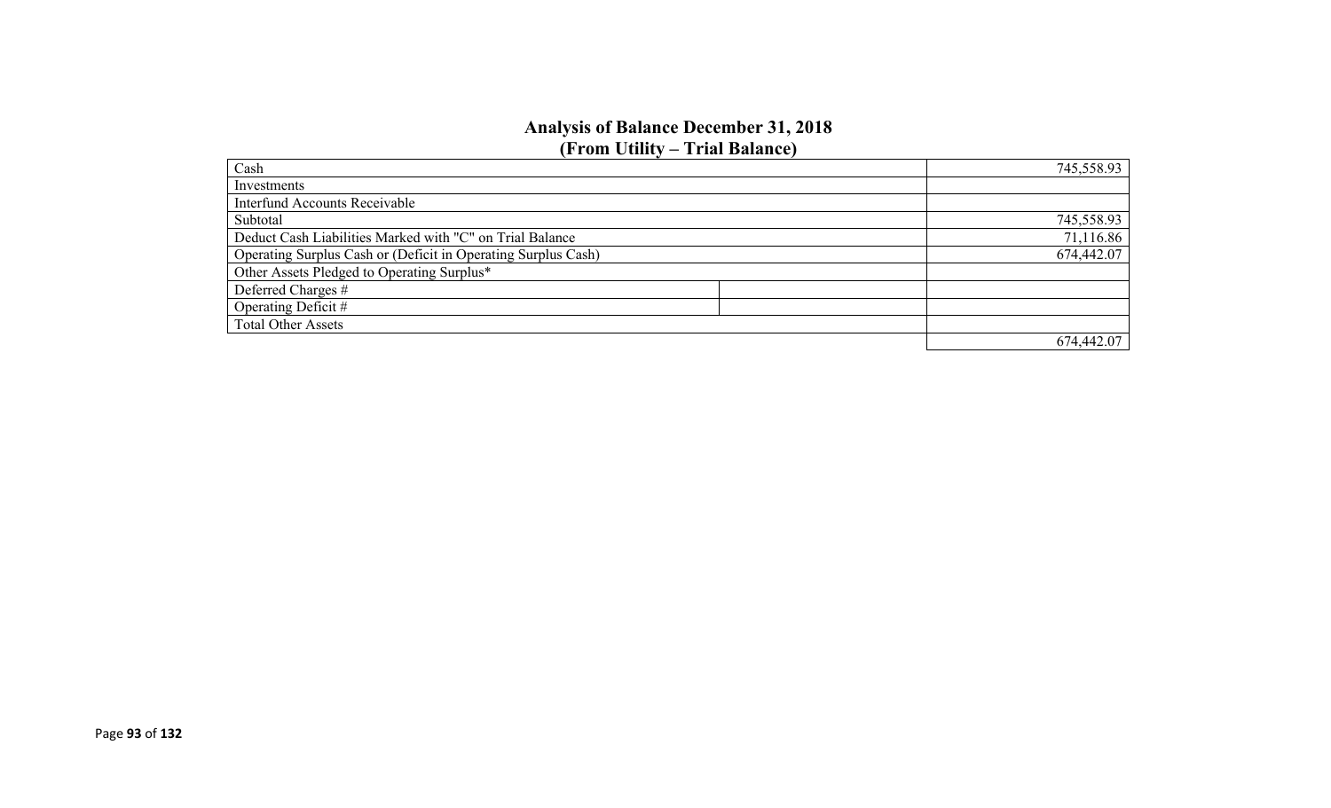### **Analysis of Balance December 31, 2018 (From Utility – Trial Balance)**

| Cash                                                          | 745,558.93 |
|---------------------------------------------------------------|------------|
| Investments                                                   |            |
| <b>Interfund Accounts Receivable</b>                          |            |
| Subtotal                                                      | 745,558.93 |
| Deduct Cash Liabilities Marked with "C" on Trial Balance      | 71,116.86  |
| Operating Surplus Cash or (Deficit in Operating Surplus Cash) | 674,442.07 |
| Other Assets Pledged to Operating Surplus*                    |            |
| Deferred Charges #                                            |            |
| Operating Deficit #                                           |            |
| <b>Total Other Assets</b>                                     |            |
|                                                               | 674,442.07 |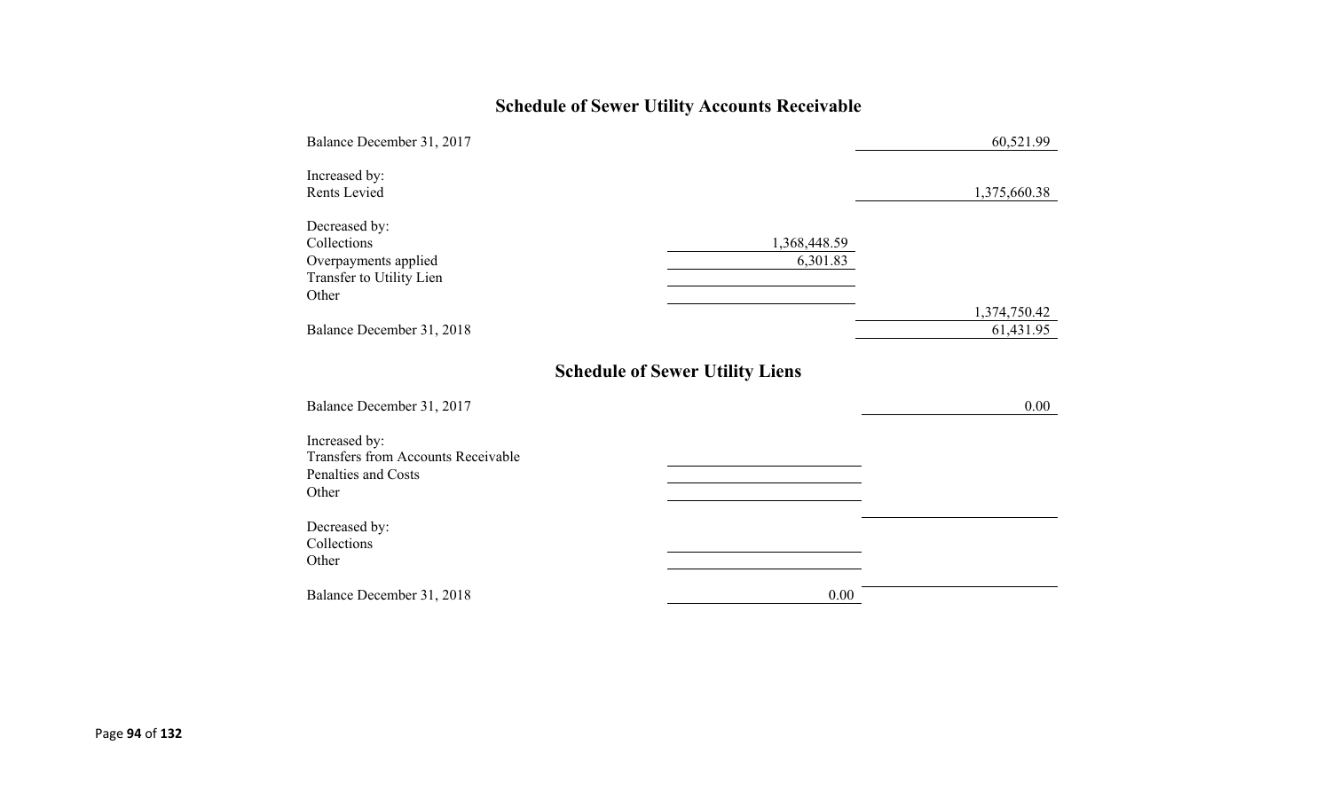# **Schedule of Sewer Utility Accounts Receivable**

| Balance December 31, 2017                                                                  |                                        | 60,521.99                 |
|--------------------------------------------------------------------------------------------|----------------------------------------|---------------------------|
| Increased by:<br>Rents Levied                                                              |                                        | 1,375,660.38              |
| Decreased by:<br>Collections<br>Overpayments applied<br>Transfer to Utility Lien<br>Other  | 1,368,448.59<br>6,301.83               |                           |
| Balance December 31, 2018                                                                  |                                        | 1,374,750.42<br>61,431.95 |
| Balance December 31, 2017                                                                  | <b>Schedule of Sewer Utility Liens</b> | 0.00                      |
| Increased by:<br><b>Transfers from Accounts Receivable</b><br>Penalties and Costs<br>Other |                                        |                           |
| Decreased by:<br>Collections<br>Other                                                      |                                        |                           |
| Balance December 31, 2018                                                                  | 0.00                                   |                           |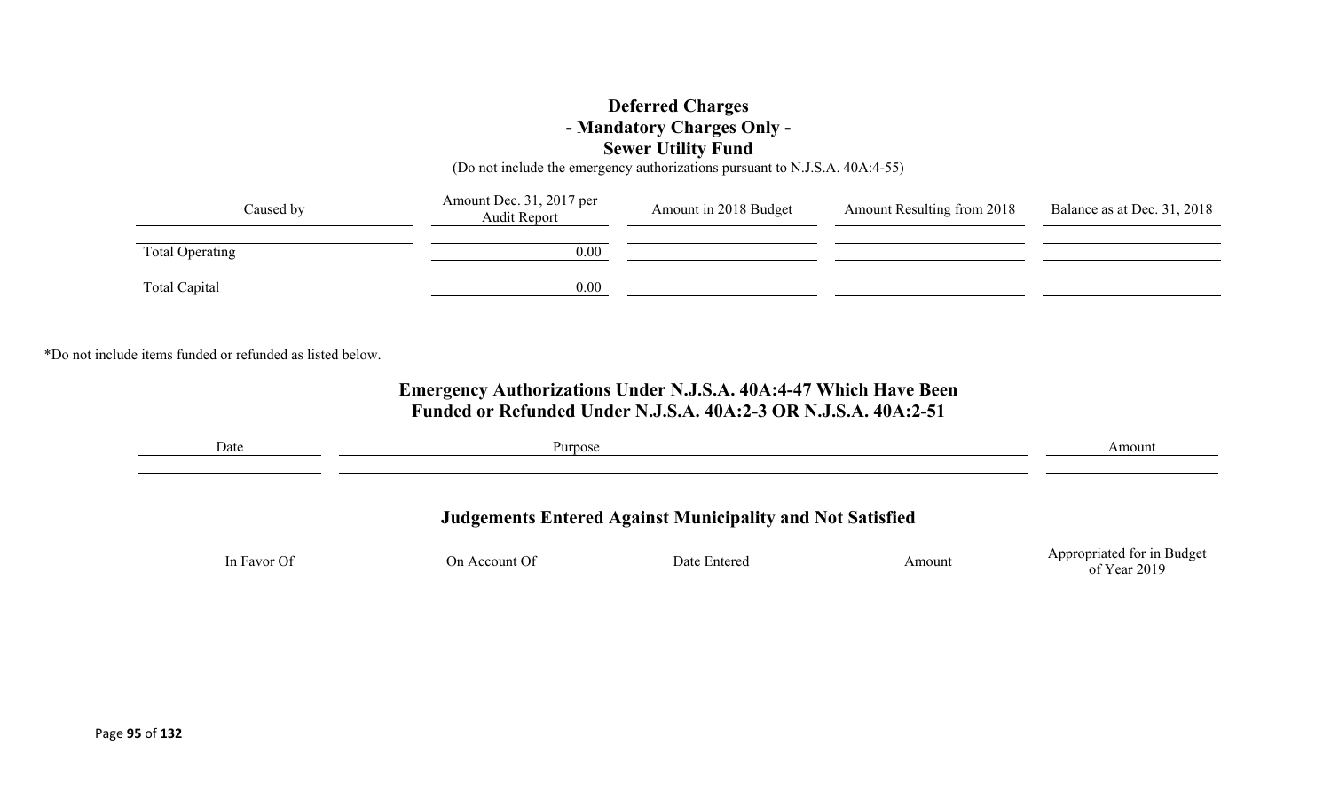## **Deferred Charges - Mandatory Charges Only - Sewer Utility Fund**

(Do not include the emergency authorizations pursuant to N.J.S.A. 40A:4-55)

| Caused by       | Amount Dec. 31, 2017 per<br><b>Audit Report</b> | Amount in 2018 Budget | <b>Amount Resulting from 2018</b> | Balance as at Dec. 31, 2018 |
|-----------------|-------------------------------------------------|-----------------------|-----------------------------------|-----------------------------|
| Total Operating | 0.00                                            |                       |                                   |                             |
| Total Capital   | 0.00                                            |                       |                                   |                             |

\*Do not include items funded or refunded as listed below.

## **Emergency Authorizations Under N.J.S.A. 40A:4-47 Which Have Been Funded or Refunded Under N.J.S.A. 40A:2-3 OR N.J.S.A. 40A:2-51**

| Date        | Purpose       |                                                                  |        | Amount                     |
|-------------|---------------|------------------------------------------------------------------|--------|----------------------------|
|             |               | <b>Judgements Entered Against Municipality and Not Satisfied</b> |        |                            |
| In Favor Of | On Account Of | Date Entered                                                     | Amount | Appropriated for in Budget |
|             |               |                                                                  |        | of Year 2019               |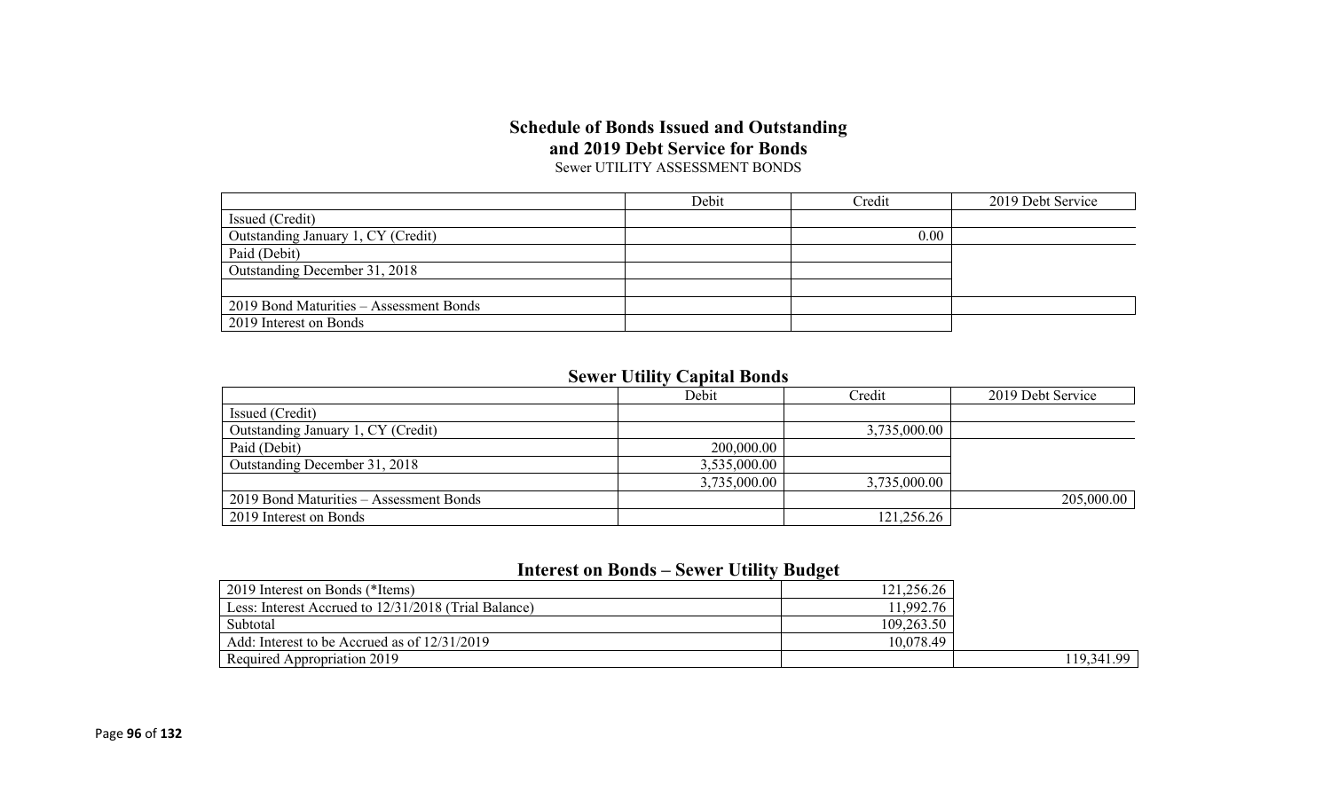### **Schedule of Bonds Issued and Outstanding and 2019 Debt Service for Bonds** Sewer UTILITY ASSESSMENT BONDS

|                                         | Debit | Credit | 2019 Debt Service |
|-----------------------------------------|-------|--------|-------------------|
| Issued (Credit)                         |       |        |                   |
| Outstanding January 1, CY (Credit)      |       | 0.00   |                   |
| Paid (Debit)                            |       |        |                   |
| Outstanding December 31, 2018           |       |        |                   |
|                                         |       |        |                   |
| 2019 Bond Maturities – Assessment Bonds |       |        |                   |
| 2019 Interest on Bonds                  |       |        |                   |

## **Sewer Utility Capital Bonds**

|                                         | Debit        | Credit       | 2019 Debt Service |
|-----------------------------------------|--------------|--------------|-------------------|
| Issued (Credit)                         |              |              |                   |
| Outstanding January 1, CY (Credit)      |              | 3,735,000.00 |                   |
| Paid (Debit)                            | 200,000.00   |              |                   |
| Outstanding December 31, 2018           | 3,535,000.00 |              |                   |
|                                         | 3,735,000.00 | 3,735,000.00 |                   |
| 2019 Bond Maturities – Assessment Bonds |              |              | 205,000.00        |
| 2019 Interest on Bonds                  |              | 121,256.26   |                   |

## **Interest on Bonds – Sewer Utility Budget**

| 2019 Interest on Bonds (*Items)                      | 121,256.26 |            |
|------------------------------------------------------|------------|------------|
| Less: Interest Accrued to 12/31/2018 (Trial Balance) | 11,992.76  |            |
| Subtotal                                             | 109,263.50 |            |
| Add: Interest to be Accrued as of 12/31/2019         | 10,078.49  |            |
| Required Appropriation 2019                          |            | 119,341.99 |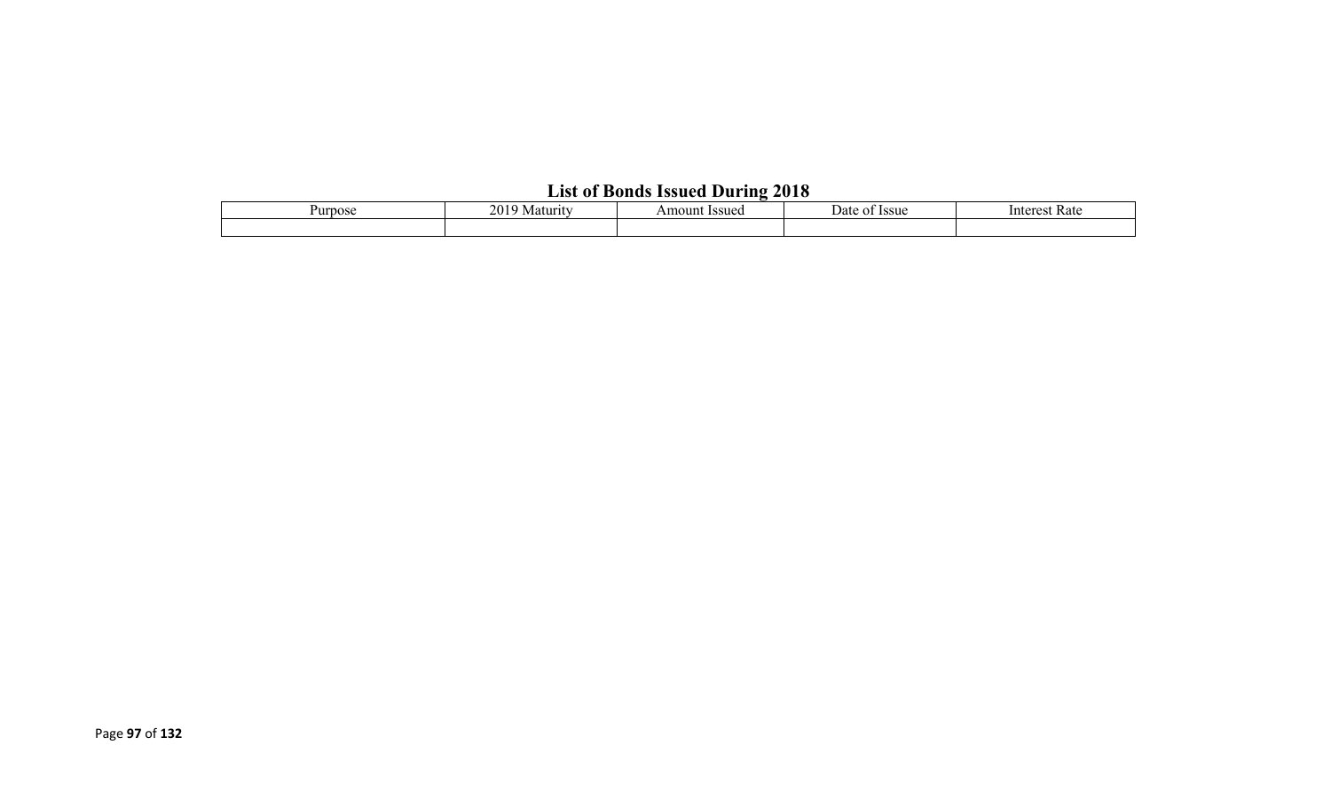# **List of Bonds Issued During 2018**

| urpose | 20<br>Maturi. | <b>Issuec</b><br>Amount | Issue<br>Date | Kate<br>unteres: |  |  |  |  |  |
|--------|---------------|-------------------------|---------------|------------------|--|--|--|--|--|
|        |               |                         |               |                  |  |  |  |  |  |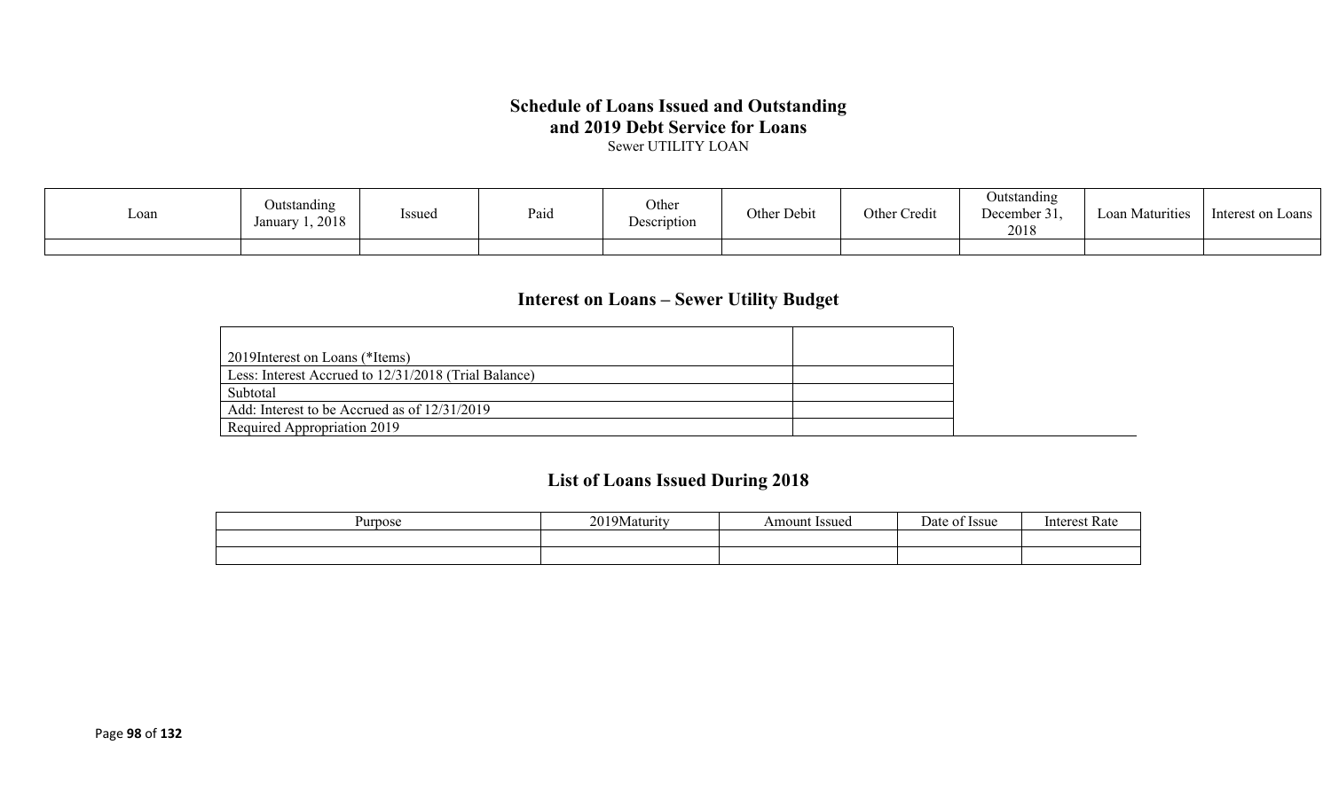# **Schedule of Loans Issued and Outstanding and 2019 Debt Service for Loans**

Sewer UTILITY LOAN

| ∟oan | Outstanding<br>$\sim$ $\sim$<br><i>Issued</i><br>January 1, 2018 | Paid | Other<br>Description | Other Debit | Other Credit | Outstanding<br>December 31.<br>2018 | Loan Maturities | Interest on Loans |
|------|------------------------------------------------------------------|------|----------------------|-------------|--------------|-------------------------------------|-----------------|-------------------|
|      |                                                                  |      |                      |             |              |                                     |                 |                   |

## **Interest on Loans – Sewer Utility Budget**

| 2019 Interest on Loans (*Items)                      |  |
|------------------------------------------------------|--|
| Less: Interest Accrued to 12/31/2018 (Trial Balance) |  |
| Subtotal                                             |  |
| Add: Interest to be Accrued as of 12/31/2019         |  |
| Required Appropriation 2019                          |  |

# **List of Loans Issued During 2018**

| Purpose | 20103<br>  9Maturity<br>$\sim$ | <b>Issued</b><br>Amount | $\overline{\phantom{0}}$<br>)ate<br><b>Issue</b> | Intorc<br>vak |
|---------|--------------------------------|-------------------------|--------------------------------------------------|---------------|
|         |                                |                         |                                                  |               |
|         |                                |                         |                                                  |               |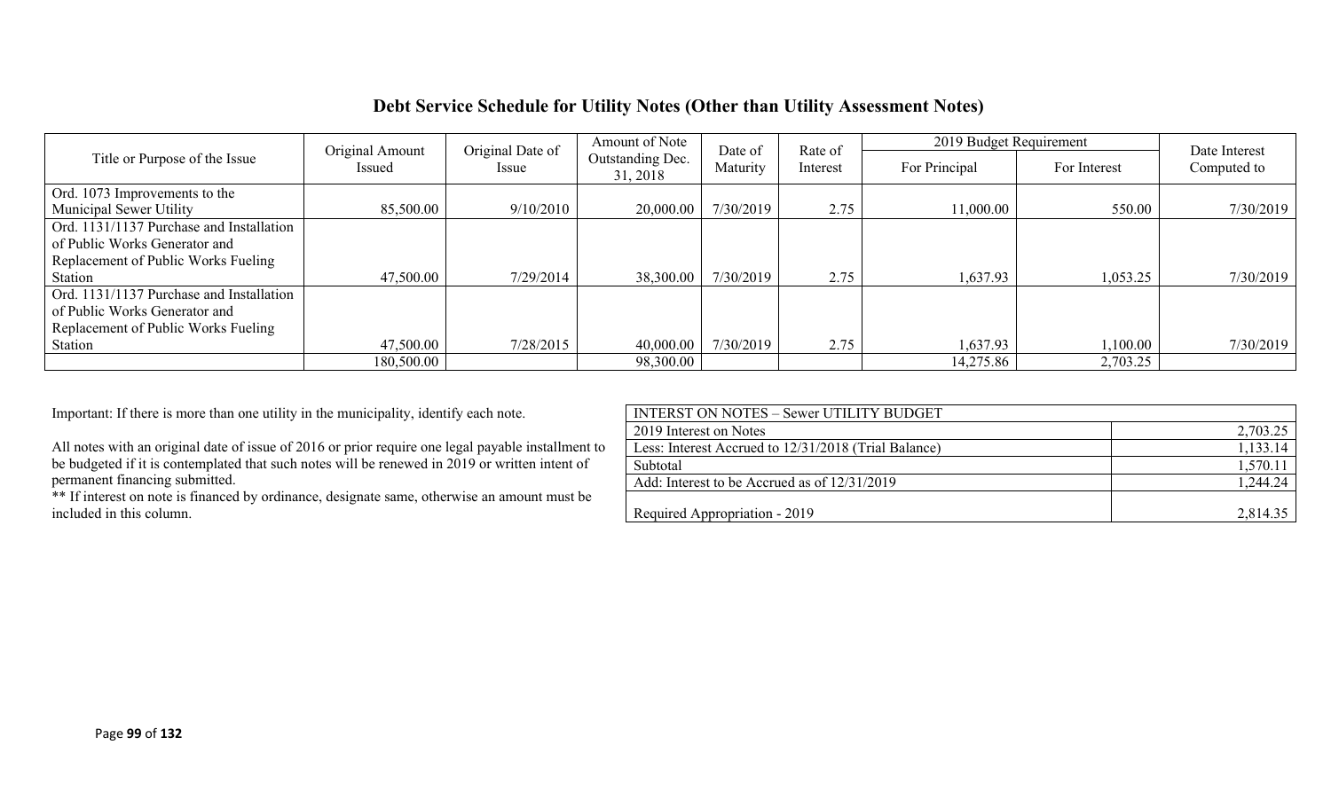## **Debt Service Schedule for Utility Notes (Other than Utility Assessment Notes)**

|                                          | Original Amount | Original Date of | Amount of Note               | Date of   | Rate of  | 2019 Budget Requirement | Date Interest |             |
|------------------------------------------|-----------------|------------------|------------------------------|-----------|----------|-------------------------|---------------|-------------|
| Title or Purpose of the Issue            | Issued          | Issue            | Outstanding Dec.<br>31, 2018 | Maturity  | Interest | For Principal           | For Interest  | Computed to |
| Ord. 1073 Improvements to the            |                 |                  |                              |           |          |                         |               |             |
| Municipal Sewer Utility                  | 85,500.00       | 9/10/2010        | 20,000.00                    | 7/30/2019 | 2.75     | 11,000.00               | 550.00        | 7/30/2019   |
| Ord. 1131/1137 Purchase and Installation |                 |                  |                              |           |          |                         |               |             |
| of Public Works Generator and            |                 |                  |                              |           |          |                         |               |             |
| Replacement of Public Works Fueling      |                 |                  |                              |           |          |                         |               |             |
| Station                                  | 47,500.00       | 7/29/2014        | 38,300.00                    | 7/30/2019 | 2.75     | 1,637.93                | 1,053.25      | 7/30/2019   |
| Ord. 1131/1137 Purchase and Installation |                 |                  |                              |           |          |                         |               |             |
| of Public Works Generator and            |                 |                  |                              |           |          |                         |               |             |
| Replacement of Public Works Fueling      |                 |                  |                              |           |          |                         |               |             |
| Station                                  | 47,500.00       | 7/28/2015        | 40,000.00                    | 7/30/2019 | 2.75     | 1,637.93                | 1,100.00      | 7/30/2019   |
|                                          | 180,500.00      |                  | 98,300.00                    |           |          | 14,275.86               | 2,703.25      |             |

| Important: If there is more than one utility in the municipality, identify each note.              | <b>INTERST ON NOTES - Sewer UTILITY BUDGET</b>       |          |
|----------------------------------------------------------------------------------------------------|------------------------------------------------------|----------|
|                                                                                                    | 2019 Interest on Notes                               | 2,703.25 |
| All notes with an original date of issue of 2016 or prior require one legal payable installment to | Less: Interest Accrued to 12/31/2018 (Trial Balance) | 1,133.14 |
| be budgeted if it is contemplated that such notes will be renewed in 2019 or written intent of     | Subtotal                                             | 1,570.11 |
| permanent financing submitted.                                                                     | Add: Interest to be Accrued as of 12/31/2019         | 1,244.24 |
| ** If interest on note is financed by ordinance, designate same, otherwise an amount must be       |                                                      |          |
| included in this column.                                                                           | Required Appropriation - 2019                        | 2,814.35 |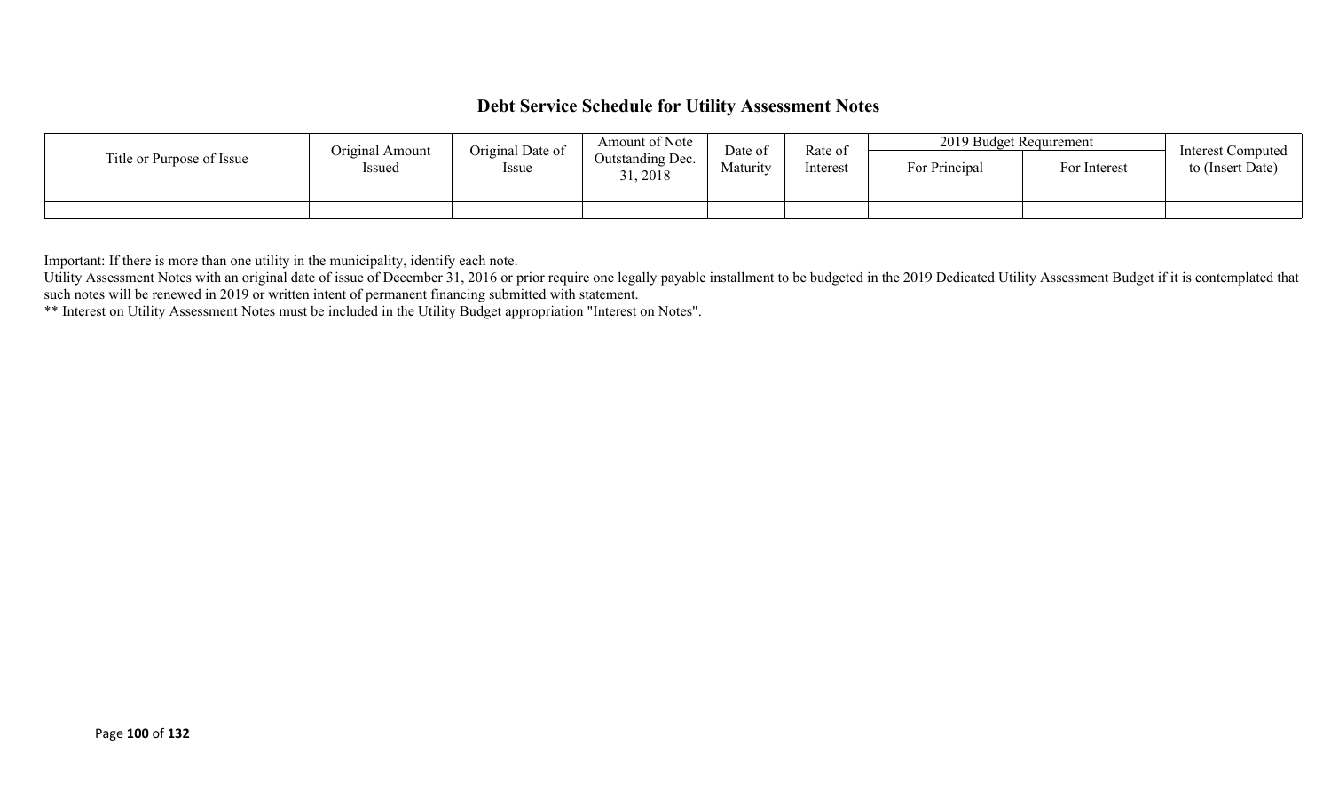## **Debt Service Schedule for Utility Assessment Notes**

|                           | Original Amount | Original Date of<br>Issue | Amount of Note               | Date of<br>Maturity | Rate of<br>Interest | 2019 Budget Requirement |              | <b>Interest Computed</b> |
|---------------------------|-----------------|---------------------------|------------------------------|---------------------|---------------------|-------------------------|--------------|--------------------------|
| Title or Purpose of Issue | Issued          |                           | Outstanding Dec.<br>31, 2018 |                     |                     | For Principal           | For Interest | to (Insert Date)         |
|                           |                 |                           |                              |                     |                     |                         |              |                          |
|                           |                 |                           |                              |                     |                     |                         |              |                          |

Important: If there is more than one utility in the municipality, identify each note.

Utility Assessment Notes with an original date of issue of December 31, 2016 or prior require one legally payable installment to be budgeted in the 2019 Dedicated Utility Assessment Budget if it is contemplated that such notes will be renewed in 2019 or written intent of permanent financing submitted with statement.

\*\* Interest on Utility Assessment Notes must be included in the Utility Budget appropriation "Interest on Notes".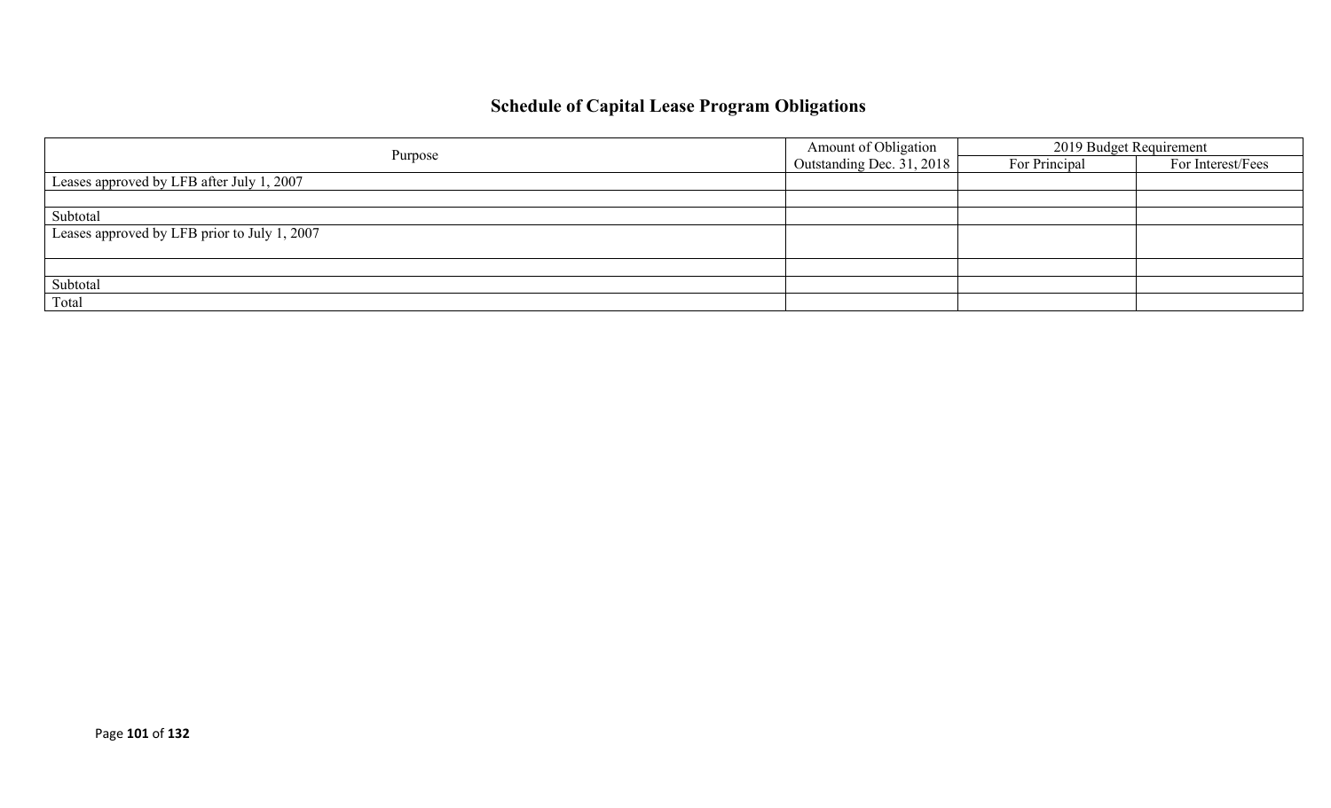# **Schedule of Capital Lease Program Obligations**

|                                              | Amount of Obligation      | 2019 Budget Requirement |                   |  |
|----------------------------------------------|---------------------------|-------------------------|-------------------|--|
| Purpose                                      | Outstanding Dec. 31, 2018 | For Principal           | For Interest/Fees |  |
| Leases approved by LFB after July 1, 2007    |                           |                         |                   |  |
|                                              |                           |                         |                   |  |
| Subtotal                                     |                           |                         |                   |  |
| Leases approved by LFB prior to July 1, 2007 |                           |                         |                   |  |
|                                              |                           |                         |                   |  |
|                                              |                           |                         |                   |  |
| Subtotal                                     |                           |                         |                   |  |
| Total                                        |                           |                         |                   |  |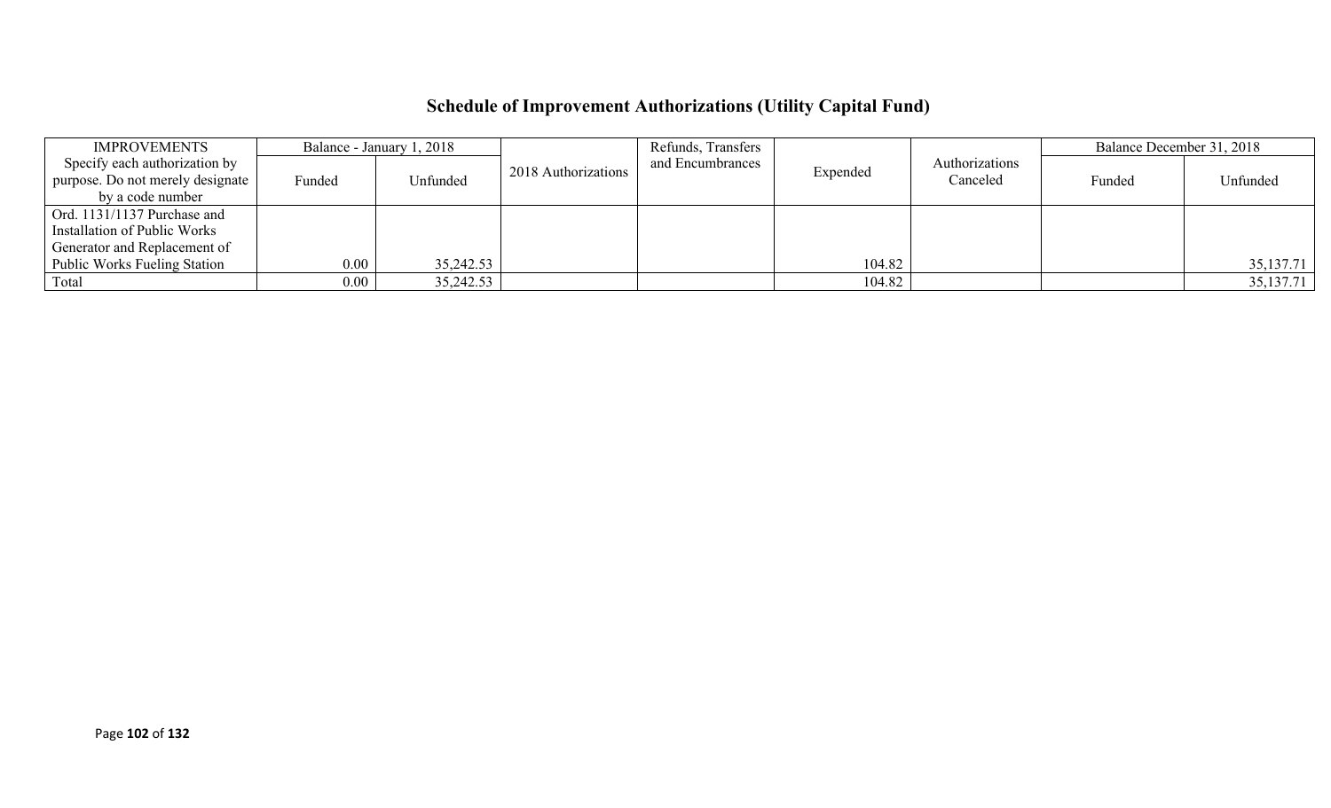# **Schedule of Improvement Authorizations (Utility Capital Fund)**

| <b>IMPROVEMENTS</b>                 |          | Balance - January 1, 2018 |                     | Refunds, Transfers |          |                | Balance December 31, 2018 |             |
|-------------------------------------|----------|---------------------------|---------------------|--------------------|----------|----------------|---------------------------|-------------|
| Specify each authorization by       |          |                           | 2018 Authorizations | and Encumbrances   | Expended | Authorizations |                           |             |
| purpose. Do not merely designate    | Funded   | Unfunded                  |                     |                    |          | Canceled       | Funded                    | Unfunded    |
| by a code number                    |          |                           |                     |                    |          |                |                           |             |
| Ord. 1131/1137 Purchase and         |          |                           |                     |                    |          |                |                           |             |
| Installation of Public Works        |          |                           |                     |                    |          |                |                           |             |
| Generator and Replacement of        |          |                           |                     |                    |          |                |                           |             |
| <b>Public Works Fueling Station</b> | $0.00\,$ | 35,242.53                 |                     |                    | 104.82   |                |                           | 35, 137. 71 |
| Total                               | $0.00\,$ | 35,242.53                 |                     |                    | 104.82   |                |                           | 35,137.71   |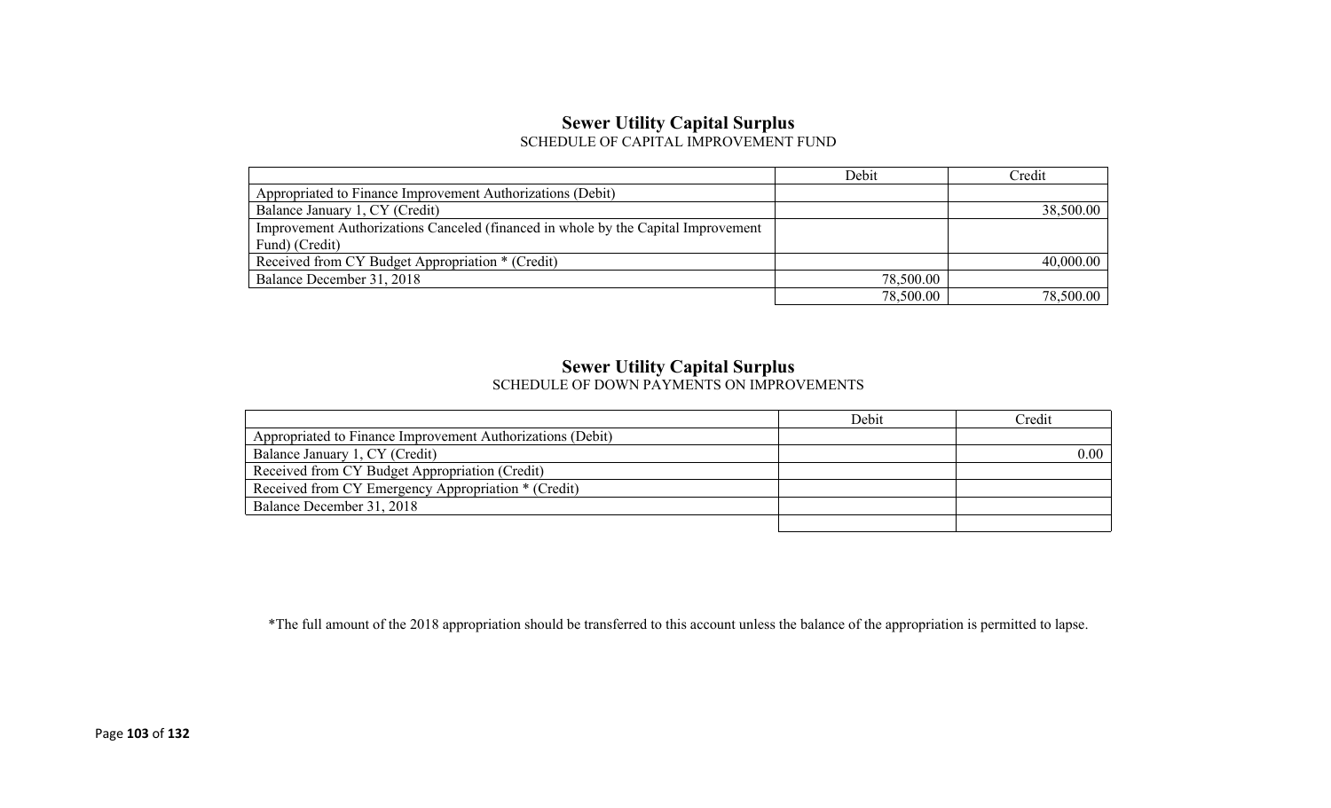### **Sewer Utility Capital Surplus** SCHEDULE OF CAPITAL IMPROVEMENT FUND

|                                                                                   | Debit     | Credit    |
|-----------------------------------------------------------------------------------|-----------|-----------|
| Appropriated to Finance Improvement Authorizations (Debit)                        |           |           |
| Balance January 1, CY (Credit)                                                    |           | 38,500.00 |
| Improvement Authorizations Canceled (financed in whole by the Capital Improvement |           |           |
| Fund) (Credit)                                                                    |           |           |
| Received from CY Budget Appropriation * (Credit)                                  |           | 40,000.00 |
| Balance December 31, 2018                                                         | 78,500.00 |           |
|                                                                                   | 78,500.00 | 78,500.00 |

### **Sewer Utility Capital Surplus**

SCHEDULE OF DOWN PAYMENTS ON IMPROVEMENTS

|                                                            | Debit | Credit |
|------------------------------------------------------------|-------|--------|
| Appropriated to Finance Improvement Authorizations (Debit) |       |        |
| Balance January 1, CY (Credit)                             |       | 0.00   |
| Received from CY Budget Appropriation (Credit)             |       |        |
| Received from CY Emergency Appropriation * (Credit)        |       |        |
| Balance December 31, 2018                                  |       |        |
|                                                            |       |        |

\*The full amount of the 2018 appropriation should be transferred to this account unless the balance of the appropriation is permitted to lapse.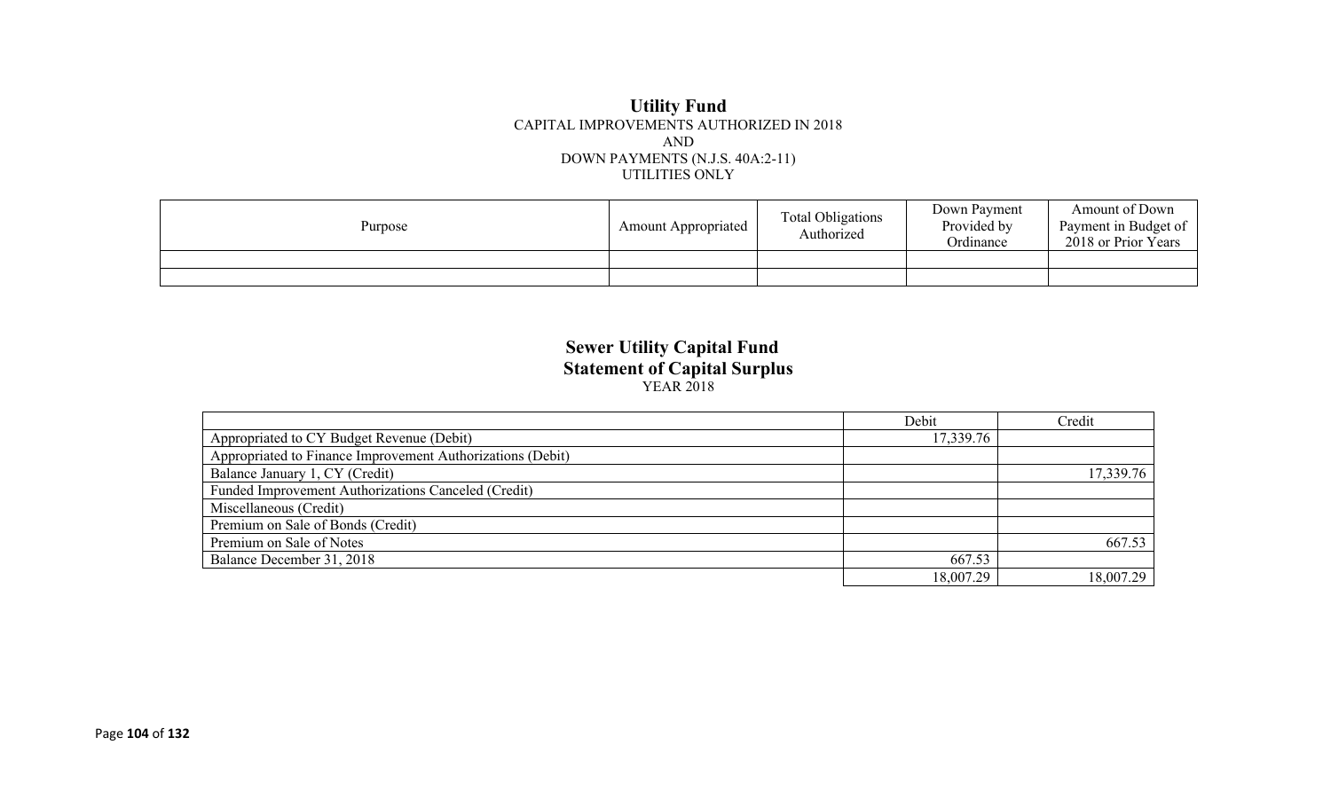#### **Utility Fund** CAPITAL IMPROVEMENTS AUTHORIZED IN 2018 AND DOWN PAYMENTS (N.J.S. 40A:2-11) UTILITIES ONLY

| Purpose | <b>Amount Appropriated</b> | <b>Total Obligations</b><br>Authorized | Down Payment<br>Provided by<br>Ordinance | Amount of Down<br>Payment in Budget of<br>2018 or Prior Years |
|---------|----------------------------|----------------------------------------|------------------------------------------|---------------------------------------------------------------|
|         |                            |                                        |                                          |                                                               |
|         |                            |                                        |                                          |                                                               |

### **Sewer Utility Capital Fund Statement of Capital Surplus** YEAR 2018

|                                                            | Debit     | Credit    |
|------------------------------------------------------------|-----------|-----------|
| Appropriated to CY Budget Revenue (Debit)                  | 17,339.76 |           |
| Appropriated to Finance Improvement Authorizations (Debit) |           |           |
| Balance January 1, CY (Credit)                             |           | 17,339.76 |
| Funded Improvement Authorizations Canceled (Credit)        |           |           |
| Miscellaneous (Credit)                                     |           |           |
| Premium on Sale of Bonds (Credit)                          |           |           |
| Premium on Sale of Notes                                   |           | 667.53    |
| Balance December 31, 2018                                  | 667.53    |           |
|                                                            | 18,007.29 | 18,007.29 |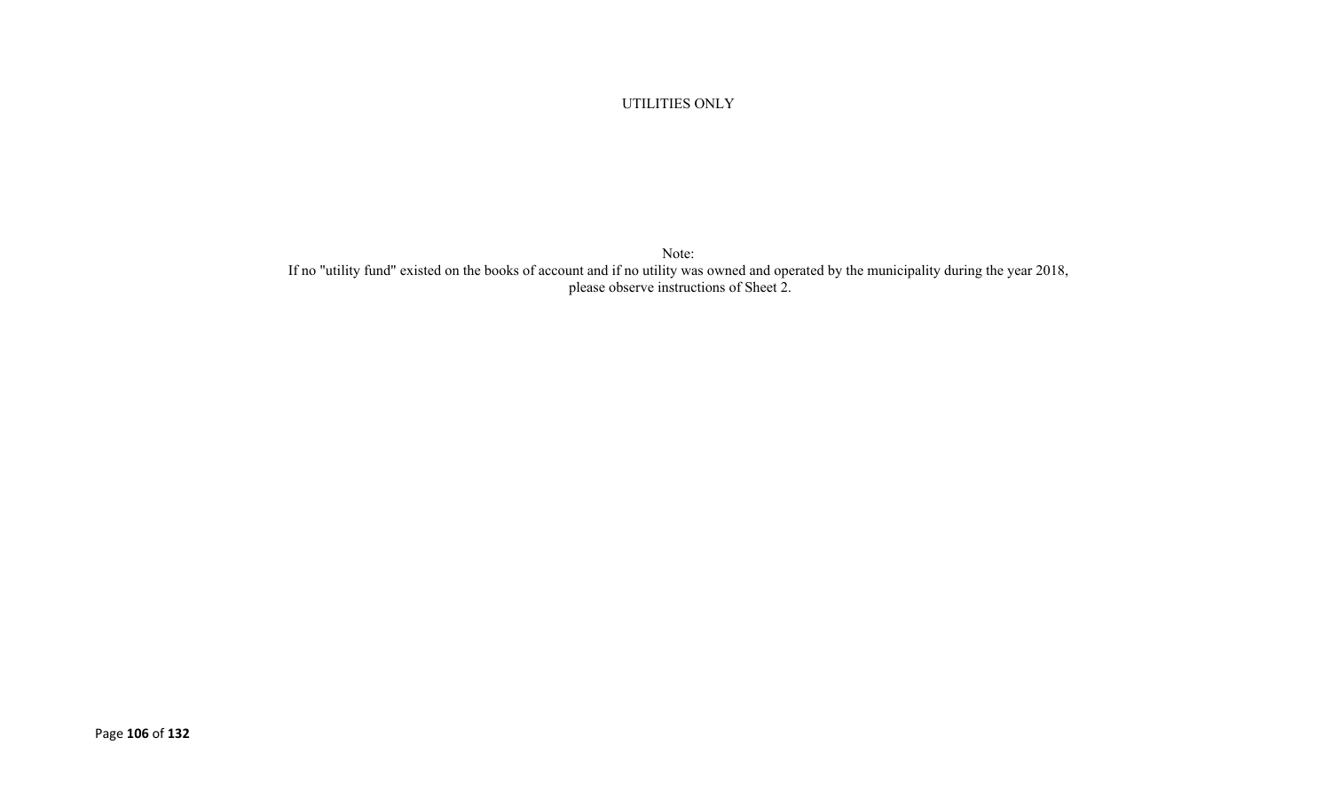UTILITIES ONLY

Note: If no "utility fund" existed on the books of account and if no utility was owned and operated by the municipality during the year 2018, please observe instructions of Sheet 2.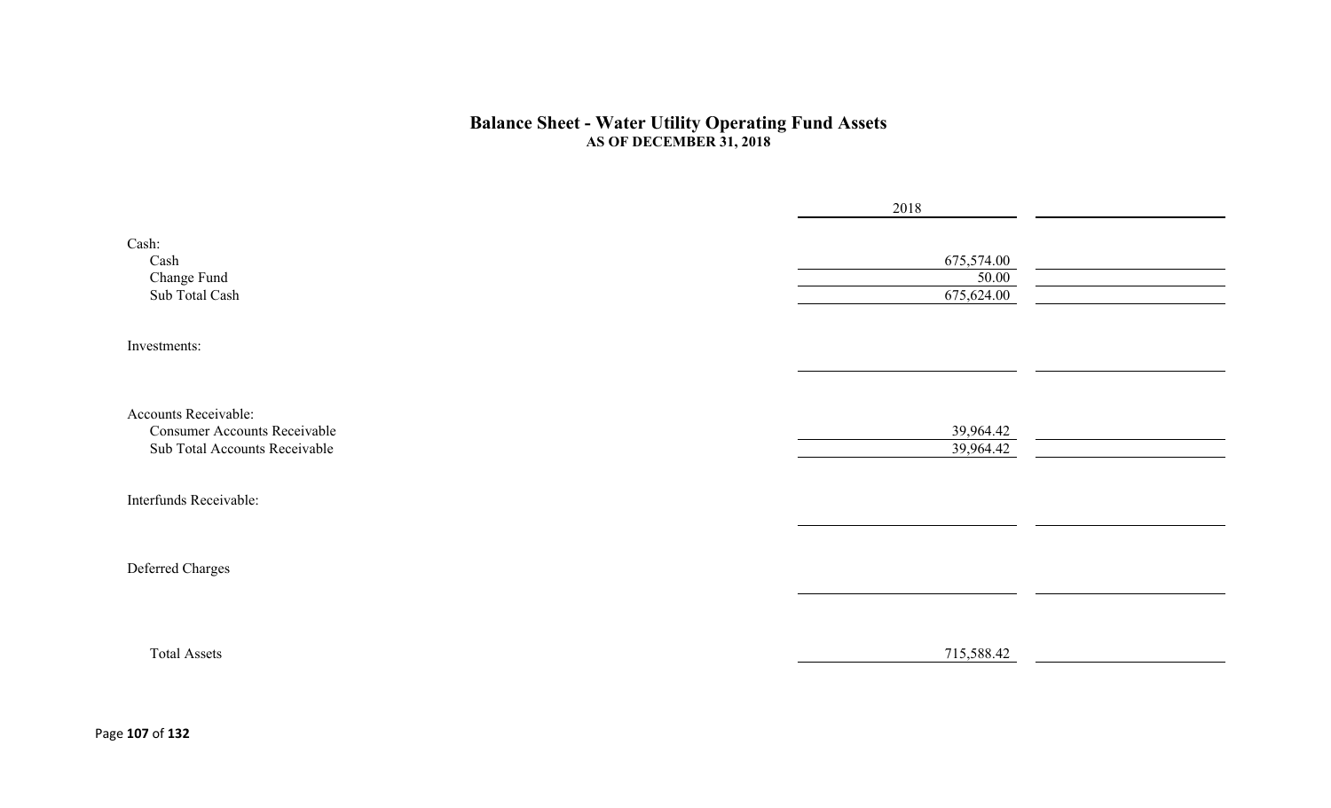#### **Balance Sheet - Water Utility Operating Fund Assets AS OF DECEMBER 31, 2018**

|                                                                                              | 2018                              |  |
|----------------------------------------------------------------------------------------------|-----------------------------------|--|
| Cash:<br>Cash<br>Change Fund<br>Sub Total Cash                                               | 675,574.00<br>50.00<br>675,624.00 |  |
| Investments:                                                                                 |                                   |  |
|                                                                                              |                                   |  |
| Accounts Receivable:<br><b>Consumer Accounts Receivable</b><br>Sub Total Accounts Receivable | 39,964.42<br>39,964.42            |  |
| Interfunds Receivable:                                                                       |                                   |  |
|                                                                                              |                                   |  |
| Deferred Charges                                                                             |                                   |  |
|                                                                                              |                                   |  |
| <b>Total Assets</b>                                                                          | 715,588.42                        |  |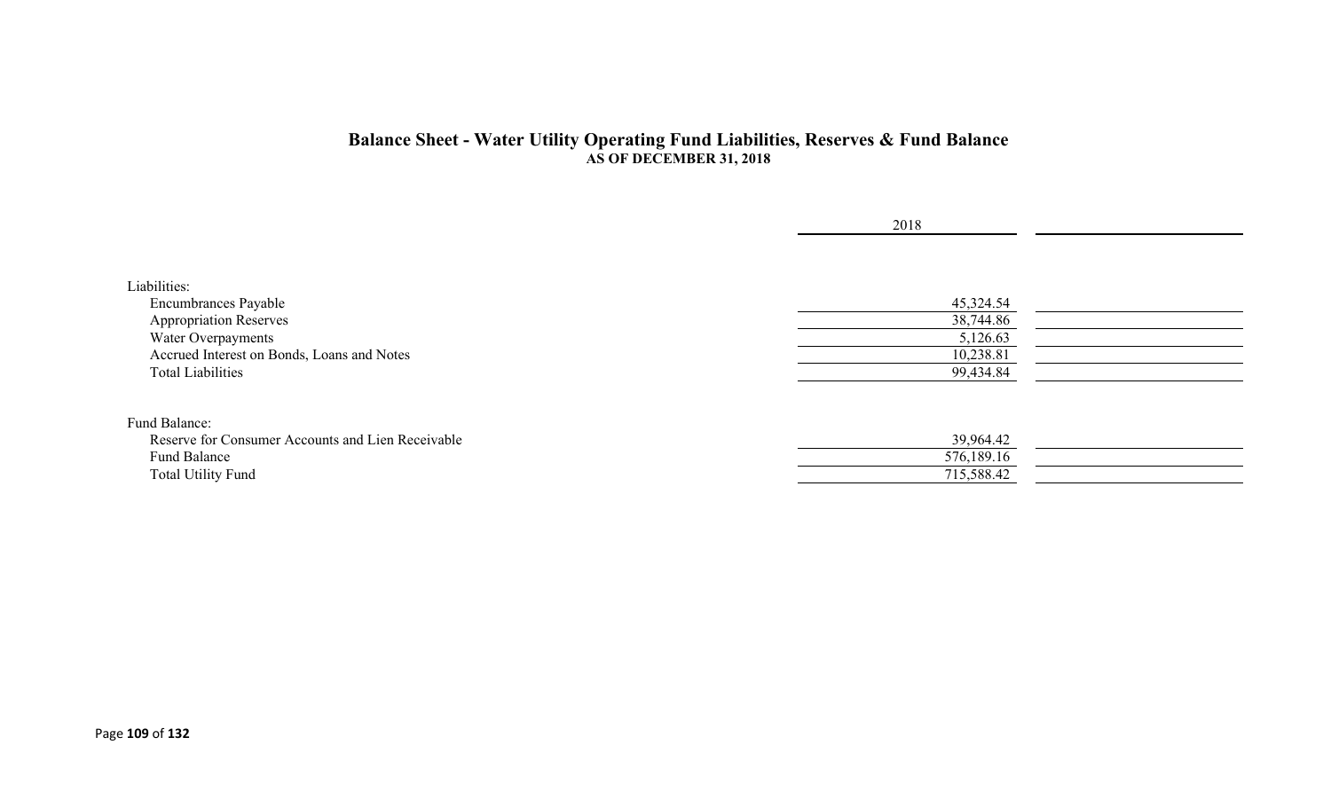#### **Balance Sheet - Water Utility Operating Fund Liabilities, Reserves & Fund Balance AS OF DECEMBER 31, 2018**

|                                                   | 2018       |  |
|---------------------------------------------------|------------|--|
|                                                   |            |  |
|                                                   |            |  |
| Liabilities:                                      |            |  |
| Encumbrances Payable                              | 45,324.54  |  |
| <b>Appropriation Reserves</b>                     | 38,744.86  |  |
| Water Overpayments                                | 5,126.63   |  |
| Accrued Interest on Bonds, Loans and Notes        | 10,238.81  |  |
| <b>Total Liabilities</b>                          | 99,434.84  |  |
|                                                   |            |  |
| Fund Balance:                                     |            |  |
| Reserve for Consumer Accounts and Lien Receivable | 39,964.42  |  |
| Fund Balance                                      | 576,189.16 |  |
| <b>Total Utility Fund</b>                         | 715,588.42 |  |
|                                                   |            |  |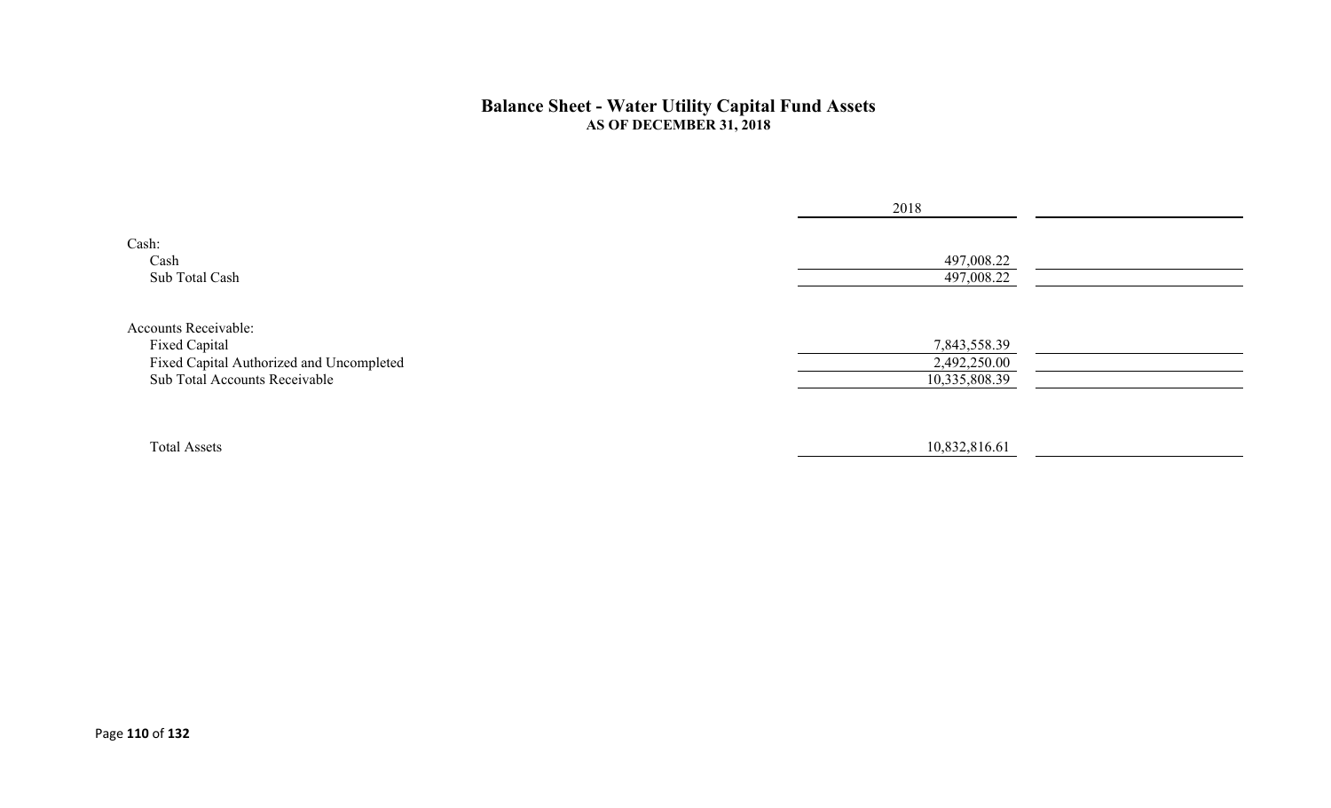#### **Balance Sheet - Water Utility Capital Fund Assets AS OF DECEMBER 31, 2018**

|                                                                           | 2018                          |  |
|---------------------------------------------------------------------------|-------------------------------|--|
| Cash:<br>Cash<br>Sub Total Cash                                           | 497,008.22<br>497,008.22      |  |
| <b>Accounts Receivable:</b><br>Fixed Capital                              | 7,843,558.39                  |  |
| Fixed Capital Authorized and Uncompleted<br>Sub Total Accounts Receivable | 2,492,250.00<br>10,335,808.39 |  |
| <b>Total Assets</b>                                                       | 10,832,816.61                 |  |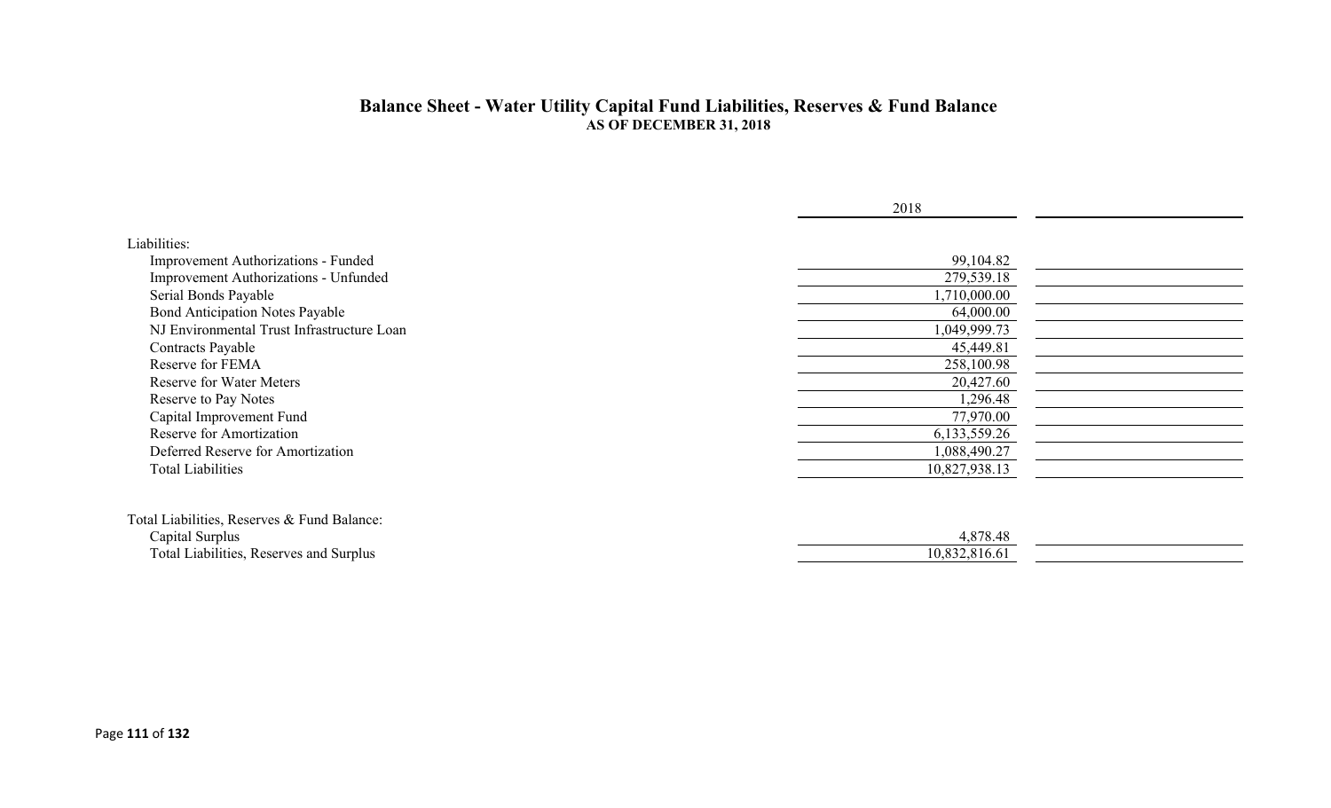#### **Balance Sheet - Water Utility Capital Fund Liabilities, Reserves & Fund Balance AS OF DECEMBER 31, 2018**

|                                             | 2018          |  |
|---------------------------------------------|---------------|--|
| Liabilities:                                |               |  |
| Improvement Authorizations - Funded         | 99,104.82     |  |
| Improvement Authorizations - Unfunded       | 279,539.18    |  |
| Serial Bonds Payable                        | 1,710,000.00  |  |
| <b>Bond Anticipation Notes Payable</b>      | 64,000.00     |  |
| NJ Environmental Trust Infrastructure Loan  | 1,049,999.73  |  |
| Contracts Payable                           | 45,449.81     |  |
| Reserve for FEMA                            | 258,100.98    |  |
| <b>Reserve for Water Meters</b>             | 20,427.60     |  |
| Reserve to Pay Notes                        | 1,296.48      |  |
| Capital Improvement Fund                    | 77,970.00     |  |
| Reserve for Amortization                    | 6,133,559.26  |  |
| Deferred Reserve for Amortization           | 1,088,490.27  |  |
| <b>Total Liabilities</b>                    | 10,827,938.13 |  |
|                                             |               |  |
|                                             |               |  |
| Total Liabilities, Reserves & Fund Balance: |               |  |
| Capital Surplus                             | 4,878.48      |  |
| Total Liabilities, Reserves and Surplus     | 10,832,816.61 |  |
|                                             |               |  |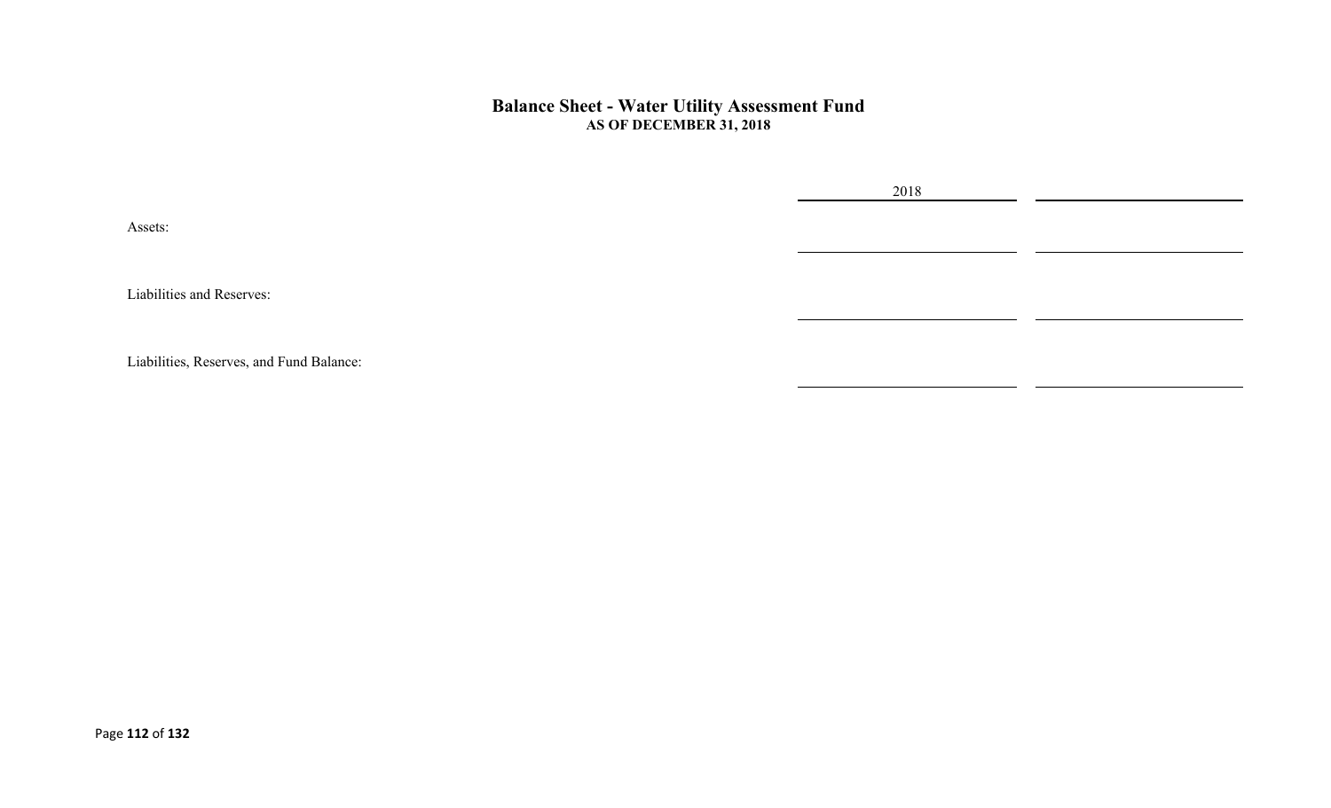#### **Balance Sheet - Water Utility Assessment Fund AS OF DECEMBER 31, 2018**

2018

Assets:

Liabilities and Reserves:

Liabilities, Reserves, and Fund Balance: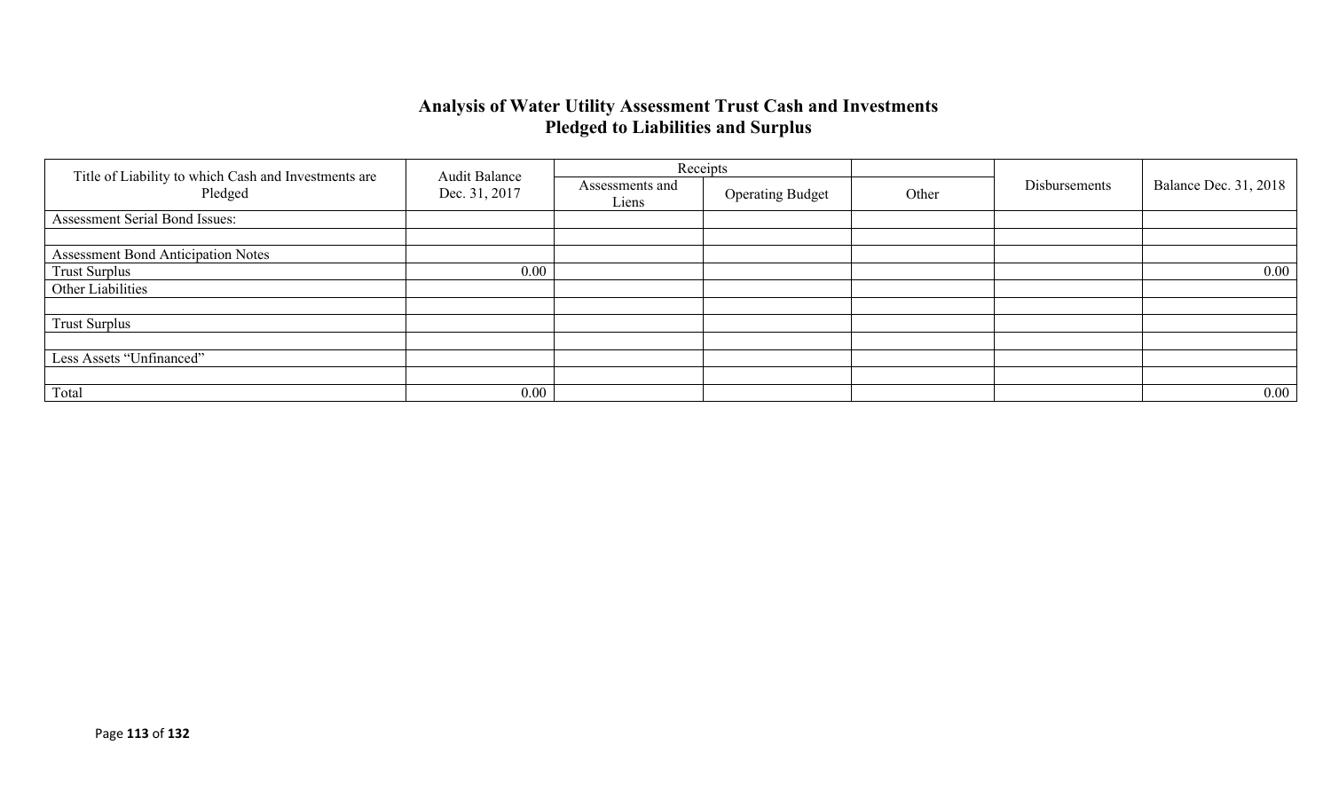### **Analysis of Water Utility Assessment Trust Cash and Investments Pledged to Liabilities and Surplus**

|                                                                 |                                       |                                                     | Receipts |               |                              |          |
|-----------------------------------------------------------------|---------------------------------------|-----------------------------------------------------|----------|---------------|------------------------------|----------|
| Title of Liability to which Cash and Investments are<br>Pledged | <b>Audit Balance</b><br>Dec. 31, 2017 | Assessments and<br><b>Operating Budget</b><br>Liens | Other    | Disbursements | <b>Balance Dec. 31, 2018</b> |          |
| Assessment Serial Bond Issues:                                  |                                       |                                                     |          |               |                              |          |
|                                                                 |                                       |                                                     |          |               |                              |          |
| <b>Assessment Bond Anticipation Notes</b>                       |                                       |                                                     |          |               |                              |          |
| <b>Trust Surplus</b>                                            | 0.00                                  |                                                     |          |               |                              | $0.00\,$ |
| Other Liabilities                                               |                                       |                                                     |          |               |                              |          |
|                                                                 |                                       |                                                     |          |               |                              |          |
| <b>Trust Surplus</b>                                            |                                       |                                                     |          |               |                              |          |
|                                                                 |                                       |                                                     |          |               |                              |          |
| Less Assets "Unfinanced"                                        |                                       |                                                     |          |               |                              |          |
|                                                                 |                                       |                                                     |          |               |                              |          |
| Total                                                           | 0.00                                  |                                                     |          |               |                              | $0.00\,$ |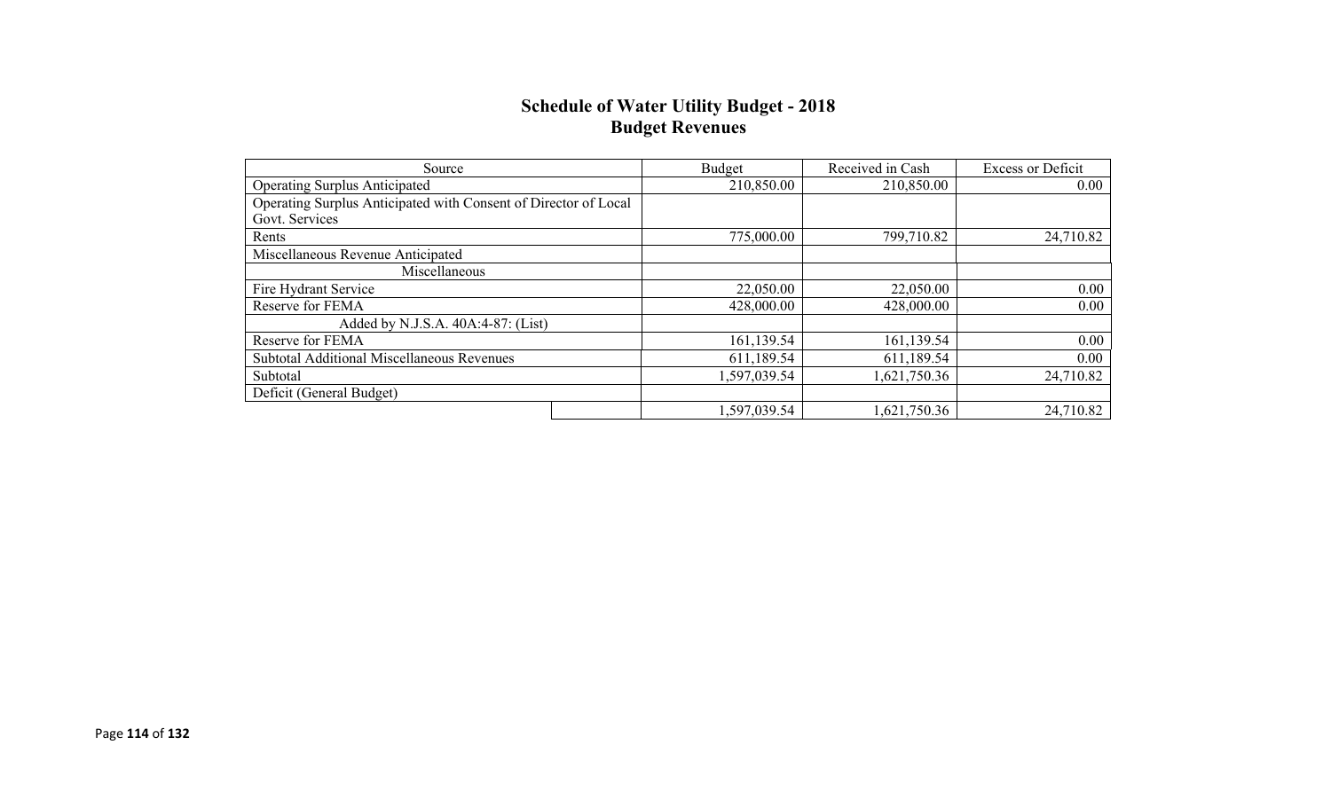### **Schedule of Water Utility Budget - 2018 Budget Revenues**

| Source                                                          | Budget       | Received in Cash | <b>Excess or Deficit</b> |
|-----------------------------------------------------------------|--------------|------------------|--------------------------|
| <b>Operating Surplus Anticipated</b>                            | 210,850.00   | 210,850.00       | 0.00                     |
| Operating Surplus Anticipated with Consent of Director of Local |              |                  |                          |
| Govt. Services                                                  |              |                  |                          |
| Rents                                                           | 775,000.00   | 799,710.82       | 24,710.82                |
| Miscellaneous Revenue Anticipated                               |              |                  |                          |
| Miscellaneous                                                   |              |                  |                          |
| Fire Hydrant Service                                            | 22,050.00    | 22,050.00        | 0.00                     |
| Reserve for FEMA                                                | 428,000.00   | 428,000.00       | 0.00                     |
| Added by N.J.S.A. 40A:4-87: (List)                              |              |                  |                          |
| Reserve for FEMA                                                | 161,139.54   | 161,139.54       | 0.00                     |
| Subtotal Additional Miscellaneous Revenues                      | 611,189.54   | 611,189.54       | 0.00                     |
| Subtotal                                                        | 1,597,039.54 | 1,621,750.36     | 24,710.82                |
| Deficit (General Budget)                                        |              |                  |                          |
|                                                                 | 1,597,039.54 | 1,621,750.36     | 24,710.82                |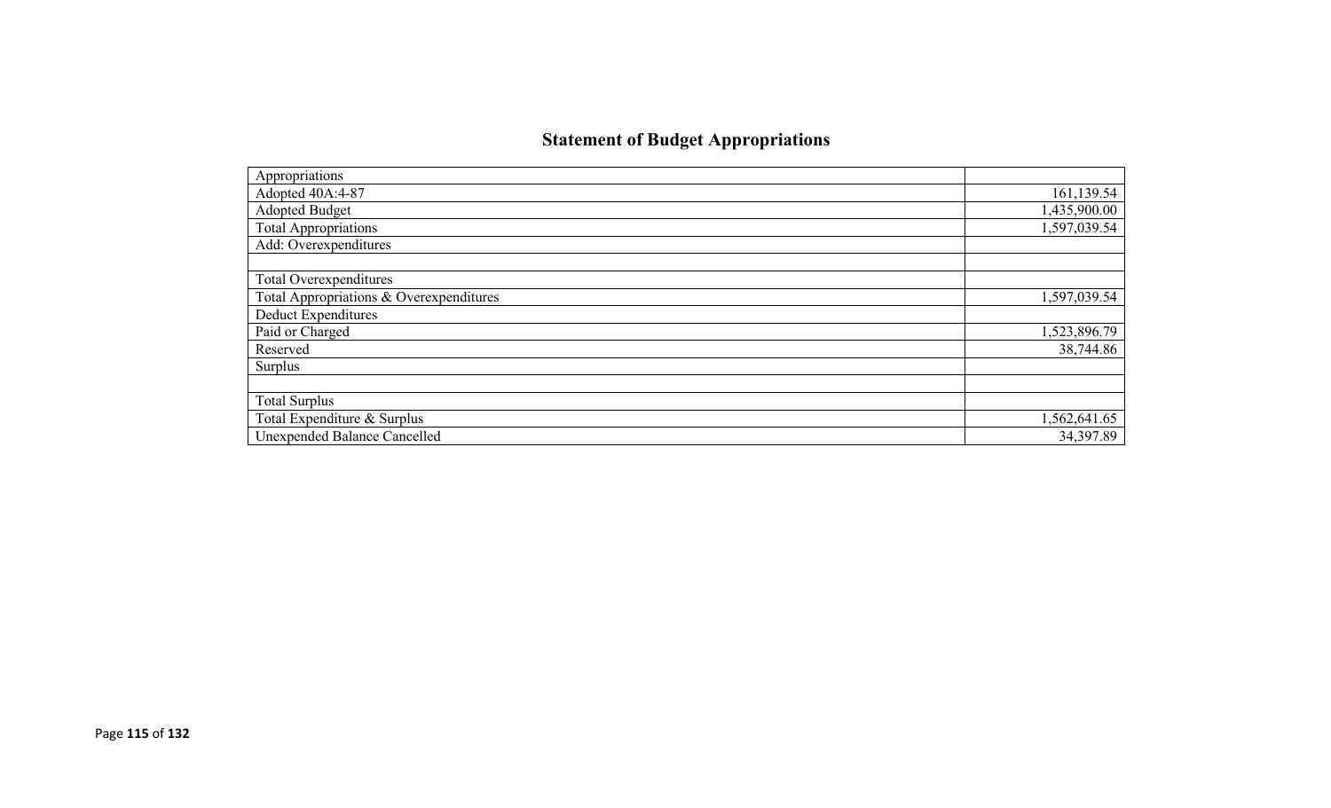# **Statement of Budget Appropriations**

| Appropriations                          |              |
|-----------------------------------------|--------------|
| Adopted 40A:4-87                        | 161,139.54   |
| Adopted Budget                          | 1,435,900.00 |
| <b>Total Appropriations</b>             | 1,597,039.54 |
| Add: Overexpenditures                   |              |
|                                         |              |
| Total Overexpenditures                  |              |
| Total Appropriations & Overexpenditures | 1,597,039.54 |
| <b>Deduct Expenditures</b>              |              |
| Paid or Charged                         | 1,523,896.79 |
| Reserved                                | 38,744.86    |
| Surplus                                 |              |
|                                         |              |
| <b>Total Surplus</b>                    |              |
| Total Expenditure & Surplus             | 1,562,641.65 |
| <b>Unexpended Balance Cancelled</b>     | 34,397.89    |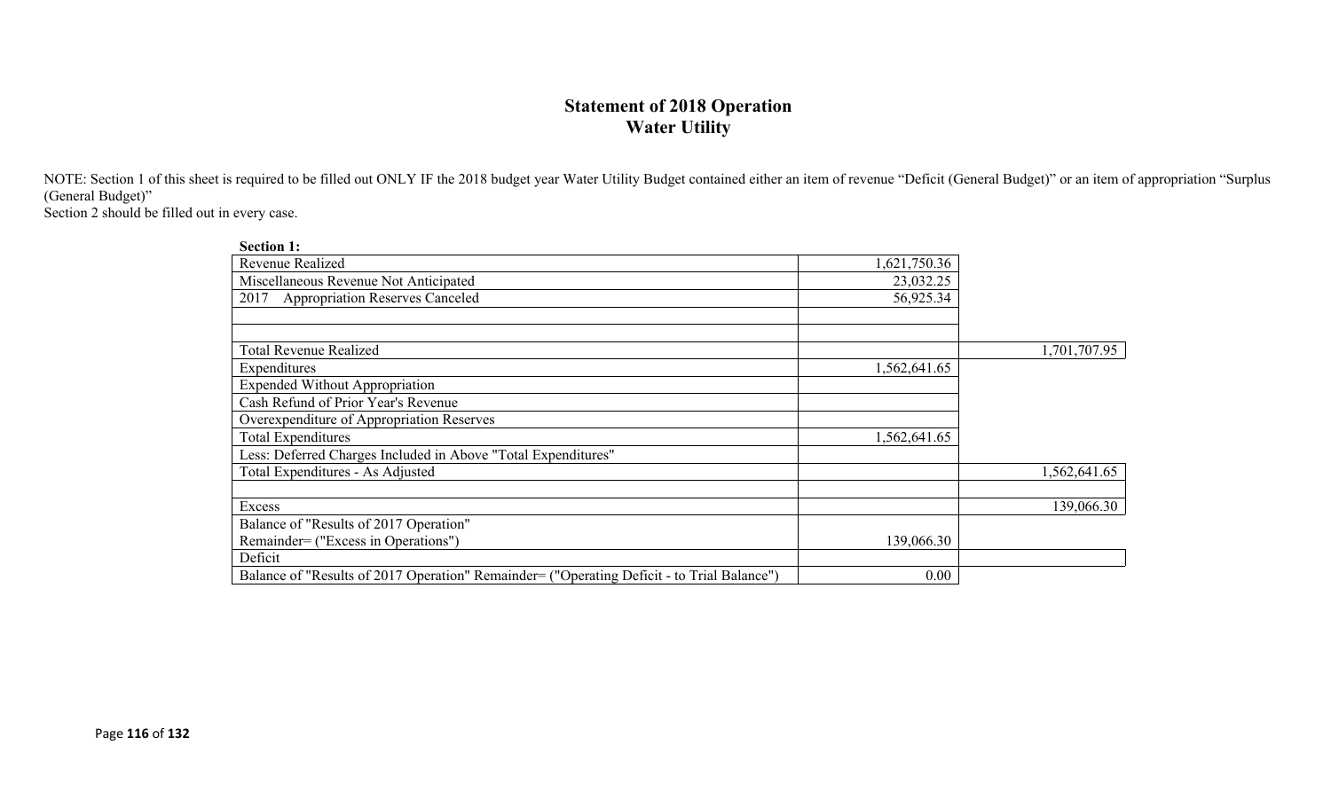### **Statement of 2018 Operation Water Utility**

NOTE: Section 1 of this sheet is required to be filled out ONLY IF the 2018 budget year Water Utility Budget contained either an item of revenue "Deficit (General Budget)" or an item of appropriation "Surplus (General Budget)"

Section 2 should be filled out in every case.

| <b>Section 1:</b>                                                                          |              |              |
|--------------------------------------------------------------------------------------------|--------------|--------------|
| Revenue Realized                                                                           | 1,621,750.36 |              |
| Miscellaneous Revenue Not Anticipated                                                      | 23,032.25    |              |
| <b>Appropriation Reserves Canceled</b><br>2017                                             | 56,925.34    |              |
|                                                                                            |              |              |
|                                                                                            |              |              |
| <b>Total Revenue Realized</b>                                                              |              | 1,701,707.95 |
| Expenditures                                                                               | 1,562,641.65 |              |
| <b>Expended Without Appropriation</b>                                                      |              |              |
| Cash Refund of Prior Year's Revenue                                                        |              |              |
| Overexpenditure of Appropriation Reserves                                                  |              |              |
| <b>Total Expenditures</b>                                                                  | 1,562,641.65 |              |
| Less: Deferred Charges Included in Above "Total Expenditures"                              |              |              |
| Total Expenditures - As Adjusted                                                           |              | 1,562,641.65 |
|                                                                                            |              |              |
| Excess                                                                                     |              | 139,066.30   |
| Balance of "Results of 2017 Operation"                                                     |              |              |
| Remainder= ("Excess in Operations")                                                        | 139,066.30   |              |
| Deficit                                                                                    |              |              |
| Balance of "Results of 2017 Operation" Remainder= ("Operating Deficit - to Trial Balance") | 0.00         |              |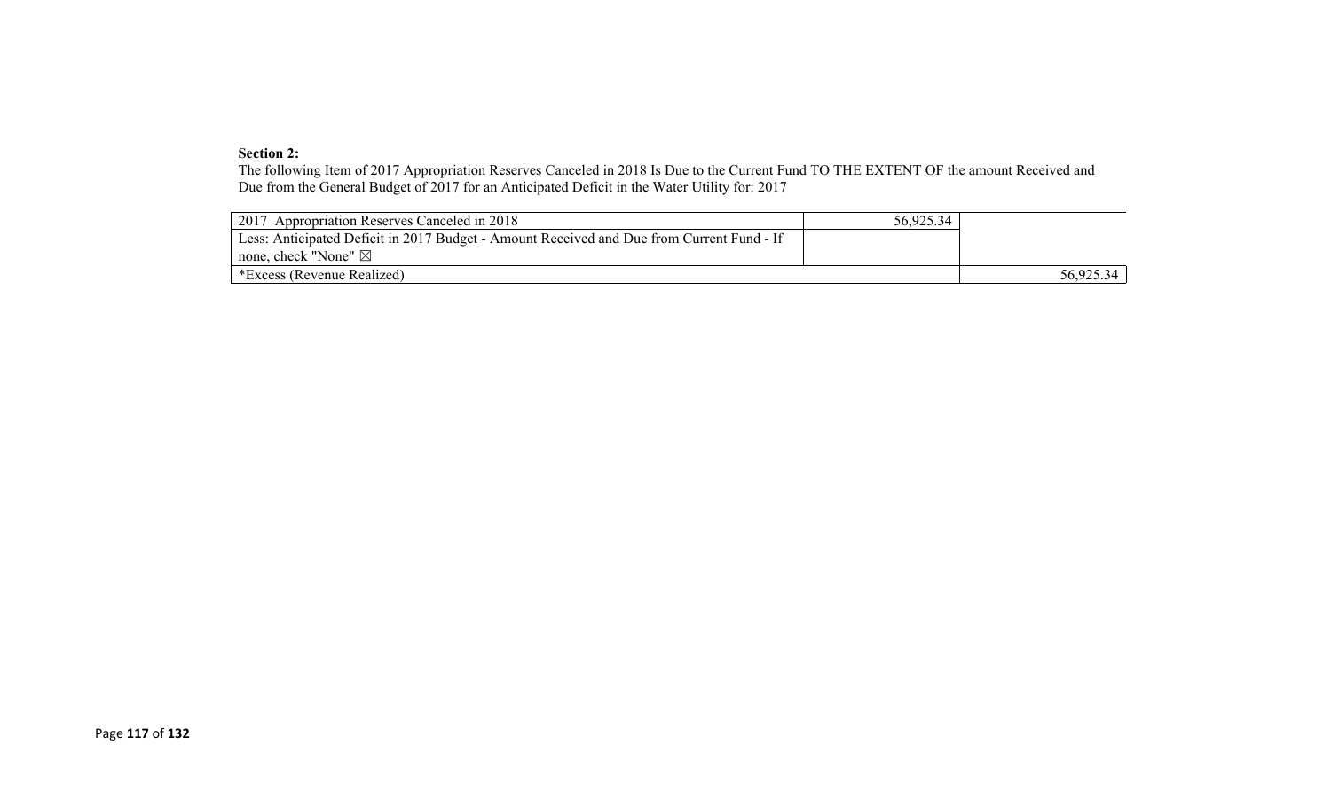#### **Section 2:**

The following Item of 2017 Appropriation Reserves Canceled in 2018 Is Due to the Current Fund TO THE EXTENT OF the amount Received and Due from the General Budget of 2017 for an Anticipated Deficit in the Water Utility for: 2017

| 2017 Appropriation Reserves Canceled in 2018                                              | 56,925.34 |           |
|-------------------------------------------------------------------------------------------|-----------|-----------|
| Less: Anticipated Deficit in 2017 Budget - Amount Received and Due from Current Fund - If |           |           |
| none, check "None" $\boxtimes$                                                            |           |           |
| *Excess (Revenue Realized)                                                                |           | 56,925.34 |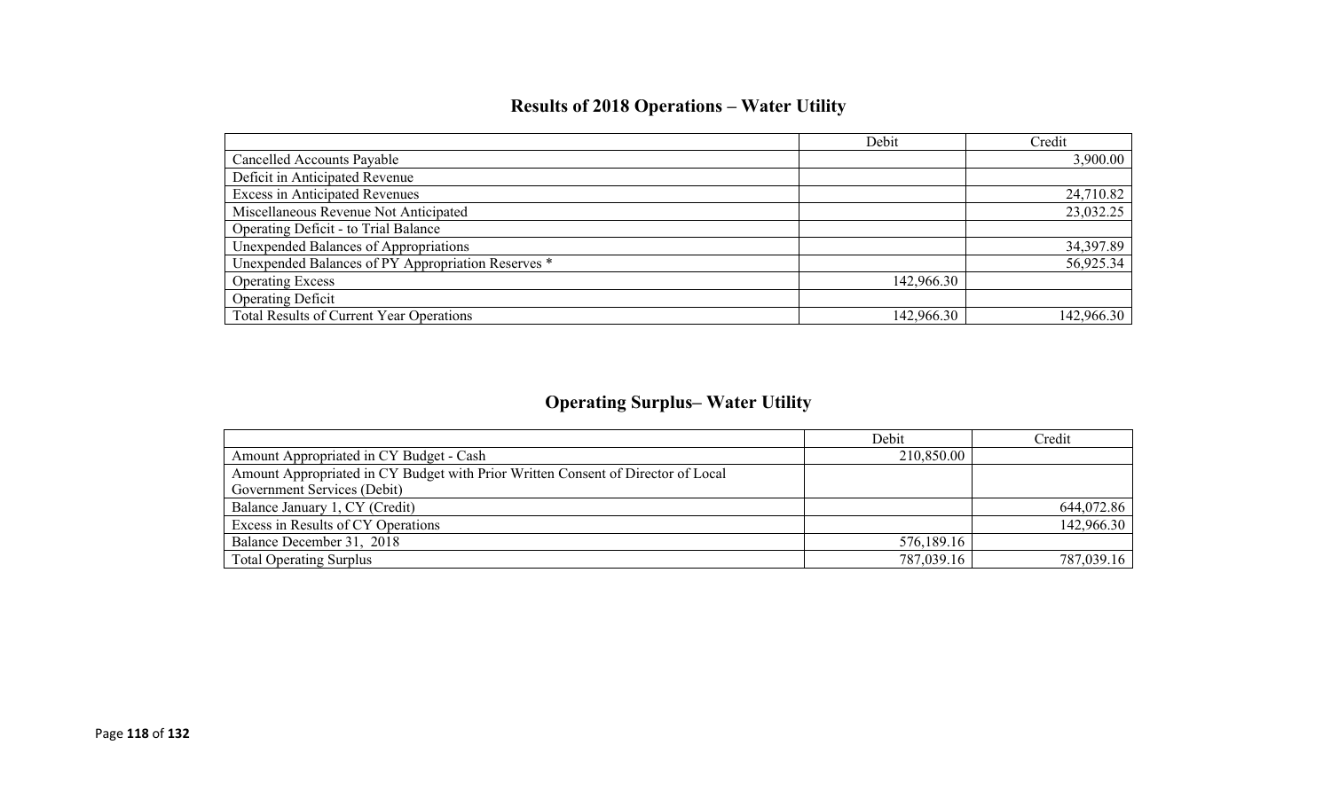# **Results of 2018 Operations – Water Utility**

|                                                    | Debit      | Credit     |
|----------------------------------------------------|------------|------------|
| <b>Cancelled Accounts Payable</b>                  |            | 3,900.00   |
| Deficit in Anticipated Revenue                     |            |            |
| <b>Excess in Anticipated Revenues</b>              |            | 24,710.82  |
| Miscellaneous Revenue Not Anticipated              |            | 23,032.25  |
| Operating Deficit - to Trial Balance               |            |            |
| Unexpended Balances of Appropriations              |            | 34,397.89  |
| Unexpended Balances of PY Appropriation Reserves * |            | 56,925.34  |
| <b>Operating Excess</b>                            | 142,966.30 |            |
| <b>Operating Deficit</b>                           |            |            |
| <b>Total Results of Current Year Operations</b>    | 142,966.30 | 142,966.30 |

# **Operating Surplus– Water Utility**

|                                                                                  | Debit      | Credit     |
|----------------------------------------------------------------------------------|------------|------------|
| Amount Appropriated in CY Budget - Cash                                          | 210,850.00 |            |
| Amount Appropriated in CY Budget with Prior Written Consent of Director of Local |            |            |
| Government Services (Debit)                                                      |            |            |
| Balance January 1, CY (Credit)                                                   |            | 644,072.86 |
| Excess in Results of CY Operations                                               |            | 142,966.30 |
| Balance December 31, 2018                                                        | 576,189.16 |            |
| <b>Total Operating Surplus</b>                                                   | 787,039.16 | 787,039.16 |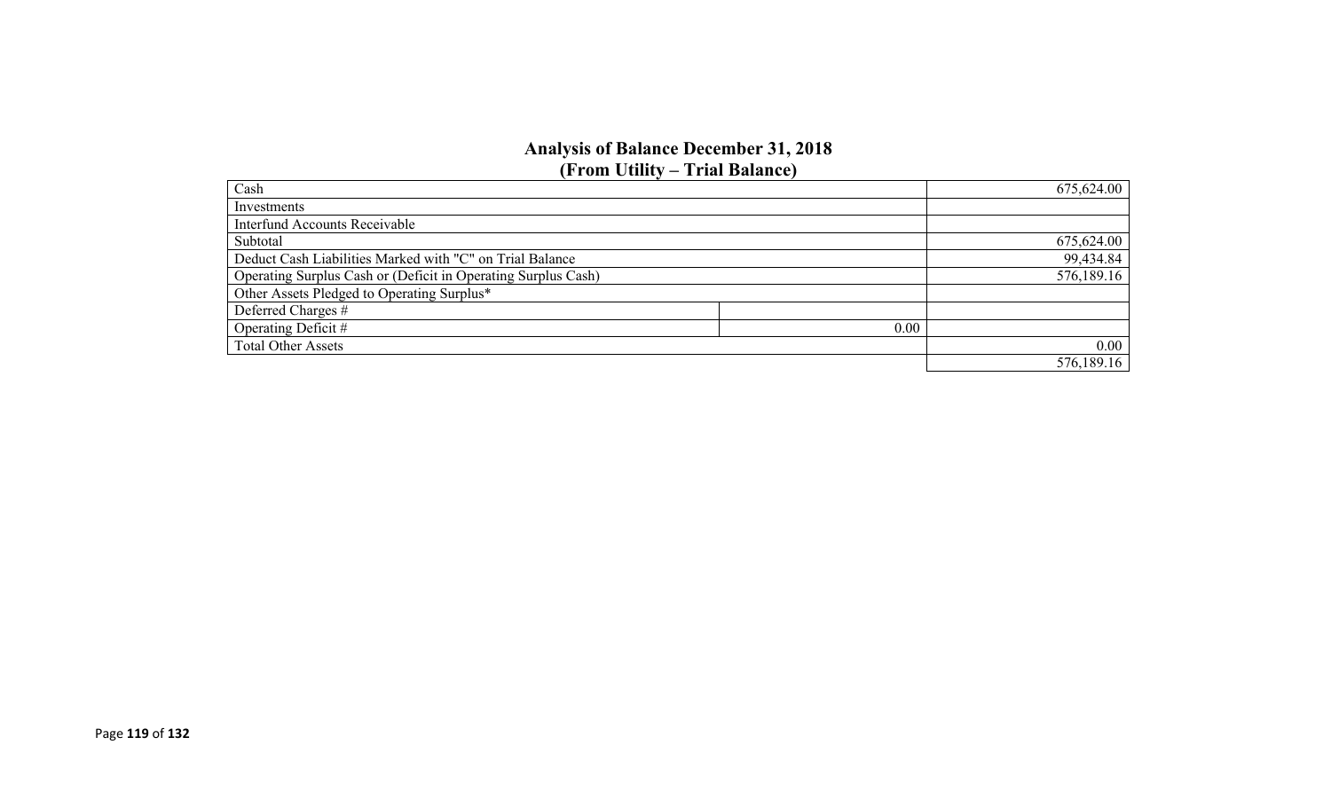### **Analysis of Balance December 31, 2018 (From Utility – Trial Balance)**

| Cash                                                          |      | 675,624.00 |
|---------------------------------------------------------------|------|------------|
| Investments                                                   |      |            |
| <b>Interfund Accounts Receivable</b>                          |      |            |
| Subtotal                                                      |      | 675,624.00 |
| Deduct Cash Liabilities Marked with "C" on Trial Balance      |      | 99,434.84  |
| Operating Surplus Cash or (Deficit in Operating Surplus Cash) |      | 576,189.16 |
| Other Assets Pledged to Operating Surplus*                    |      |            |
| Deferred Charges #                                            |      |            |
| Operating Deficit #                                           | 0.00 |            |
| <b>Total Other Assets</b>                                     |      | 0.00       |
|                                                               |      | 576,189.16 |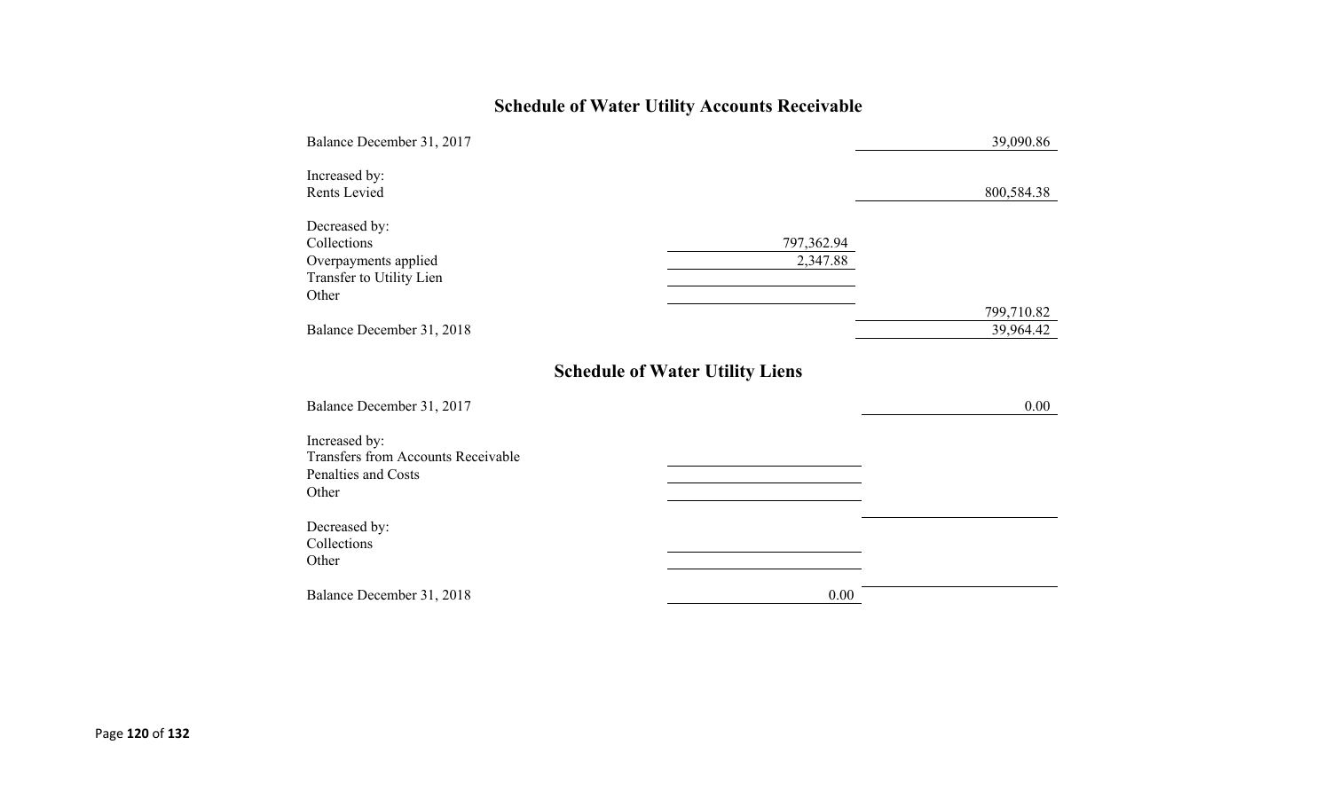# **Schedule of Water Utility Accounts Receivable**

| Balance December 31, 2017                                                                  |                                        | 39,090.86               |
|--------------------------------------------------------------------------------------------|----------------------------------------|-------------------------|
| Increased by:<br>Rents Levied                                                              |                                        | 800,584.38              |
| Decreased by:<br>Collections<br>Overpayments applied<br>Transfer to Utility Lien<br>Other  | 797,362.94<br>2,347.88                 |                         |
| Balance December 31, 2018                                                                  |                                        | 799,710.82<br>39,964.42 |
| Balance December 31, 2017                                                                  | <b>Schedule of Water Utility Liens</b> | $0.00\,$                |
| Increased by:<br><b>Transfers from Accounts Receivable</b><br>Penalties and Costs<br>Other |                                        |                         |
| Decreased by:<br>Collections<br>Other                                                      |                                        |                         |
| Balance December 31, 2018                                                                  | 0.00                                   |                         |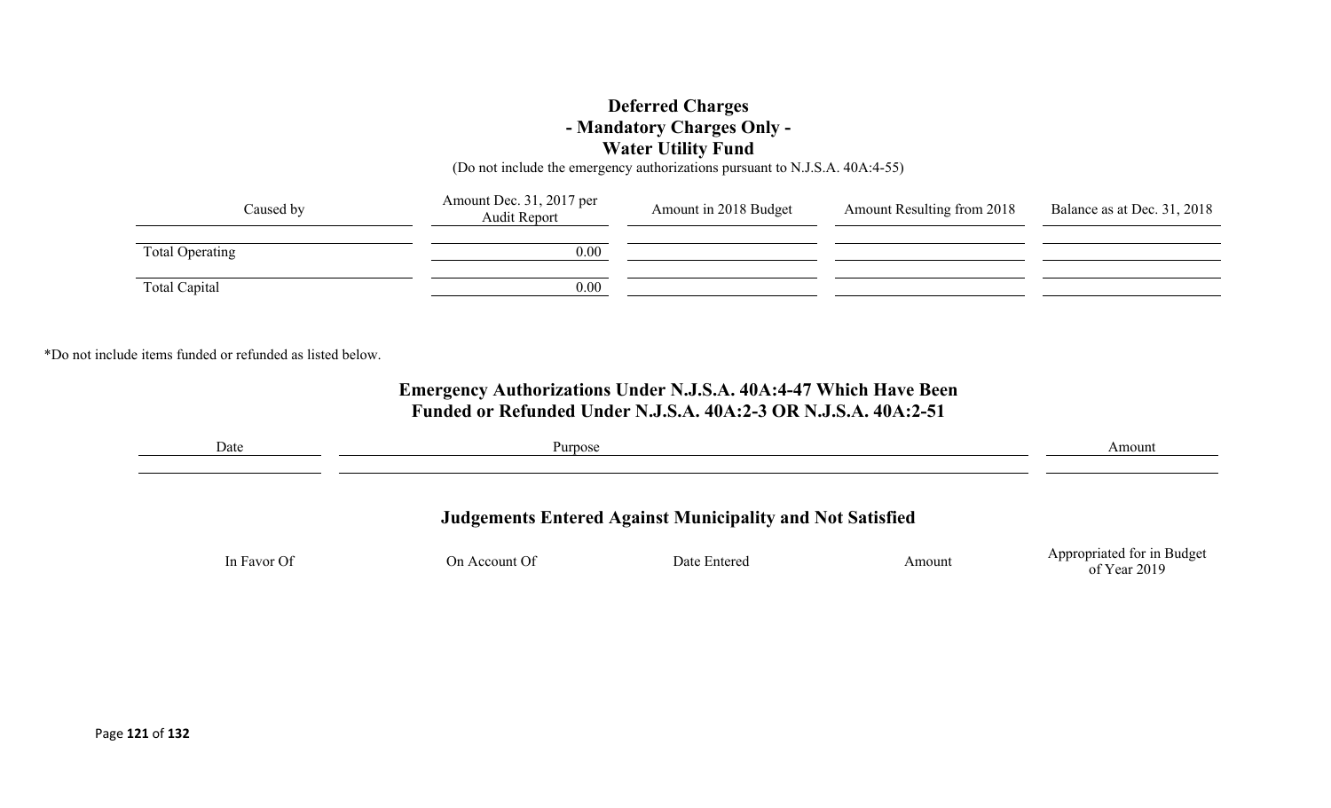### **Deferred Charges - Mandatory Charges Only - Water Utility Fund**

(Do not include the emergency authorizations pursuant to N.J.S.A. 40A:4-55)

| Caused by       | Amount Dec. 31, 2017 per<br>Audit Report | Amount in 2018 Budget | <b>Amount Resulting from 2018</b> | Balance as at Dec. 31, 2018 |
|-----------------|------------------------------------------|-----------------------|-----------------------------------|-----------------------------|
| Total Operating | 0.00                                     |                       |                                   |                             |
| Total Capital   | 0.00                                     |                       |                                   |                             |

\*Do not include items funded or refunded as listed below.

### **Emergency Authorizations Under N.J.S.A. 40A:4-47 Which Have Been Funded or Refunded Under N.J.S.A. 40A:2-3 OR N.J.S.A. 40A:2-51**

| Date        | Purpose       | Amount       |        |                                              |
|-------------|---------------|--------------|--------|----------------------------------------------|
|             |               |              |        |                                              |
|             |               |              |        |                                              |
| In Favor Of | On Account Of | Date Entered | Amount | Appropriated for in Budget<br>of Year $2019$ |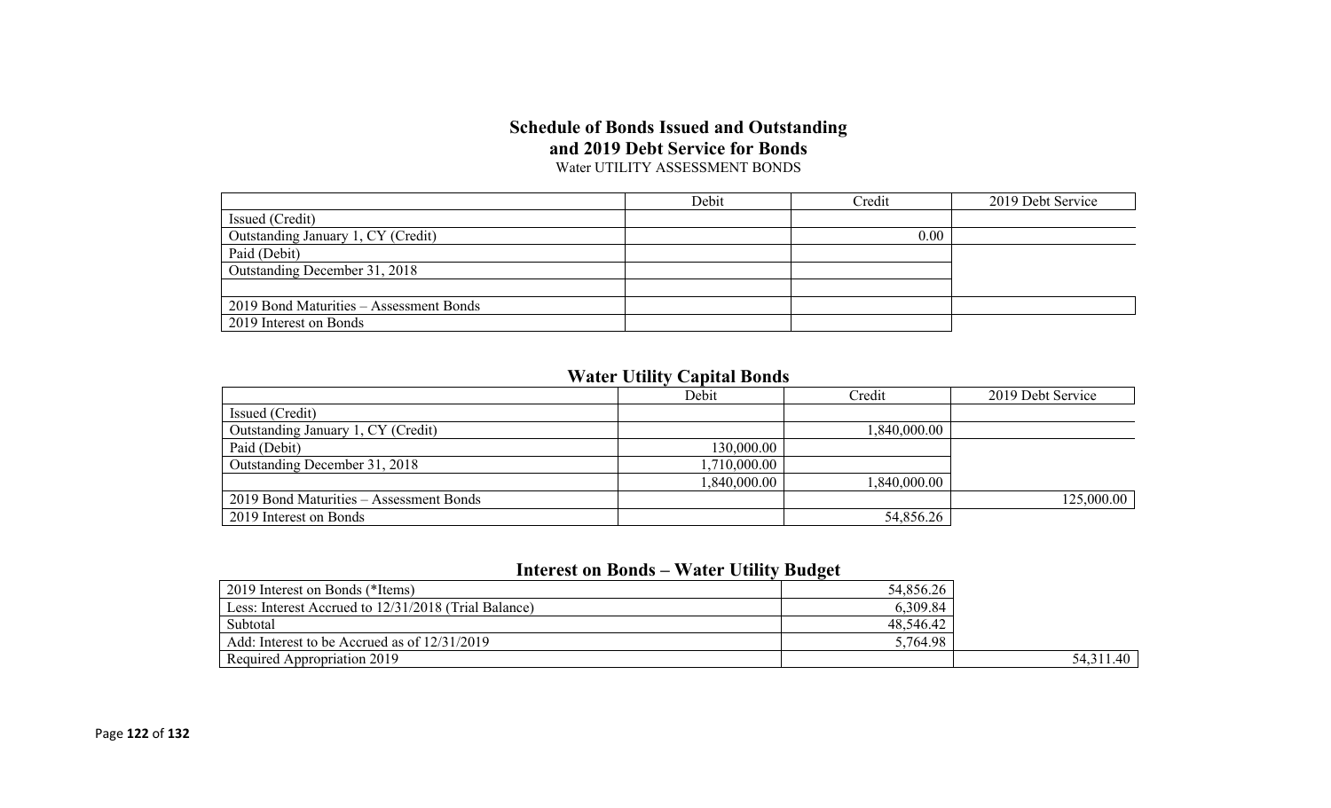#### **Schedule of Bonds Issued and Outstanding and 2019 Debt Service for Bonds** Water UTILITY ASSESSMENT BONDS

|                                         | Debit | Credit | 2019 Debt Service |
|-----------------------------------------|-------|--------|-------------------|
| Issued (Credit)                         |       |        |                   |
| Outstanding January 1, CY (Credit)      |       | 0.00   |                   |
| Paid (Debit)                            |       |        |                   |
| Outstanding December 31, 2018           |       |        |                   |
|                                         |       |        |                   |
| 2019 Bond Maturities - Assessment Bonds |       |        |                   |
| 2019 Interest on Bonds                  |       |        |                   |

### **Water Utility Capital Bonds**

|                                         | Debit        | Credit       | 2019 Debt Service |
|-----------------------------------------|--------------|--------------|-------------------|
| Issued (Credit)                         |              |              |                   |
| Outstanding January 1, CY (Credit)      |              | 1,840,000.00 |                   |
| Paid (Debit)                            | 130,000.00   |              |                   |
| Outstanding December 31, 2018           | 1,710,000.00 |              |                   |
|                                         | 1,840,000.00 | 1,840,000.00 |                   |
| 2019 Bond Maturities – Assessment Bonds |              |              | 125,000.00        |
| 2019 Interest on Bonds                  |              | 54,856.26    |                   |

### **Interest on Bonds – Water Utility Budget**

| 2019 Interest on Bonds (*Items)                      | 54,856.26 |             |
|------------------------------------------------------|-----------|-------------|
| Less: Interest Accrued to 12/31/2018 (Trial Balance) | 6,309.84  |             |
| Subtotal                                             | 48,546.42 |             |
| Add: Interest to be Accrued as of 12/31/2019         | 5,764.98  |             |
| Required Appropriation 2019                          |           | 54, 311. 40 |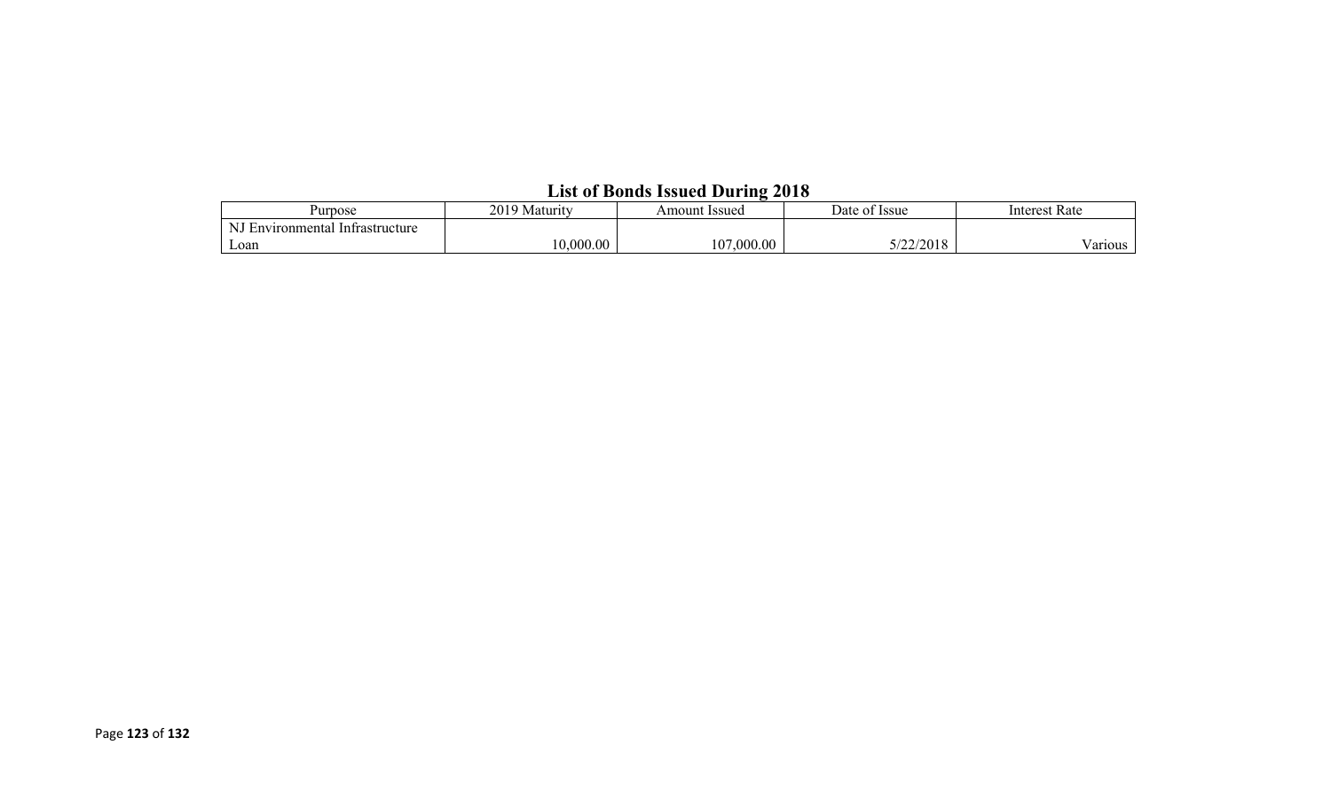| Purpose                                   | 2019<br>Maturity<br>u | Amount Issued | <b>Issue</b><br>Date of | Interest Rate   |  |  |  |  |  |
|-------------------------------------------|-----------------------|---------------|-------------------------|-----------------|--|--|--|--|--|
| NI E<br>l Infrastructure<br>Environmental |                       |               |                         |                 |  |  |  |  |  |
| Loan                                      | .000.00               | 107,000.00    | 7/22/2010<br>2010       | - -<br>/ arious |  |  |  |  |  |

### **List of Bonds Issued During 2018**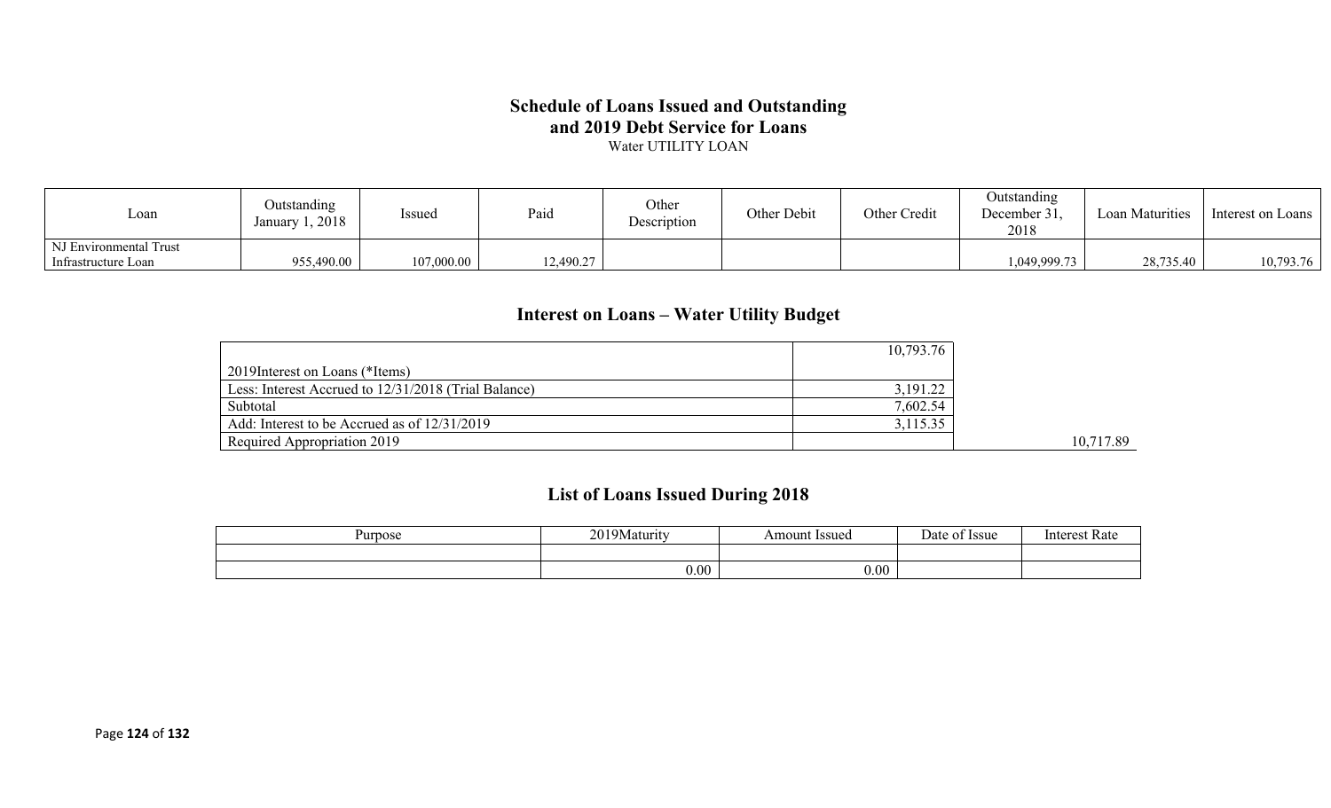#### **Schedule of Loans Issued and Outstanding and 2019 Debt Service for Loans** Water UTILITY LOAN

| $\text{L}$ oan         | Outstanding<br>January 1, 2018 | Issued     | Paid      | Other<br>Description | Other Debit | Other Credit | <b>Outstanding</b><br>December 31,<br>2018 | Loan Maturities | Interest on Loans |
|------------------------|--------------------------------|------------|-----------|----------------------|-------------|--------------|--------------------------------------------|-----------------|-------------------|
| NJ Environmental Trust |                                |            |           |                      |             |              |                                            |                 |                   |
| Infrastructure Loan    | 955,490.00                     | 107,000.00 | 12,490.27 |                      |             |              | 1,049,999.73                               | 28,735.40       | 10,793.76         |

### **Interest on Loans – Water Utility Budget**

|                                                      | 10,793.76 |           |
|------------------------------------------------------|-----------|-----------|
| 2019 Interest on Loans (*Items)                      |           |           |
| Less: Interest Accrued to 12/31/2018 (Trial Balance) | 3,191.22  |           |
| Subtotal                                             | 7,602.54  |           |
| Add: Interest to be Accrued as of 12/31/2019         | 3,115.35  |           |
| Required Appropriation 2019                          |           | 10,717.89 |

### **List of Loans Issued During 2018**

| Purpose | 0.0103E<br>laturity<br>$\sim$ V | <b>Issued</b><br>Amount | : Issue<br>Jate | Interest<br>- Rate |
|---------|---------------------------------|-------------------------|-----------------|--------------------|
|         |                                 |                         |                 |                    |
|         | 0.00                            | 0.00                    |                 |                    |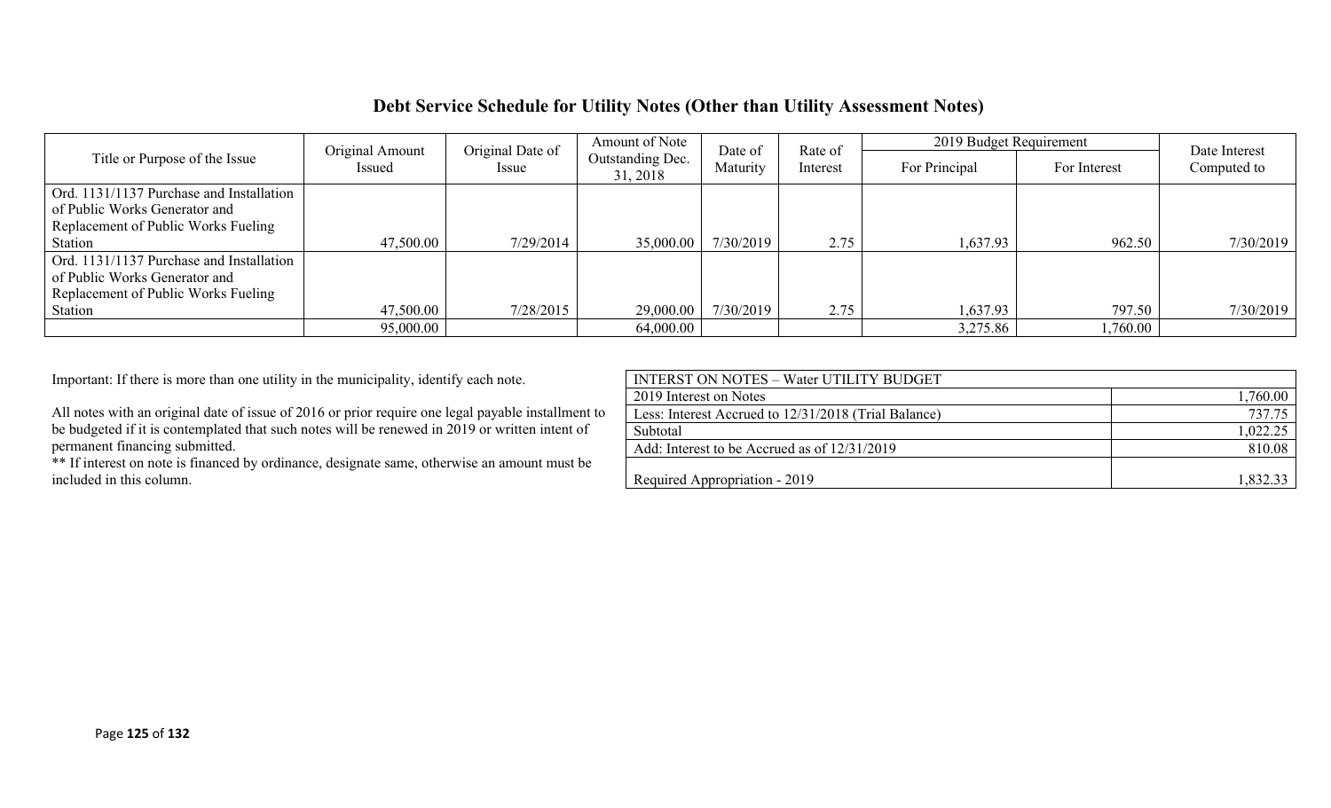### **Debt Service Schedule for Utility Notes (Other than Utility Assessment Notes)**

|                                          | Original Date of<br>Original Amount |           | Amount of Note               | Rate of<br>Date of |          | 2019 Budget Requirement |              | Date Interest |
|------------------------------------------|-------------------------------------|-----------|------------------------------|--------------------|----------|-------------------------|--------------|---------------|
| Title or Purpose of the Issue            | Issued                              | Issue     | Outstanding Dec.<br>31, 2018 | Maturity           | Interest | For Principal           | For Interest | Computed to   |
|                                          |                                     |           |                              |                    |          |                         |              |               |
| Ord. 1131/1137 Purchase and Installation |                                     |           |                              |                    |          |                         |              |               |
| of Public Works Generator and            |                                     |           |                              |                    |          |                         |              |               |
| Replacement of Public Works Fueling      |                                     |           |                              |                    |          |                         |              |               |
| Station                                  | 47,500.00                           | 7/29/2014 | 35,000.00                    | 7/30/2019          | 2.75     | 1,637.93                | 962.50       | 7/30/2019     |
| Ord. 1131/1137 Purchase and Installation |                                     |           |                              |                    |          |                         |              |               |
| of Public Works Generator and            |                                     |           |                              |                    |          |                         |              |               |
| Replacement of Public Works Fueling      |                                     |           |                              |                    |          |                         |              |               |
| Station                                  | 47,500.00                           | 7/28/2015 | 29,000.00                    | 7/30/2019          | 2.75     | 1,637.93                | 797.50       | 7/30/2019     |
|                                          | 95,000.00                           |           | 64,000.00                    |                    |          | 3,275.86                | 1,760.00     |               |

Important: If there is more than one utility in the municipality, identify each note.

| <b>INTERST ON NOTES - Water UTILITY BUDGET</b>       |          |
|------------------------------------------------------|----------|
| 2019 Interest on Notes                               | .760.00  |
| Less: Interest Accrued to 12/31/2018 (Trial Balance) | 737.75   |
| Subtotal                                             | 1,022.25 |
| Add: Interest to be Accrued as of 12/31/2019         | 810.08   |
|                                                      |          |
| Required Appropriation - 2019                        | 1,832.33 |
|                                                      |          |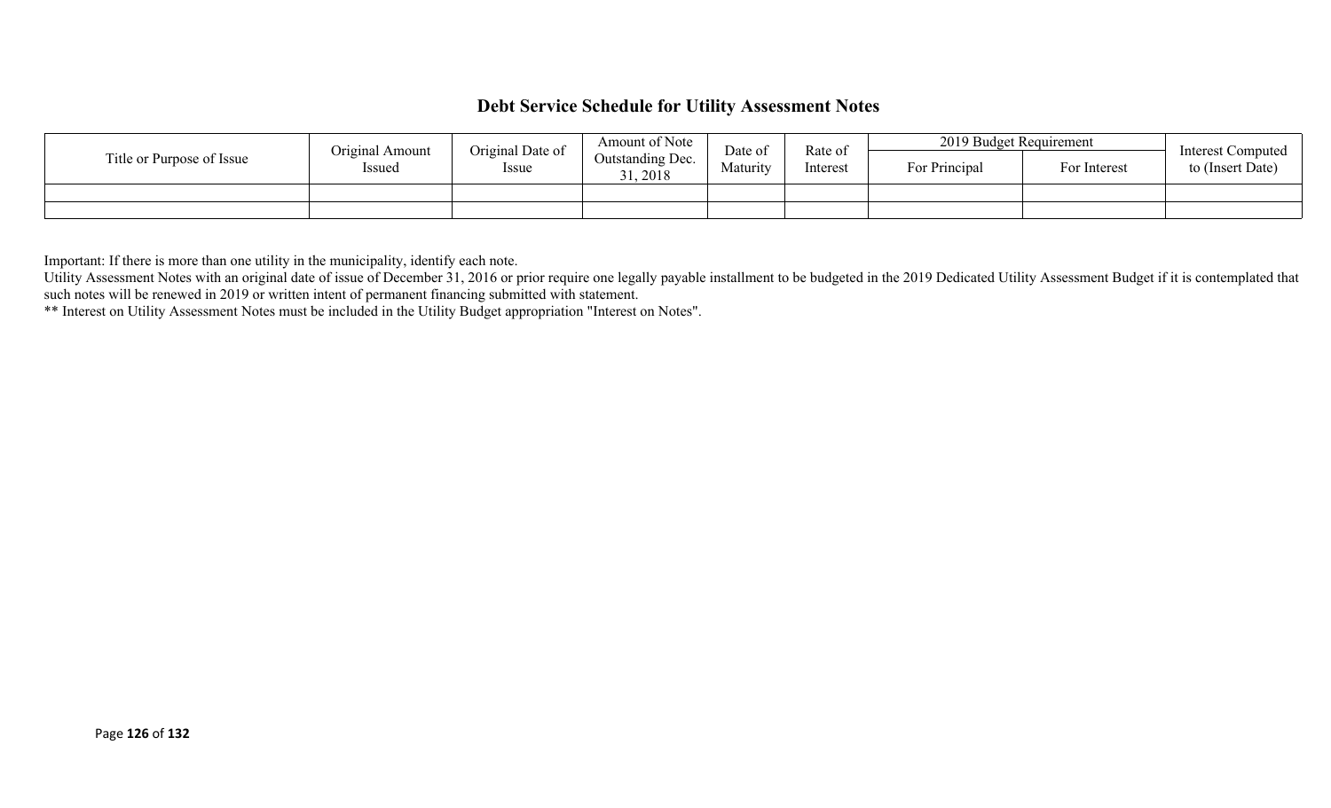### **Debt Service Schedule for Utility Assessment Notes**

|                           | Amount of Note<br>Original Date of<br>Original Amount<br>Outstanding Dec.<br>Issued<br>Issue<br>31, 2018 |          | Date of  | Rate of       | 2019 Budget Requirement |                  | Interest Computed |
|---------------------------|----------------------------------------------------------------------------------------------------------|----------|----------|---------------|-------------------------|------------------|-------------------|
| Title or Purpose of Issue |                                                                                                          | Maturity | Interest | For Principal | For Interest            | to (Insert Date) |                   |
|                           |                                                                                                          |          |          |               |                         |                  |                   |
|                           |                                                                                                          |          |          |               |                         |                  |                   |

Important: If there is more than one utility in the municipality, identify each note.

Utility Assessment Notes with an original date of issue of December 31, 2016 or prior require one legally payable installment to be budgeted in the 2019 Dedicated Utility Assessment Budget if it is contemplated that such notes will be renewed in 2019 or written intent of permanent financing submitted with statement.

\*\* Interest on Utility Assessment Notes must be included in the Utility Budget appropriation "Interest on Notes".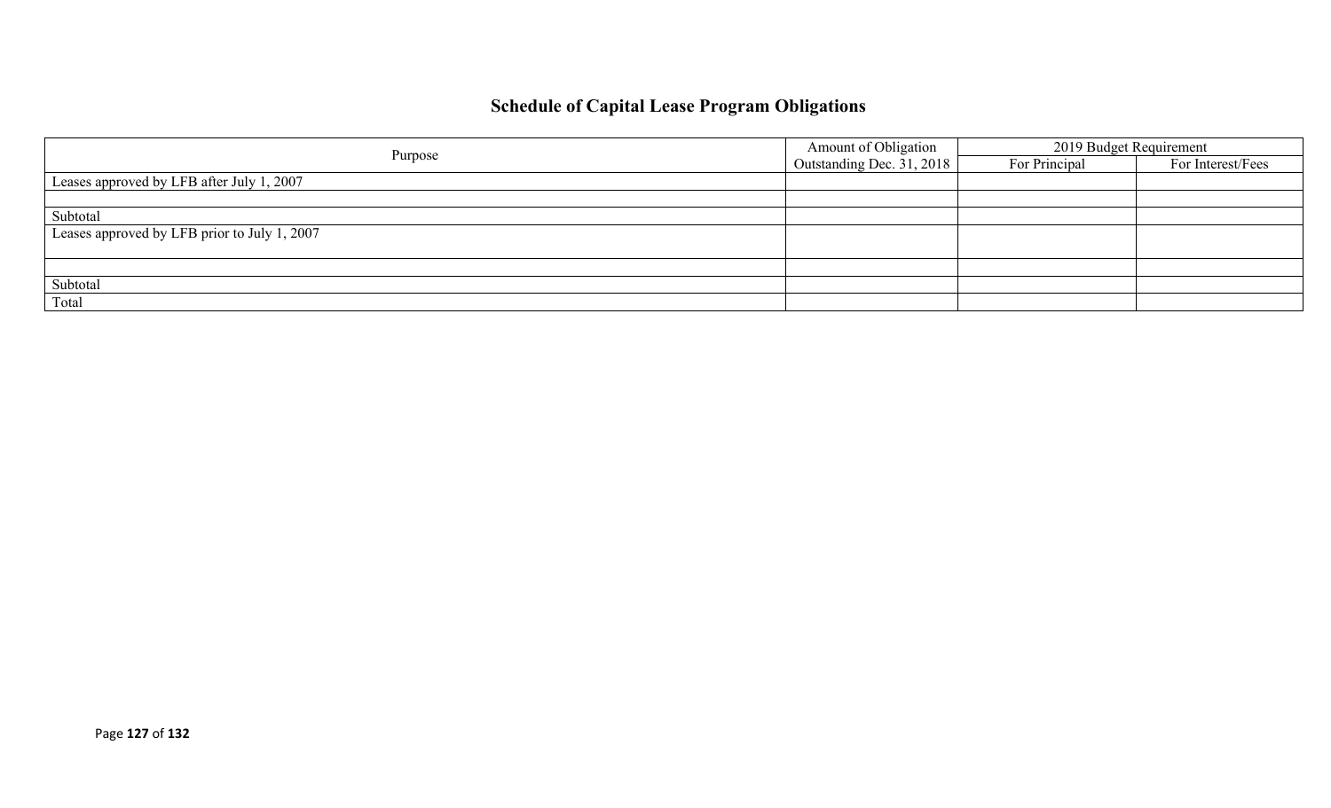# **Schedule of Capital Lease Program Obligations**

| Purpose                                      | Amount of Obligation      | 2019 Budget Requirement |                   |
|----------------------------------------------|---------------------------|-------------------------|-------------------|
|                                              | Outstanding Dec. 31, 2018 | For Principal           | For Interest/Fees |
| Leases approved by LFB after July 1, 2007    |                           |                         |                   |
|                                              |                           |                         |                   |
| Subtotal                                     |                           |                         |                   |
| Leases approved by LFB prior to July 1, 2007 |                           |                         |                   |
|                                              |                           |                         |                   |
|                                              |                           |                         |                   |
| Subtotal                                     |                           |                         |                   |
| Total                                        |                           |                         |                   |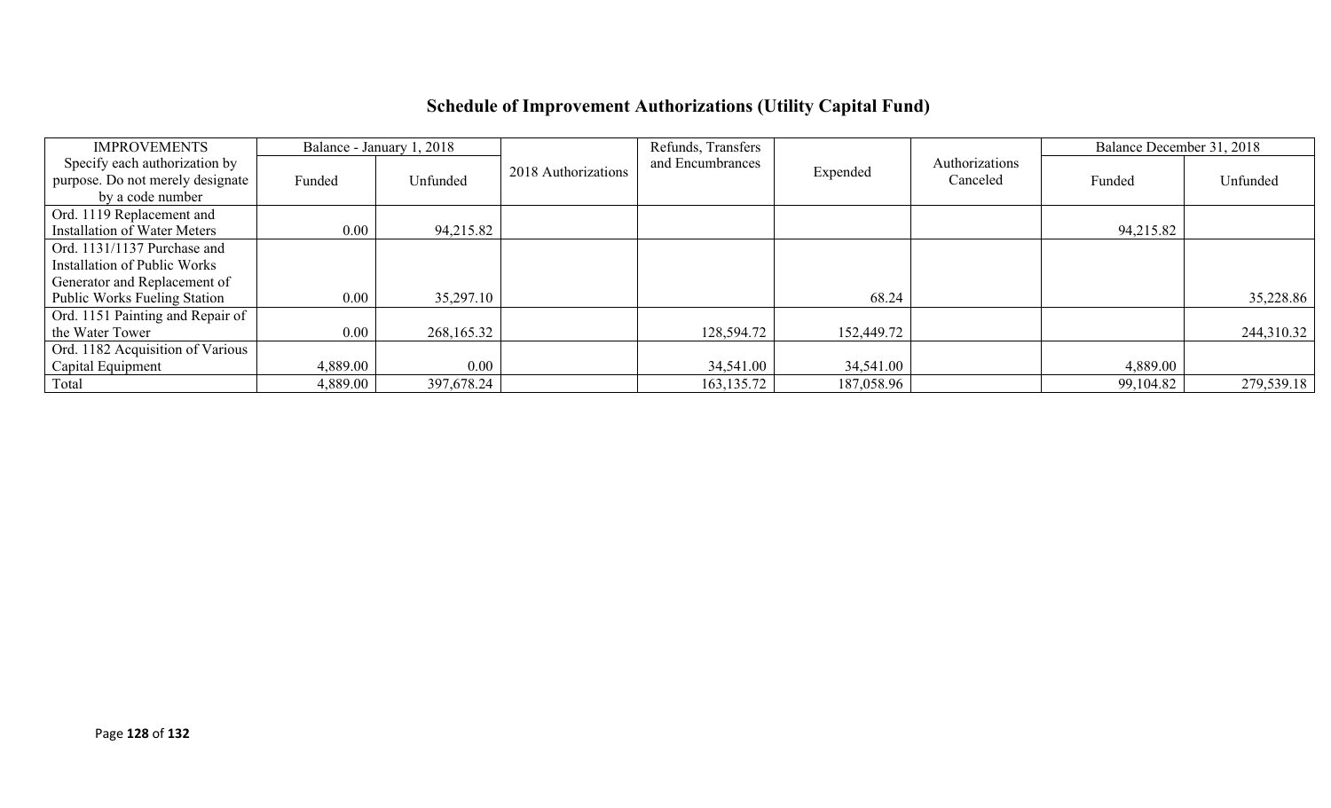# **Schedule of Improvement Authorizations (Utility Capital Fund)**

| <b>IMPROVEMENTS</b>                 |          | Balance - January 1, 2018 |                     | Refunds, Transfers |            |                | Balance December 31, 2018 |            |
|-------------------------------------|----------|---------------------------|---------------------|--------------------|------------|----------------|---------------------------|------------|
| Specify each authorization by       |          |                           | 2018 Authorizations | and Encumbrances   | Expended   | Authorizations |                           |            |
| purpose. Do not merely designate    | Funded   | Unfunded                  |                     |                    |            | Canceled       | Funded                    | Unfunded   |
| by a code number                    |          |                           |                     |                    |            |                |                           |            |
| Ord. 1119 Replacement and           |          |                           |                     |                    |            |                |                           |            |
| <b>Installation of Water Meters</b> | $0.00\,$ | 94,215.82                 |                     |                    |            |                | 94,215.82                 |            |
| Ord. 1131/1137 Purchase and         |          |                           |                     |                    |            |                |                           |            |
| Installation of Public Works        |          |                           |                     |                    |            |                |                           |            |
| Generator and Replacement of        |          |                           |                     |                    |            |                |                           |            |
| <b>Public Works Fueling Station</b> | $0.00\,$ | 35,297.10                 |                     |                    | 68.24      |                |                           | 35,228.86  |
| Ord. 1151 Painting and Repair of    |          |                           |                     |                    |            |                |                           |            |
| the Water Tower                     | $0.00\,$ | 268,165.32                |                     | 128,594.72         | 152,449.72 |                |                           | 244,310.32 |
| Ord. 1182 Acquisition of Various    |          |                           |                     |                    |            |                |                           |            |
| Capital Equipment                   | 4,889.00 | 0.00                      |                     | 34,541.00          | 34,541.00  |                | 4,889.00                  |            |
| Total                               | 4,889.00 | 397,678.24                |                     | 163, 135. 72       | 187,058.96 |                | 99,104.82                 | 279,539.18 |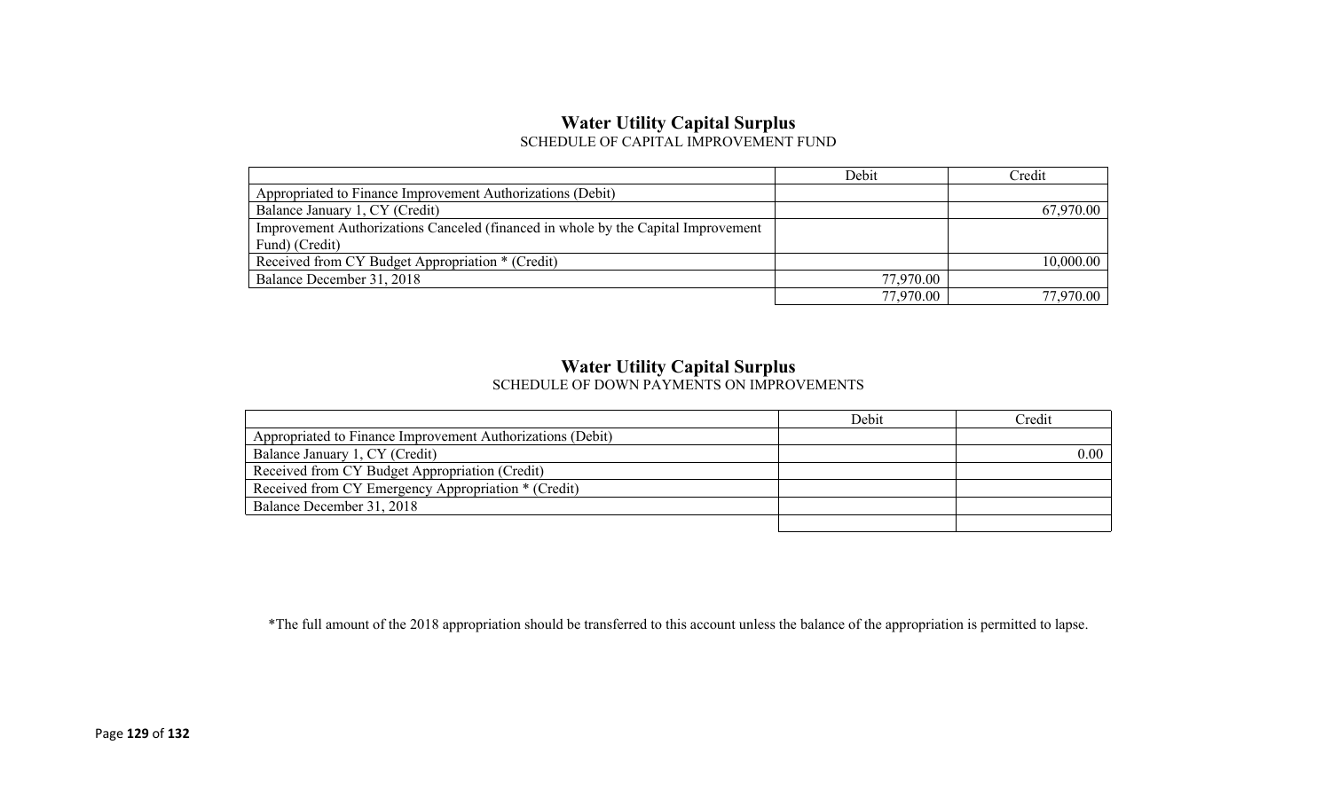#### **Water Utility Capital Surplus** SCHEDULE OF CAPITAL IMPROVEMENT FUND

|                                                                                   | Debit     | Credit    |
|-----------------------------------------------------------------------------------|-----------|-----------|
| Appropriated to Finance Improvement Authorizations (Debit)                        |           |           |
| Balance January 1, CY (Credit)                                                    |           | 67,970.00 |
| Improvement Authorizations Canceled (financed in whole by the Capital Improvement |           |           |
| Fund) (Credit)                                                                    |           |           |
| Received from CY Budget Appropriation * (Credit)                                  |           | 10,000.00 |
| Balance December 31, 2018                                                         | 77,970.00 |           |
|                                                                                   | 77,970.00 | 77.970.00 |

# **Water Utility Capital Surplus**

|                                                            | Debit | Credit |
|------------------------------------------------------------|-------|--------|
| Appropriated to Finance Improvement Authorizations (Debit) |       |        |
| Balance January 1, CY (Credit)                             |       | 0.00   |
| Received from CY Budget Appropriation (Credit)             |       |        |
| Received from CY Emergency Appropriation * (Credit)        |       |        |
| Balance December 31, 2018                                  |       |        |
|                                                            |       |        |

\*The full amount of the 2018 appropriation should be transferred to this account unless the balance of the appropriation is permitted to lapse.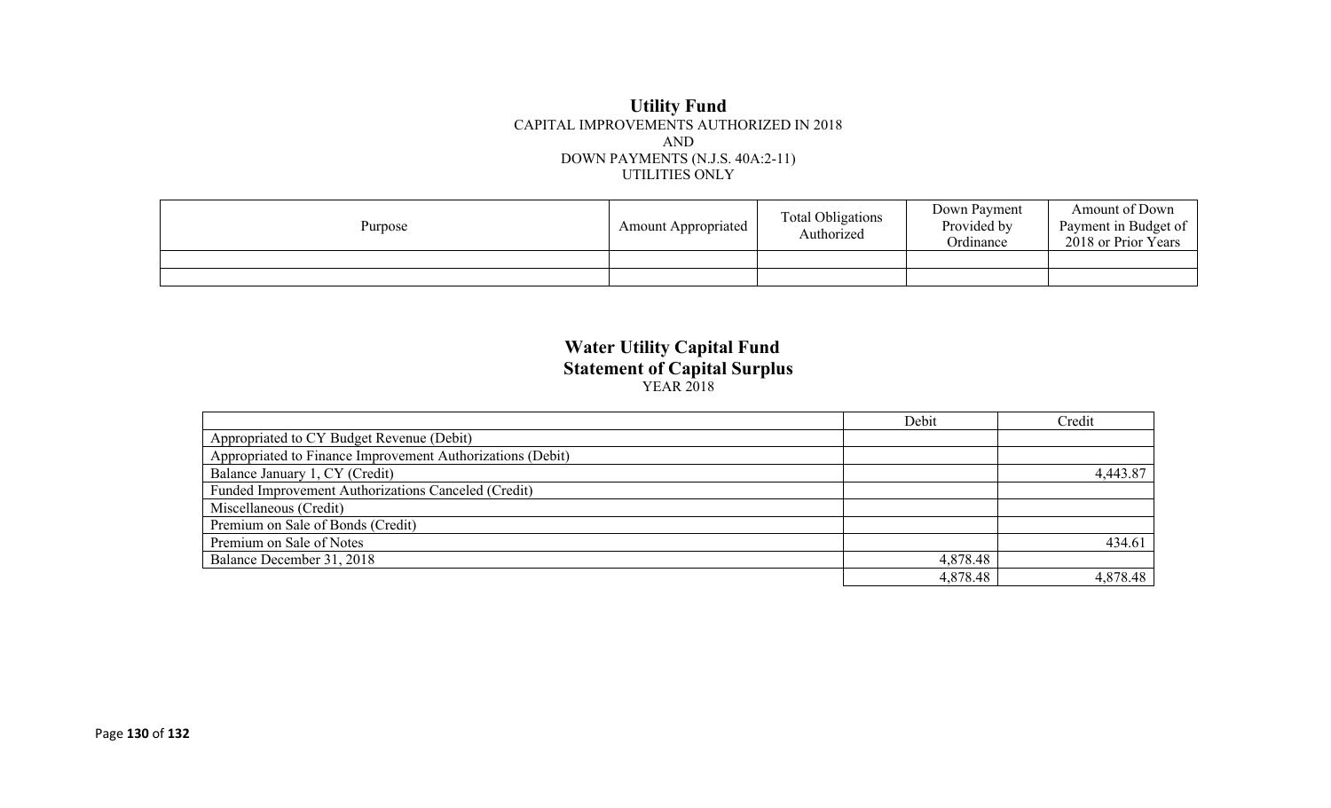#### **Utility Fund** CAPITAL IMPROVEMENTS AUTHORIZED IN 2018 AND DOWN PAYMENTS (N.J.S. 40A:2-11) UTILITIES ONLY

| Purpose | <b>Amount Appropriated</b> | <b>Total Obligations</b><br>Authorized | Down Payment<br>Provided by<br>Ordinance | Amount of Down<br>Payment in Budget of<br>2018 or Prior Years |
|---------|----------------------------|----------------------------------------|------------------------------------------|---------------------------------------------------------------|
|         |                            |                                        |                                          |                                                               |
|         |                            |                                        |                                          |                                                               |

#### **Water Utility Capital Fund Statement of Capital Surplus** YEAR 2018

|                                                            | Debit    | Credit   |
|------------------------------------------------------------|----------|----------|
| Appropriated to CY Budget Revenue (Debit)                  |          |          |
| Appropriated to Finance Improvement Authorizations (Debit) |          |          |
| Balance January 1, CY (Credit)                             |          | 4,443.87 |
| Funded Improvement Authorizations Canceled (Credit)        |          |          |
| Miscellaneous (Credit)                                     |          |          |
| Premium on Sale of Bonds (Credit)                          |          |          |
| Premium on Sale of Notes                                   |          | 434.61   |
| Balance December 31, 2018                                  | 4,878.48 |          |
|                                                            | 4,878.48 | 4,878.48 |